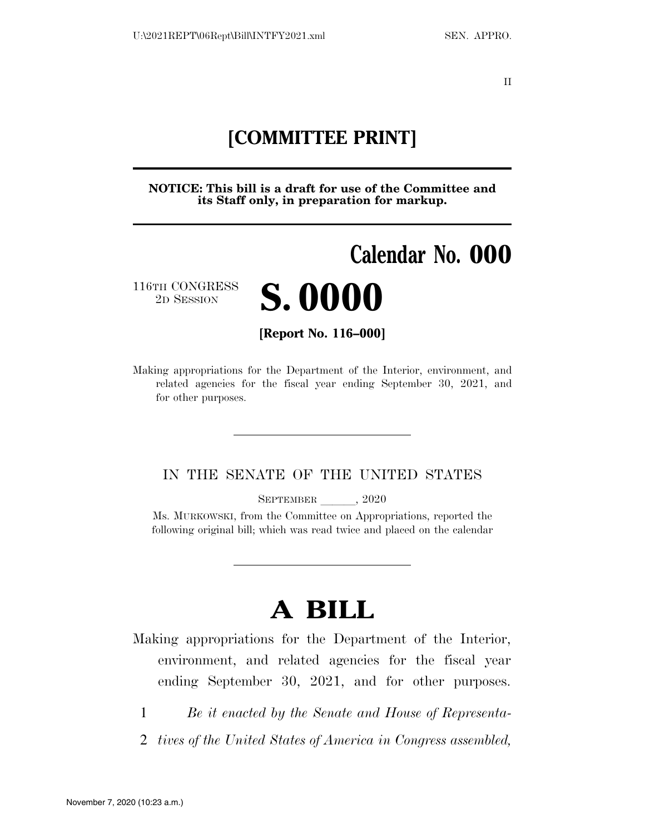II

# **[COMMITTEE PRINT]**

**NOTICE: This bill is a draft for use of the Committee and its Staff only, in preparation for markup.** 

# **Calendar No. 000**

116TH CONGRESS



**[Report No. 116–000]** 

Making appropriations for the Department of the Interior, environment, and related agencies for the fiscal year ending September 30, 2021, and for other purposes.

### IN THE SENATE OF THE UNITED STATES

SEPTEMBER  $, 2020$ 

Ms. MURKOWSKI, from the Committee on Appropriations, reported the following original bill; which was read twice and placed on the calendar

# **A BILL**

Making appropriations for the Department of the Interior, environment, and related agencies for the fiscal year ending September 30, 2021, and for other purposes.

- 1 *Be it enacted by the Senate and House of Representa-*
- 2 *tives of the United States of America in Congress assembled,*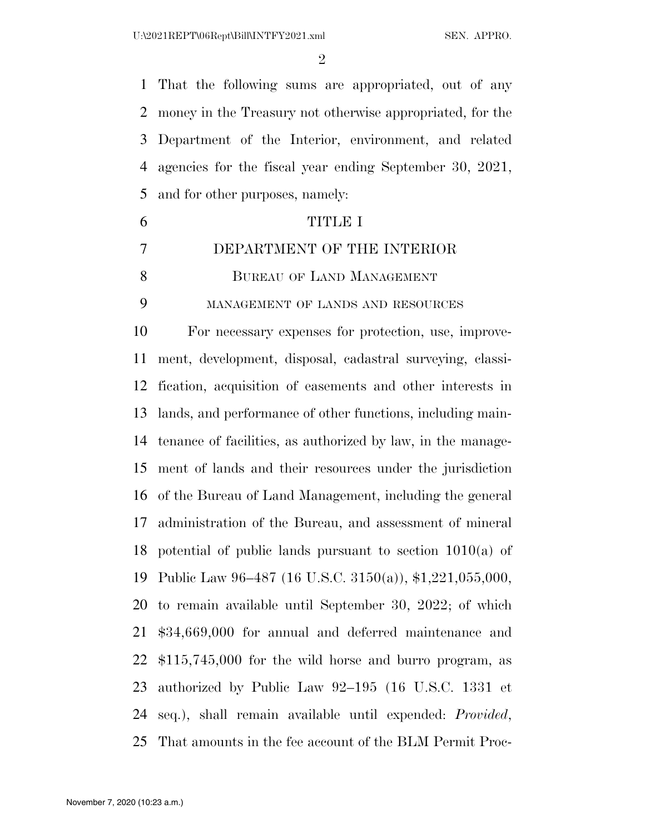$\mathfrak{D}$ 

 That the following sums are appropriated, out of any money in the Treasury not otherwise appropriated, for the Department of the Interior, environment, and related agencies for the fiscal year ending September 30, 2021, and for other purposes, namely:

 TITLE I DEPARTMENT OF THE INTERIOR 8 BUREAU OF LAND MANAGEMENT MANAGEMENT OF LANDS AND RESOURCES For necessary expenses for protection, use, improve- ment, development, disposal, cadastral surveying, classi- fication, acquisition of easements and other interests in lands, and performance of other functions, including main- tenance of facilities, as authorized by law, in the manage- ment of lands and their resources under the jurisdiction of the Bureau of Land Management, including the general administration of the Bureau, and assessment of mineral potential of public lands pursuant to section 1010(a) of Public Law 96–487 (16 U.S.C. 3150(a)), \$1,221,055,000, to remain available until September 30, 2022; of which \$34,669,000 for annual and deferred maintenance and \$115,745,000 for the wild horse and burro program, as authorized by Public Law 92–195 (16 U.S.C. 1331 et seq.), shall remain available until expended: *Provided*, That amounts in the fee account of the BLM Permit Proc-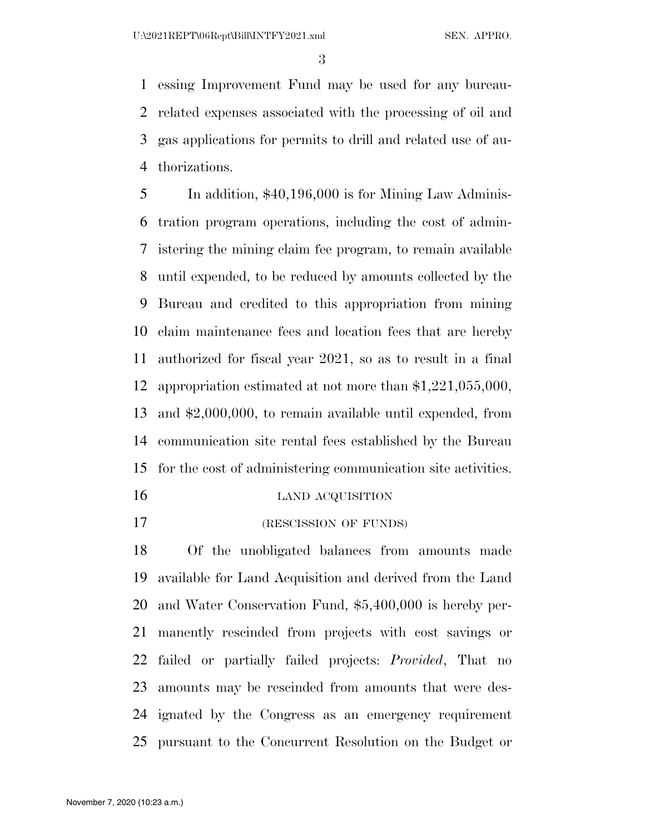essing Improvement Fund may be used for any bureau- related expenses associated with the processing of oil and gas applications for permits to drill and related use of au-thorizations.

 In addition, \$40,196,000 is for Mining Law Adminis- tration program operations, including the cost of admin- istering the mining claim fee program, to remain available until expended, to be reduced by amounts collected by the Bureau and credited to this appropriation from mining claim maintenance fees and location fees that are hereby authorized for fiscal year 2021, so as to result in a final appropriation estimated at not more than \$1,221,055,000, and \$2,000,000, to remain available until expended, from communication site rental fees established by the Bureau for the cost of administering communication site activities.

- 16 LAND ACQUISITION
- (RESCISSION OF FUNDS)

 Of the unobligated balances from amounts made available for Land Acquisition and derived from the Land and Water Conservation Fund, \$5,400,000 is hereby per- manently rescinded from projects with cost savings or failed or partially failed projects: *Provided*, That no amounts may be rescinded from amounts that were des- ignated by the Congress as an emergency requirement pursuant to the Concurrent Resolution on the Budget or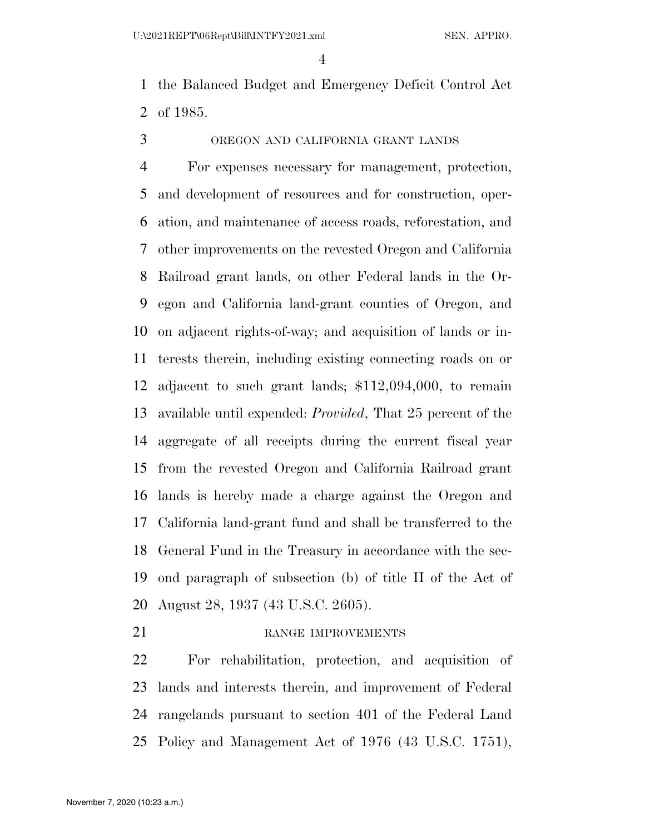the Balanced Budget and Emergency Deficit Control Act of 1985.

OREGON AND CALIFORNIA GRANT LANDS

 For expenses necessary for management, protection, and development of resources and for construction, oper- ation, and maintenance of access roads, reforestation, and other improvements on the revested Oregon and California Railroad grant lands, on other Federal lands in the Or- egon and California land-grant counties of Oregon, and on adjacent rights-of-way; and acquisition of lands or in- terests therein, including existing connecting roads on or adjacent to such grant lands; \$112,094,000, to remain available until expended: *Provided*, That 25 percent of the aggregate of all receipts during the current fiscal year from the revested Oregon and California Railroad grant lands is hereby made a charge against the Oregon and California land-grant fund and shall be transferred to the General Fund in the Treasury in accordance with the sec- ond paragraph of subsection (b) of title II of the Act of August 28, 1937 (43 U.S.C. 2605).

#### 21 RANGE IMPROVEMENTS

 For rehabilitation, protection, and acquisition of lands and interests therein, and improvement of Federal rangelands pursuant to section 401 of the Federal Land Policy and Management Act of 1976 (43 U.S.C. 1751),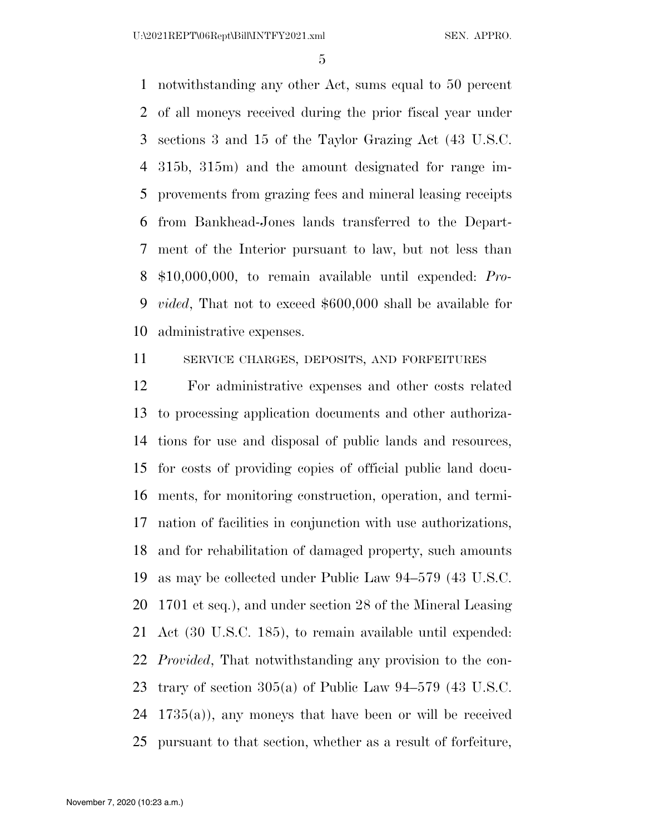notwithstanding any other Act, sums equal to 50 percent of all moneys received during the prior fiscal year under sections 3 and 15 of the Taylor Grazing Act (43 U.S.C. 315b, 315m) and the amount designated for range im- provements from grazing fees and mineral leasing receipts from Bankhead-Jones lands transferred to the Depart- ment of the Interior pursuant to law, but not less than \$10,000,000, to remain available until expended: *Pro- vided*, That not to exceed \$600,000 shall be available for administrative expenses.

SERVICE CHARGES, DEPOSITS, AND FORFEITURES

 For administrative expenses and other costs related to processing application documents and other authoriza- tions for use and disposal of public lands and resources, for costs of providing copies of official public land docu- ments, for monitoring construction, operation, and termi- nation of facilities in conjunction with use authorizations, and for rehabilitation of damaged property, such amounts as may be collected under Public Law 94–579 (43 U.S.C. 1701 et seq.), and under section 28 of the Mineral Leasing Act (30 U.S.C. 185), to remain available until expended: *Provided*, That notwithstanding any provision to the con- trary of section 305(a) of Public Law 94–579 (43 U.S.C. 1735(a)), any moneys that have been or will be received pursuant to that section, whether as a result of forfeiture,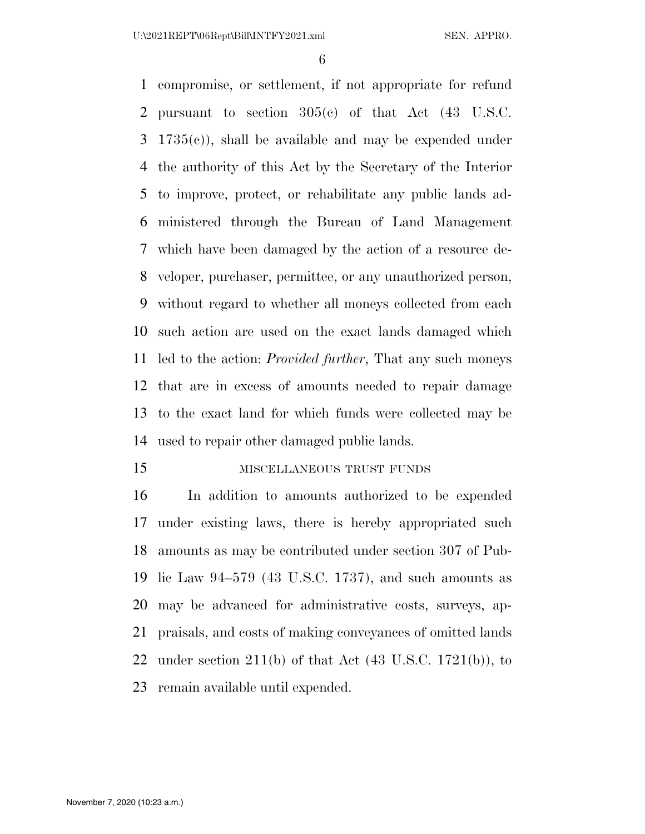compromise, or settlement, if not appropriate for refund pursuant to section 305(c) of that Act (43 U.S.C. 1735(c)), shall be available and may be expended under the authority of this Act by the Secretary of the Interior to improve, protect, or rehabilitate any public lands ad- ministered through the Bureau of Land Management which have been damaged by the action of a resource de- veloper, purchaser, permittee, or any unauthorized person, without regard to whether all moneys collected from each such action are used on the exact lands damaged which led to the action: *Provided further*, That any such moneys that are in excess of amounts needed to repair damage to the exact land for which funds were collected may be used to repair other damaged public lands.

**MISCELLANEOUS TRUST FUNDS** 

 In addition to amounts authorized to be expended under existing laws, there is hereby appropriated such amounts as may be contributed under section 307 of Pub- lic Law 94–579 (43 U.S.C. 1737), and such amounts as may be advanced for administrative costs, surveys, ap- praisals, and costs of making conveyances of omitted lands 22 under section  $211(b)$  of that Act  $(43 \text{ U.S.C. } 1721(b))$ , to remain available until expended.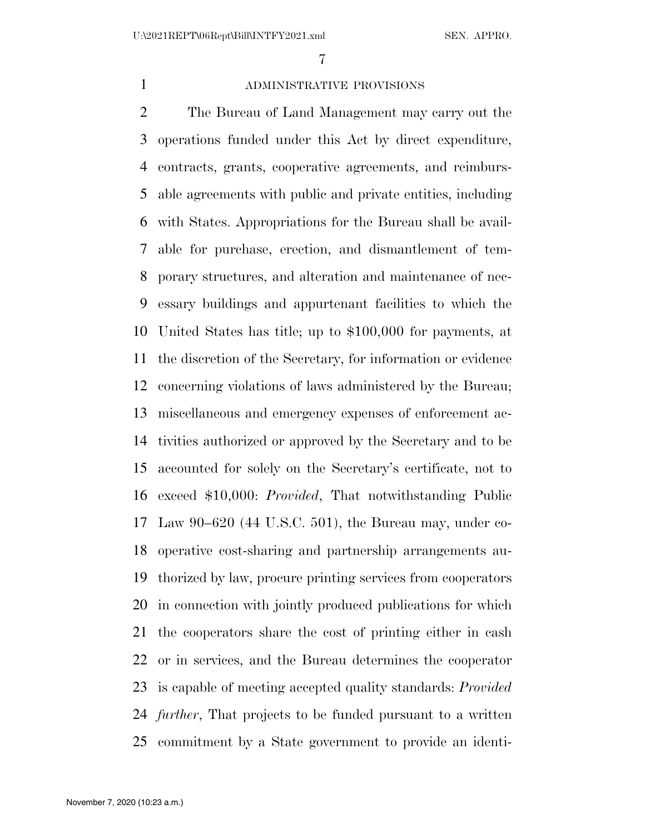# ADMINISTRATIVE PROVISIONS

 The Bureau of Land Management may carry out the operations funded under this Act by direct expenditure, contracts, grants, cooperative agreements, and reimburs- able agreements with public and private entities, including with States. Appropriations for the Bureau shall be avail- able for purchase, erection, and dismantlement of tem- porary structures, and alteration and maintenance of nec- essary buildings and appurtenant facilities to which the United States has title; up to \$100,000 for payments, at the discretion of the Secretary, for information or evidence concerning violations of laws administered by the Bureau; miscellaneous and emergency expenses of enforcement ac- tivities authorized or approved by the Secretary and to be accounted for solely on the Secretary's certificate, not to exceed \$10,000: *Provided*, That notwithstanding Public Law 90–620 (44 U.S.C. 501), the Bureau may, under co- operative cost-sharing and partnership arrangements au- thorized by law, procure printing services from cooperators in connection with jointly produced publications for which the cooperators share the cost of printing either in cash or in services, and the Bureau determines the cooperator is capable of meeting accepted quality standards: *Provided further*, That projects to be funded pursuant to a written commitment by a State government to provide an identi-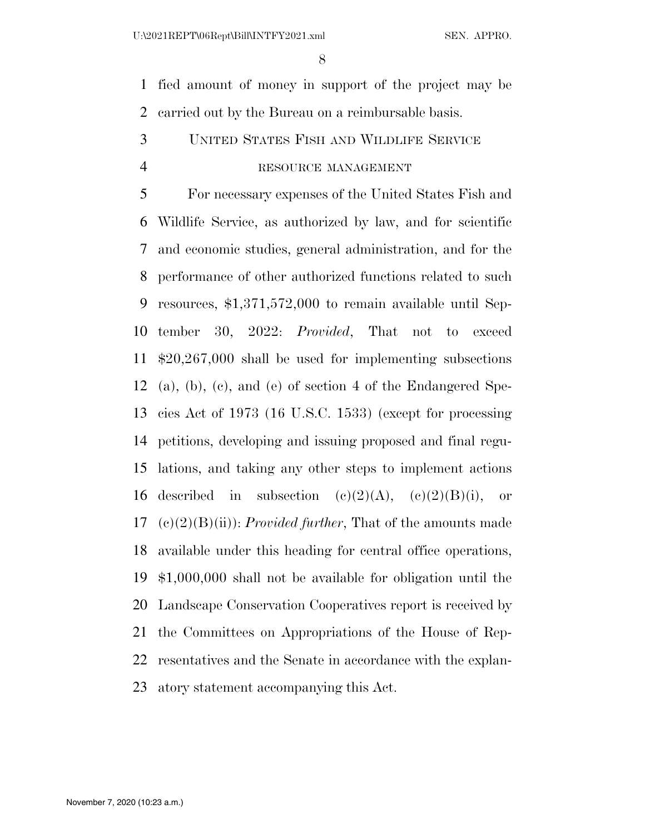fied amount of money in support of the project may be carried out by the Bureau on a reimbursable basis.

# UNITED STATES FISH AND WILDLIFE SERVICE

#### RESOURCE MANAGEMENT

 For necessary expenses of the United States Fish and Wildlife Service, as authorized by law, and for scientific and economic studies, general administration, and for the performance of other authorized functions related to such resources, \$1,371,572,000 to remain available until Sep- tember 30, 2022: *Provided*, That not to exceed \$20,267,000 shall be used for implementing subsections (a), (b), (c), and (e) of section 4 of the Endangered Spe- cies Act of 1973 (16 U.S.C. 1533) (except for processing petitions, developing and issuing proposed and final regu- lations, and taking any other steps to implement actions 16 described in subsection  $(c)(2)(A)$ ,  $(c)(2)(B)(i)$ , or (c)(2)(B)(ii)): *Provided further*, That of the amounts made available under this heading for central office operations, \$1,000,000 shall not be available for obligation until the Landscape Conservation Cooperatives report is received by the Committees on Appropriations of the House of Rep- resentatives and the Senate in accordance with the explan-atory statement accompanying this Act.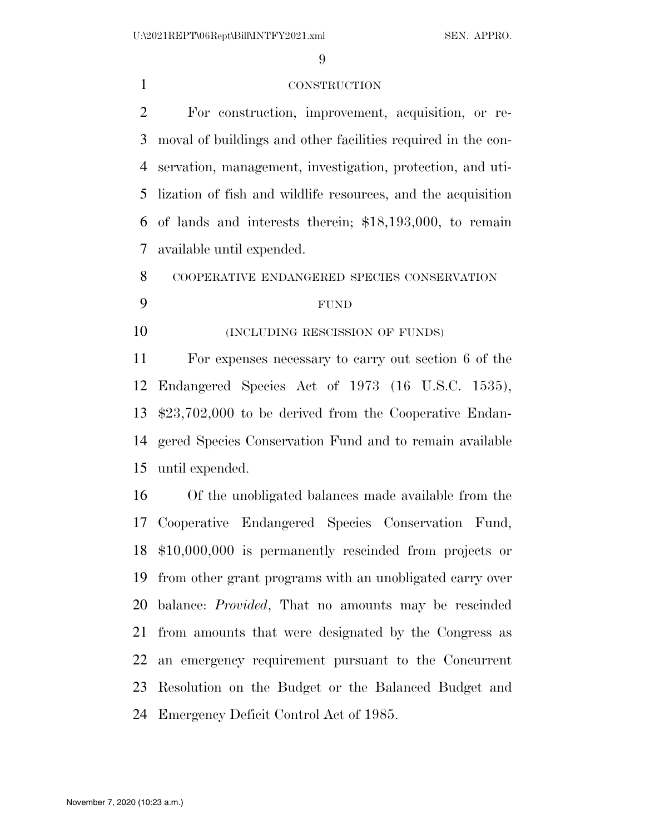#### CONSTRUCTION

 For construction, improvement, acquisition, or re- moval of buildings and other facilities required in the con- servation, management, investigation, protection, and uti- lization of fish and wildlife resources, and the acquisition of lands and interests therein; \$18,193,000, to remain available until expended.

COOPERATIVE ENDANGERED SPECIES CONSERVATION

#### FUND

**(INCLUDING RESCISSION OF FUNDS)** 

 For expenses necessary to carry out section 6 of the Endangered Species Act of 1973 (16 U.S.C. 1535), \$23,702,000 to be derived from the Cooperative Endan- gered Species Conservation Fund and to remain available until expended.

 Of the unobligated balances made available from the Cooperative Endangered Species Conservation Fund, \$10,000,000 is permanently rescinded from projects or from other grant programs with an unobligated carry over balance: *Provided*, That no amounts may be rescinded from amounts that were designated by the Congress as an emergency requirement pursuant to the Concurrent Resolution on the Budget or the Balanced Budget and Emergency Deficit Control Act of 1985.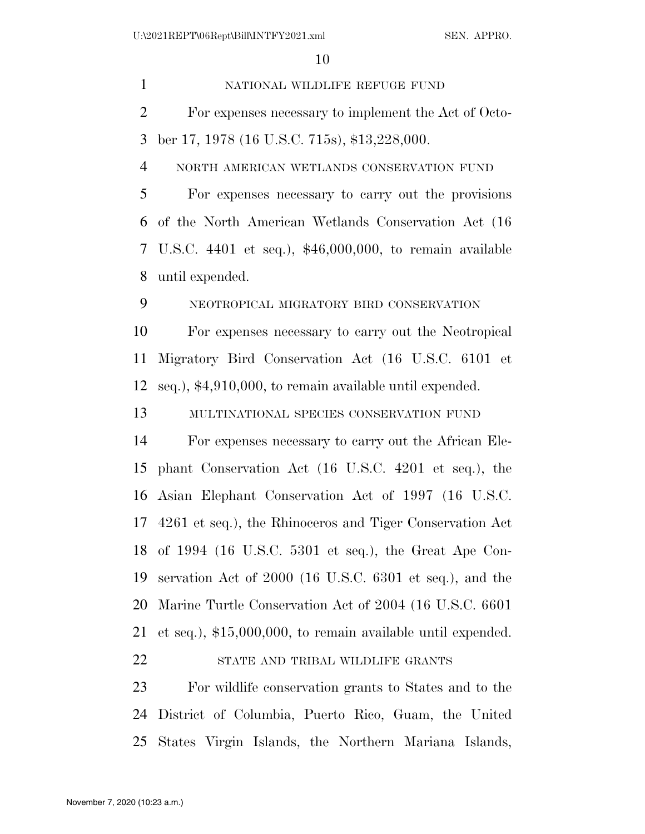NATIONAL WILDLIFE REFUGE FUND For expenses necessary to implement the Act of Octo- ber 17, 1978 (16 U.S.C. 715s), \$13,228,000. NORTH AMERICAN WETLANDS CONSERVATION FUND For expenses necessary to carry out the provisions of the North American Wetlands Conservation Act (16 U.S.C. 4401 et seq.), \$46,000,000, to remain available until expended. NEOTROPICAL MIGRATORY BIRD CONSERVATION For expenses necessary to carry out the Neotropical Migratory Bird Conservation Act (16 U.S.C. 6101 et seq.), \$4,910,000, to remain available until expended. MULTINATIONAL SPECIES CONSERVATION FUND For expenses necessary to carry out the African Ele- phant Conservation Act (16 U.S.C. 4201 et seq.), the Asian Elephant Conservation Act of 1997 (16 U.S.C. 4261 et seq.), the Rhinoceros and Tiger Conservation Act of 1994 (16 U.S.C. 5301 et seq.), the Great Ape Con- servation Act of 2000 (16 U.S.C. 6301 et seq.), and the Marine Turtle Conservation Act of 2004 (16 U.S.C. 6601 et seq.), \$15,000,000, to remain available until expended. STATE AND TRIBAL WILDLIFE GRANTS For wildlife conservation grants to States and to the District of Columbia, Puerto Rico, Guam, the United

States Virgin Islands, the Northern Mariana Islands,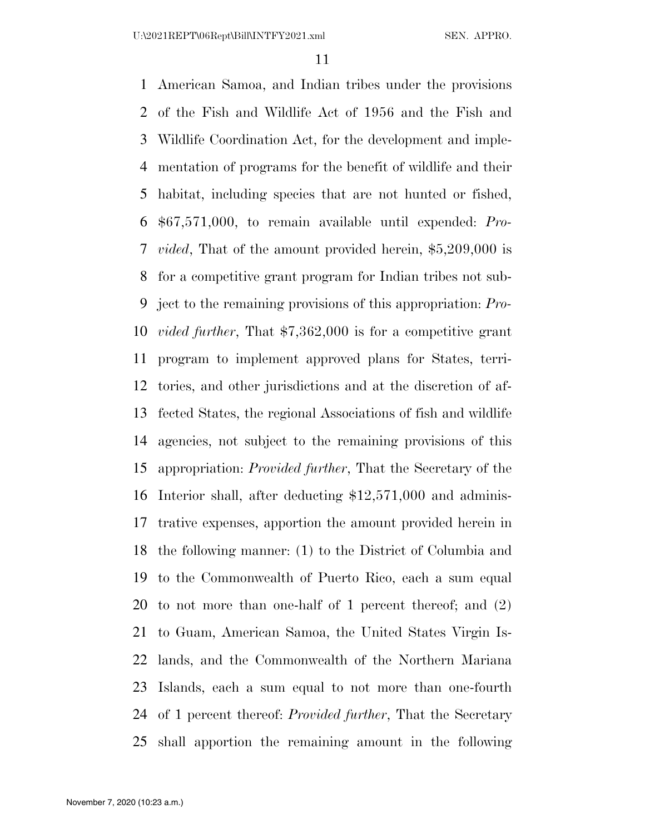American Samoa, and Indian tribes under the provisions of the Fish and Wildlife Act of 1956 and the Fish and Wildlife Coordination Act, for the development and imple- mentation of programs for the benefit of wildlife and their habitat, including species that are not hunted or fished, \$67,571,000, to remain available until expended: *Pro- vided*, That of the amount provided herein, \$5,209,000 is for a competitive grant program for Indian tribes not sub- ject to the remaining provisions of this appropriation: *Pro- vided further*, That \$7,362,000 is for a competitive grant program to implement approved plans for States, terri- tories, and other jurisdictions and at the discretion of af- fected States, the regional Associations of fish and wildlife agencies, not subject to the remaining provisions of this appropriation: *Provided further*, That the Secretary of the Interior shall, after deducting \$12,571,000 and adminis- trative expenses, apportion the amount provided herein in the following manner: (1) to the District of Columbia and to the Commonwealth of Puerto Rico, each a sum equal to not more than one-half of 1 percent thereof; and (2) to Guam, American Samoa, the United States Virgin Is- lands, and the Commonwealth of the Northern Mariana Islands, each a sum equal to not more than one-fourth of 1 percent thereof: *Provided further*, That the Secretary shall apportion the remaining amount in the following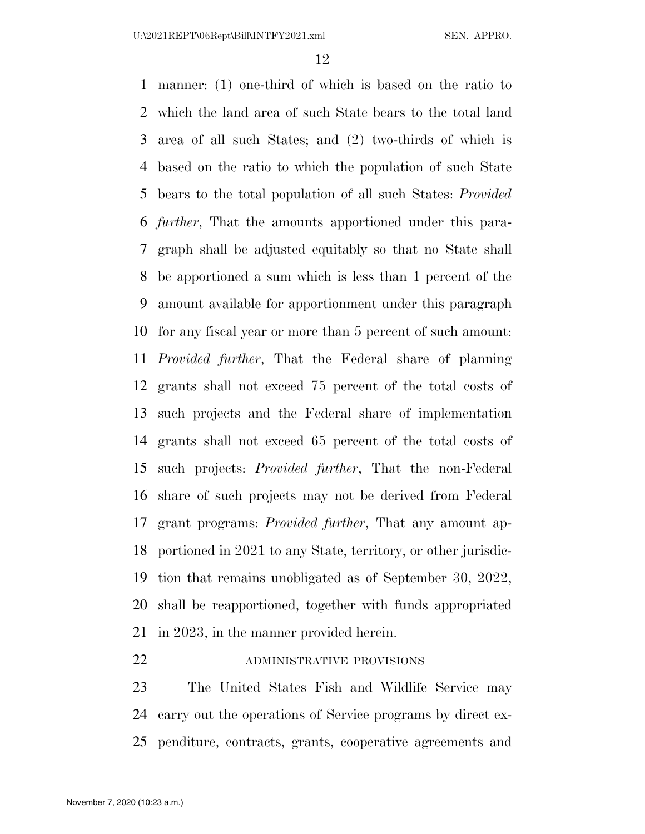manner: (1) one-third of which is based on the ratio to which the land area of such State bears to the total land area of all such States; and (2) two-thirds of which is based on the ratio to which the population of such State bears to the total population of all such States: *Provided further*, That the amounts apportioned under this para- graph shall be adjusted equitably so that no State shall be apportioned a sum which is less than 1 percent of the amount available for apportionment under this paragraph for any fiscal year or more than 5 percent of such amount: *Provided further*, That the Federal share of planning grants shall not exceed 75 percent of the total costs of such projects and the Federal share of implementation grants shall not exceed 65 percent of the total costs of such projects: *Provided further*, That the non-Federal share of such projects may not be derived from Federal grant programs: *Provided further*, That any amount ap- portioned in 2021 to any State, territory, or other jurisdic- tion that remains unobligated as of September 30, 2022, shall be reapportioned, together with funds appropriated in 2023, in the manner provided herein.

#### 22 ADMINISTRATIVE PROVISIONS

 The United States Fish and Wildlife Service may carry out the operations of Service programs by direct ex-penditure, contracts, grants, cooperative agreements and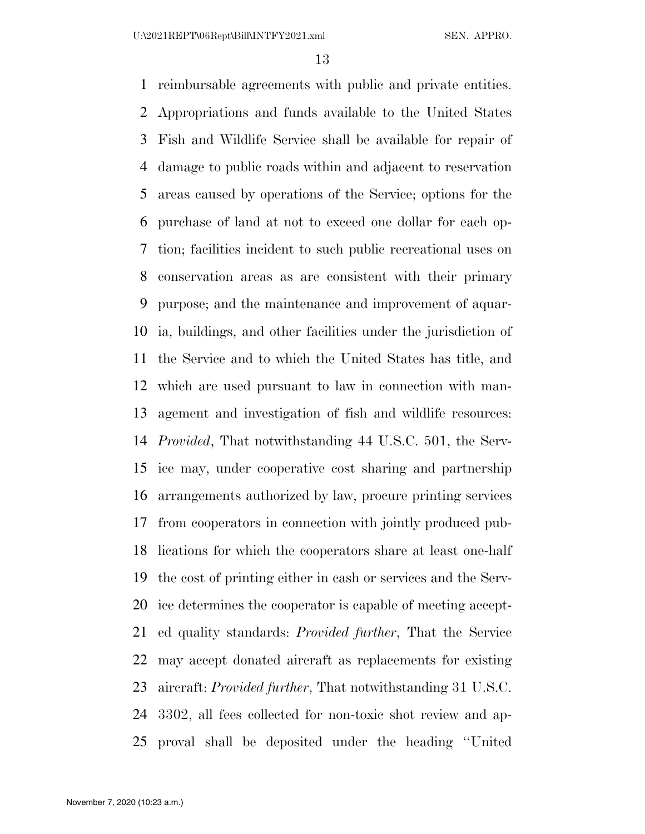reimbursable agreements with public and private entities. Appropriations and funds available to the United States Fish and Wildlife Service shall be available for repair of damage to public roads within and adjacent to reservation areas caused by operations of the Service; options for the purchase of land at not to exceed one dollar for each op- tion; facilities incident to such public recreational uses on conservation areas as are consistent with their primary purpose; and the maintenance and improvement of aquar- ia, buildings, and other facilities under the jurisdiction of the Service and to which the United States has title, and which are used pursuant to law in connection with man- agement and investigation of fish and wildlife resources: *Provided*, That notwithstanding 44 U.S.C. 501, the Serv- ice may, under cooperative cost sharing and partnership arrangements authorized by law, procure printing services from cooperators in connection with jointly produced pub- lications for which the cooperators share at least one-half the cost of printing either in cash or services and the Serv- ice determines the cooperator is capable of meeting accept- ed quality standards: *Provided further*, That the Service may accept donated aircraft as replacements for existing aircraft: *Provided further*, That notwithstanding 31 U.S.C. 3302, all fees collected for non-toxic shot review and ap-proval shall be deposited under the heading ''United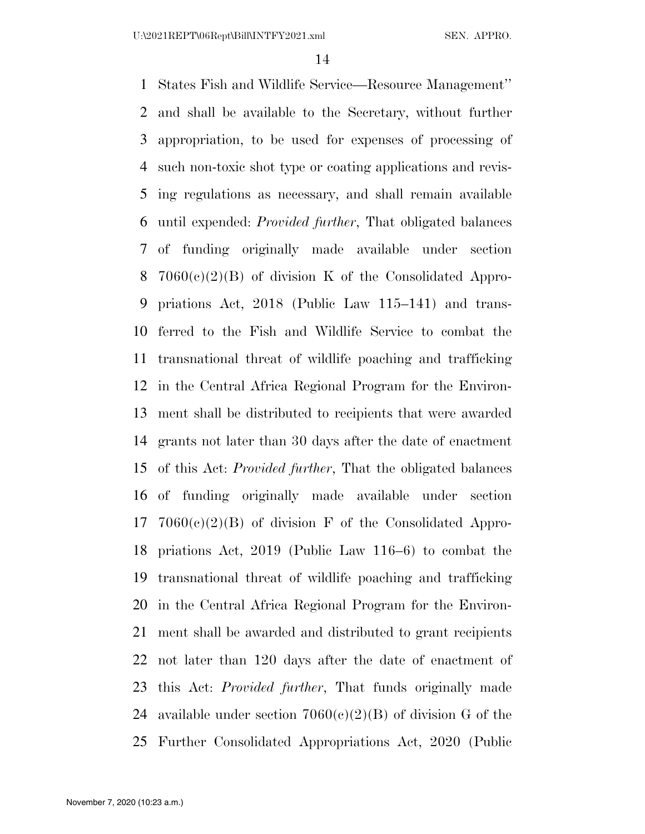States Fish and Wildlife Service—Resource Management'' and shall be available to the Secretary, without further appropriation, to be used for expenses of processing of such non-toxic shot type or coating applications and revis- ing regulations as necessary, and shall remain available until expended: *Provided further*, That obligated balances of funding originally made available under section 7060(c)(2)(B) of division K of the Consolidated Appro- priations Act, 2018 (Public Law 115–141) and trans- ferred to the Fish and Wildlife Service to combat the transnational threat of wildlife poaching and trafficking in the Central Africa Regional Program for the Environ- ment shall be distributed to recipients that were awarded grants not later than 30 days after the date of enactment of this Act: *Provided further*, That the obligated balances of funding originally made available under section  $7060(e)(2)(B)$  of division F of the Consolidated Appro- priations Act, 2019 (Public Law 116–6) to combat the transnational threat of wildlife poaching and trafficking in the Central Africa Regional Program for the Environ- ment shall be awarded and distributed to grant recipients not later than 120 days after the date of enactment of this Act: *Provided further*, That funds originally made 24 available under section  $7060(c)(2)(B)$  of division G of the Further Consolidated Appropriations Act, 2020 (Public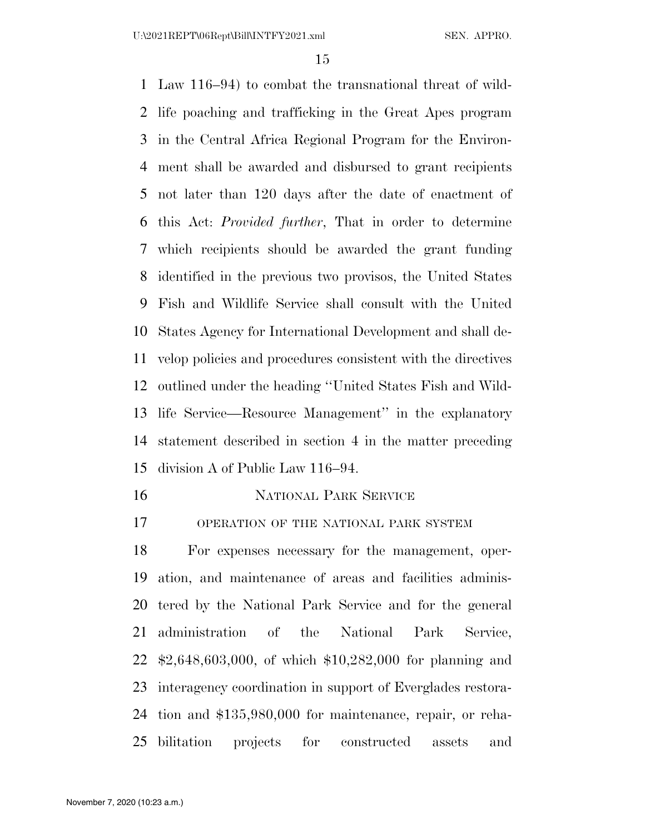Law 116–94) to combat the transnational threat of wild- life poaching and trafficking in the Great Apes program in the Central Africa Regional Program for the Environ- ment shall be awarded and disbursed to grant recipients not later than 120 days after the date of enactment of this Act: *Provided further*, That in order to determine which recipients should be awarded the grant funding identified in the previous two provisos, the United States Fish and Wildlife Service shall consult with the United States Agency for International Development and shall de- velop policies and procedures consistent with the directives outlined under the heading ''United States Fish and Wild- life Service—Resource Management'' in the explanatory statement described in section 4 in the matter preceding division A of Public Law 116–94.

NATIONAL PARK SERVICE

OPERATION OF THE NATIONAL PARK SYSTEM

 For expenses necessary for the management, oper- ation, and maintenance of areas and facilities adminis- tered by the National Park Service and for the general administration of the National Park Service, \$2,648,603,000, of which \$10,282,000 for planning and interagency coordination in support of Everglades restora- tion and \$135,980,000 for maintenance, repair, or reha-bilitation projects for constructed assets and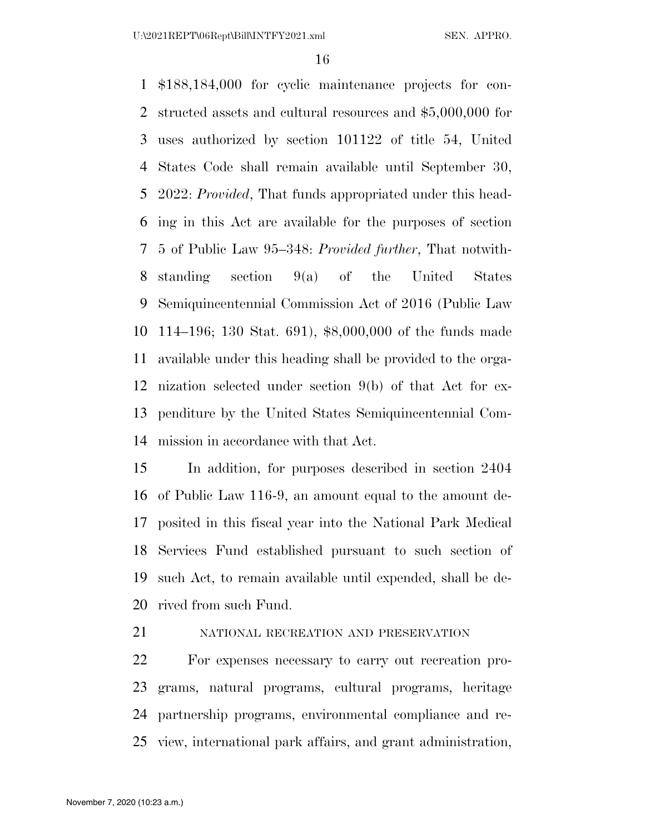\$188,184,000 for cyclic maintenance projects for con- structed assets and cultural resources and \$5,000,000 for uses authorized by section 101122 of title 54, United States Code shall remain available until September 30, 2022: *Provided*, That funds appropriated under this head- ing in this Act are available for the purposes of section 5 of Public Law 95–348: *Provided further*, That notwith- standing section 9(a) of the United States Semiquincentennial Commission Act of 2016 (Public Law 114–196; 130 Stat. 691), \$8,000,000 of the funds made available under this heading shall be provided to the orga- nization selected under section 9(b) of that Act for ex- penditure by the United States Semiquincentennial Com-mission in accordance with that Act.

 In addition, for purposes described in section 2404 of Public Law 116-9, an amount equal to the amount de- posited in this fiscal year into the National Park Medical Services Fund established pursuant to such section of such Act, to remain available until expended, shall be de-rived from such Fund.

# NATIONAL RECREATION AND PRESERVATION

 For expenses necessary to carry out recreation pro- grams, natural programs, cultural programs, heritage partnership programs, environmental compliance and re-view, international park affairs, and grant administration,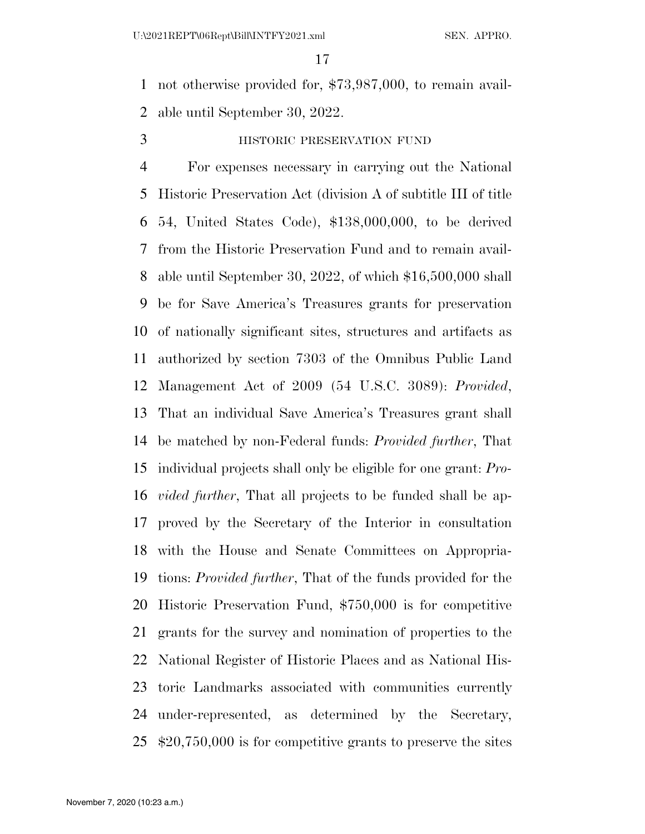not otherwise provided for, \$73,987,000, to remain avail-able until September 30, 2022.

HISTORIC PRESERVATION FUND

 For expenses necessary in carrying out the National Historic Preservation Act (division A of subtitle III of title 54, United States Code), \$138,000,000, to be derived from the Historic Preservation Fund and to remain avail- able until September 30, 2022, of which \$16,500,000 shall be for Save America's Treasures grants for preservation of nationally significant sites, structures and artifacts as authorized by section 7303 of the Omnibus Public Land Management Act of 2009 (54 U.S.C. 3089): *Provided*, That an individual Save America's Treasures grant shall be matched by non-Federal funds: *Provided further*, That individual projects shall only be eligible for one grant: *Pro- vided further*, That all projects to be funded shall be ap- proved by the Secretary of the Interior in consultation with the House and Senate Committees on Appropria- tions: *Provided further*, That of the funds provided for the Historic Preservation Fund, \$750,000 is for competitive grants for the survey and nomination of properties to the National Register of Historic Places and as National His- toric Landmarks associated with communities currently under-represented, as determined by the Secretary, \$20,750,000 is for competitive grants to preserve the sites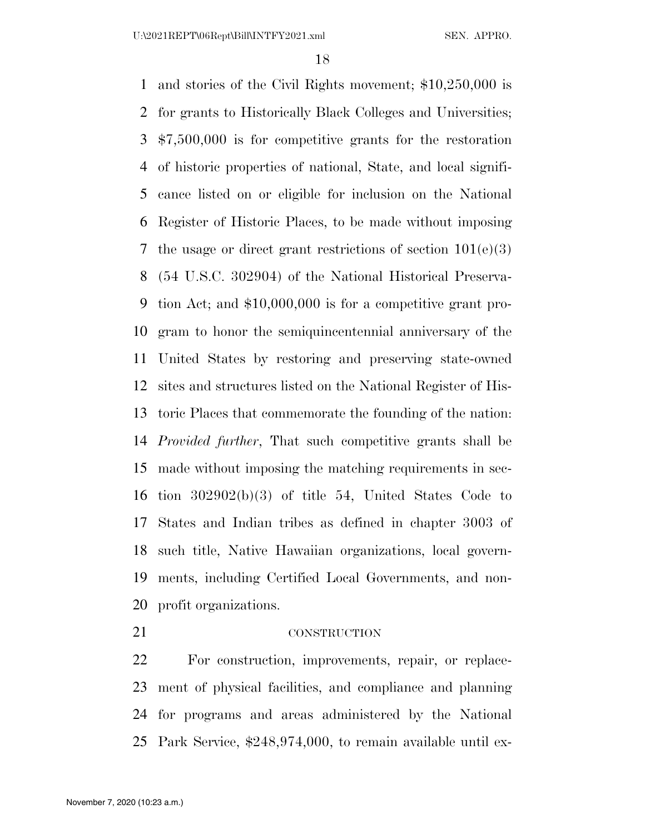and stories of the Civil Rights movement; \$10,250,000 is for grants to Historically Black Colleges and Universities; \$7,500,000 is for competitive grants for the restoration of historic properties of national, State, and local signifi- cance listed on or eligible for inclusion on the National Register of Historic Places, to be made without imposing 7 the usage or direct grant restrictions of section  $101(e)(3)$  (54 U.S.C. 302904) of the National Historical Preserva- tion Act; and \$10,000,000 is for a competitive grant pro- gram to honor the semiquincentennial anniversary of the United States by restoring and preserving state-owned sites and structures listed on the National Register of His- toric Places that commemorate the founding of the nation: *Provided further*, That such competitive grants shall be made without imposing the matching requirements in sec- tion 302902(b)(3) of title 54, United States Code to States and Indian tribes as defined in chapter 3003 of such title, Native Hawaiian organizations, local govern- ments, including Certified Local Governments, and non-profit organizations.

#### 21 CONSTRUCTION

 For construction, improvements, repair, or replace- ment of physical facilities, and compliance and planning for programs and areas administered by the National Park Service, \$248,974,000, to remain available until ex-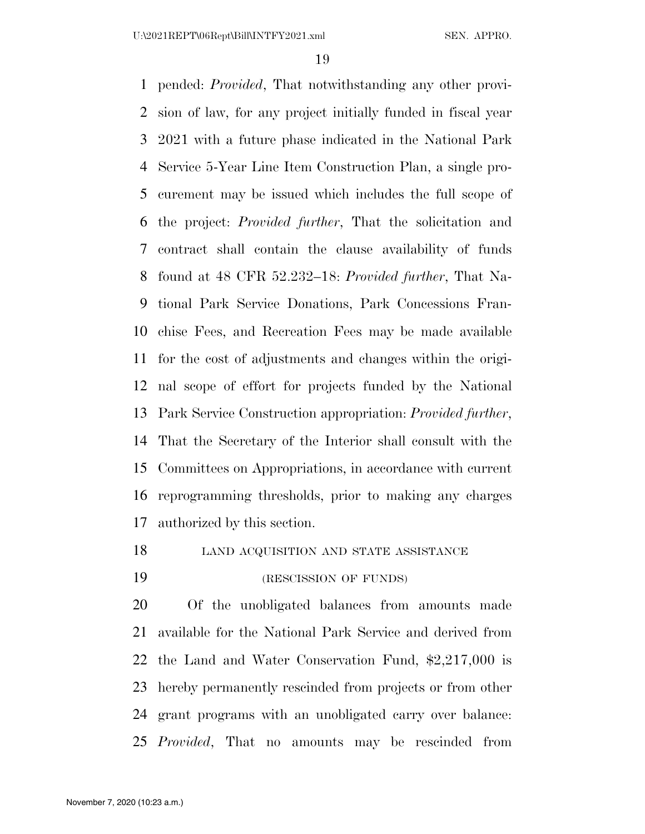pended: *Provided*, That notwithstanding any other provi- sion of law, for any project initially funded in fiscal year 2021 with a future phase indicated in the National Park Service 5-Year Line Item Construction Plan, a single pro- curement may be issued which includes the full scope of the project: *Provided further*, That the solicitation and contract shall contain the clause availability of funds found at 48 CFR 52.232–18: *Provided further*, That Na- tional Park Service Donations, Park Concessions Fran- chise Fees, and Recreation Fees may be made available for the cost of adjustments and changes within the origi- nal scope of effort for projects funded by the National Park Service Construction appropriation: *Provided further*, That the Secretary of the Interior shall consult with the Committees on Appropriations, in accordance with current reprogramming thresholds, prior to making any charges authorized by this section.

18 LAND ACQUISITION AND STATE ASSISTANCE

19 (RESCISSION OF FUNDS)

 Of the unobligated balances from amounts made available for the National Park Service and derived from the Land and Water Conservation Fund, \$2,217,000 is hereby permanently rescinded from projects or from other grant programs with an unobligated carry over balance: *Provided*, That no amounts may be rescinded from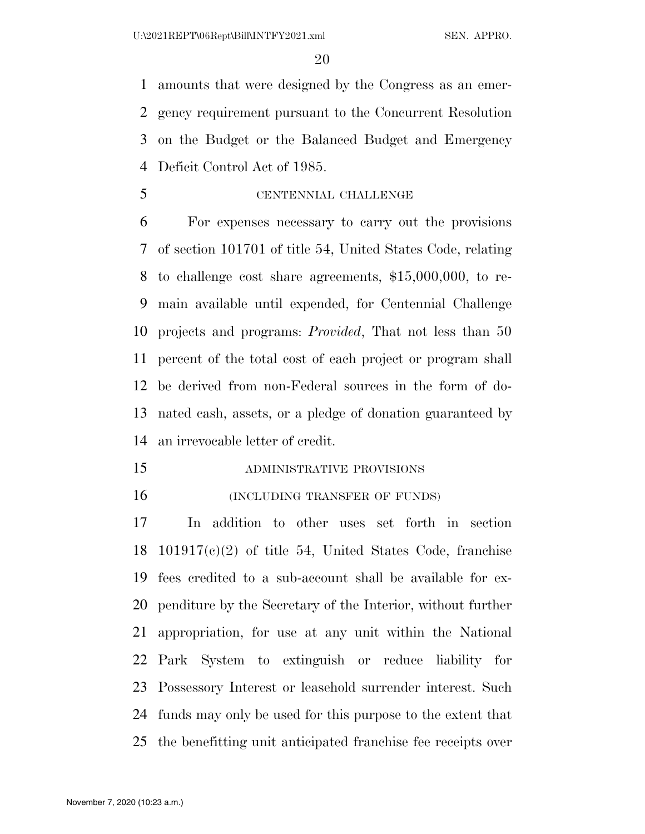amounts that were designed by the Congress as an emer- gency requirement pursuant to the Concurrent Resolution on the Budget or the Balanced Budget and Emergency Deficit Control Act of 1985.

CENTENNIAL CHALLENGE

 For expenses necessary to carry out the provisions of section 101701 of title 54, United States Code, relating to challenge cost share agreements, \$15,000,000, to re- main available until expended, for Centennial Challenge projects and programs: *Provided*, That not less than 50 percent of the total cost of each project or program shall be derived from non-Federal sources in the form of do- nated cash, assets, or a pledge of donation guaranteed by an irrevocable letter of credit.

- ADMINISTRATIVE PROVISIONS
- (INCLUDING TRANSFER OF FUNDS)

 In addition to other uses set forth in section 101917(c)(2) of title 54, United States Code, franchise fees credited to a sub-account shall be available for ex- penditure by the Secretary of the Interior, without further appropriation, for use at any unit within the National Park System to extinguish or reduce liability for Possessory Interest or leasehold surrender interest. Such funds may only be used for this purpose to the extent that the benefitting unit anticipated franchise fee receipts over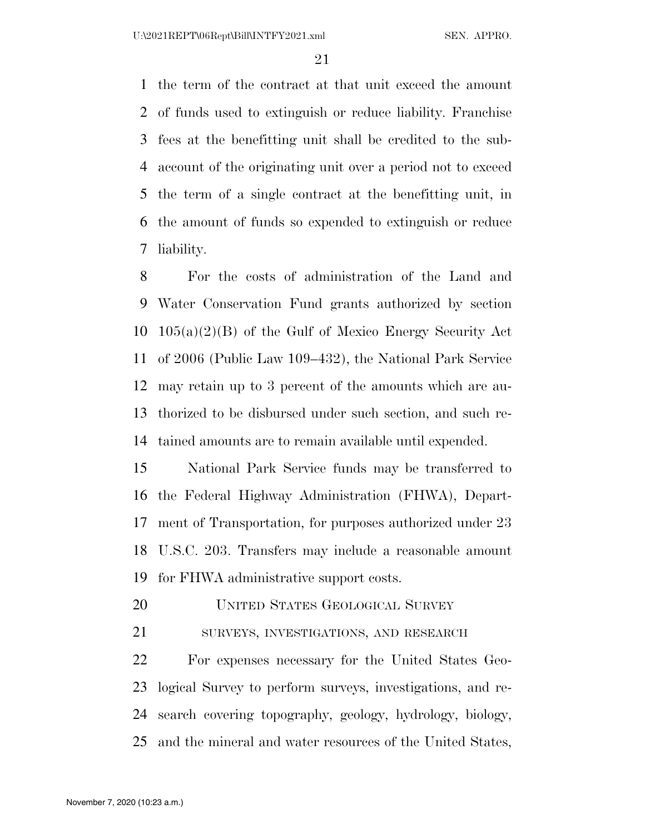the term of the contract at that unit exceed the amount of funds used to extinguish or reduce liability. Franchise fees at the benefitting unit shall be credited to the sub- account of the originating unit over a period not to exceed the term of a single contract at the benefitting unit, in the amount of funds so expended to extinguish or reduce liability.

 For the costs of administration of the Land and Water Conservation Fund grants authorized by section 105(a)(2)(B) of the Gulf of Mexico Energy Security Act of 2006 (Public Law 109–432), the National Park Service may retain up to 3 percent of the amounts which are au- thorized to be disbursed under such section, and such re-tained amounts are to remain available until expended.

 National Park Service funds may be transferred to the Federal Highway Administration (FHWA), Depart- ment of Transportation, for purposes authorized under 23 U.S.C. 203. Transfers may include a reasonable amount for FHWA administrative support costs.

UNITED STATES GEOLOGICAL SURVEY

SURVEYS, INVESTIGATIONS, AND RESEARCH

 For expenses necessary for the United States Geo- logical Survey to perform surveys, investigations, and re- search covering topography, geology, hydrology, biology, and the mineral and water resources of the United States,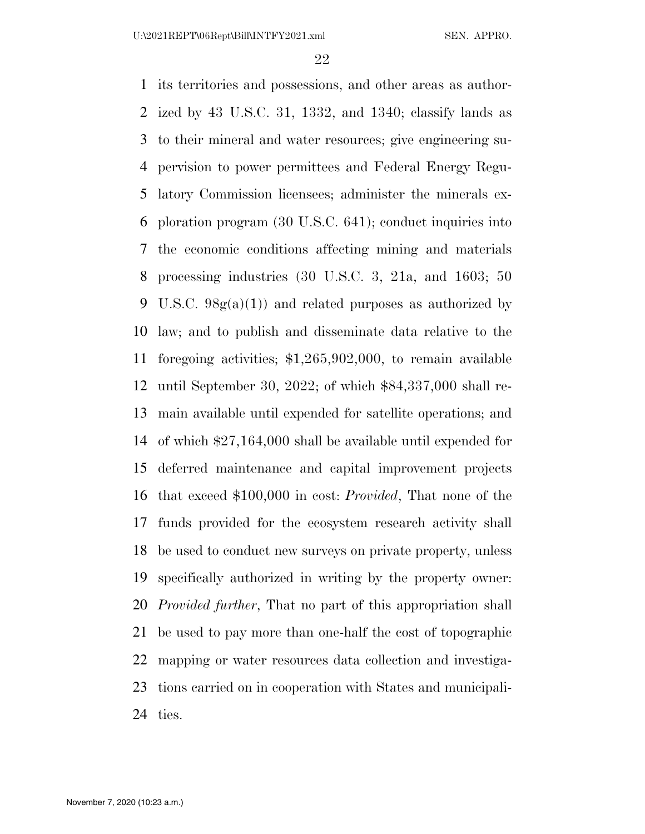its territories and possessions, and other areas as author- ized by 43 U.S.C. 31, 1332, and 1340; classify lands as to their mineral and water resources; give engineering su- pervision to power permittees and Federal Energy Regu- latory Commission licensees; administer the minerals ex- ploration program (30 U.S.C. 641); conduct inquiries into the economic conditions affecting mining and materials processing industries (30 U.S.C. 3, 21a, and 1603; 50 9 U.S.C.  $98g(a)(1)$  and related purposes as authorized by law; and to publish and disseminate data relative to the foregoing activities; \$1,265,902,000, to remain available until September 30, 2022; of which \$84,337,000 shall re- main available until expended for satellite operations; and of which \$27,164,000 shall be available until expended for deferred maintenance and capital improvement projects that exceed \$100,000 in cost: *Provided*, That none of the funds provided for the ecosystem research activity shall be used to conduct new surveys on private property, unless specifically authorized in writing by the property owner: *Provided further*, That no part of this appropriation shall be used to pay more than one-half the cost of topographic mapping or water resources data collection and investiga- tions carried on in cooperation with States and municipali-ties.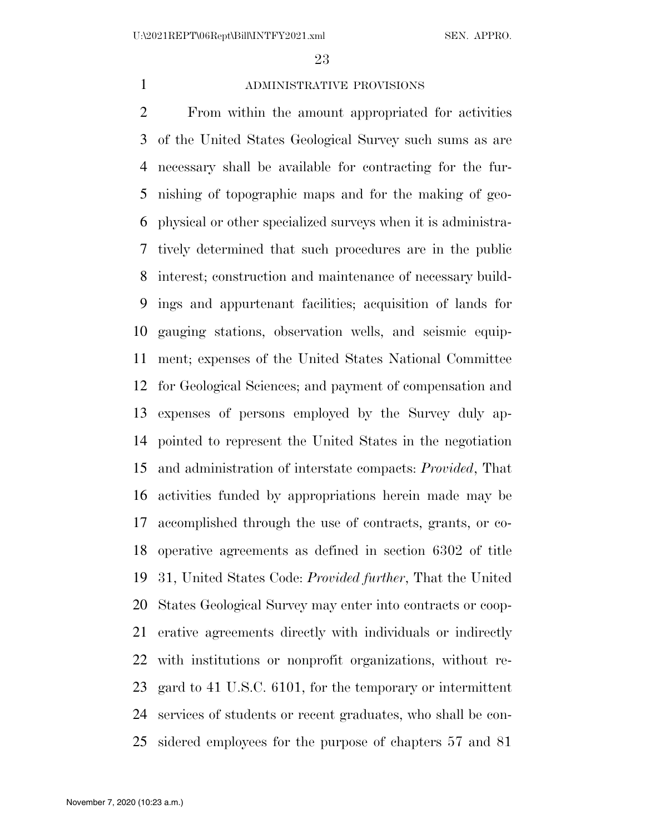# ADMINISTRATIVE PROVISIONS

 From within the amount appropriated for activities of the United States Geological Survey such sums as are necessary shall be available for contracting for the fur- nishing of topographic maps and for the making of geo- physical or other specialized surveys when it is administra- tively determined that such procedures are in the public interest; construction and maintenance of necessary build- ings and appurtenant facilities; acquisition of lands for gauging stations, observation wells, and seismic equip- ment; expenses of the United States National Committee for Geological Sciences; and payment of compensation and expenses of persons employed by the Survey duly ap- pointed to represent the United States in the negotiation and administration of interstate compacts: *Provided*, That activities funded by appropriations herein made may be accomplished through the use of contracts, grants, or co- operative agreements as defined in section 6302 of title 31, United States Code: *Provided further*, That the United States Geological Survey may enter into contracts or coop- erative agreements directly with individuals or indirectly with institutions or nonprofit organizations, without re- gard to 41 U.S.C. 6101, for the temporary or intermittent services of students or recent graduates, who shall be con-sidered employees for the purpose of chapters 57 and 81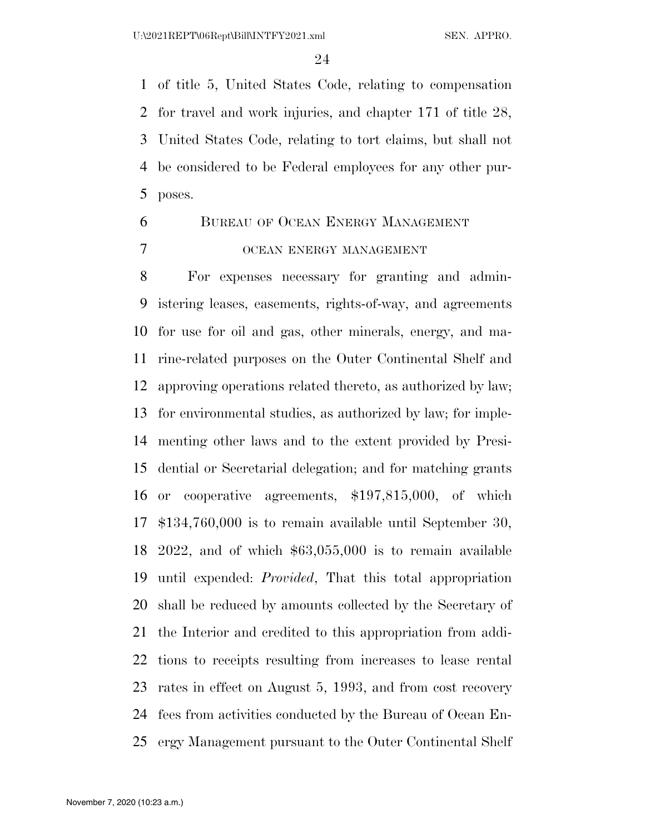of title 5, United States Code, relating to compensation for travel and work injuries, and chapter 171 of title 28, United States Code, relating to tort claims, but shall not be considered to be Federal employees for any other pur-poses.

# BUREAU OF OCEAN ENERGY MANAGEMENT OCEAN ENERGY MANAGEMENT

 For expenses necessary for granting and admin- istering leases, easements, rights-of-way, and agreements for use for oil and gas, other minerals, energy, and ma- rine-related purposes on the Outer Continental Shelf and approving operations related thereto, as authorized by law; for environmental studies, as authorized by law; for imple- menting other laws and to the extent provided by Presi- dential or Secretarial delegation; and for matching grants or cooperative agreements, \$197,815,000, of which \$134,760,000 is to remain available until September 30, 2022, and of which \$63,055,000 is to remain available until expended: *Provided*, That this total appropriation shall be reduced by amounts collected by the Secretary of the Interior and credited to this appropriation from addi- tions to receipts resulting from increases to lease rental rates in effect on August 5, 1993, and from cost recovery fees from activities conducted by the Bureau of Ocean En-ergy Management pursuant to the Outer Continental Shelf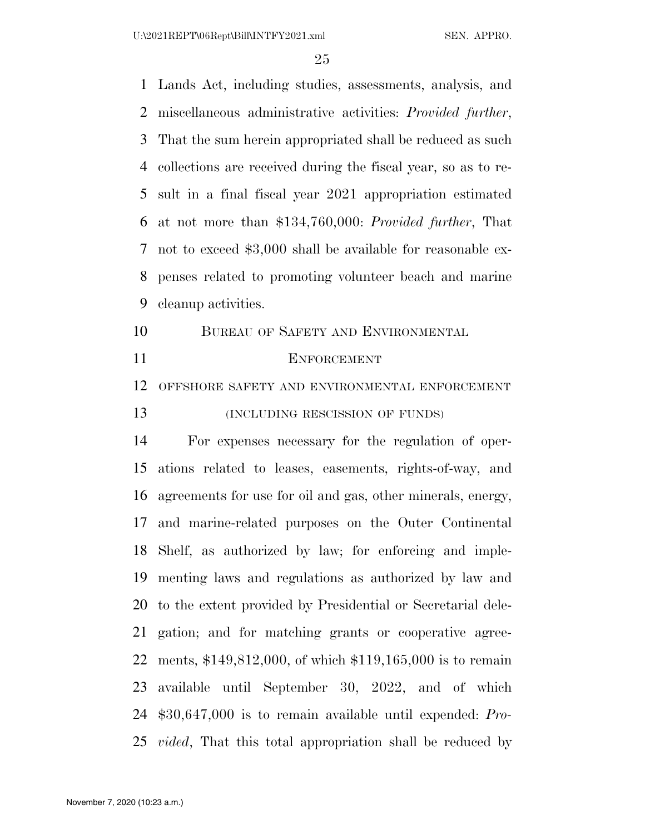U:\2021REPT\06Rept\Bill\INTFY2021.xml SEN. APPRO.

 Lands Act, including studies, assessments, analysis, and miscellaneous administrative activities: *Provided further*, That the sum herein appropriated shall be reduced as such collections are received during the fiscal year, so as to re- sult in a final fiscal year 2021 appropriation estimated at not more than \$134,760,000: *Provided further*, That not to exceed \$3,000 shall be available for reasonable ex- penses related to promoting volunteer beach and marine cleanup activities.

- BUREAU OF SAFETY AND ENVIRONMENTAL
- 

#### ENFORCEMENT

OFFSHORE SAFETY AND ENVIRONMENTAL ENFORCEMENT

**(INCLUDING RESCISSION OF FUNDS)** 

 For expenses necessary for the regulation of oper- ations related to leases, easements, rights-of-way, and agreements for use for oil and gas, other minerals, energy, and marine-related purposes on the Outer Continental Shelf, as authorized by law; for enforcing and imple- menting laws and regulations as authorized by law and to the extent provided by Presidential or Secretarial dele- gation; and for matching grants or cooperative agree- ments, \$149,812,000, of which \$119,165,000 is to remain available until September 30, 2022, and of which \$30,647,000 is to remain available until expended: *Pro-vided*, That this total appropriation shall be reduced by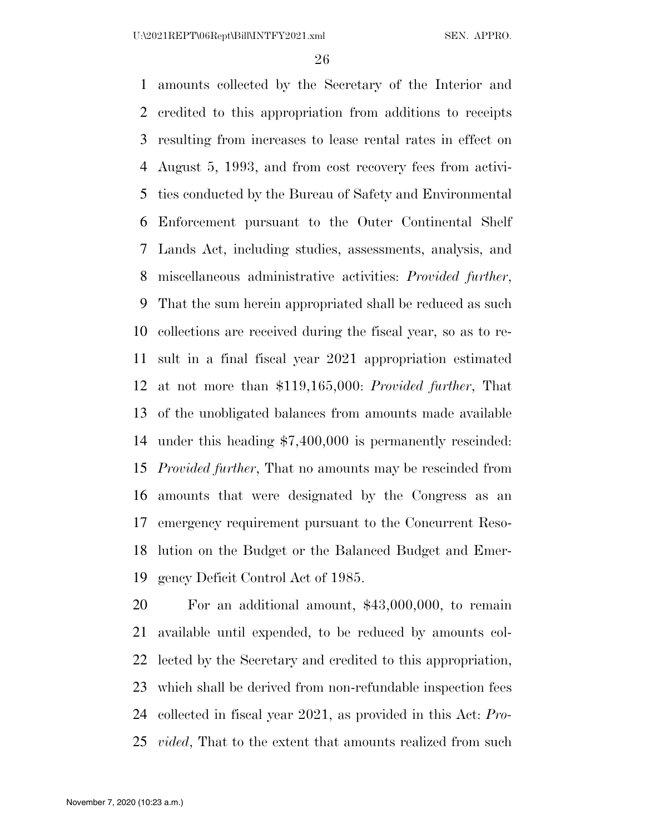amounts collected by the Secretary of the Interior and credited to this appropriation from additions to receipts resulting from increases to lease rental rates in effect on August 5, 1993, and from cost recovery fees from activi- ties conducted by the Bureau of Safety and Environmental Enforcement pursuant to the Outer Continental Shelf Lands Act, including studies, assessments, analysis, and miscellaneous administrative activities: *Provided further*, That the sum herein appropriated shall be reduced as such collections are received during the fiscal year, so as to re- sult in a final fiscal year 2021 appropriation estimated at not more than \$119,165,000: *Provided further*, That of the unobligated balances from amounts made available under this heading \$7,400,000 is permanently rescinded: *Provided further*, That no amounts may be rescinded from amounts that were designated by the Congress as an emergency requirement pursuant to the Concurrent Reso- lution on the Budget or the Balanced Budget and Emer-gency Deficit Control Act of 1985.

 For an additional amount, \$43,000,000, to remain available until expended, to be reduced by amounts col- lected by the Secretary and credited to this appropriation, which shall be derived from non-refundable inspection fees collected in fiscal year 2021, as provided in this Act: *Pro-vided*, That to the extent that amounts realized from such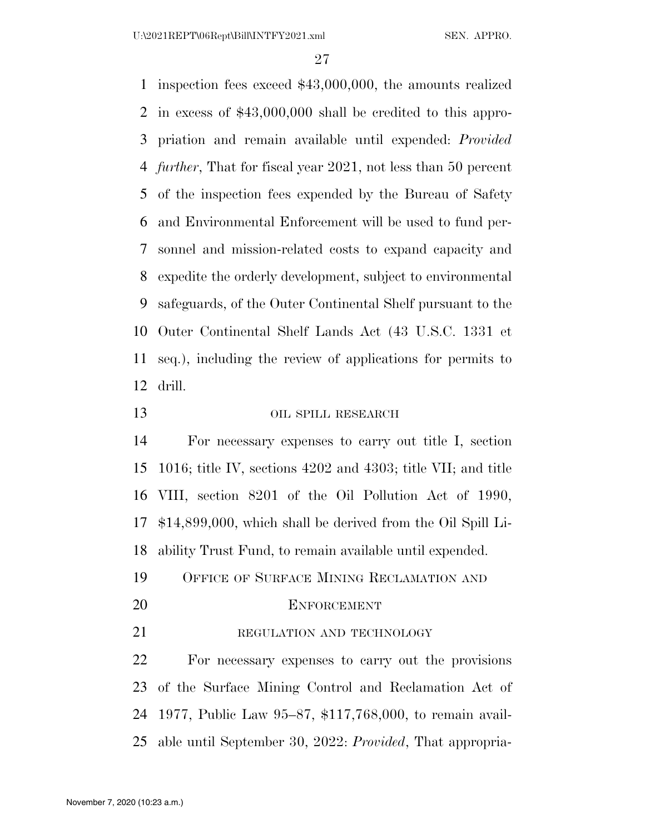inspection fees exceed \$43,000,000, the amounts realized in excess of \$43,000,000 shall be credited to this appro- priation and remain available until expended: *Provided further*, That for fiscal year 2021, not less than 50 percent of the inspection fees expended by the Bureau of Safety and Environmental Enforcement will be used to fund per- sonnel and mission-related costs to expand capacity and expedite the orderly development, subject to environmental safeguards, of the Outer Continental Shelf pursuant to the Outer Continental Shelf Lands Act (43 U.S.C. 1331 et seq.), including the review of applications for permits to drill.

OIL SPILL RESEARCH

 For necessary expenses to carry out title I, section 1016; title IV, sections 4202 and 4303; title VII; and title VIII, section 8201 of the Oil Pollution Act of 1990, \$14,899,000, which shall be derived from the Oil Spill Li-ability Trust Fund, to remain available until expended.

- OFFICE OF SURFACE MINING RECLAMATION AND
- 

#### ENFORCEMENT

21 REGULATION AND TECHNOLOGY

 For necessary expenses to carry out the provisions of the Surface Mining Control and Reclamation Act of 1977, Public Law 95–87, \$117,768,000, to remain avail-able until September 30, 2022: *Provided*, That appropria-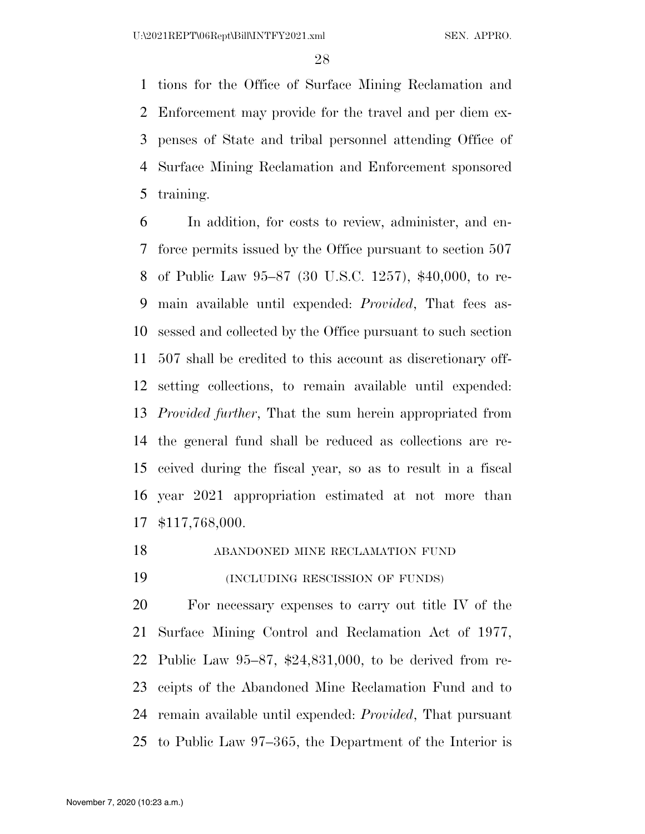tions for the Office of Surface Mining Reclamation and Enforcement may provide for the travel and per diem ex- penses of State and tribal personnel attending Office of Surface Mining Reclamation and Enforcement sponsored training.

 In addition, for costs to review, administer, and en- force permits issued by the Office pursuant to section 507 of Public Law 95–87 (30 U.S.C. 1257), \$40,000, to re- main available until expended: *Provided*, That fees as- sessed and collected by the Office pursuant to such section 507 shall be credited to this account as discretionary off- setting collections, to remain available until expended: *Provided further*, That the sum herein appropriated from the general fund shall be reduced as collections are re- ceived during the fiscal year, so as to result in a fiscal year 2021 appropriation estimated at not more than \$117,768,000.

ABANDONED MINE RECLAMATION FUND

(INCLUDING RESCISSION OF FUNDS)

 For necessary expenses to carry out title IV of the Surface Mining Control and Reclamation Act of 1977, Public Law 95–87, \$24,831,000, to be derived from re- ceipts of the Abandoned Mine Reclamation Fund and to remain available until expended: *Provided*, That pursuant to Public Law 97–365, the Department of the Interior is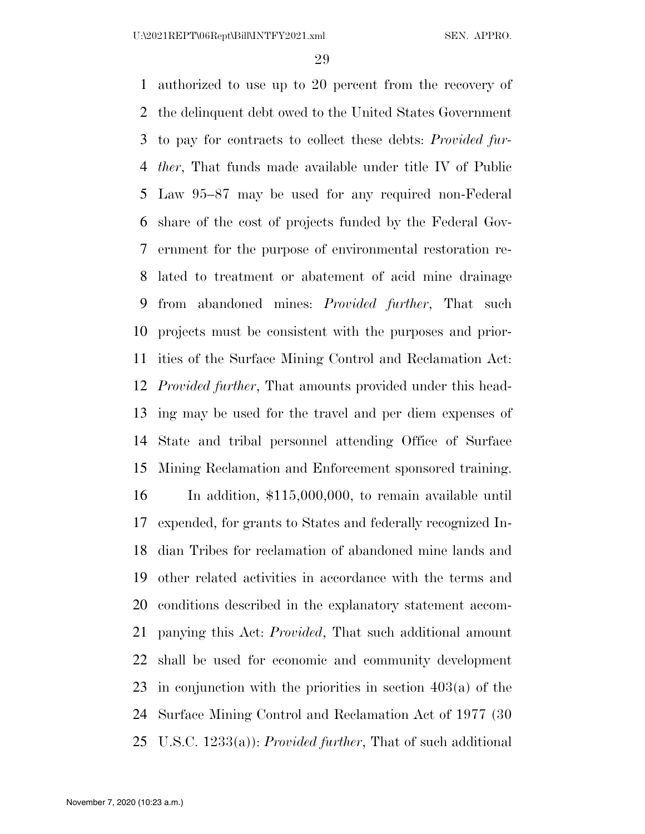authorized to use up to 20 percent from the recovery of the delinquent debt owed to the United States Government to pay for contracts to collect these debts: *Provided fur- ther*, That funds made available under title IV of Public Law 95–87 may be used for any required non-Federal share of the cost of projects funded by the Federal Gov- ernment for the purpose of environmental restoration re- lated to treatment or abatement of acid mine drainage from abandoned mines: *Provided further*, That such projects must be consistent with the purposes and prior- ities of the Surface Mining Control and Reclamation Act: *Provided further*, That amounts provided under this head- ing may be used for the travel and per diem expenses of State and tribal personnel attending Office of Surface Mining Reclamation and Enforcement sponsored training. In addition, \$115,000,000, to remain available until expended, for grants to States and federally recognized In- dian Tribes for reclamation of abandoned mine lands and other related activities in accordance with the terms and conditions described in the explanatory statement accom- panying this Act: *Provided*, That such additional amount shall be used for economic and community development in conjunction with the priorities in section 403(a) of the Surface Mining Control and Reclamation Act of 1977 (30 U.S.C. 1233(a)): *Provided further*, That of such additional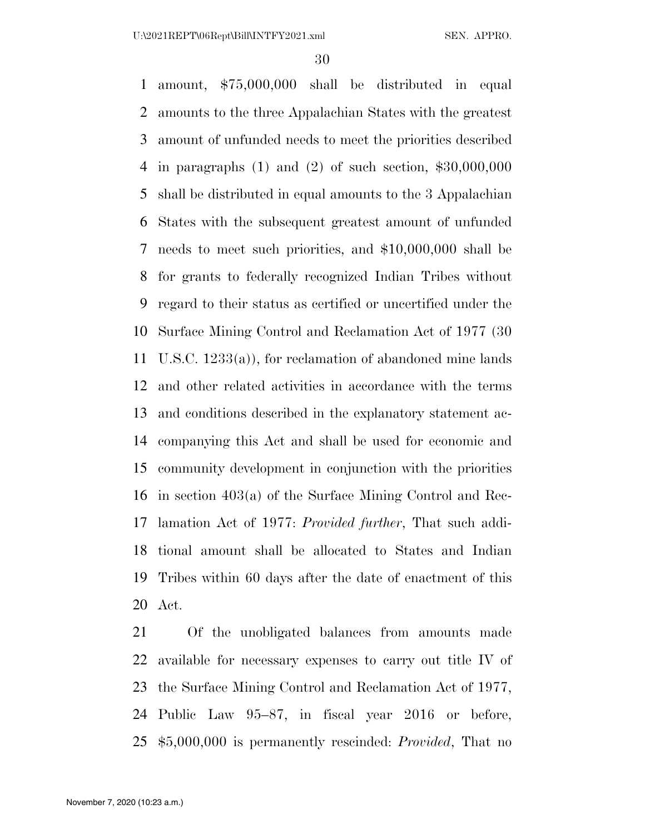amount, \$75,000,000 shall be distributed in equal amounts to the three Appalachian States with the greatest amount of unfunded needs to meet the priorities described in paragraphs (1) and (2) of such section, \$30,000,000 shall be distributed in equal amounts to the 3 Appalachian States with the subsequent greatest amount of unfunded needs to meet such priorities, and \$10,000,000 shall be for grants to federally recognized Indian Tribes without regard to their status as certified or uncertified under the Surface Mining Control and Reclamation Act of 1977 (30 U.S.C. 1233(a)), for reclamation of abandoned mine lands and other related activities in accordance with the terms and conditions described in the explanatory statement ac- companying this Act and shall be used for economic and community development in conjunction with the priorities in section 403(a) of the Surface Mining Control and Rec- lamation Act of 1977: *Provided further*, That such addi- tional amount shall be allocated to States and Indian Tribes within 60 days after the date of enactment of this Act.

 Of the unobligated balances from amounts made available for necessary expenses to carry out title IV of the Surface Mining Control and Reclamation Act of 1977, Public Law 95–87, in fiscal year 2016 or before, \$5,000,000 is permanently rescinded: *Provided*, That no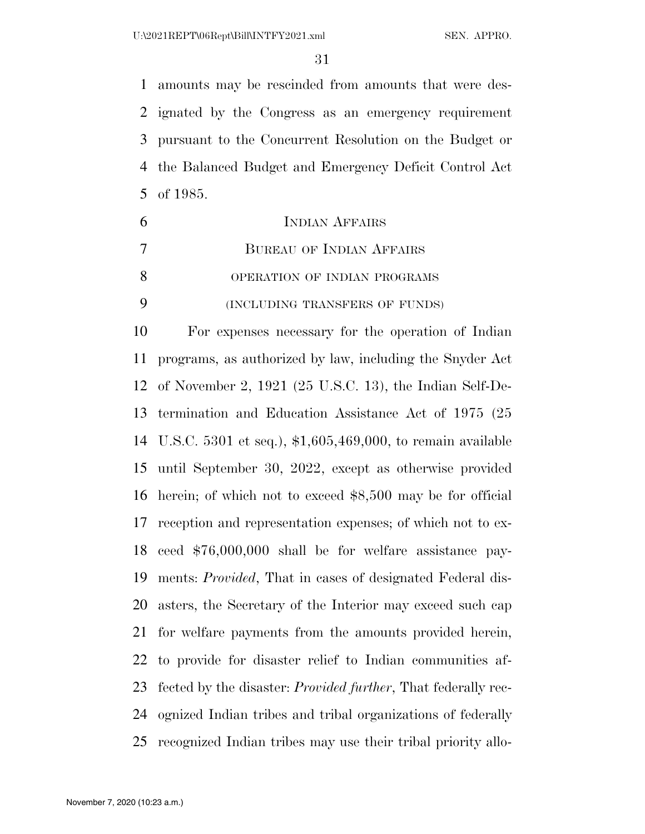amounts may be rescinded from amounts that were des- ignated by the Congress as an emergency requirement pursuant to the Concurrent Resolution on the Budget or the Balanced Budget and Emergency Deficit Control Act of 1985.

|    | <b>INDIAN AFFAIRS</b>                                    |
|----|----------------------------------------------------------|
|    | <b>BUREAU OF INDIAN AFFAIRS</b>                          |
| 8  | OPERATION OF INDIAN PROGRAMS                             |
|    | (INCLUDING TRANSFERS OF FUNDS)                           |
| 10 | For expenses necessary for the operation of Indian       |
| 11 | programs, as authorized by law, including the Snyder Act |
|    |                                                          |

 of November 2, 1921 (25 U.S.C. 13), the Indian Self-De- termination and Education Assistance Act of 1975 (25 U.S.C. 5301 et seq.), \$1,605,469,000, to remain available until September 30, 2022, except as otherwise provided herein; of which not to exceed \$8,500 may be for official reception and representation expenses; of which not to ex- ceed \$76,000,000 shall be for welfare assistance pay- ments: *Provided*, That in cases of designated Federal dis- asters, the Secretary of the Interior may exceed such cap for welfare payments from the amounts provided herein, to provide for disaster relief to Indian communities af- fected by the disaster: *Provided further*, That federally rec- ognized Indian tribes and tribal organizations of federally recognized Indian tribes may use their tribal priority allo-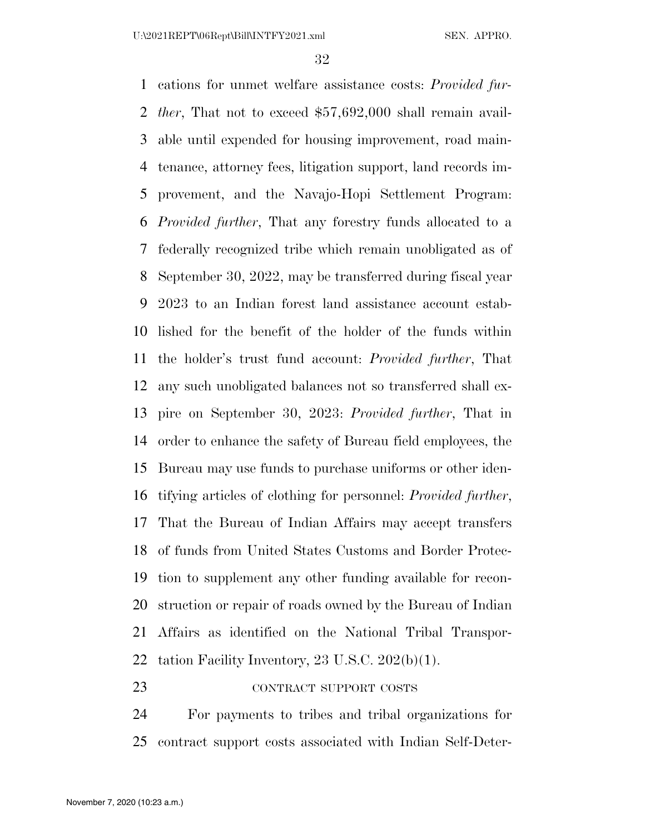cations for unmet welfare assistance costs: *Provided fur- ther*, That not to exceed \$57,692,000 shall remain avail- able until expended for housing improvement, road main- tenance, attorney fees, litigation support, land records im- provement, and the Navajo-Hopi Settlement Program: *Provided further*, That any forestry funds allocated to a federally recognized tribe which remain unobligated as of September 30, 2022, may be transferred during fiscal year 2023 to an Indian forest land assistance account estab- lished for the benefit of the holder of the funds within the holder's trust fund account: *Provided further*, That any such unobligated balances not so transferred shall ex- pire on September 30, 2023: *Provided further*, That in order to enhance the safety of Bureau field employees, the Bureau may use funds to purchase uniforms or other iden- tifying articles of clothing for personnel: *Provided further*, That the Bureau of Indian Affairs may accept transfers of funds from United States Customs and Border Protec- tion to supplement any other funding available for recon- struction or repair of roads owned by the Bureau of Indian Affairs as identified on the National Tribal Transpor-tation Facility Inventory, 23 U.S.C. 202(b)(1).

23 CONTRACT SUPPORT COSTS

 For payments to tribes and tribal organizations for contract support costs associated with Indian Self-Deter-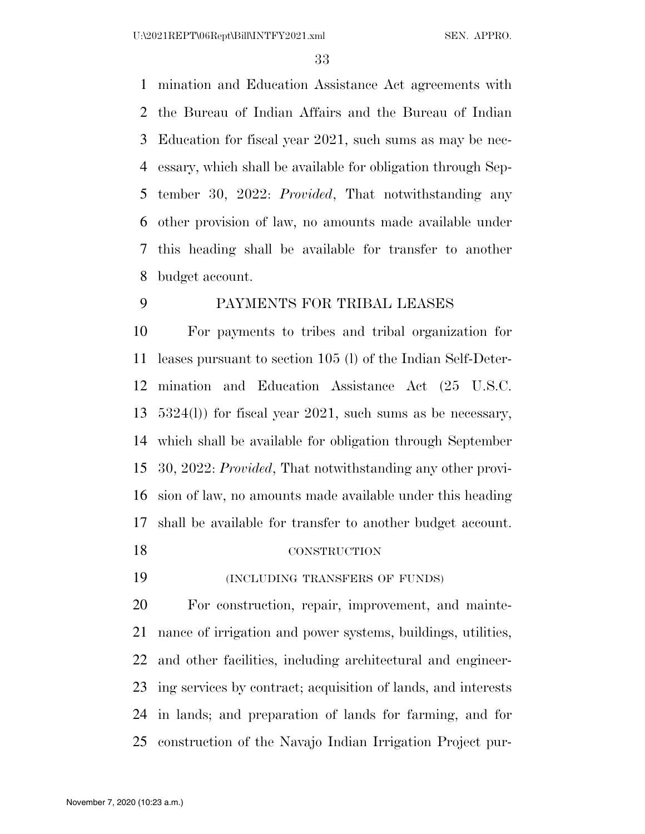mination and Education Assistance Act agreements with the Bureau of Indian Affairs and the Bureau of Indian Education for fiscal year 2021, such sums as may be nec- essary, which shall be available for obligation through Sep- tember 30, 2022: *Provided*, That notwithstanding any other provision of law, no amounts made available under this heading shall be available for transfer to another budget account.

# PAYMENTS FOR TRIBAL LEASES

 For payments to tribes and tribal organization for leases pursuant to section 105 (l) of the Indian Self-Deter- mination and Education Assistance Act (25 U.S.C. 5324(l)) for fiscal year 2021, such sums as be necessary, which shall be available for obligation through September 30, 2022: *Provided*, That notwithstanding any other provi- sion of law, no amounts made available under this heading shall be available for transfer to another budget account.

# CONSTRUCTION

(INCLUDING TRANSFERS OF FUNDS)

 For construction, repair, improvement, and mainte- nance of irrigation and power systems, buildings, utilities, and other facilities, including architectural and engineer- ing services by contract; acquisition of lands, and interests in lands; and preparation of lands for farming, and for construction of the Navajo Indian Irrigation Project pur-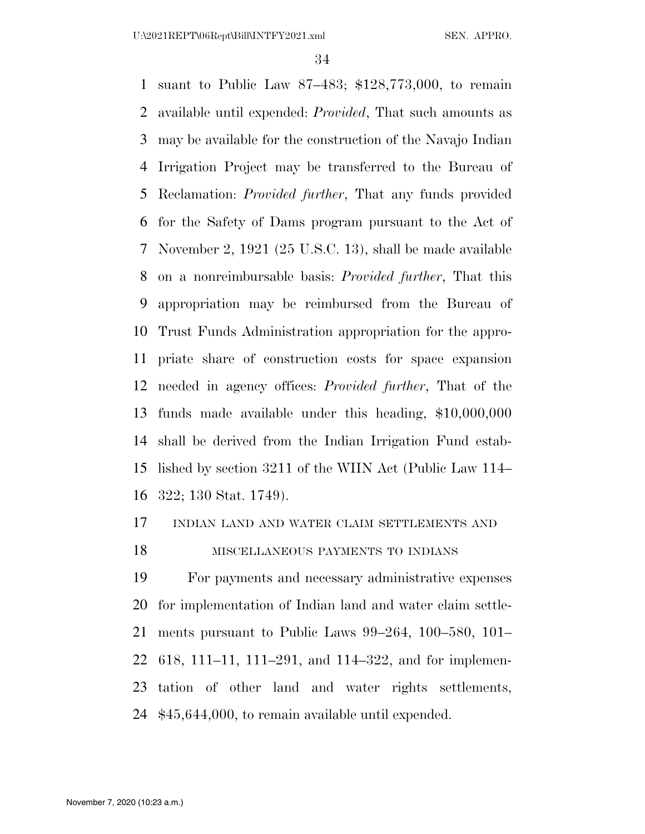suant to Public Law 87–483; \$128,773,000, to remain available until expended: *Provided*, That such amounts as may be available for the construction of the Navajo Indian Irrigation Project may be transferred to the Bureau of Reclamation: *Provided further*, That any funds provided for the Safety of Dams program pursuant to the Act of November 2, 1921 (25 U.S.C. 13), shall be made available on a nonreimbursable basis: *Provided further*, That this appropriation may be reimbursed from the Bureau of Trust Funds Administration appropriation for the appro- priate share of construction costs for space expansion needed in agency offices: *Provided further*, That of the funds made available under this heading, \$10,000,000 shall be derived from the Indian Irrigation Fund estab- lished by section 3211 of the WIIN Act (Public Law 114– 322; 130 Stat. 1749).

## INDIAN LAND AND WATER CLAIM SETTLEMENTS AND

### MISCELLANEOUS PAYMENTS TO INDIANS

 For payments and necessary administrative expenses for implementation of Indian land and water claim settle- ments pursuant to Public Laws 99–264, 100–580, 101– 618, 111–11, 111–291, and 114–322, and for implemen- tation of other land and water rights settlements, \$45,644,000, to remain available until expended.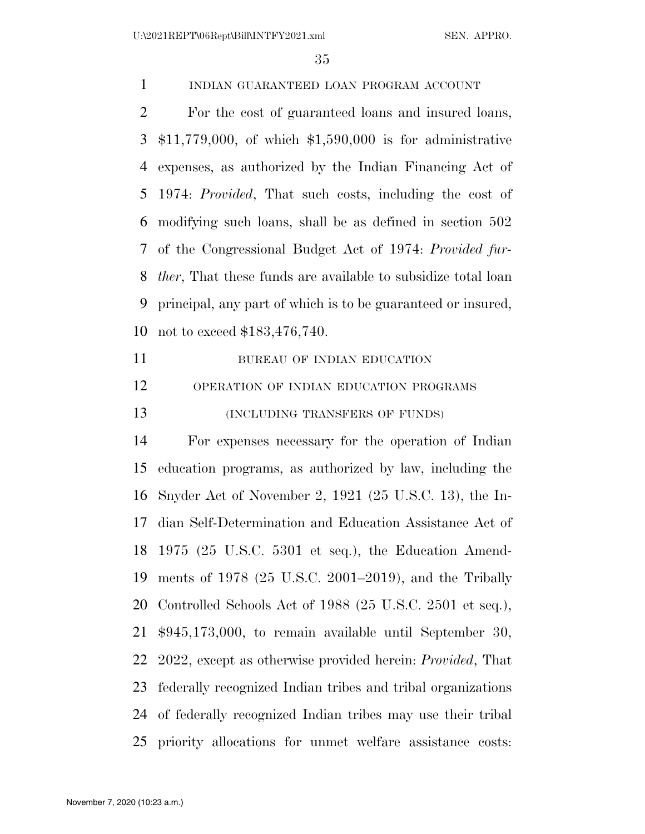U:\2021REPT\06Rept\Bill\INTFY2021.xml SEN. APPRO.

INDIAN GUARANTEED LOAN PROGRAM ACCOUNT

 For the cost of guaranteed loans and insured loans, \$11,779,000, of which \$1,590,000 is for administrative expenses, as authorized by the Indian Financing Act of 1974: *Provided*, That such costs, including the cost of modifying such loans, shall be as defined in section 502 of the Congressional Budget Act of 1974: *Provided fur- ther*, That these funds are available to subsidize total loan principal, any part of which is to be guaranteed or insured, not to exceed \$183,476,740.

11 BUREAU OF INDIAN EDUCATION OPERATION OF INDIAN EDUCATION PROGRAMS **(INCLUDING TRANSFERS OF FUNDS)** 

 For expenses necessary for the operation of Indian education programs, as authorized by law, including the Snyder Act of November 2, 1921 (25 U.S.C. 13), the In- dian Self-Determination and Education Assistance Act of 1975 (25 U.S.C. 5301 et seq.), the Education Amend- ments of 1978 (25 U.S.C. 2001–2019), and the Tribally Controlled Schools Act of 1988 (25 U.S.C. 2501 et seq.), \$945,173,000, to remain available until September 30, 2022, except as otherwise provided herein: *Provided*, That federally recognized Indian tribes and tribal organizations of federally recognized Indian tribes may use their tribal priority allocations for unmet welfare assistance costs: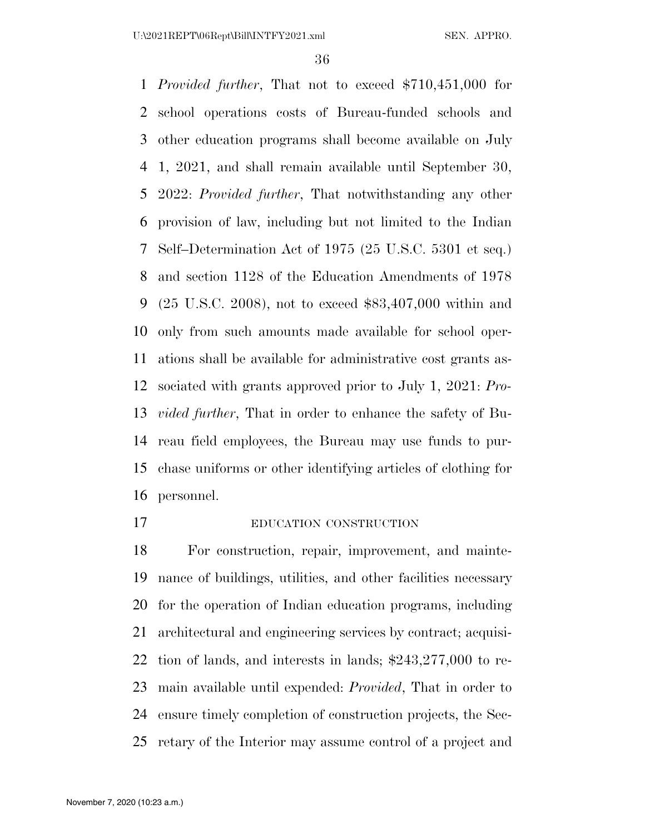*Provided further*, That not to exceed \$710,451,000 for school operations costs of Bureau-funded schools and other education programs shall become available on July 1, 2021, and shall remain available until September 30, 2022: *Provided further*, That notwithstanding any other provision of law, including but not limited to the Indian Self–Determination Act of 1975 (25 U.S.C. 5301 et seq.) and section 1128 of the Education Amendments of 1978 (25 U.S.C. 2008), not to exceed \$83,407,000 within and only from such amounts made available for school oper- ations shall be available for administrative cost grants as- sociated with grants approved prior to July 1, 2021: *Pro- vided further*, That in order to enhance the safety of Bu- reau field employees, the Bureau may use funds to pur- chase uniforms or other identifying articles of clothing for personnel.

#### EDUCATION CONSTRUCTION

 For construction, repair, improvement, and mainte- nance of buildings, utilities, and other facilities necessary for the operation of Indian education programs, including architectural and engineering services by contract; acquisi- tion of lands, and interests in lands; \$243,277,000 to re- main available until expended: *Provided*, That in order to ensure timely completion of construction projects, the Sec-retary of the Interior may assume control of a project and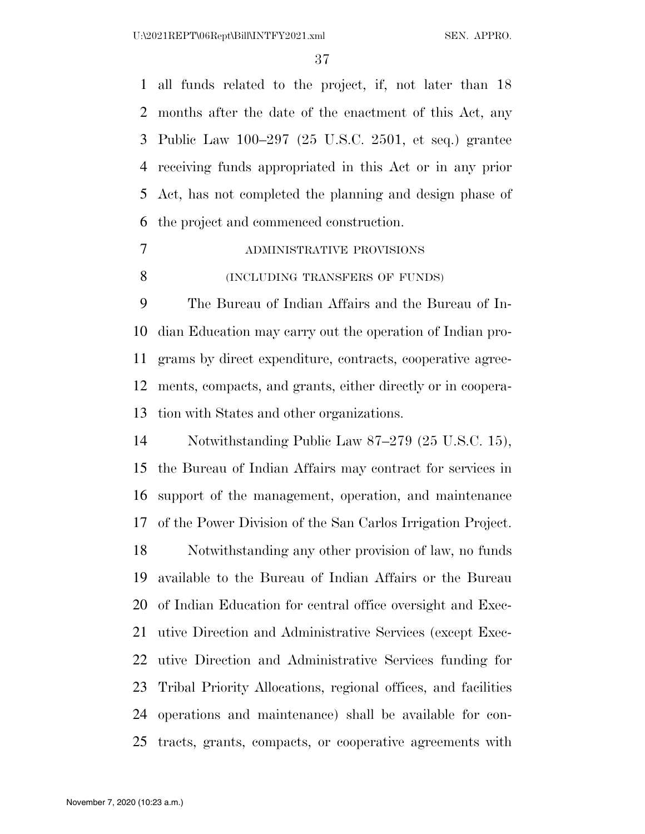all funds related to the project, if, not later than 18 months after the date of the enactment of this Act, any Public Law 100–297 (25 U.S.C. 2501, et seq.) grantee receiving funds appropriated in this Act or in any prior Act, has not completed the planning and design phase of the project and commenced construction.

 ADMINISTRATIVE PROVISIONS (INCLUDING TRANSFERS OF FUNDS)

 The Bureau of Indian Affairs and the Bureau of In- dian Education may carry out the operation of Indian pro- grams by direct expenditure, contracts, cooperative agree- ments, compacts, and grants, either directly or in coopera-tion with States and other organizations.

 Notwithstanding Public Law 87–279 (25 U.S.C. 15), the Bureau of Indian Affairs may contract for services in support of the management, operation, and maintenance of the Power Division of the San Carlos Irrigation Project. Notwithstanding any other provision of law, no funds available to the Bureau of Indian Affairs or the Bureau of Indian Education for central office oversight and Exec- utive Direction and Administrative Services (except Exec- utive Direction and Administrative Services funding for Tribal Priority Allocations, regional offices, and facilities operations and maintenance) shall be available for con-tracts, grants, compacts, or cooperative agreements with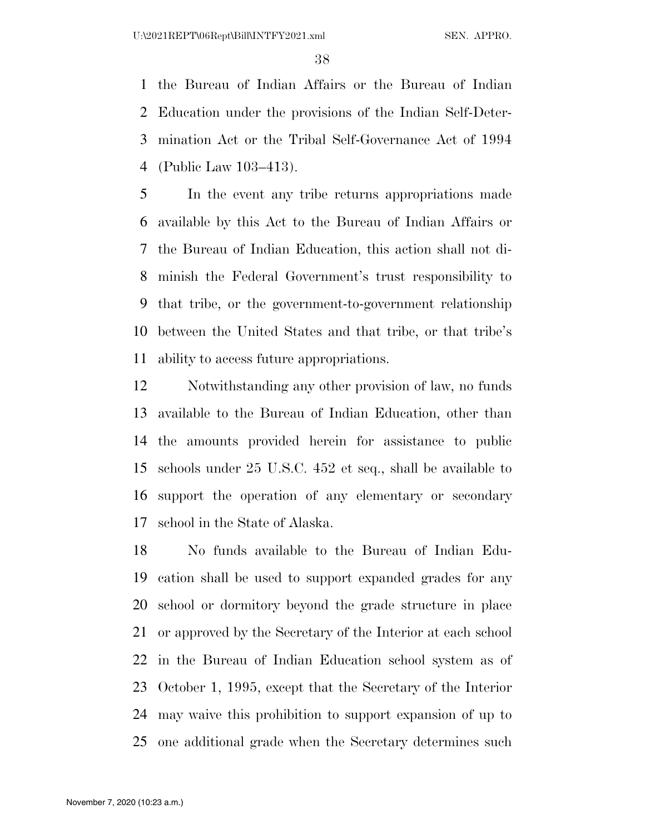the Bureau of Indian Affairs or the Bureau of Indian Education under the provisions of the Indian Self-Deter- mination Act or the Tribal Self-Governance Act of 1994 (Public Law 103–413).

 In the event any tribe returns appropriations made available by this Act to the Bureau of Indian Affairs or the Bureau of Indian Education, this action shall not di- minish the Federal Government's trust responsibility to that tribe, or the government-to-government relationship between the United States and that tribe, or that tribe's ability to access future appropriations.

 Notwithstanding any other provision of law, no funds available to the Bureau of Indian Education, other than the amounts provided herein for assistance to public schools under 25 U.S.C. 452 et seq., shall be available to support the operation of any elementary or secondary school in the State of Alaska.

 No funds available to the Bureau of Indian Edu- cation shall be used to support expanded grades for any school or dormitory beyond the grade structure in place or approved by the Secretary of the Interior at each school in the Bureau of Indian Education school system as of October 1, 1995, except that the Secretary of the Interior may waive this prohibition to support expansion of up to one additional grade when the Secretary determines such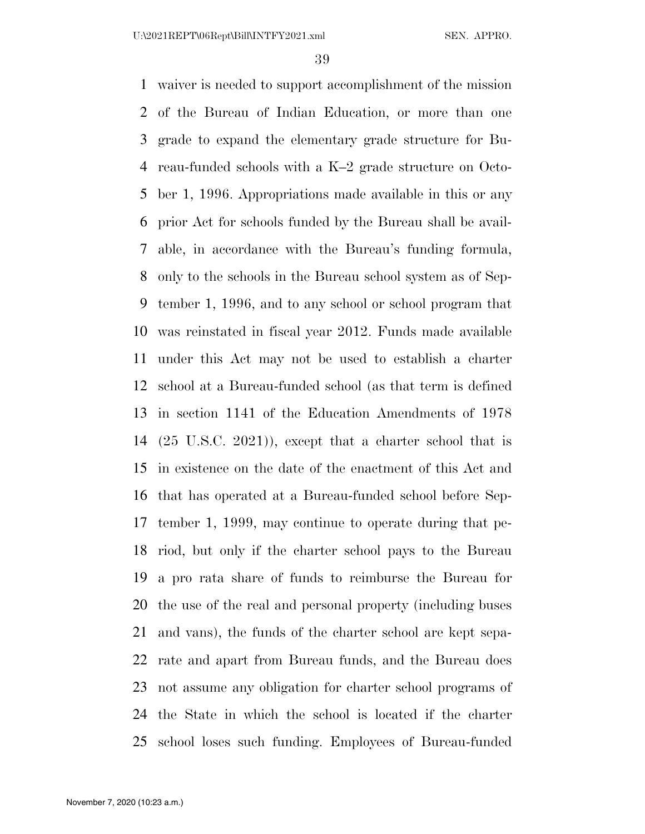U:\2021REPT\06Rept\Bill\INTFY2021.xml SEN. APPRO.

 waiver is needed to support accomplishment of the mission of the Bureau of Indian Education, or more than one grade to expand the elementary grade structure for Bu- reau-funded schools with a K–2 grade structure on Octo- ber 1, 1996. Appropriations made available in this or any prior Act for schools funded by the Bureau shall be avail- able, in accordance with the Bureau's funding formula, only to the schools in the Bureau school system as of Sep- tember 1, 1996, and to any school or school program that was reinstated in fiscal year 2012. Funds made available under this Act may not be used to establish a charter school at a Bureau-funded school (as that term is defined in section 1141 of the Education Amendments of 1978 (25 U.S.C. 2021)), except that a charter school that is in existence on the date of the enactment of this Act and that has operated at a Bureau-funded school before Sep- tember 1, 1999, may continue to operate during that pe- riod, but only if the charter school pays to the Bureau a pro rata share of funds to reimburse the Bureau for the use of the real and personal property (including buses and vans), the funds of the charter school are kept sepa- rate and apart from Bureau funds, and the Bureau does not assume any obligation for charter school programs of the State in which the school is located if the charter school loses such funding. Employees of Bureau-funded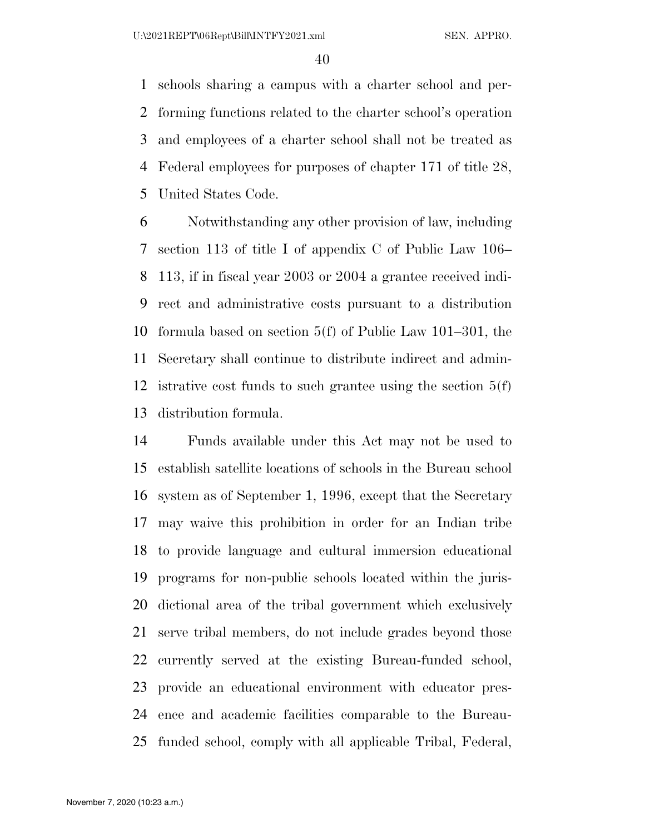schools sharing a campus with a charter school and per- forming functions related to the charter school's operation and employees of a charter school shall not be treated as Federal employees for purposes of chapter 171 of title 28, United States Code.

 Notwithstanding any other provision of law, including section 113 of title I of appendix C of Public Law 106– 113, if in fiscal year 2003 or 2004 a grantee received indi- rect and administrative costs pursuant to a distribution formula based on section 5(f) of Public Law 101–301, the Secretary shall continue to distribute indirect and admin- istrative cost funds to such grantee using the section 5(f) distribution formula.

 Funds available under this Act may not be used to establish satellite locations of schools in the Bureau school system as of September 1, 1996, except that the Secretary may waive this prohibition in order for an Indian tribe to provide language and cultural immersion educational programs for non-public schools located within the juris- dictional area of the tribal government which exclusively serve tribal members, do not include grades beyond those currently served at the existing Bureau-funded school, provide an educational environment with educator pres- ence and academic facilities comparable to the Bureau-funded school, comply with all applicable Tribal, Federal,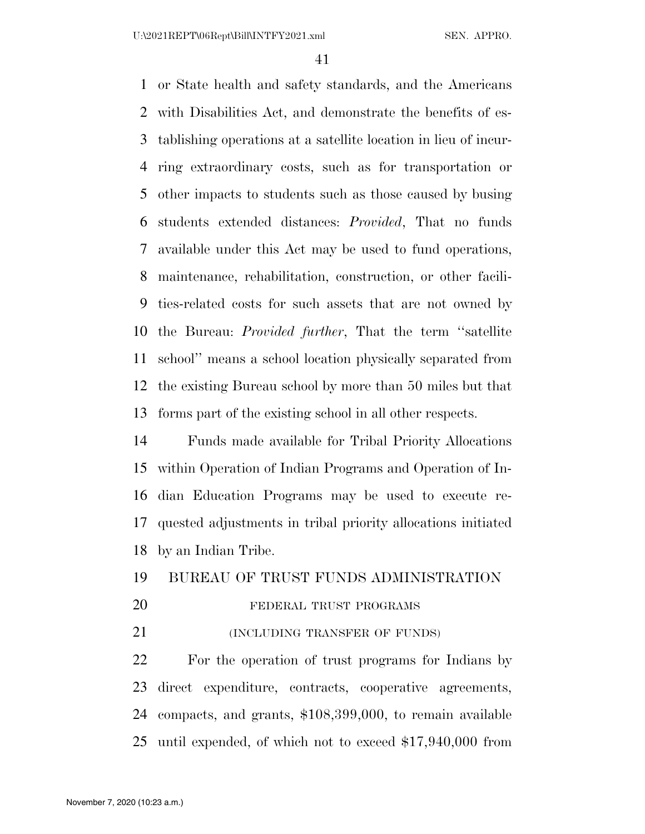or State health and safety standards, and the Americans with Disabilities Act, and demonstrate the benefits of es- tablishing operations at a satellite location in lieu of incur- ring extraordinary costs, such as for transportation or other impacts to students such as those caused by busing students extended distances: *Provided*, That no funds available under this Act may be used to fund operations, maintenance, rehabilitation, construction, or other facili- ties-related costs for such assets that are not owned by the Bureau: *Provided further*, That the term ''satellite school'' means a school location physically separated from the existing Bureau school by more than 50 miles but that forms part of the existing school in all other respects.

 Funds made available for Tribal Priority Allocations within Operation of Indian Programs and Operation of In- dian Education Programs may be used to execute re- quested adjustments in tribal priority allocations initiated by an Indian Tribe.

## BUREAU OF TRUST FUNDS ADMINISTRATION

## 20 FEDERAL TRUST PROGRAMS

**(INCLUDING TRANSFER OF FUNDS)** 

 For the operation of trust programs for Indians by direct expenditure, contracts, cooperative agreements, compacts, and grants, \$108,399,000, to remain available until expended, of which not to exceed \$17,940,000 from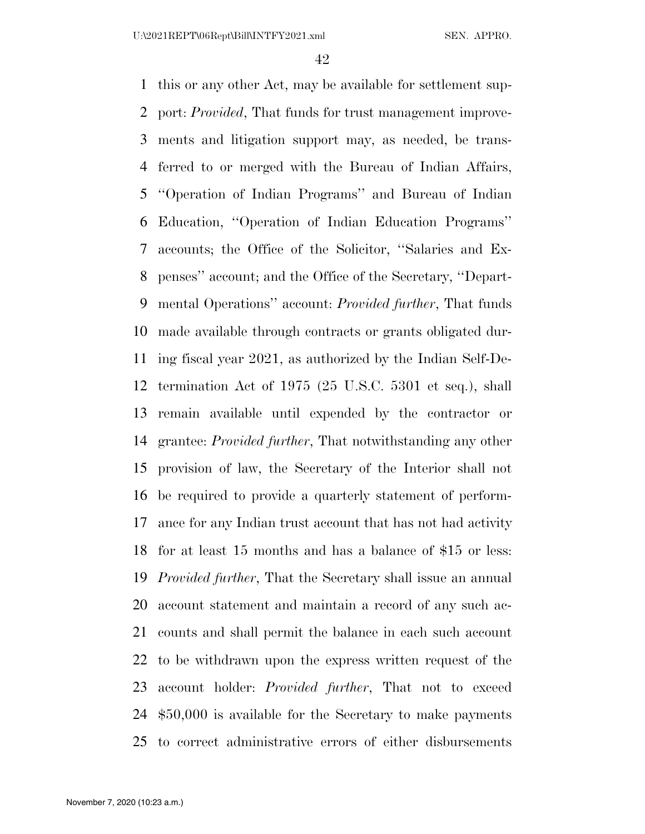this or any other Act, may be available for settlement sup- port: *Provided*, That funds for trust management improve- ments and litigation support may, as needed, be trans- ferred to or merged with the Bureau of Indian Affairs, ''Operation of Indian Programs'' and Bureau of Indian Education, ''Operation of Indian Education Programs'' accounts; the Office of the Solicitor, ''Salaries and Ex- penses'' account; and the Office of the Secretary, ''Depart- mental Operations'' account: *Provided further*, That funds made available through contracts or grants obligated dur- ing fiscal year 2021, as authorized by the Indian Self-De- termination Act of 1975 (25 U.S.C. 5301 et seq.), shall remain available until expended by the contractor or grantee: *Provided further*, That notwithstanding any other provision of law, the Secretary of the Interior shall not be required to provide a quarterly statement of perform- ance for any Indian trust account that has not had activity for at least 15 months and has a balance of \$15 or less: *Provided further*, That the Secretary shall issue an annual account statement and maintain a record of any such ac- counts and shall permit the balance in each such account to be withdrawn upon the express written request of the account holder: *Provided further*, That not to exceed \$50,000 is available for the Secretary to make payments to correct administrative errors of either disbursements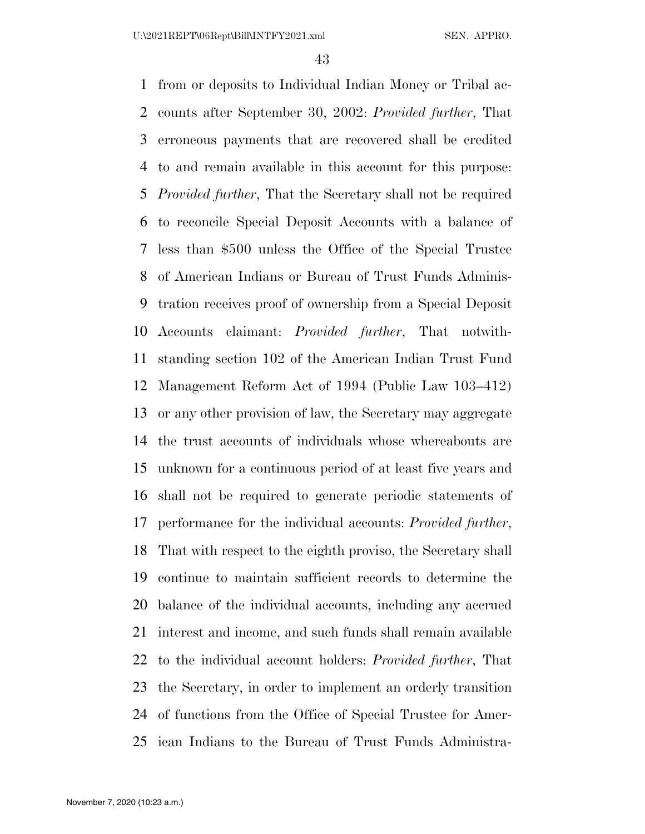U:\2021REPT\06Rept\Bill\INTFY2021.xml SEN. APPRO.

 from or deposits to Individual Indian Money or Tribal ac- counts after September 30, 2002: *Provided further*, That erroneous payments that are recovered shall be credited to and remain available in this account for this purpose: *Provided further*, That the Secretary shall not be required to reconcile Special Deposit Accounts with a balance of less than \$500 unless the Office of the Special Trustee of American Indians or Bureau of Trust Funds Adminis- tration receives proof of ownership from a Special Deposit Accounts claimant: *Provided further*, That notwith- standing section 102 of the American Indian Trust Fund Management Reform Act of 1994 (Public Law 103–412) or any other provision of law, the Secretary may aggregate the trust accounts of individuals whose whereabouts are unknown for a continuous period of at least five years and shall not be required to generate periodic statements of performance for the individual accounts: *Provided further*, That with respect to the eighth proviso, the Secretary shall continue to maintain sufficient records to determine the balance of the individual accounts, including any accrued interest and income, and such funds shall remain available to the individual account holders: *Provided further*, That the Secretary, in order to implement an orderly transition of functions from the Office of Special Trustee for Amer-ican Indians to the Bureau of Trust Funds Administra-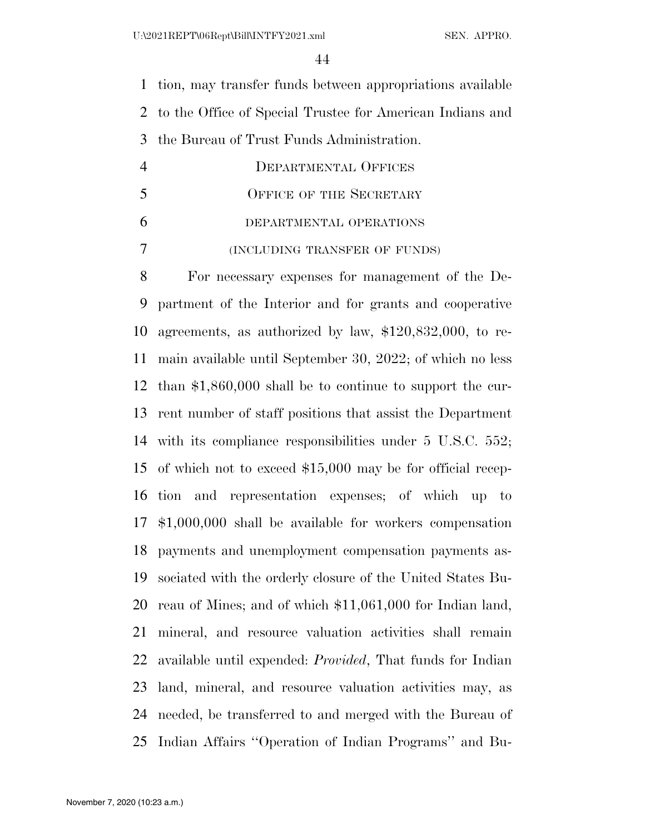tion, may transfer funds between appropriations available to the Office of Special Trustee for American Indians and the Bureau of Trust Funds Administration.

| 4 | DEPARTMENTAL OFFICES          |
|---|-------------------------------|
| 5 | OFFICE OF THE SECRETARY       |
| 6 | DEPARTMENTAL OPERATIONS       |
|   | (INCLUDING TRANSFER OF FUNDS) |

 For necessary expenses for management of the De- partment of the Interior and for grants and cooperative agreements, as authorized by law, \$120,832,000, to re- main available until September 30, 2022; of which no less than \$1,860,000 shall be to continue to support the cur- rent number of staff positions that assist the Department with its compliance responsibilities under 5 U.S.C. 552; of which not to exceed \$15,000 may be for official recep- tion and representation expenses; of which up to \$1,000,000 shall be available for workers compensation payments and unemployment compensation payments as- sociated with the orderly closure of the United States Bu- reau of Mines; and of which \$11,061,000 for Indian land, mineral, and resource valuation activities shall remain available until expended: *Provided*, That funds for Indian land, mineral, and resource valuation activities may, as needed, be transferred to and merged with the Bureau of Indian Affairs ''Operation of Indian Programs'' and Bu-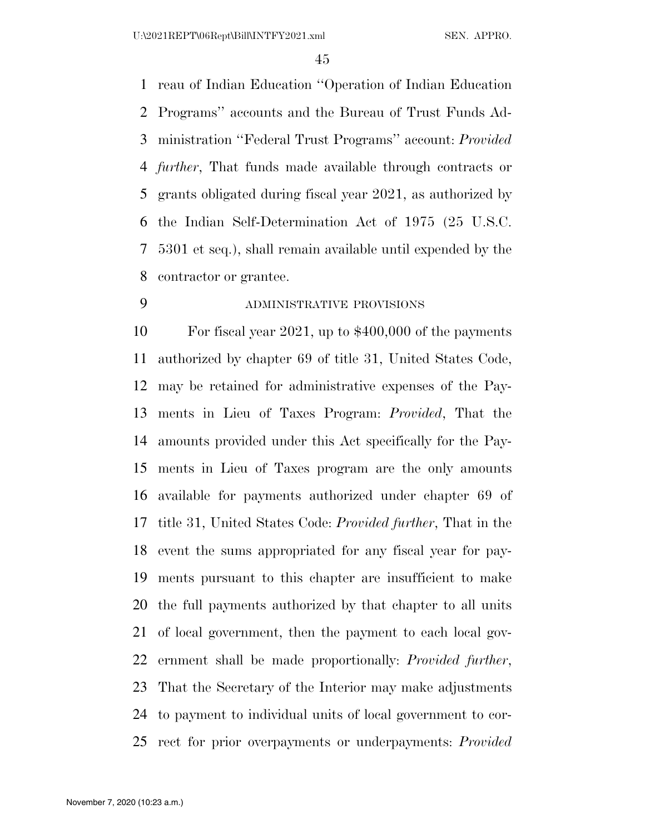reau of Indian Education ''Operation of Indian Education Programs'' accounts and the Bureau of Trust Funds Ad- ministration ''Federal Trust Programs'' account: *Provided further*, That funds made available through contracts or grants obligated during fiscal year 2021, as authorized by the Indian Self-Determination Act of 1975 (25 U.S.C. 5301 et seq.), shall remain available until expended by the contractor or grantee.

## ADMINISTRATIVE PROVISIONS

 For fiscal year 2021, up to \$400,000 of the payments authorized by chapter 69 of title 31, United States Code, may be retained for administrative expenses of the Pay- ments in Lieu of Taxes Program: *Provided*, That the amounts provided under this Act specifically for the Pay- ments in Lieu of Taxes program are the only amounts available for payments authorized under chapter 69 of title 31, United States Code: *Provided further*, That in the event the sums appropriated for any fiscal year for pay- ments pursuant to this chapter are insufficient to make the full payments authorized by that chapter to all units of local government, then the payment to each local gov- ernment shall be made proportionally: *Provided further*, That the Secretary of the Interior may make adjustments to payment to individual units of local government to cor-rect for prior overpayments or underpayments: *Provided*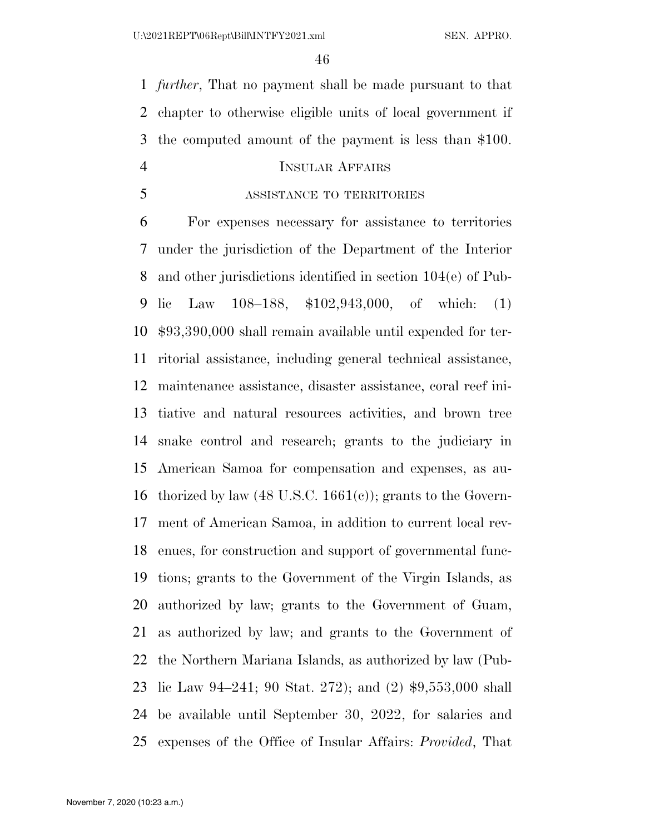*further*, That no payment shall be made pursuant to that chapter to otherwise eligible units of local government if the computed amount of the payment is less than \$100.

## INSULAR AFFAIRS

ASSISTANCE TO TERRITORIES

 For expenses necessary for assistance to territories under the jurisdiction of the Department of the Interior and other jurisdictions identified in section 104(e) of Pub- lic Law 108–188, \$102,943,000, of which: (1) \$93,390,000 shall remain available until expended for ter- ritorial assistance, including general technical assistance, maintenance assistance, disaster assistance, coral reef ini- tiative and natural resources activities, and brown tree snake control and research; grants to the judiciary in American Samoa for compensation and expenses, as au-16 thorized by law  $(48 \text{ U.S.C. } 1661(c))$ ; grants to the Govern- ment of American Samoa, in addition to current local rev- enues, for construction and support of governmental func- tions; grants to the Government of the Virgin Islands, as authorized by law; grants to the Government of Guam, as authorized by law; and grants to the Government of the Northern Mariana Islands, as authorized by law (Pub- lic Law 94–241; 90 Stat. 272); and (2) \$9,553,000 shall be available until September 30, 2022, for salaries and expenses of the Office of Insular Affairs: *Provided*, That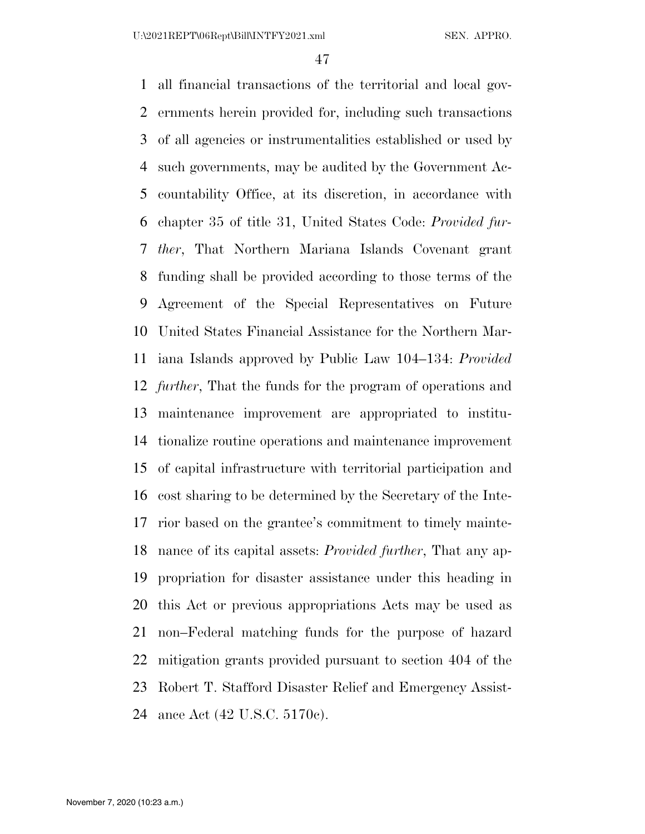all financial transactions of the territorial and local gov- ernments herein provided for, including such transactions of all agencies or instrumentalities established or used by such governments, may be audited by the Government Ac- countability Office, at its discretion, in accordance with chapter 35 of title 31, United States Code: *Provided fur- ther*, That Northern Mariana Islands Covenant grant funding shall be provided according to those terms of the Agreement of the Special Representatives on Future United States Financial Assistance for the Northern Mar- iana Islands approved by Public Law 104–134: *Provided further*, That the funds for the program of operations and maintenance improvement are appropriated to institu- tionalize routine operations and maintenance improvement of capital infrastructure with territorial participation and cost sharing to be determined by the Secretary of the Inte- rior based on the grantee's commitment to timely mainte- nance of its capital assets: *Provided further*, That any ap- propriation for disaster assistance under this heading in this Act or previous appropriations Acts may be used as non–Federal matching funds for the purpose of hazard mitigation grants provided pursuant to section 404 of the Robert T. Stafford Disaster Relief and Emergency Assist-ance Act (42 U.S.C. 5170c).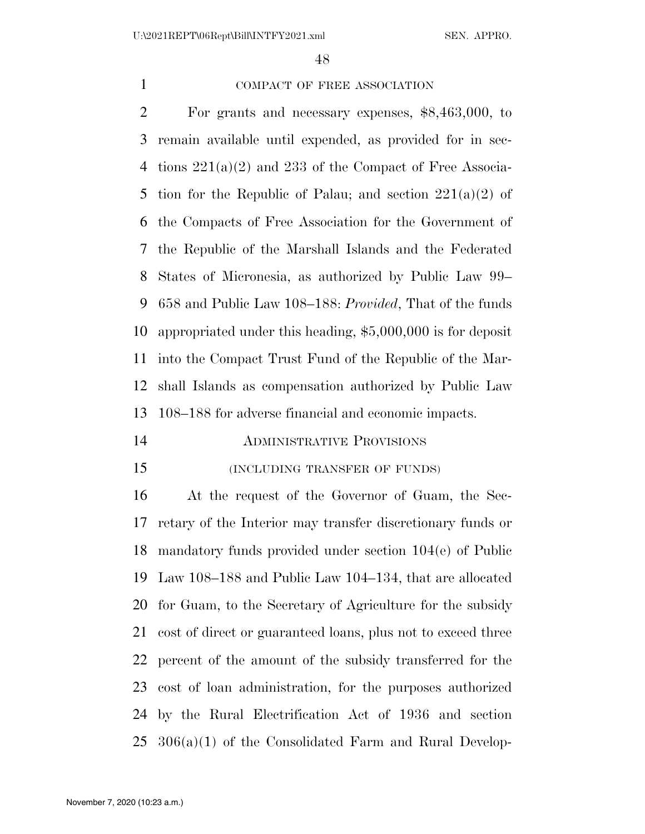## COMPACT OF FREE ASSOCIATION

 For grants and necessary expenses, \$8,463,000, to remain available until expended, as provided for in sec- tions 221(a)(2) and 233 of the Compact of Free Associa-5 tion for the Republic of Palau; and section  $221(a)(2)$  of the Compacts of Free Association for the Government of the Republic of the Marshall Islands and the Federated States of Micronesia, as authorized by Public Law 99– 658 and Public Law 108–188: *Provided*, That of the funds appropriated under this heading, \$5,000,000 is for deposit into the Compact Trust Fund of the Republic of the Mar- shall Islands as compensation authorized by Public Law 108–188 for adverse financial and economic impacts.

## ADMINISTRATIVE PROVISIONS

## (INCLUDING TRANSFER OF FUNDS)

 At the request of the Governor of Guam, the Sec- retary of the Interior may transfer discretionary funds or mandatory funds provided under section 104(e) of Public Law 108–188 and Public Law 104–134, that are allocated for Guam, to the Secretary of Agriculture for the subsidy cost of direct or guaranteed loans, plus not to exceed three percent of the amount of the subsidy transferred for the cost of loan administration, for the purposes authorized by the Rural Electrification Act of 1936 and section 306(a)(1) of the Consolidated Farm and Rural Develop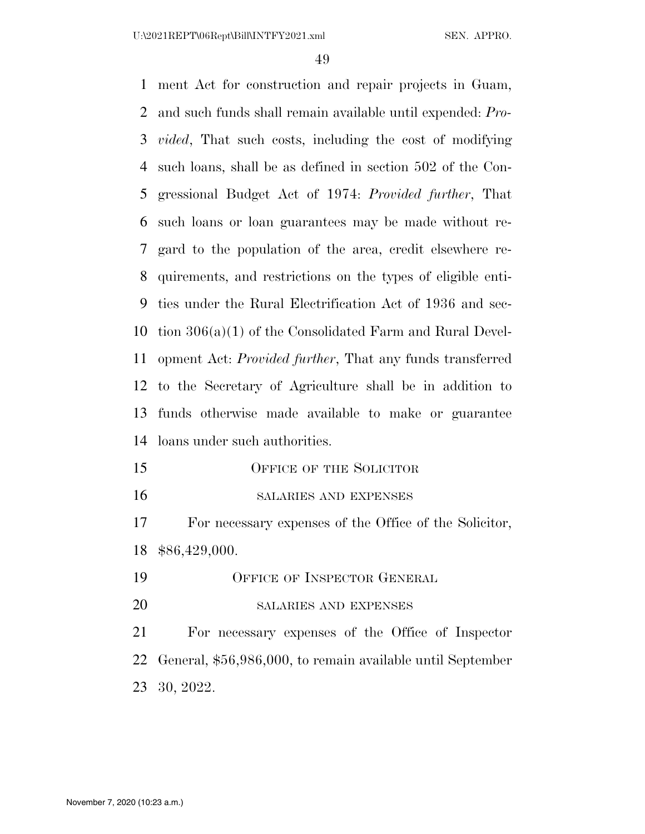U:\2021REPT\06Rept\Bill\INTFY2021.xml SEN. APPRO.

 ment Act for construction and repair projects in Guam, and such funds shall remain available until expended: *Pro- vided*, That such costs, including the cost of modifying such loans, shall be as defined in section 502 of the Con- gressional Budget Act of 1974: *Provided further*, That such loans or loan guarantees may be made without re- gard to the population of the area, credit elsewhere re- quirements, and restrictions on the types of eligible enti- ties under the Rural Electrification Act of 1936 and sec- tion 306(a)(1) of the Consolidated Farm and Rural Devel- opment Act: *Provided further*, That any funds transferred to the Secretary of Agriculture shall be in addition to funds otherwise made available to make or guarantee loans under such authorities. 15 OFFICE OF THE SOLICITOR SALARIES AND EXPENSES

 For necessary expenses of the Office of the Solicitor, \$86,429,000.

- OFFICE OF INSPECTOR GENERAL
- 20 SALARIES AND EXPENSES

 For necessary expenses of the Office of Inspector General, \$56,986,000, to remain available until September 30, 2022.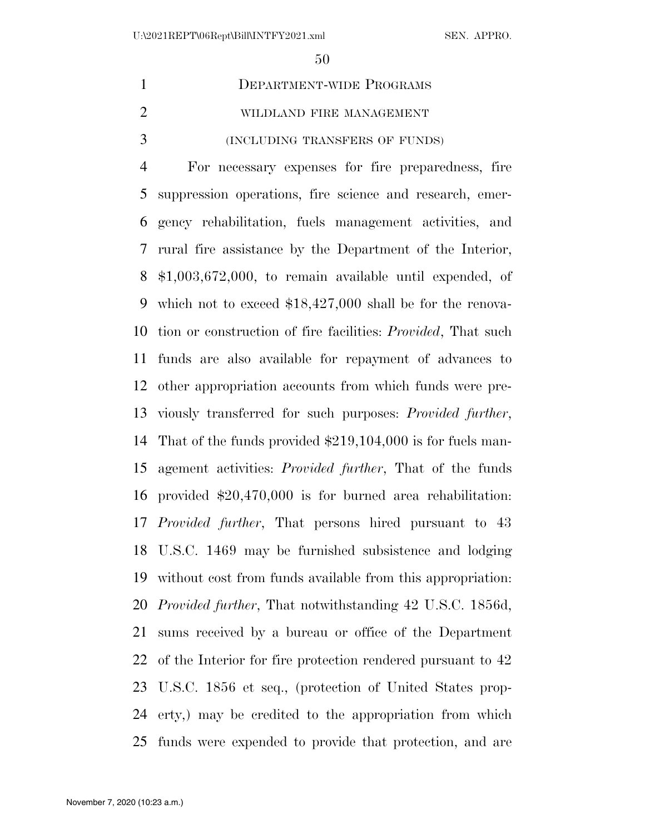# DEPARTMENT-WIDE PROGRAMS WILDLAND FIRE MANAGEMENT (INCLUDING TRANSFERS OF FUNDS)

 For necessary expenses for fire preparedness, fire suppression operations, fire science and research, emer- gency rehabilitation, fuels management activities, and rural fire assistance by the Department of the Interior, \$1,003,672,000, to remain available until expended, of which not to exceed \$18,427,000 shall be for the renova- tion or construction of fire facilities: *Provided*, That such funds are also available for repayment of advances to other appropriation accounts from which funds were pre- viously transferred for such purposes: *Provided further*, That of the funds provided \$219,104,000 is for fuels man- agement activities: *Provided further*, That of the funds provided \$20,470,000 is for burned area rehabilitation: *Provided further*, That persons hired pursuant to 43 U.S.C. 1469 may be furnished subsistence and lodging without cost from funds available from this appropriation: *Provided further*, That notwithstanding 42 U.S.C. 1856d, sums received by a bureau or office of the Department of the Interior for fire protection rendered pursuant to 42 U.S.C. 1856 et seq., (protection of United States prop- erty,) may be credited to the appropriation from which funds were expended to provide that protection, and are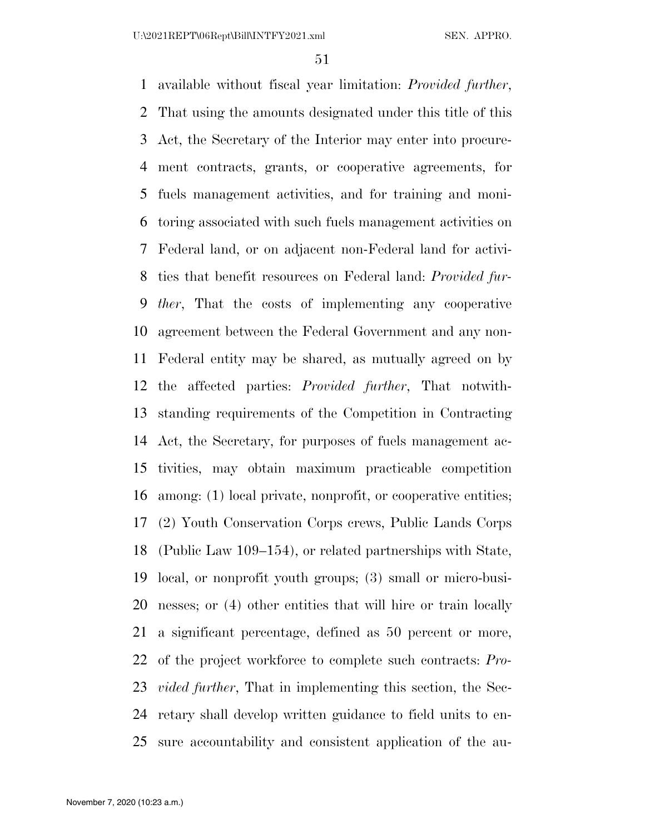available without fiscal year limitation: *Provided further*, That using the amounts designated under this title of this Act, the Secretary of the Interior may enter into procure- ment contracts, grants, or cooperative agreements, for fuels management activities, and for training and moni- toring associated with such fuels management activities on Federal land, or on adjacent non-Federal land for activi- ties that benefit resources on Federal land: *Provided fur- ther*, That the costs of implementing any cooperative agreement between the Federal Government and any non- Federal entity may be shared, as mutually agreed on by the affected parties: *Provided further*, That notwith- standing requirements of the Competition in Contracting Act, the Secretary, for purposes of fuels management ac- tivities, may obtain maximum practicable competition among: (1) local private, nonprofit, or cooperative entities; (2) Youth Conservation Corps crews, Public Lands Corps (Public Law 109–154), or related partnerships with State, local, or nonprofit youth groups; (3) small or micro-busi- nesses; or (4) other entities that will hire or train locally a significant percentage, defined as 50 percent or more, of the project workforce to complete such contracts: *Pro- vided further*, That in implementing this section, the Sec- retary shall develop written guidance to field units to en-sure accountability and consistent application of the au-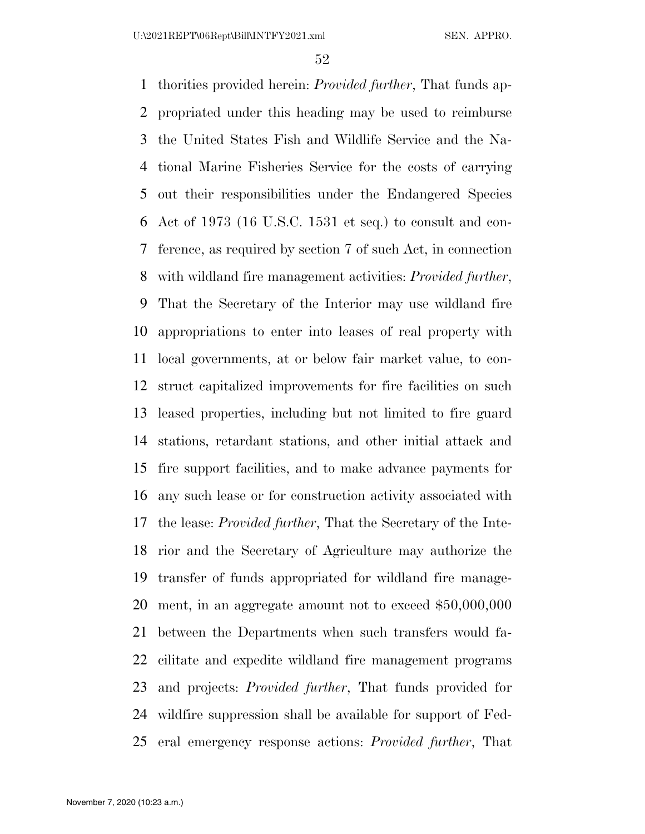thorities provided herein: *Provided further*, That funds ap- propriated under this heading may be used to reimburse the United States Fish and Wildlife Service and the Na- tional Marine Fisheries Service for the costs of carrying out their responsibilities under the Endangered Species Act of 1973 (16 U.S.C. 1531 et seq.) to consult and con- ference, as required by section 7 of such Act, in connection with wildland fire management activities: *Provided further*, That the Secretary of the Interior may use wildland fire appropriations to enter into leases of real property with local governments, at or below fair market value, to con- struct capitalized improvements for fire facilities on such leased properties, including but not limited to fire guard stations, retardant stations, and other initial attack and fire support facilities, and to make advance payments for any such lease or for construction activity associated with the lease: *Provided further*, That the Secretary of the Inte- rior and the Secretary of Agriculture may authorize the transfer of funds appropriated for wildland fire manage- ment, in an aggregate amount not to exceed \$50,000,000 between the Departments when such transfers would fa- cilitate and expedite wildland fire management programs and projects: *Provided further*, That funds provided for wildfire suppression shall be available for support of Fed-eral emergency response actions: *Provided further*, That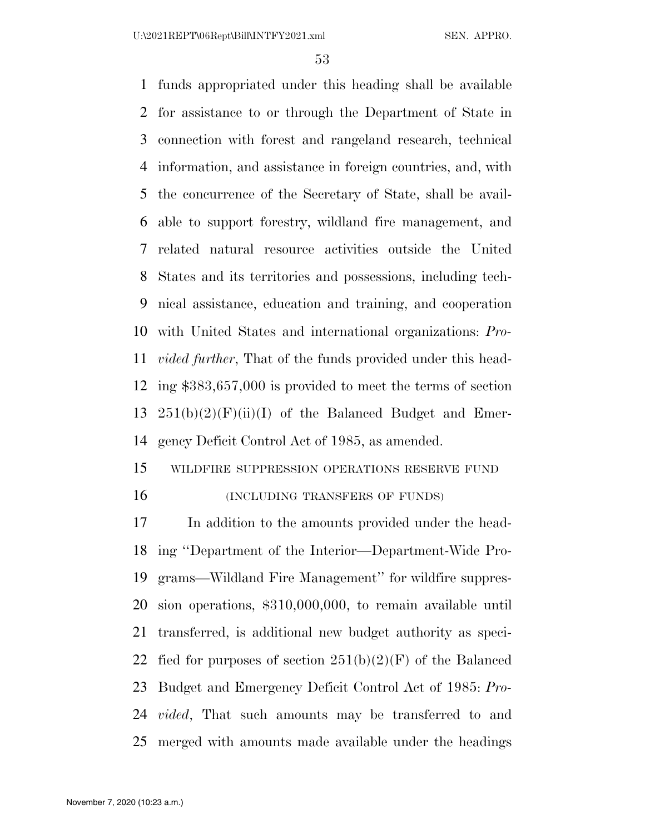funds appropriated under this heading shall be available for assistance to or through the Department of State in connection with forest and rangeland research, technical information, and assistance in foreign countries, and, with the concurrence of the Secretary of State, shall be avail- able to support forestry, wildland fire management, and related natural resource activities outside the United States and its territories and possessions, including tech- nical assistance, education and training, and cooperation with United States and international organizations: *Pro- vided further*, That of the funds provided under this head- ing \$383,657,000 is provided to meet the terms of section  $251(b)(2)(F)(ii)(I)$  of the Balanced Budget and Emer-gency Deficit Control Act of 1985, as amended.

## WILDFIRE SUPPRESSION OPERATIONS RESERVE FUND 16 (INCLUDING TRANSFERS OF FUNDS)

 In addition to the amounts provided under the head- ing ''Department of the Interior—Department-Wide Pro- grams—Wildland Fire Management'' for wildfire suppres- sion operations, \$310,000,000, to remain available until transferred, is additional new budget authority as speci-22 fied for purposes of section  $251(b)(2)(F)$  of the Balanced Budget and Emergency Deficit Control Act of 1985: *Pro- vided*, That such amounts may be transferred to and merged with amounts made available under the headings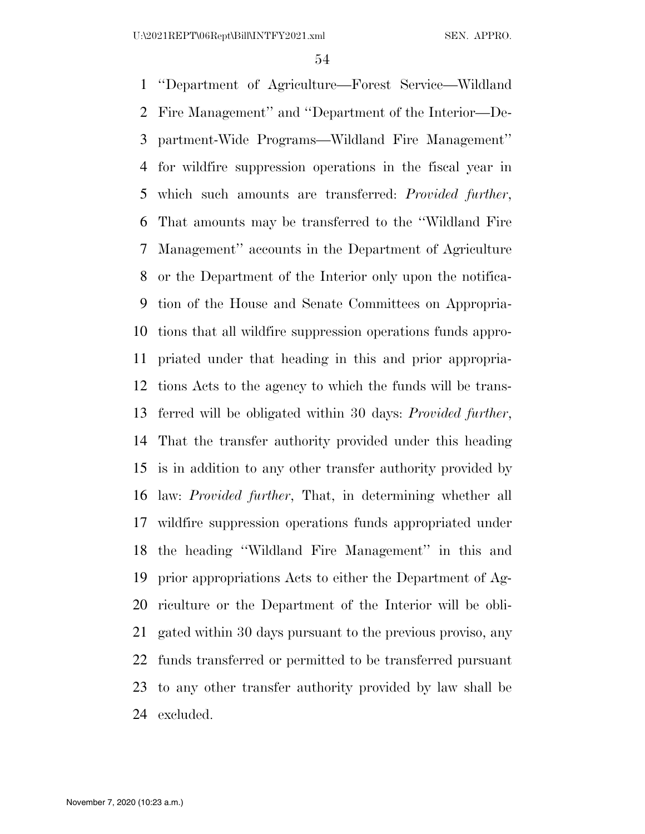''Department of Agriculture—Forest Service—Wildland Fire Management'' and ''Department of the Interior—De- partment-Wide Programs—Wildland Fire Management'' for wildfire suppression operations in the fiscal year in which such amounts are transferred: *Provided further*, That amounts may be transferred to the ''Wildland Fire Management'' accounts in the Department of Agriculture or the Department of the Interior only upon the notifica- tion of the House and Senate Committees on Appropria- tions that all wildfire suppression operations funds appro- priated under that heading in this and prior appropria- tions Acts to the agency to which the funds will be trans- ferred will be obligated within 30 days: *Provided further*, That the transfer authority provided under this heading is in addition to any other transfer authority provided by law: *Provided further*, That, in determining whether all wildfire suppression operations funds appropriated under the heading ''Wildland Fire Management'' in this and prior appropriations Acts to either the Department of Ag- riculture or the Department of the Interior will be obli- gated within 30 days pursuant to the previous proviso, any funds transferred or permitted to be transferred pursuant to any other transfer authority provided by law shall be excluded.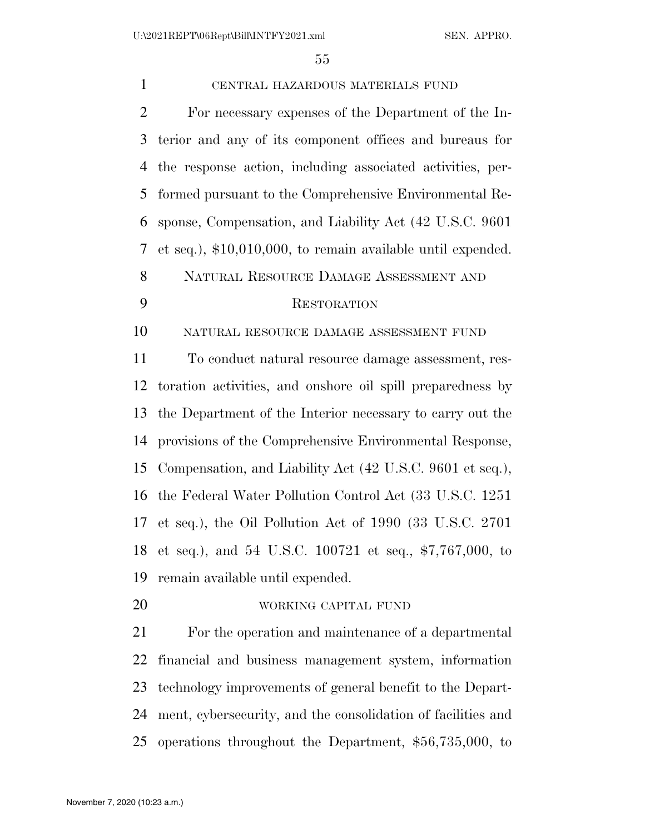| $\mathbf{1}$   | CENTRAL HAZARDOUS MATERIALS FUND                              |
|----------------|---------------------------------------------------------------|
| $\overline{2}$ | For necessary expenses of the Department of the In-           |
| 3              | terior and any of its component offices and bureaus for       |
| 4              | the response action, including associated activities, per-    |
| 5              | formed pursuant to the Comprehensive Environmental Re-        |
| 6              | sponse, Compensation, and Liability Act (42 U.S.C. 9601)      |
| 7              | et seq.), $$10,010,000$ , to remain available until expended. |
| 8              | NATURAL RESOURCE DAMAGE ASSESSMENT AND                        |
| 9              | <b>RESTORATION</b>                                            |
| 10             | NATURAL RESOURCE DAMAGE ASSESSMENT FUND                       |
| 11             | To conduct natural resource damage assessment, res-           |
| 12             | toration activities, and onshore oil spill preparedness by    |
| 13             | the Department of the Interior necessary to carry out the     |
| 14             | provisions of the Comprehensive Environmental Response,       |
| 15             | Compensation, and Liability Act (42 U.S.C. 9601 et seq.),     |
| 16             | the Federal Water Pollution Control Act (33 U.S.C. 1251)      |
|                | 17 et seq.), the Oil Pollution Act of 1990 (33 U.S.C. 2701    |
| 18             | et seq.), and 54 U.S.C. $100721$ et seq., \$7,767,000, to     |
| 19             | remain available until expended.                              |
| 20             | WORKING CAPITAL FUND                                          |
| 21             | For the operation and maintenance of a departmental           |
| 22             | financial and business management system, information         |
| 23             | technology improvements of general benefit to the Depart-     |
| 24             | ment, cybersecurity, and the consolidation of facilities and  |
| 25             | operations throughout the Department, \$56,735,000, to        |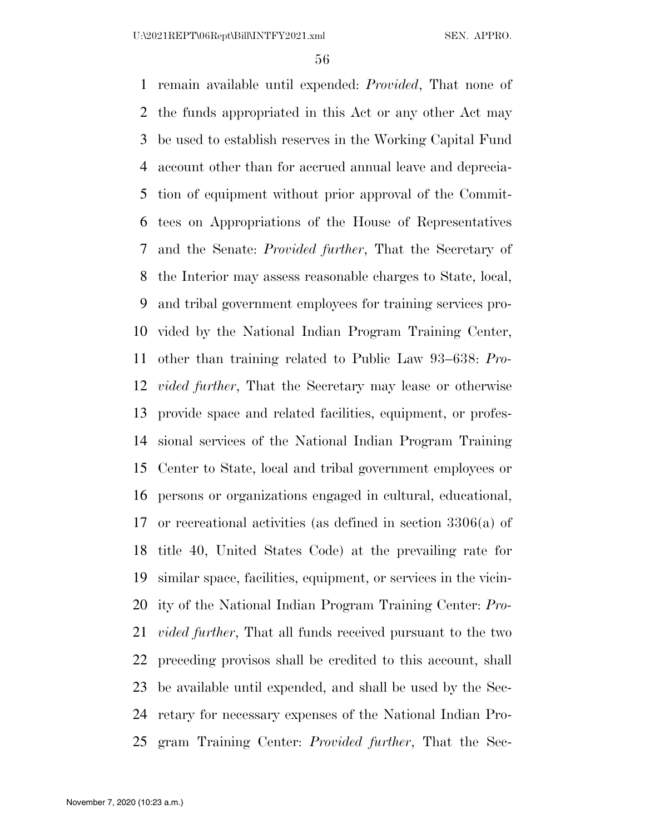remain available until expended: *Provided*, That none of the funds appropriated in this Act or any other Act may be used to establish reserves in the Working Capital Fund account other than for accrued annual leave and deprecia- tion of equipment without prior approval of the Commit- tees on Appropriations of the House of Representatives and the Senate: *Provided further*, That the Secretary of the Interior may assess reasonable charges to State, local, and tribal government employees for training services pro- vided by the National Indian Program Training Center, other than training related to Public Law 93–638: *Pro- vided further*, That the Secretary may lease or otherwise provide space and related facilities, equipment, or profes- sional services of the National Indian Program Training Center to State, local and tribal government employees or persons or organizations engaged in cultural, educational, or recreational activities (as defined in section 3306(a) of title 40, United States Code) at the prevailing rate for similar space, facilities, equipment, or services in the vicin- ity of the National Indian Program Training Center: *Pro- vided further*, That all funds received pursuant to the two preceding provisos shall be credited to this account, shall be available until expended, and shall be used by the Sec- retary for necessary expenses of the National Indian Pro-gram Training Center: *Provided further*, That the Sec-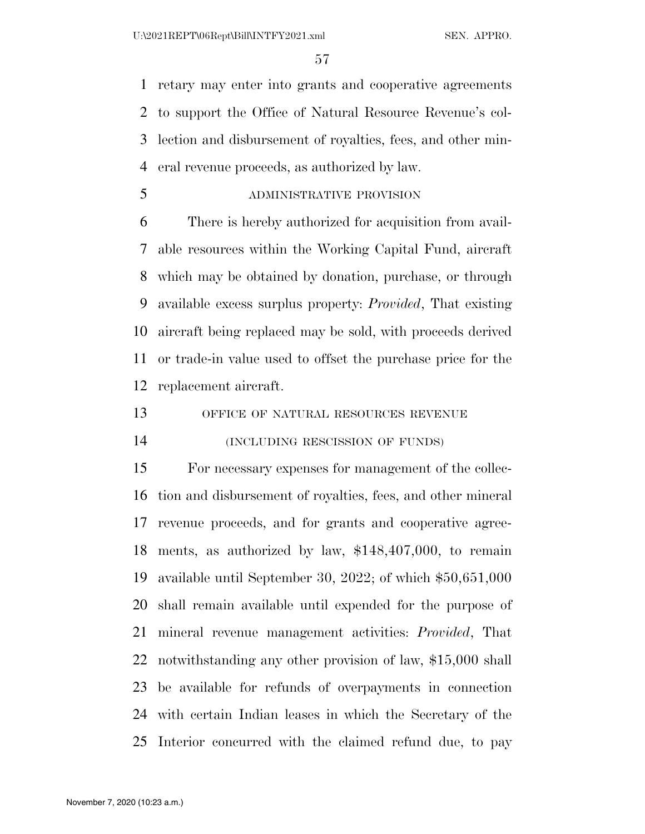retary may enter into grants and cooperative agreements to support the Office of Natural Resource Revenue's col- lection and disbursement of royalties, fees, and other min-eral revenue proceeds, as authorized by law.

ADMINISTRATIVE PROVISION

 There is hereby authorized for acquisition from avail- able resources within the Working Capital Fund, aircraft which may be obtained by donation, purchase, or through available excess surplus property: *Provided*, That existing aircraft being replaced may be sold, with proceeds derived or trade-in value used to offset the purchase price for the replacement aircraft.

OFFICE OF NATURAL RESOURCES REVENUE

(INCLUDING RESCISSION OF FUNDS)

 For necessary expenses for management of the collec- tion and disbursement of royalties, fees, and other mineral revenue proceeds, and for grants and cooperative agree- ments, as authorized by law, \$148,407,000, to remain available until September 30, 2022; of which \$50,651,000 shall remain available until expended for the purpose of mineral revenue management activities: *Provided*, That notwithstanding any other provision of law, \$15,000 shall be available for refunds of overpayments in connection with certain Indian leases in which the Secretary of the Interior concurred with the claimed refund due, to pay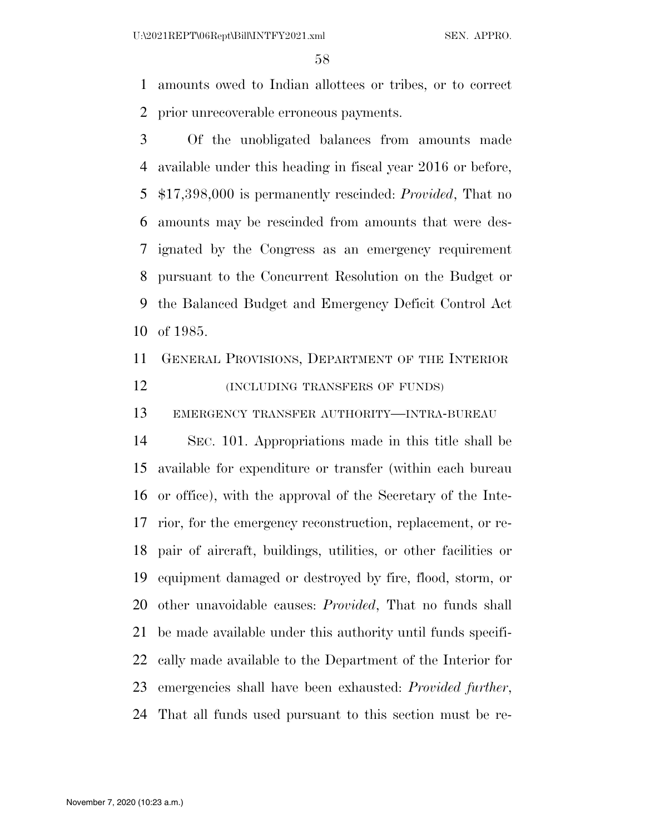amounts owed to Indian allottees or tribes, or to correct prior unrecoverable erroneous payments.

 Of the unobligated balances from amounts made available under this heading in fiscal year 2016 or before, \$17,398,000 is permanently rescinded: *Provided*, That no amounts may be rescinded from amounts that were des- ignated by the Congress as an emergency requirement pursuant to the Concurrent Resolution on the Budget or the Balanced Budget and Emergency Deficit Control Act of 1985.

 GENERAL PROVISIONS, DEPARTMENT OF THE INTERIOR **(INCLUDING TRANSFERS OF FUNDS)** 

EMERGENCY TRANSFER AUTHORITY—INTRA-BUREAU

 SEC. 101. Appropriations made in this title shall be available for expenditure or transfer (within each bureau or office), with the approval of the Secretary of the Inte- rior, for the emergency reconstruction, replacement, or re- pair of aircraft, buildings, utilities, or other facilities or equipment damaged or destroyed by fire, flood, storm, or other unavoidable causes: *Provided*, That no funds shall be made available under this authority until funds specifi- cally made available to the Department of the Interior for emergencies shall have been exhausted: *Provided further*, That all funds used pursuant to this section must be re-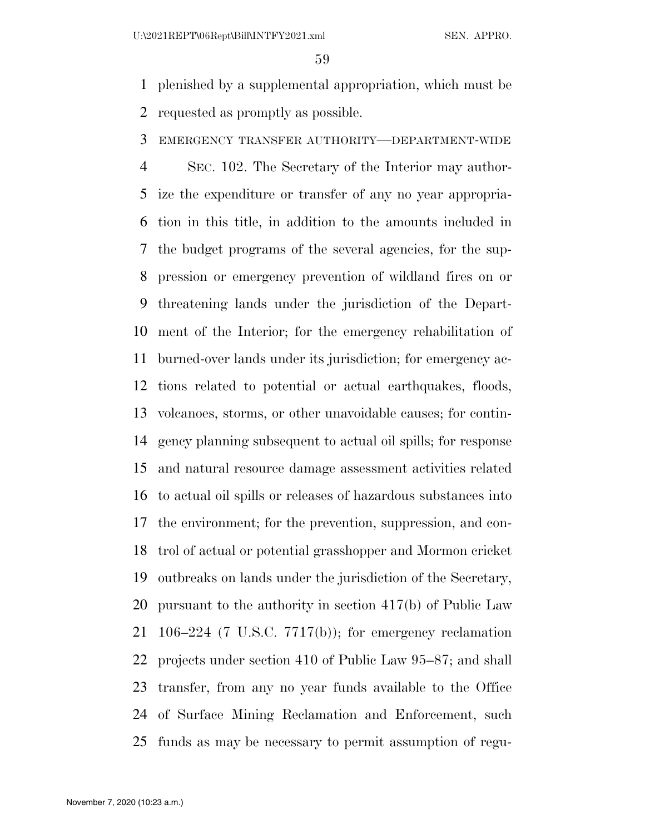plenished by a supplemental appropriation, which must be requested as promptly as possible.

## EMERGENCY TRANSFER AUTHORITY—DEPARTMENT-WIDE

 SEC. 102. The Secretary of the Interior may author- ize the expenditure or transfer of any no year appropria- tion in this title, in addition to the amounts included in the budget programs of the several agencies, for the sup- pression or emergency prevention of wildland fires on or threatening lands under the jurisdiction of the Depart- ment of the Interior; for the emergency rehabilitation of burned-over lands under its jurisdiction; for emergency ac- tions related to potential or actual earthquakes, floods, volcanoes, storms, or other unavoidable causes; for contin- gency planning subsequent to actual oil spills; for response and natural resource damage assessment activities related to actual oil spills or releases of hazardous substances into the environment; for the prevention, suppression, and con- trol of actual or potential grasshopper and Mormon cricket outbreaks on lands under the jurisdiction of the Secretary, pursuant to the authority in section 417(b) of Public Law 106–224 (7 U.S.C. 7717(b)); for emergency reclamation projects under section 410 of Public Law 95–87; and shall transfer, from any no year funds available to the Office of Surface Mining Reclamation and Enforcement, such funds as may be necessary to permit assumption of regu-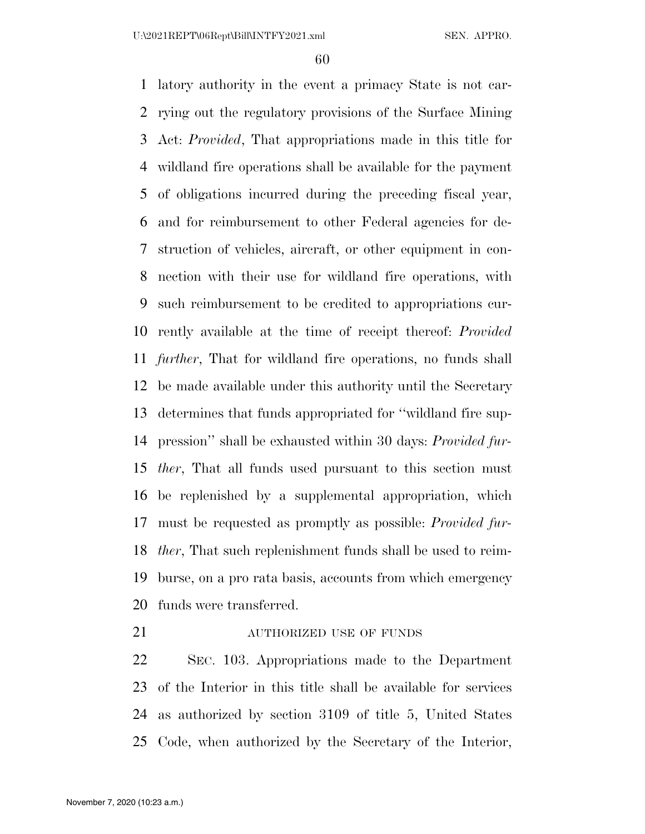latory authority in the event a primacy State is not car- rying out the regulatory provisions of the Surface Mining Act: *Provided*, That appropriations made in this title for wildland fire operations shall be available for the payment of obligations incurred during the preceding fiscal year, and for reimbursement to other Federal agencies for de- struction of vehicles, aircraft, or other equipment in con- nection with their use for wildland fire operations, with such reimbursement to be credited to appropriations cur- rently available at the time of receipt thereof: *Provided further*, That for wildland fire operations, no funds shall be made available under this authority until the Secretary determines that funds appropriated for ''wildland fire sup- pression'' shall be exhausted within 30 days: *Provided fur- ther*, That all funds used pursuant to this section must be replenished by a supplemental appropriation, which must be requested as promptly as possible: *Provided fur- ther*, That such replenishment funds shall be used to reim- burse, on a pro rata basis, accounts from which emergency funds were transferred.

21 AUTHORIZED USE OF FUNDS

 SEC. 103. Appropriations made to the Department of the Interior in this title shall be available for services as authorized by section 3109 of title 5, United States Code, when authorized by the Secretary of the Interior,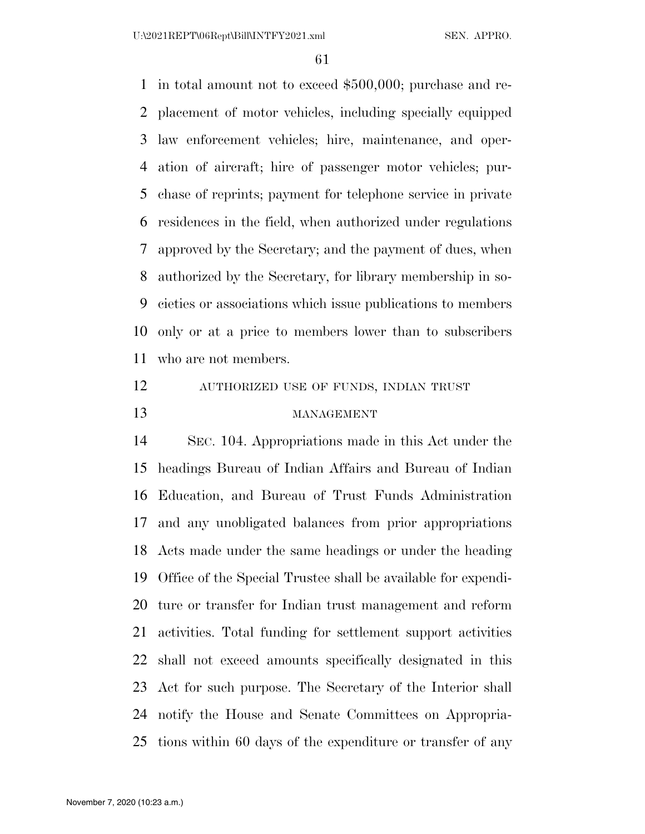in total amount not to exceed \$500,000; purchase and re- placement of motor vehicles, including specially equipped law enforcement vehicles; hire, maintenance, and oper- ation of aircraft; hire of passenger motor vehicles; pur- chase of reprints; payment for telephone service in private residences in the field, when authorized under regulations approved by the Secretary; and the payment of dues, when authorized by the Secretary, for library membership in so- cieties or associations which issue publications to members only or at a price to members lower than to subscribers who are not members.

## AUTHORIZED USE OF FUNDS, INDIAN TRUST MANAGEMENT

 SEC. 104. Appropriations made in this Act under the headings Bureau of Indian Affairs and Bureau of Indian Education, and Bureau of Trust Funds Administration and any unobligated balances from prior appropriations Acts made under the same headings or under the heading Office of the Special Trustee shall be available for expendi- ture or transfer for Indian trust management and reform activities. Total funding for settlement support activities shall not exceed amounts specifically designated in this Act for such purpose. The Secretary of the Interior shall notify the House and Senate Committees on Appropria-tions within 60 days of the expenditure or transfer of any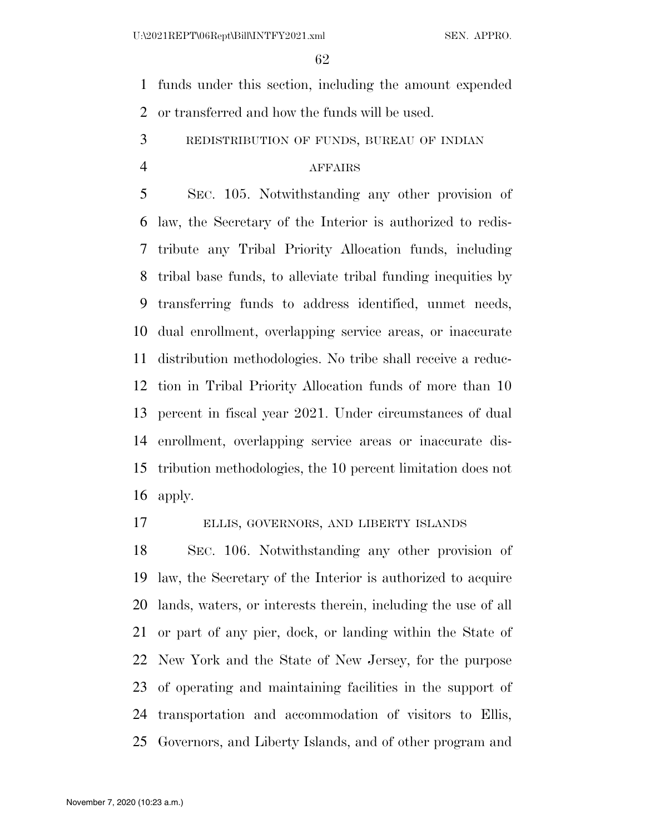funds under this section, including the amount expended or transferred and how the funds will be used.

REDISTRIBUTION OF FUNDS, BUREAU OF INDIAN

## AFFAIRS

 SEC. 105. Notwithstanding any other provision of law, the Secretary of the Interior is authorized to redis- tribute any Tribal Priority Allocation funds, including tribal base funds, to alleviate tribal funding inequities by transferring funds to address identified, unmet needs, dual enrollment, overlapping service areas, or inaccurate distribution methodologies. No tribe shall receive a reduc- tion in Tribal Priority Allocation funds of more than 10 percent in fiscal year 2021. Under circumstances of dual enrollment, overlapping service areas or inaccurate dis- tribution methodologies, the 10 percent limitation does not apply.

ELLIS, GOVERNORS, AND LIBERTY ISLANDS

 SEC. 106. Notwithstanding any other provision of law, the Secretary of the Interior is authorized to acquire lands, waters, or interests therein, including the use of all or part of any pier, dock, or landing within the State of New York and the State of New Jersey, for the purpose of operating and maintaining facilities in the support of transportation and accommodation of visitors to Ellis, Governors, and Liberty Islands, and of other program and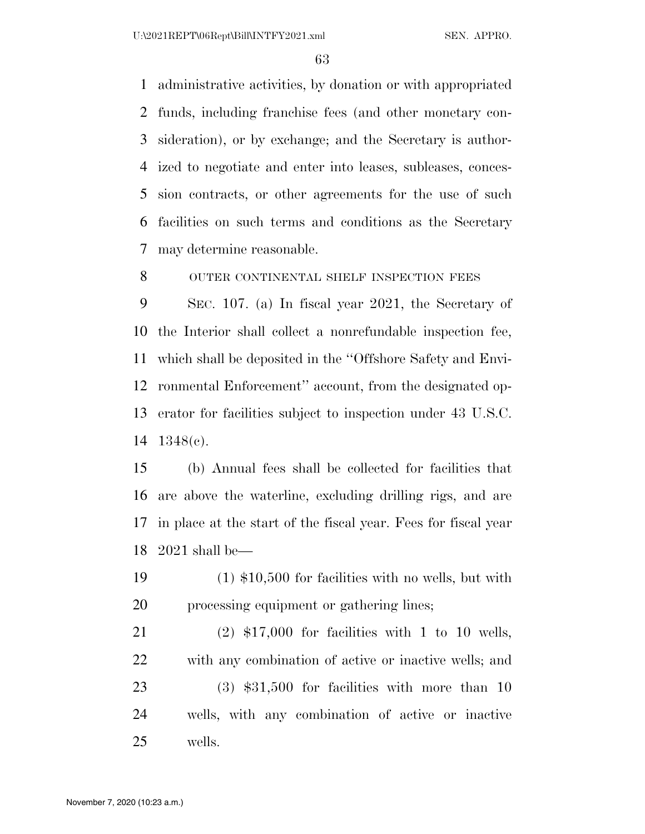U:\2021REPT\06Rept\Bill\INTFY2021.xml SEN. APPRO.

 administrative activities, by donation or with appropriated funds, including franchise fees (and other monetary con- sideration), or by exchange; and the Secretary is author- ized to negotiate and enter into leases, subleases, conces- sion contracts, or other agreements for the use of such facilities on such terms and conditions as the Secretary may determine reasonable.

8 OUTER CONTINENTAL SHELF INSPECTION FEES

 SEC. 107. (a) In fiscal year 2021, the Secretary of the Interior shall collect a nonrefundable inspection fee, which shall be deposited in the ''Offshore Safety and Envi- ronmental Enforcement'' account, from the designated op- erator for facilities subject to inspection under 43 U.S.C. 1348(c).

 (b) Annual fees shall be collected for facilities that are above the waterline, excluding drilling rigs, and are in place at the start of the fiscal year. Fees for fiscal year 2021 shall be—

 (1) \$10,500 for facilities with no wells, but with 20 processing equipment or gathering lines;

 (2) \$17,000 for facilities with 1 to 10 wells, with any combination of active or inactive wells; and (3) \$31,500 for facilities with more than 10 wells, with any combination of active or inactive wells.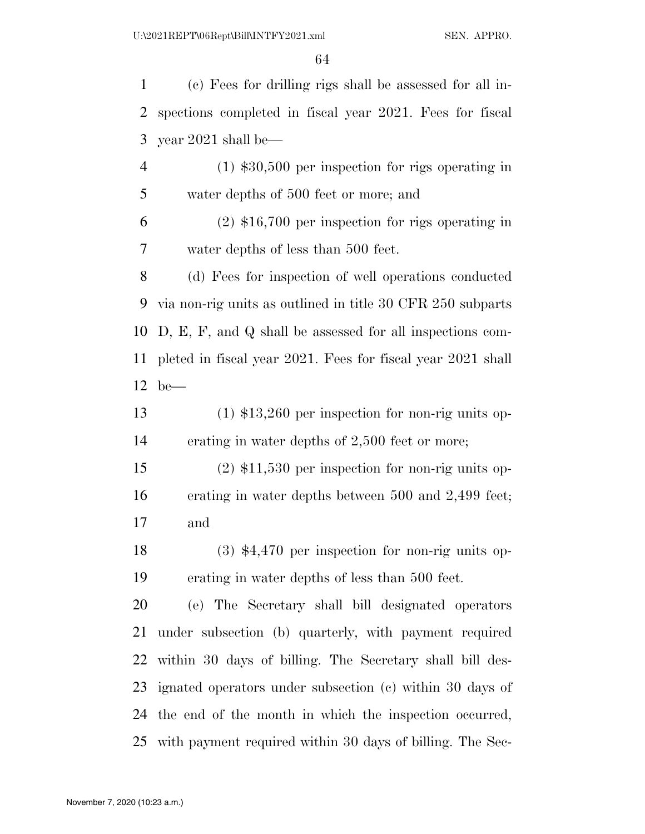(c) Fees for drilling rigs shall be assessed for all in- spections completed in fiscal year 2021. Fees for fiscal year 2021 shall be—

 (1) \$30,500 per inspection for rigs operating in water depths of 500 feet or more; and

 (2) \$16,700 per inspection for rigs operating in water depths of less than 500 feet.

 (d) Fees for inspection of well operations conducted via non-rig units as outlined in title 30 CFR 250 subparts D, E, F, and Q shall be assessed for all inspections com- pleted in fiscal year 2021. Fees for fiscal year 2021 shall be—

 (1) \$13,260 per inspection for non-rig units op-erating in water depths of 2,500 feet or more;

 (2) \$11,530 per inspection for non-rig units op- erating in water depths between 500 and 2,499 feet; and

 (3) \$4,470 per inspection for non-rig units op-erating in water depths of less than 500 feet.

 (e) The Secretary shall bill designated operators under subsection (b) quarterly, with payment required within 30 days of billing. The Secretary shall bill des- ignated operators under subsection (c) within 30 days of the end of the month in which the inspection occurred, with payment required within 30 days of billing. The Sec-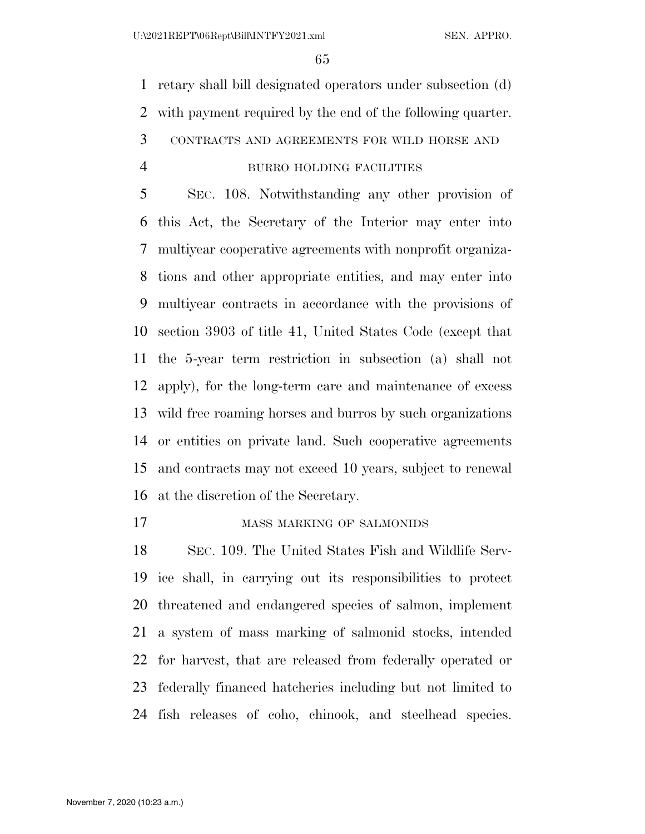retary shall bill designated operators under subsection (d) with payment required by the end of the following quarter. CONTRACTS AND AGREEMENTS FOR WILD HORSE AND BURRO HOLDING FACILITIES

 SEC. 108. Notwithstanding any other provision of this Act, the Secretary of the Interior may enter into multiyear cooperative agreements with nonprofit organiza- tions and other appropriate entities, and may enter into multiyear contracts in accordance with the provisions of section 3903 of title 41, United States Code (except that the 5-year term restriction in subsection (a) shall not apply), for the long-term care and maintenance of excess wild free roaming horses and burros by such organizations or entities on private land. Such cooperative agreements and contracts may not exceed 10 years, subject to renewal at the discretion of the Secretary.

MASS MARKING OF SALMONIDS

 SEC. 109. The United States Fish and Wildlife Serv- ice shall, in carrying out its responsibilities to protect threatened and endangered species of salmon, implement a system of mass marking of salmonid stocks, intended for harvest, that are released from federally operated or federally financed hatcheries including but not limited to fish releases of coho, chinook, and steelhead species.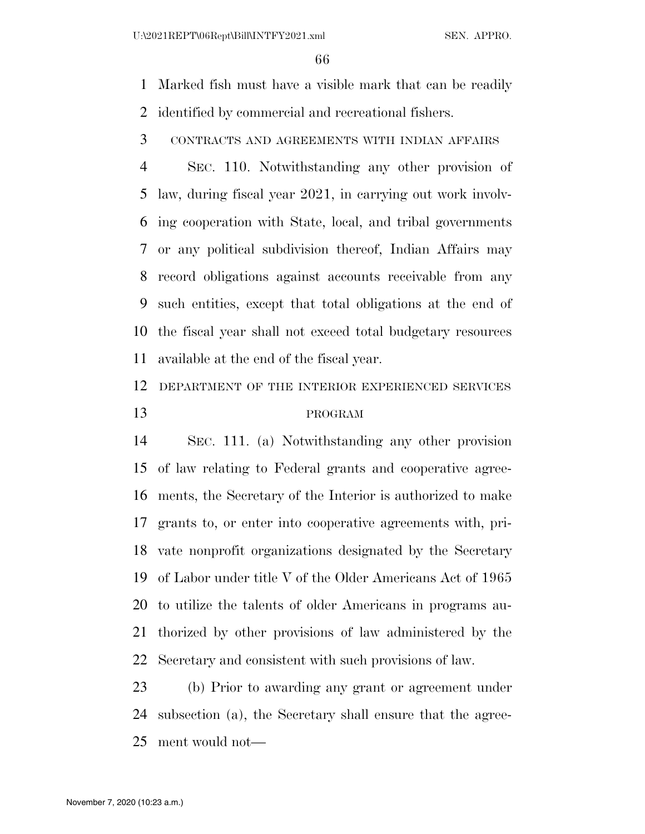Marked fish must have a visible mark that can be readily identified by commercial and recreational fishers.

CONTRACTS AND AGREEMENTS WITH INDIAN AFFAIRS

 SEC. 110. Notwithstanding any other provision of law, during fiscal year 2021, in carrying out work involv- ing cooperation with State, local, and tribal governments or any political subdivision thereof, Indian Affairs may record obligations against accounts receivable from any such entities, except that total obligations at the end of the fiscal year shall not exceed total budgetary resources available at the end of the fiscal year.

 DEPARTMENT OF THE INTERIOR EXPERIENCED SERVICES PROGRAM

 SEC. 111. (a) Notwithstanding any other provision of law relating to Federal grants and cooperative agree- ments, the Secretary of the Interior is authorized to make grants to, or enter into cooperative agreements with, pri- vate nonprofit organizations designated by the Secretary of Labor under title V of the Older Americans Act of 1965 to utilize the talents of older Americans in programs au- thorized by other provisions of law administered by the Secretary and consistent with such provisions of law.

 (b) Prior to awarding any grant or agreement under subsection (a), the Secretary shall ensure that the agree-ment would not—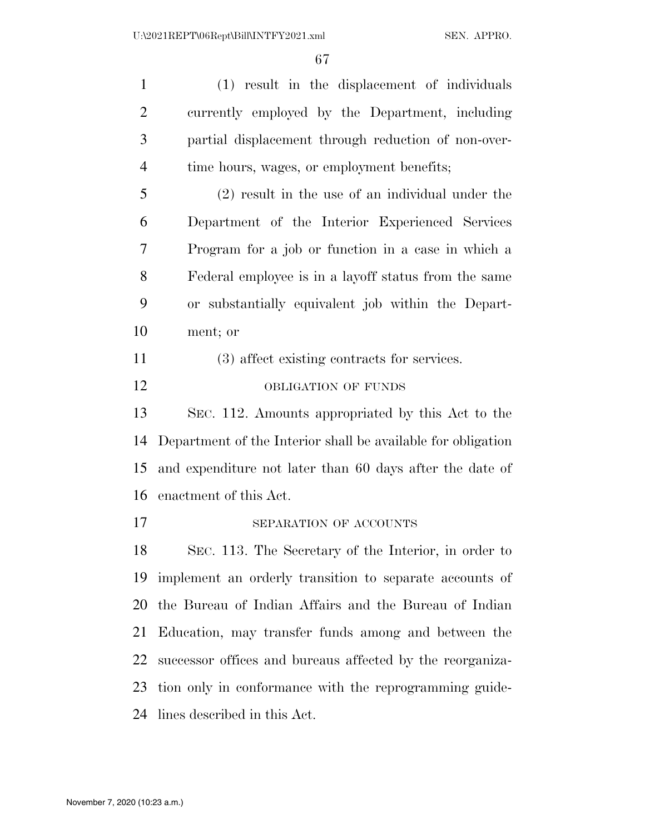(1) result in the displacement of individuals currently employed by the Department, including partial displacement through reduction of non-over- time hours, wages, or employment benefits; (2) result in the use of an individual under the Department of the Interior Experienced Services Program for a job or function in a case in which a Federal employee is in a layoff status from the same or substantially equivalent job within the Depart- ment; or (3) affect existing contracts for services. 12 OBLIGATION OF FUNDS SEC. 112. Amounts appropriated by this Act to the Department of the Interior shall be available for obligation and expenditure not later than 60 days after the date of enactment of this Act. 17 SEPARATION OF ACCOUNTS SEC. 113. The Secretary of the Interior, in order to implement an orderly transition to separate accounts of the Bureau of Indian Affairs and the Bureau of Indian Education, may transfer funds among and between the successor offices and bureaus affected by the reorganiza- tion only in conformance with the reprogramming guide-lines described in this Act.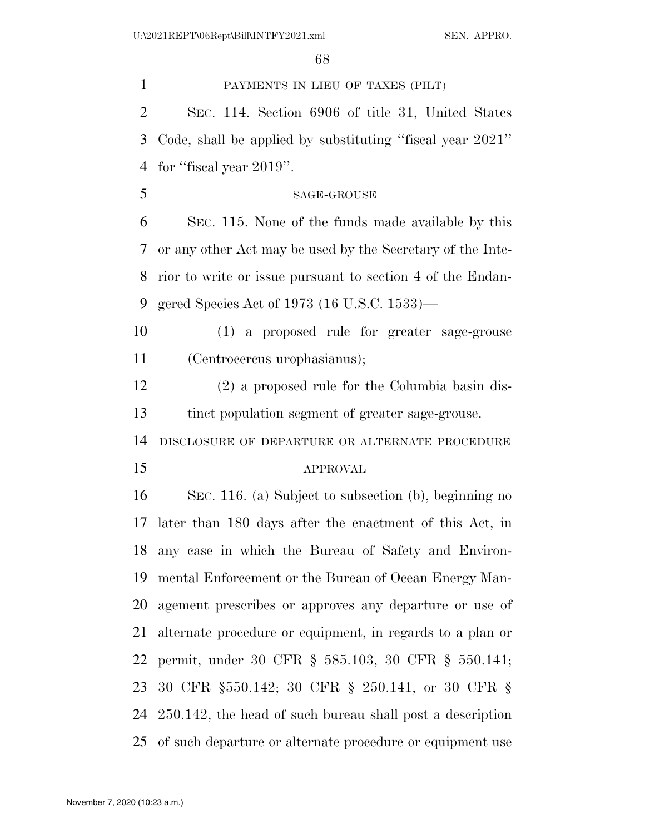PAYMENTS IN LIEU OF TAXES (PILT)

 SEC. 114. Section 6906 of title 31, United States Code, shall be applied by substituting ''fiscal year 2021'' for ''fiscal year 2019''.

SAGE-GROUSE

 SEC. 115. None of the funds made available by this or any other Act may be used by the Secretary of the Inte- rior to write or issue pursuant to section 4 of the Endan-gered Species Act of 1973 (16 U.S.C. 1533)—

 (1) a proposed rule for greater sage-grouse (Centrocercus urophasianus);

 (2) a proposed rule for the Columbia basin dis-tinct population segment of greater sage-grouse.

DISCLOSURE OF DEPARTURE OR ALTERNATE PROCEDURE

### APPROVAL

 SEC. 116. (a) Subject to subsection (b), beginning no later than 180 days after the enactment of this Act, in any case in which the Bureau of Safety and Environ- mental Enforcement or the Bureau of Ocean Energy Man- agement prescribes or approves any departure or use of alternate procedure or equipment, in regards to a plan or permit, under 30 CFR § 585.103, 30 CFR § 550.141; 30 CFR §550.142; 30 CFR § 250.141, or 30 CFR § 250.142, the head of such bureau shall post a description of such departure or alternate procedure or equipment use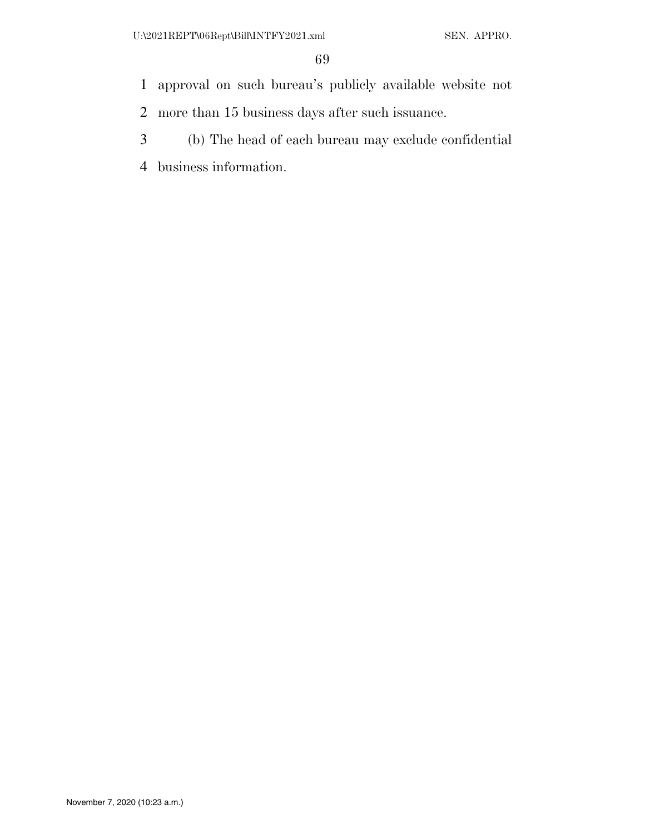- approval on such bureau's publicly available website not
- more than 15 business days after such issuance.
- (b) The head of each bureau may exclude confidential
- business information.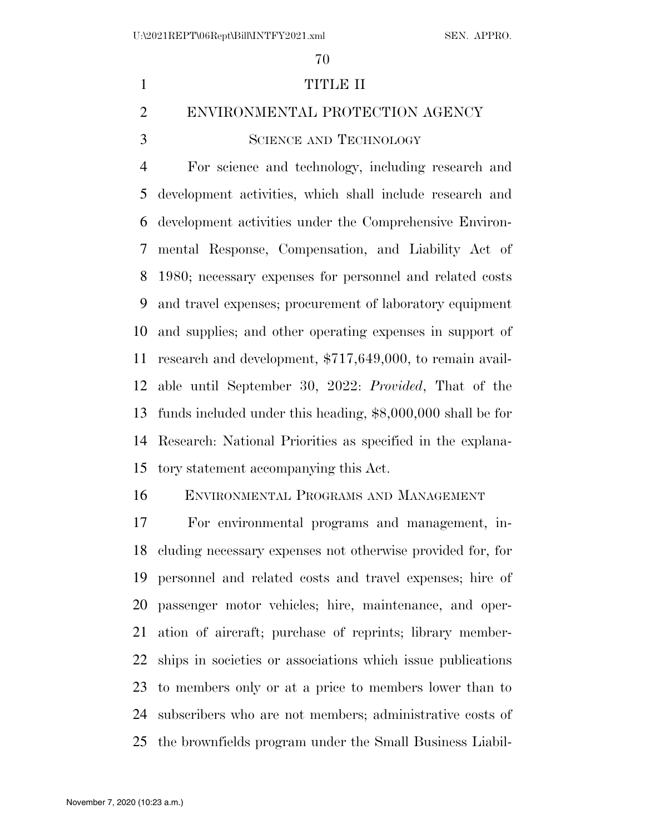# TITLE II ENVIRONMENTAL PROTECTION AGENCY 3 SCIENCE AND TECHNOLOGY For science and technology, including research and development activities, which shall include research and development activities under the Comprehensive Environ- mental Response, Compensation, and Liability Act of 1980; necessary expenses for personnel and related costs and travel expenses; procurement of laboratory equipment and supplies; and other operating expenses in support of research and development, \$717,649,000, to remain avail- able until September 30, 2022: *Provided*, That of the funds included under this heading, \$8,000,000 shall be for

 Research: National Priorities as specified in the explana-tory statement accompanying this Act.

ENVIRONMENTAL PROGRAMS AND MANAGEMENT

 For environmental programs and management, in- cluding necessary expenses not otherwise provided for, for personnel and related costs and travel expenses; hire of passenger motor vehicles; hire, maintenance, and oper- ation of aircraft; purchase of reprints; library member- ships in societies or associations which issue publications to members only or at a price to members lower than to subscribers who are not members; administrative costs of the brownfields program under the Small Business Liabil-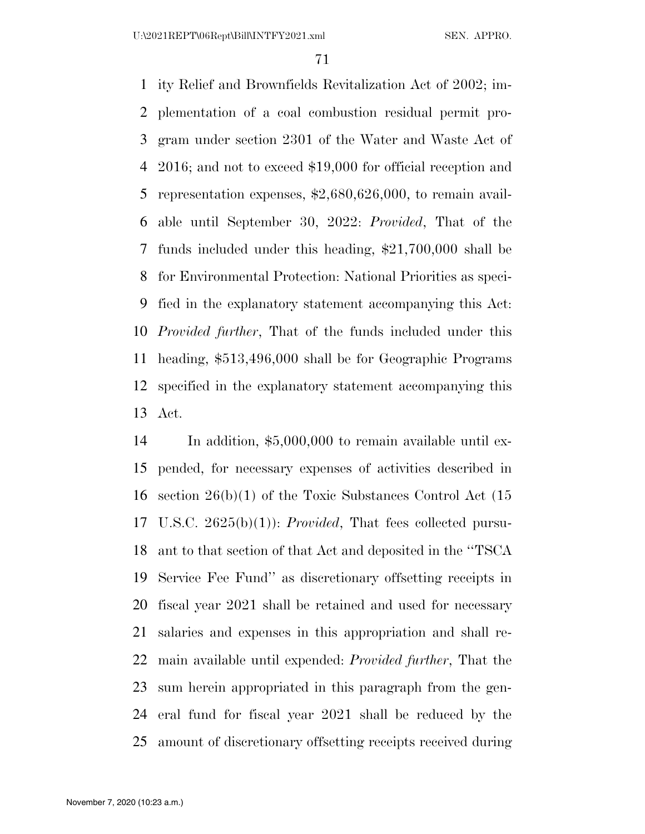ity Relief and Brownfields Revitalization Act of 2002; im- plementation of a coal combustion residual permit pro- gram under section 2301 of the Water and Waste Act of 2016; and not to exceed \$19,000 for official reception and representation expenses, \$2,680,626,000, to remain avail- able until September 30, 2022: *Provided*, That of the funds included under this heading, \$21,700,000 shall be for Environmental Protection: National Priorities as speci- fied in the explanatory statement accompanying this Act: *Provided further*, That of the funds included under this heading, \$513,496,000 shall be for Geographic Programs specified in the explanatory statement accompanying this Act.

 In addition, \$5,000,000 to remain available until ex- pended, for necessary expenses of activities described in section 26(b)(1) of the Toxic Substances Control Act (15 U.S.C. 2625(b)(1)): *Provided*, That fees collected pursu- ant to that section of that Act and deposited in the ''TSCA Service Fee Fund'' as discretionary offsetting receipts in fiscal year 2021 shall be retained and used for necessary salaries and expenses in this appropriation and shall re- main available until expended: *Provided further*, That the sum herein appropriated in this paragraph from the gen- eral fund for fiscal year 2021 shall be reduced by the amount of discretionary offsetting receipts received during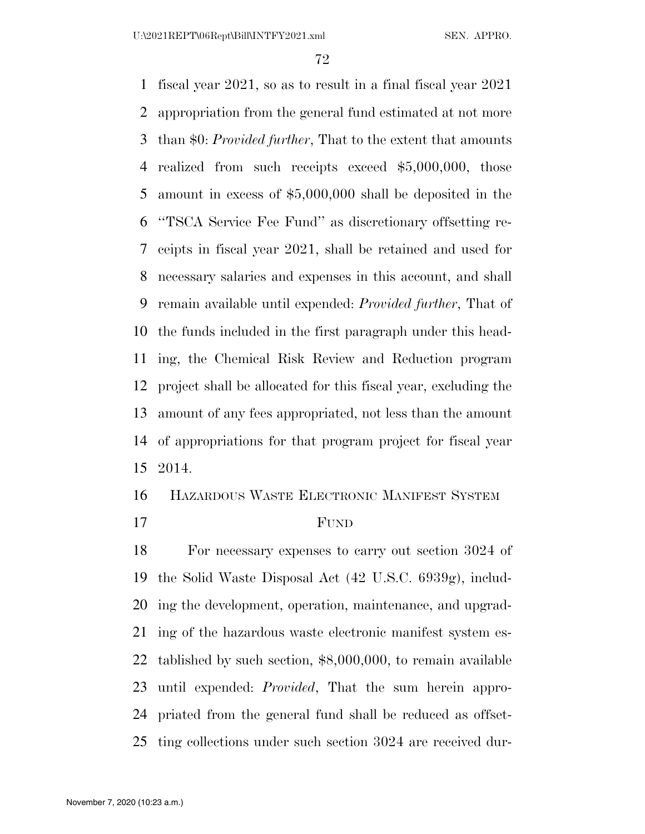fiscal year 2021, so as to result in a final fiscal year 2021 appropriation from the general fund estimated at not more than \$0: *Provided further*, That to the extent that amounts realized from such receipts exceed \$5,000,000, those amount in excess of \$5,000,000 shall be deposited in the ''TSCA Service Fee Fund'' as discretionary offsetting re- ceipts in fiscal year 2021, shall be retained and used for necessary salaries and expenses in this account, and shall remain available until expended: *Provided further*, That of the funds included in the first paragraph under this head- ing, the Chemical Risk Review and Reduction program project shall be allocated for this fiscal year, excluding the amount of any fees appropriated, not less than the amount of appropriations for that program project for fiscal year 2014.

HAZARDOUS WASTE ELECTRONIC MANIFEST SYSTEM

FUND

 For necessary expenses to carry out section 3024 of the Solid Waste Disposal Act (42 U.S.C. 6939g), includ- ing the development, operation, maintenance, and upgrad- ing of the hazardous waste electronic manifest system es- tablished by such section, \$8,000,000, to remain available until expended: *Provided*, That the sum herein appro- priated from the general fund shall be reduced as offset-ting collections under such section 3024 are received dur-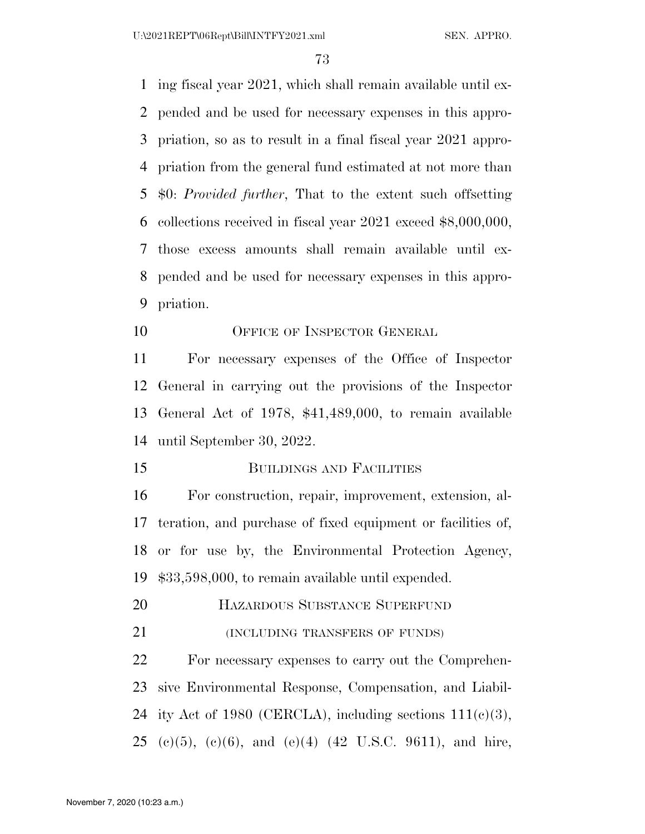ing fiscal year 2021, which shall remain available until ex- pended and be used for necessary expenses in this appro- priation, so as to result in a final fiscal year 2021 appro- priation from the general fund estimated at not more than \$0: *Provided further*, That to the extent such offsetting collections received in fiscal year 2021 exceed \$8,000,000, those excess amounts shall remain available until ex- pended and be used for necessary expenses in this appro-priation.

10 OFFICE OF INSPECTOR GENERAL

 For necessary expenses of the Office of Inspector General in carrying out the provisions of the Inspector General Act of 1978, \$41,489,000, to remain available until September 30, 2022.

**BUILDINGS AND FACILITIES** 

 For construction, repair, improvement, extension, al- teration, and purchase of fixed equipment or facilities of, or for use by, the Environmental Protection Agency, \$33,598,000, to remain available until expended.

HAZARDOUS SUBSTANCE SUPERFUND

21 (INCLUDING TRANSFERS OF FUNDS)

 For necessary expenses to carry out the Comprehen- sive Environmental Response, Compensation, and Liabil-24 ity Act of 1980 (CERCLA), including sections  $111(c)(3)$ , 25 (e)(5), (e)(6), and (e)(4) (42 U.S.C. 9611), and hire,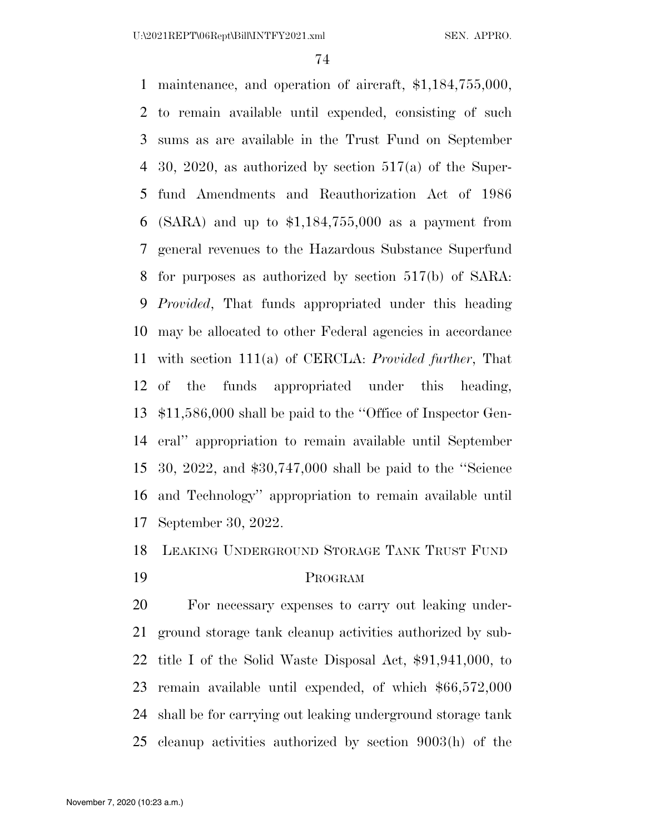maintenance, and operation of aircraft, \$1,184,755,000, to remain available until expended, consisting of such sums as are available in the Trust Fund on September 30, 2020, as authorized by section 517(a) of the Super- fund Amendments and Reauthorization Act of 1986 (SARA) and up to \$1,184,755,000 as a payment from general revenues to the Hazardous Substance Superfund for purposes as authorized by section 517(b) of SARA: *Provided*, That funds appropriated under this heading may be allocated to other Federal agencies in accordance with section 111(a) of CERCLA: *Provided further*, That of the funds appropriated under this heading, \$11,586,000 shall be paid to the ''Office of Inspector Gen- eral'' appropriation to remain available until September 30, 2022, and \$30,747,000 shall be paid to the ''Science and Technology'' appropriation to remain available until September 30, 2022.

LEAKING UNDERGROUND STORAGE TANK TRUST FUND

### PROGRAM

 For necessary expenses to carry out leaking under- ground storage tank cleanup activities authorized by sub- title I of the Solid Waste Disposal Act, \$91,941,000, to remain available until expended, of which \$66,572,000 shall be for carrying out leaking underground storage tank cleanup activities authorized by section 9003(h) of the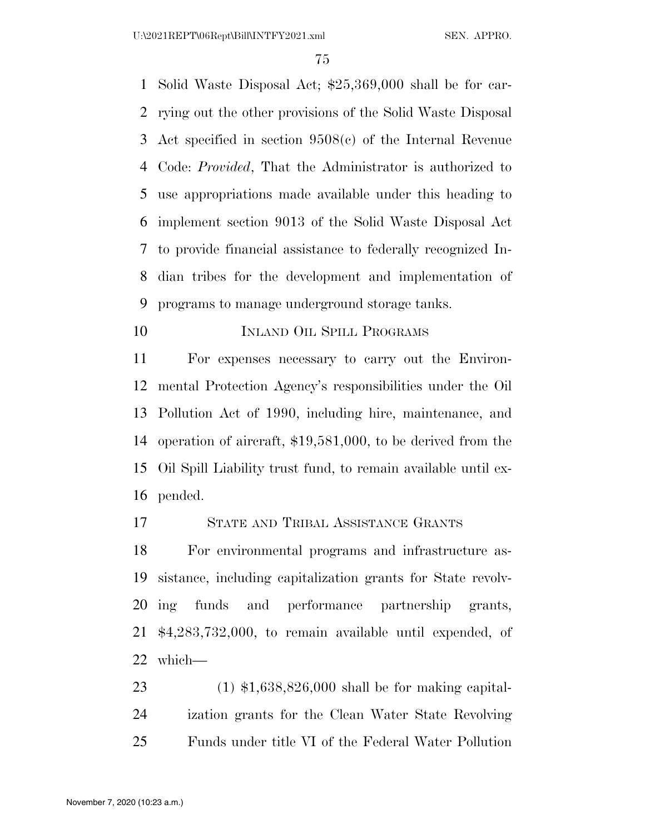U:\2021REPT\06Rept\Bill\INTFY2021.xml SEN. APPRO.

 Solid Waste Disposal Act; \$25,369,000 shall be for car- rying out the other provisions of the Solid Waste Disposal Act specified in section 9508(c) of the Internal Revenue Code: *Provided*, That the Administrator is authorized to use appropriations made available under this heading to implement section 9013 of the Solid Waste Disposal Act to provide financial assistance to federally recognized In- dian tribes for the development and implementation of programs to manage underground storage tanks.

10 INLAND OIL SPILL PROGRAMS

 For expenses necessary to carry out the Environ- mental Protection Agency's responsibilities under the Oil Pollution Act of 1990, including hire, maintenance, and operation of aircraft, \$19,581,000, to be derived from the Oil Spill Liability trust fund, to remain available until ex-pended.

STATE AND TRIBAL ASSISTANCE GRANTS

 For environmental programs and infrastructure as- sistance, including capitalization grants for State revolv- ing funds and performance partnership grants, \$4,283,732,000, to remain available until expended, of which—

 (1) \$1,638,826,000 shall be for making capital- ization grants for the Clean Water State Revolving Funds under title VI of the Federal Water Pollution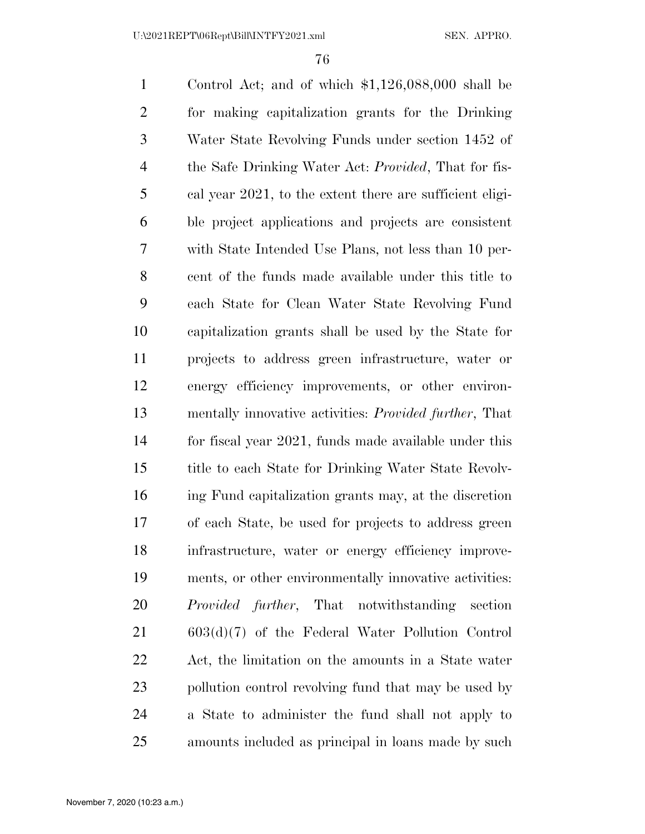Control Act; and of which \$1,126,088,000 shall be for making capitalization grants for the Drinking Water State Revolving Funds under section 1452 of the Safe Drinking Water Act: *Provided*, That for fis- cal year 2021, to the extent there are sufficient eligi- ble project applications and projects are consistent with State Intended Use Plans, not less than 10 per- cent of the funds made available under this title to each State for Clean Water State Revolving Fund capitalization grants shall be used by the State for projects to address green infrastructure, water or energy efficiency improvements, or other environ- mentally innovative activities: *Provided further*, That for fiscal year 2021, funds made available under this title to each State for Drinking Water State Revolv- ing Fund capitalization grants may, at the discretion of each State, be used for projects to address green infrastructure, water or energy efficiency improve- ments, or other environmentally innovative activities: *Provided further*, That notwithstanding section 603(d)(7) of the Federal Water Pollution Control Act, the limitation on the amounts in a State water pollution control revolving fund that may be used by a State to administer the fund shall not apply to amounts included as principal in loans made by such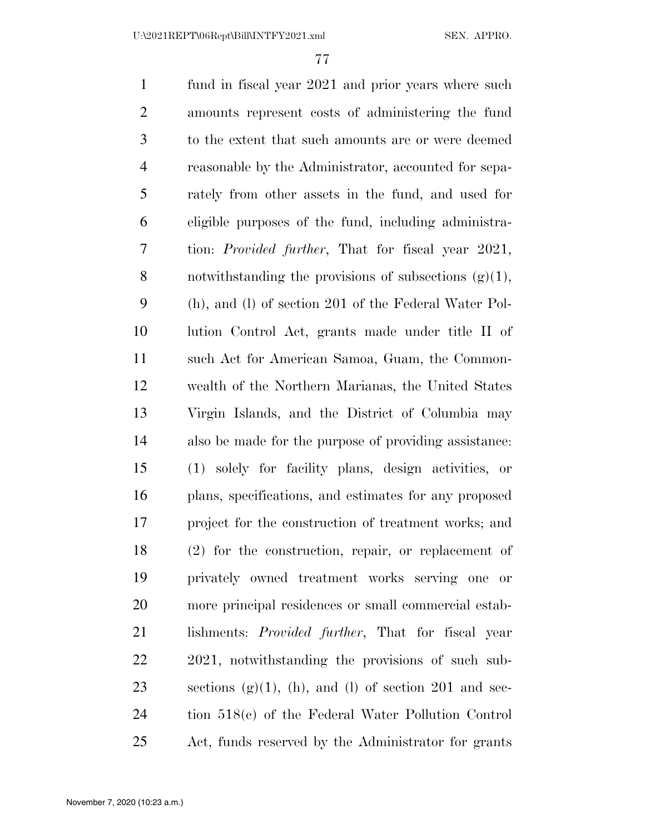fund in fiscal year 2021 and prior years where such amounts represent costs of administering the fund to the extent that such amounts are or were deemed reasonable by the Administrator, accounted for sepa- rately from other assets in the fund, and used for eligible purposes of the fund, including administra- tion: *Provided further*, That for fiscal year 2021, 8 notwithstanding the provisions of subsections  $(g)(1)$ , (h), and (l) of section 201 of the Federal Water Pol- lution Control Act, grants made under title II of such Act for American Samoa, Guam, the Common- wealth of the Northern Marianas, the United States Virgin Islands, and the District of Columbia may also be made for the purpose of providing assistance: (1) solely for facility plans, design activities, or plans, specifications, and estimates for any proposed project for the construction of treatment works; and (2) for the construction, repair, or replacement of privately owned treatment works serving one or more principal residences or small commercial estab- lishments: *Provided further*, That for fiscal year 2021, notwithstanding the provisions of such sub-23 sections  $(g)(1)$ ,  $(h)$ , and  $(l)$  of section 201 and sec- tion 518(c) of the Federal Water Pollution Control Act, funds reserved by the Administrator for grants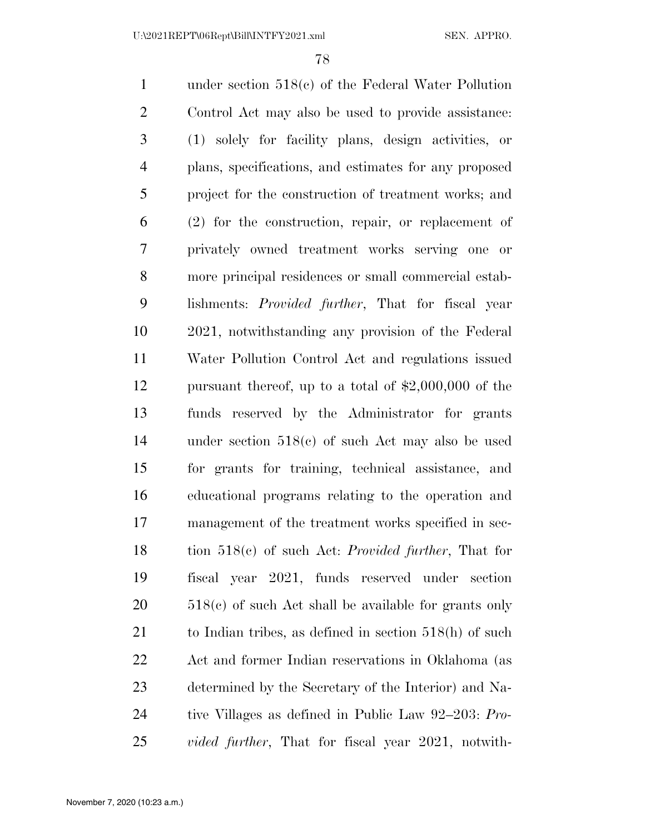under section 518(c) of the Federal Water Pollution Control Act may also be used to provide assistance: (1) solely for facility plans, design activities, or plans, specifications, and estimates for any proposed project for the construction of treatment works; and (2) for the construction, repair, or replacement of privately owned treatment works serving one or more principal residences or small commercial estab- lishments: *Provided further*, That for fiscal year 2021, notwithstanding any provision of the Federal Water Pollution Control Act and regulations issued pursuant thereof, up to a total of \$2,000,000 of the funds reserved by the Administrator for grants under section 518(c) of such Act may also be used for grants for training, technical assistance, and educational programs relating to the operation and management of the treatment works specified in sec- tion 518(c) of such Act: *Provided further*, That for fiscal year 2021, funds reserved under section 20 518(c) of such Act shall be available for grants only to Indian tribes, as defined in section 518(h) of such Act and former Indian reservations in Oklahoma (as determined by the Secretary of the Interior) and Na- tive Villages as defined in Public Law 92–203: *Pro-vided further*, That for fiscal year 2021, notwith-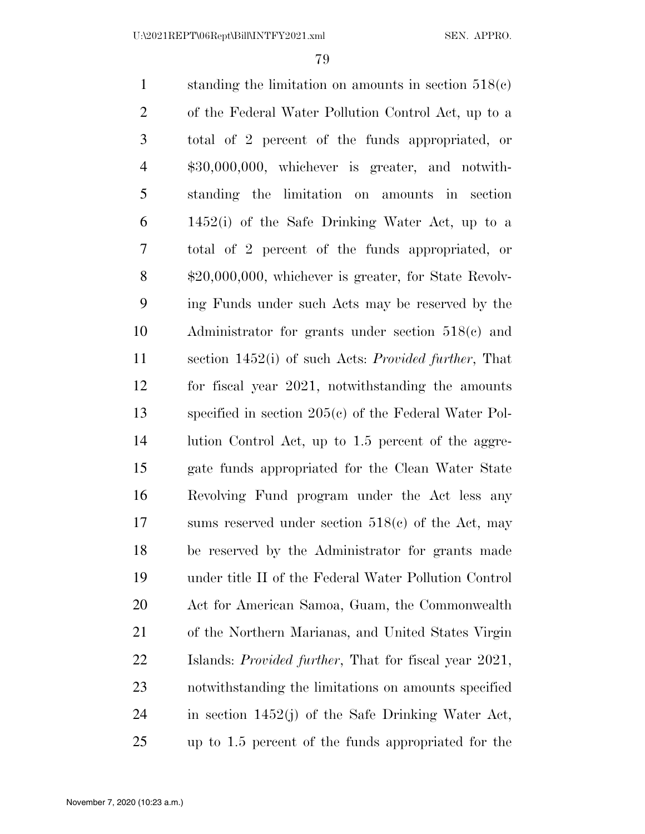standing the limitation on amounts in section 518(c) of the Federal Water Pollution Control Act, up to a total of 2 percent of the funds appropriated, or \$30,000,000, whichever is greater, and notwith- standing the limitation on amounts in section 1452(i) of the Safe Drinking Water Act, up to a total of 2 percent of the funds appropriated, or \$20,000,000, whichever is greater, for State Revolv- ing Funds under such Acts may be reserved by the Administrator for grants under section 518(c) and section 1452(i) of such Acts: *Provided further*, That for fiscal year 2021, notwithstanding the amounts specified in section 205(c) of the Federal Water Pol-14 lution Control Act, up to 1.5 percent of the aggre- gate funds appropriated for the Clean Water State Revolving Fund program under the Act less any sums reserved under section 518(c) of the Act, may be reserved by the Administrator for grants made under title II of the Federal Water Pollution Control Act for American Samoa, Guam, the Commonwealth of the Northern Marianas, and United States Virgin Islands: *Provided further*, That for fiscal year 2021, notwithstanding the limitations on amounts specified in section 1452(j) of the Safe Drinking Water Act, up to 1.5 percent of the funds appropriated for the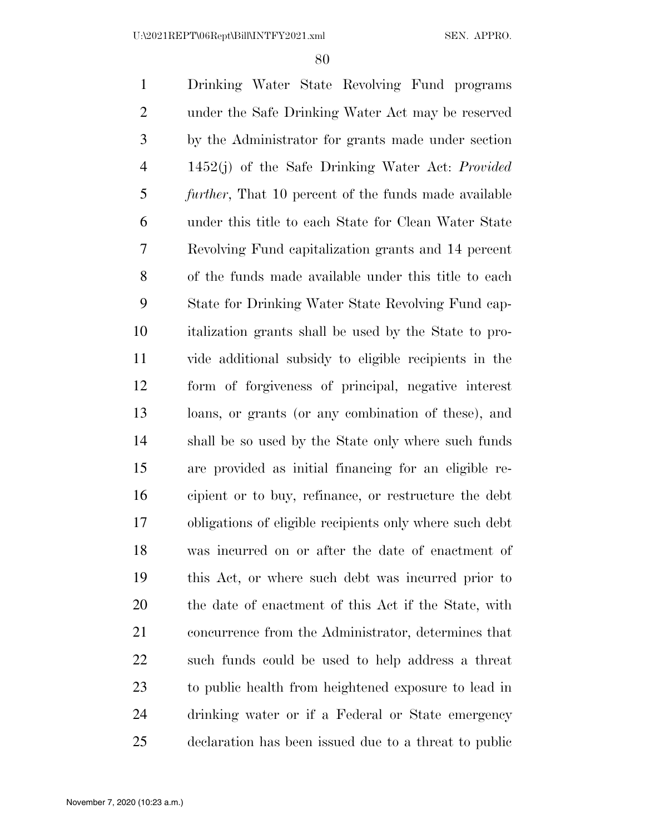U:\2021REPT\06Rept\Bill\INTFY2021.xml SEN. APPRO.

 Drinking Water State Revolving Fund programs under the Safe Drinking Water Act may be reserved by the Administrator for grants made under section 1452(j) of the Safe Drinking Water Act: *Provided further*, That 10 percent of the funds made available under this title to each State for Clean Water State Revolving Fund capitalization grants and 14 percent of the funds made available under this title to each State for Drinking Water State Revolving Fund cap- italization grants shall be used by the State to pro- vide additional subsidy to eligible recipients in the form of forgiveness of principal, negative interest loans, or grants (or any combination of these), and shall be so used by the State only where such funds are provided as initial financing for an eligible re- cipient or to buy, refinance, or restructure the debt obligations of eligible recipients only where such debt was incurred on or after the date of enactment of this Act, or where such debt was incurred prior to the date of enactment of this Act if the State, with concurrence from the Administrator, determines that such funds could be used to help address a threat to public health from heightened exposure to lead in drinking water or if a Federal or State emergency declaration has been issued due to a threat to public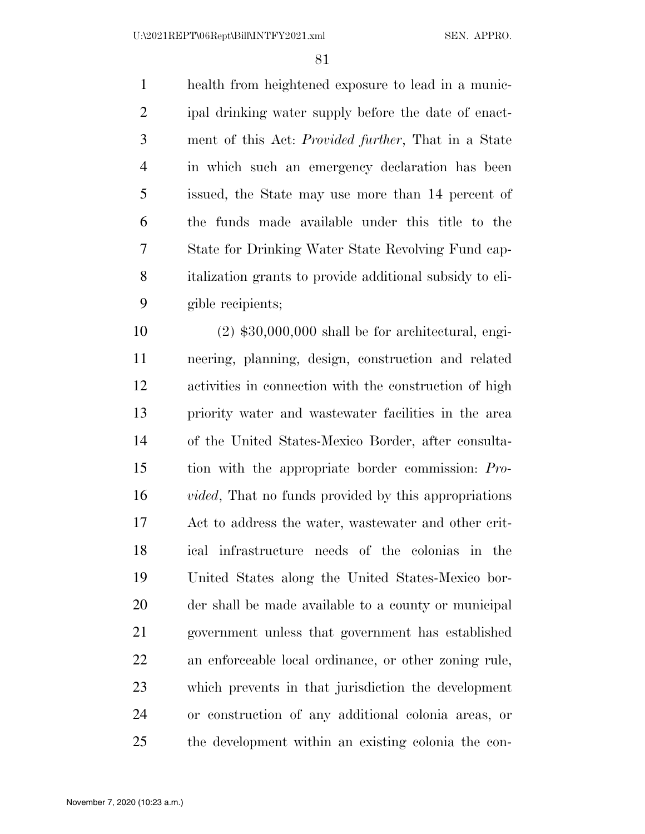U:\2021REPT\06Rept\Bill\INTFY2021.xml SEN. APPRO.

 health from heightened exposure to lead in a munic- ipal drinking water supply before the date of enact- ment of this Act: *Provided further*, That in a State in which such an emergency declaration has been issued, the State may use more than 14 percent of the funds made available under this title to the State for Drinking Water State Revolving Fund cap- italization grants to provide additional subsidy to eli-gible recipients;

 (2) \$30,000,000 shall be for architectural, engi- neering, planning, design, construction and related activities in connection with the construction of high priority water and wastewater facilities in the area of the United States-Mexico Border, after consulta- tion with the appropriate border commission: *Pro- vided*, That no funds provided by this appropriations Act to address the water, wastewater and other crit- ical infrastructure needs of the colonias in the United States along the United States-Mexico bor- der shall be made available to a county or municipal government unless that government has established an enforceable local ordinance, or other zoning rule, which prevents in that jurisdiction the development or construction of any additional colonia areas, or the development within an existing colonia the con-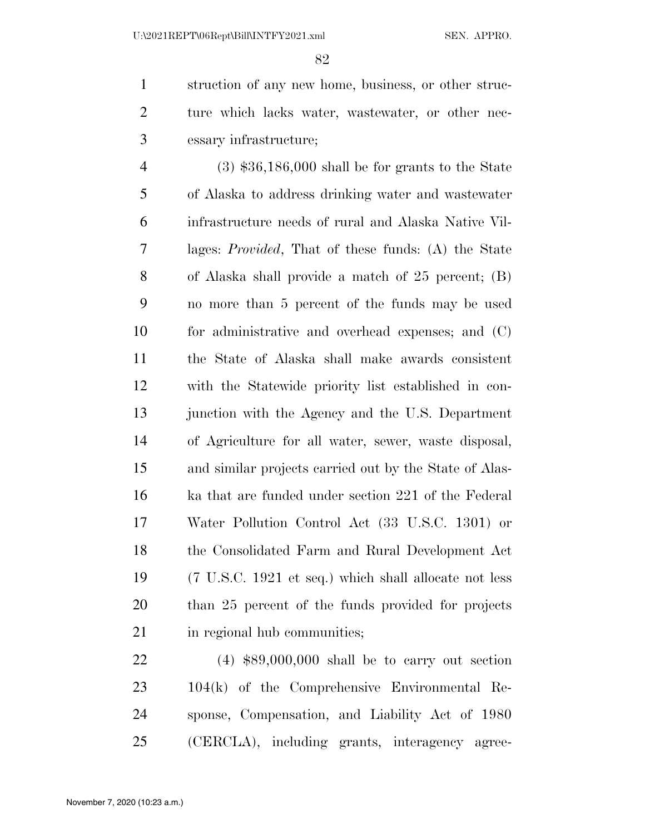struction of any new home, business, or other struc- ture which lacks water, wastewater, or other nec-essary infrastructure;

 (3) \$36,186,000 shall be for grants to the State of Alaska to address drinking water and wastewater infrastructure needs of rural and Alaska Native Vil- lages: *Provided*, That of these funds: (A) the State of Alaska shall provide a match of 25 percent; (B) no more than 5 percent of the funds may be used for administrative and overhead expenses; and (C) the State of Alaska shall make awards consistent with the Statewide priority list established in con-13 junction with the Agency and the U.S. Department of Agriculture for all water, sewer, waste disposal, and similar projects carried out by the State of Alas- ka that are funded under section 221 of the Federal Water Pollution Control Act (33 U.S.C. 1301) or the Consolidated Farm and Rural Development Act (7 U.S.C. 1921 et seq.) which shall allocate not less than 25 percent of the funds provided for projects 21 in regional hub communities;

 (4) \$89,000,000 shall be to carry out section 104(k) of the Comprehensive Environmental Re- sponse, Compensation, and Liability Act of 1980 (CERCLA), including grants, interagency agree-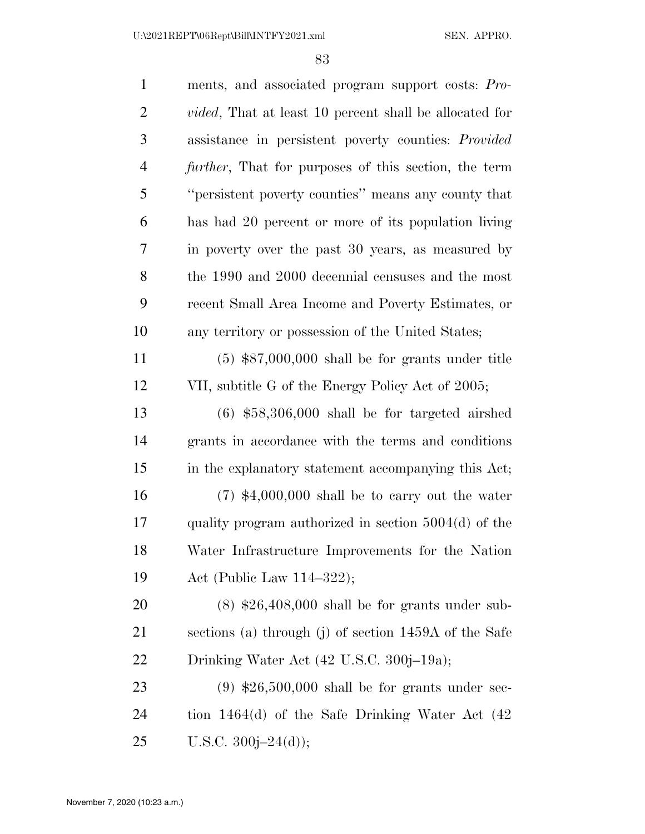| $\mathbf{1}$   | ments, and associated program support costs: Pro-              |
|----------------|----------------------------------------------------------------|
| $\overline{2}$ | <i>vided</i> , That at least 10 percent shall be allocated for |
| 3              | assistance in persistent poverty counties: <i>Provided</i>     |
| $\overline{4}$ | <i>further</i> , That for purposes of this section, the term   |
| 5              | "persistent poverty counties" means any county that            |
| 6              | has had 20 percent or more of its population living            |
| 7              | in poverty over the past 30 years, as measured by              |
| 8              | the 1990 and 2000 decennial censuses and the most              |
| 9              | recent Small Area Income and Poverty Estimates, or             |
| 10             | any territory or possession of the United States;              |
| 11             | $(5)$ \$87,000,000 shall be for grants under title             |
| 12             | VII, subtitle G of the Energy Policy Act of 2005;              |
| 13             | $(6)$ \$58,306,000 shall be for targeted airshed               |
| 14             | grants in accordance with the terms and conditions             |
| 15             | in the explanatory statement accompanying this Act;            |
| 16             | $(7)$ \$4,000,000 shall be to carry out the water              |
| 17             | quality program authorized in section $5004(d)$ of the         |
| 18             | Water Infrastructure Improvements for the Nation               |
| 19             | Act (Public Law $114-322$ );                                   |
| 20             | $(8)$ \$26,408,000 shall be for grants under sub-              |
| 21             | sections (a) through (j) of section 1459A of the Safe          |
| <u>22</u>      | Drinking Water Act (42 U.S.C. 300j-19a);                       |
| 23             | $(9)$ \$26,500,000 shall be for grants under sec-              |
| 24             | tion $1464(d)$ of the Safe Drinking Water Act $(42)$           |
| 25             | U.S.C. $300j - 24(d)$ ;                                        |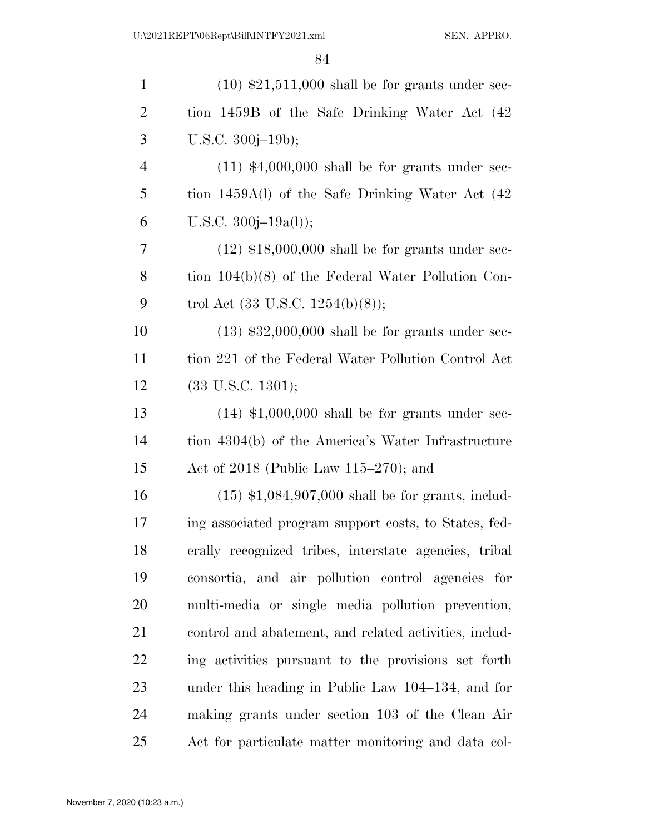| $\mathbf{1}$   | $(10)$ \$21,511,000 shall be for grants under sec-     |
|----------------|--------------------------------------------------------|
| $\overline{2}$ | tion 1459B of the Safe Drinking Water Act (42          |
| 3              | U.S.C. $300j-19b$ ;                                    |
| $\overline{4}$ | $(11)$ \$4,000,000 shall be for grants under sec-      |
| 5              | tion 1459A(l) of the Safe Drinking Water Act (42       |
| 6              | U.S.C. $300j-19a(l)$ ;                                 |
| 7              | $(12)$ \$18,000,000 shall be for grants under sec-     |
| 8              | tion $104(b)(8)$ of the Federal Water Pollution Con-   |
| 9              | trol Act $(33 \text{ U.S.C. } 1254(b)(8));$            |
| 10             | $(13)$ \$32,000,000 shall be for grants under sec-     |
| 11             | tion 221 of the Federal Water Pollution Control Act    |
| 12             | $(33 \text{ U.S.C. } 1301);$                           |
| 13             | $(14)$ \$1,000,000 shall be for grants under sec-      |
| 14             | tion 4304(b) of the America's Water Infrastructure     |
| 15             | Act of 2018 (Public Law 115–270); and                  |
| 16             | $(15)$ \$1,084,907,000 shall be for grants, includ-    |
| 17             | ing associated program support costs, to States, fed-  |
| 18             | erally recognized tribes, interstate agencies, tribal  |
| 19             | consortia, and air pollution control agencies for      |
| 20             | multi-media or single media pollution prevention,      |
| 21             | control and abatement, and related activities, includ- |
| 22             | ing activities pursuant to the provisions set forth    |
| 23             | under this heading in Public Law 104–134, and for      |
| 24             | making grants under section 103 of the Clean Air       |
| 25             | Act for particulate matter monitoring and data col-    |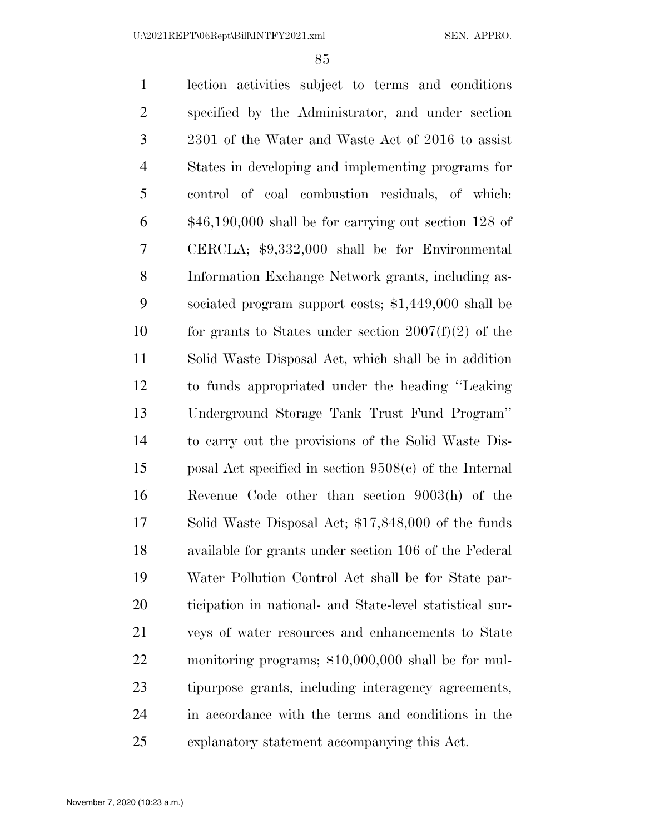lection activities subject to terms and conditions specified by the Administrator, and under section 2301 of the Water and Waste Act of 2016 to assist States in developing and implementing programs for control of coal combustion residuals, of which: \$46,190,000 shall be for carrying out section 128 of CERCLA; \$9,332,000 shall be for Environmental Information Exchange Network grants, including as- sociated program support costs; \$1,449,000 shall be 10 for grants to States under section  $2007(f)(2)$  of the Solid Waste Disposal Act, which shall be in addition to funds appropriated under the heading ''Leaking Underground Storage Tank Trust Fund Program'' to carry out the provisions of the Solid Waste Dis- posal Act specified in section 9508(c) of the Internal Revenue Code other than section 9003(h) of the Solid Waste Disposal Act; \$17,848,000 of the funds available for grants under section 106 of the Federal Water Pollution Control Act shall be for State par- ticipation in national- and State-level statistical sur- veys of water resources and enhancements to State monitoring programs; \$10,000,000 shall be for mul- tipurpose grants, including interagency agreements, in accordance with the terms and conditions in the explanatory statement accompanying this Act.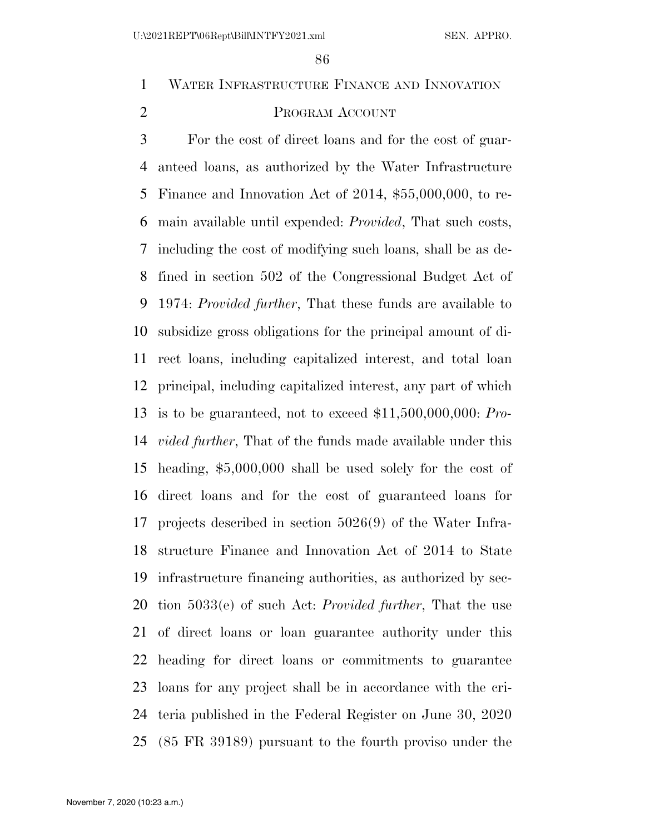# WATER INFRASTRUCTURE FINANCE AND INNOVATION

# PROGRAM ACCOUNT

 For the cost of direct loans and for the cost of guar- anteed loans, as authorized by the Water Infrastructure Finance and Innovation Act of 2014, \$55,000,000, to re- main available until expended: *Provided*, That such costs, including the cost of modifying such loans, shall be as de- fined in section 502 of the Congressional Budget Act of 1974: *Provided further*, That these funds are available to subsidize gross obligations for the principal amount of di- rect loans, including capitalized interest, and total loan principal, including capitalized interest, any part of which is to be guaranteed, not to exceed \$11,500,000,000: *Pro- vided further*, That of the funds made available under this heading, \$5,000,000 shall be used solely for the cost of direct loans and for the cost of guaranteed loans for projects described in section 5026(9) of the Water Infra- structure Finance and Innovation Act of 2014 to State infrastructure financing authorities, as authorized by sec- tion 5033(e) of such Act: *Provided further*, That the use of direct loans or loan guarantee authority under this heading for direct loans or commitments to guarantee loans for any project shall be in accordance with the cri- teria published in the Federal Register on June 30, 2020 (85 FR 39189) pursuant to the fourth proviso under the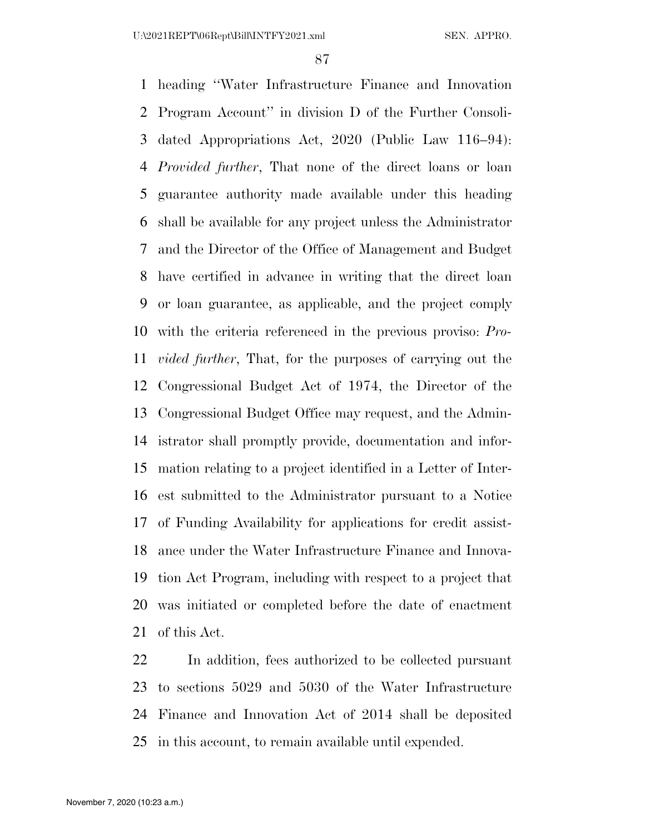heading ''Water Infrastructure Finance and Innovation Program Account'' in division D of the Further Consoli- dated Appropriations Act, 2020 (Public Law 116–94): *Provided further*, That none of the direct loans or loan guarantee authority made available under this heading shall be available for any project unless the Administrator and the Director of the Office of Management and Budget have certified in advance in writing that the direct loan or loan guarantee, as applicable, and the project comply with the criteria referenced in the previous proviso: *Pro- vided further*, That, for the purposes of carrying out the Congressional Budget Act of 1974, the Director of the Congressional Budget Office may request, and the Admin- istrator shall promptly provide, documentation and infor- mation relating to a project identified in a Letter of Inter- est submitted to the Administrator pursuant to a Notice of Funding Availability for applications for credit assist- ance under the Water Infrastructure Finance and Innova- tion Act Program, including with respect to a project that was initiated or completed before the date of enactment of this Act.

 In addition, fees authorized to be collected pursuant to sections 5029 and 5030 of the Water Infrastructure Finance and Innovation Act of 2014 shall be deposited in this account, to remain available until expended.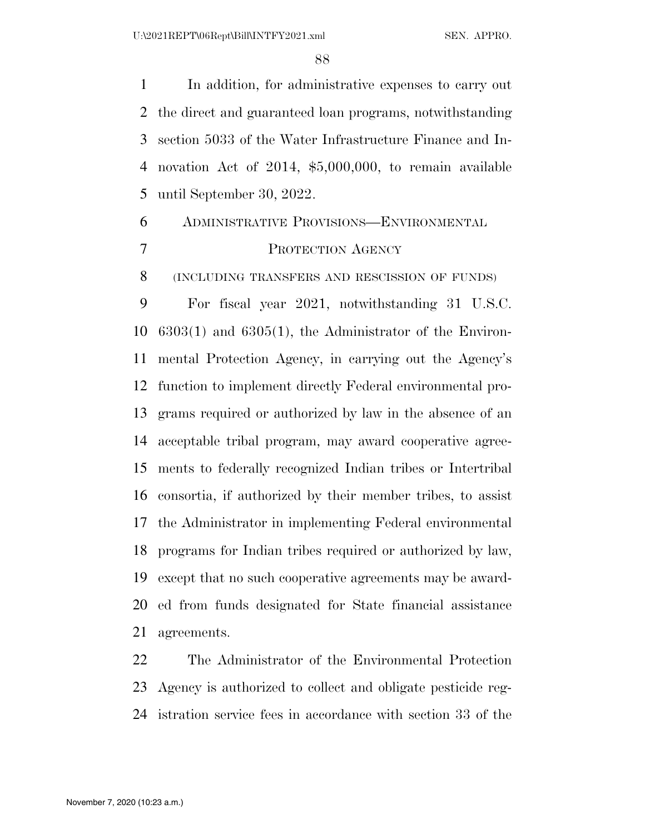In addition, for administrative expenses to carry out the direct and guaranteed loan programs, notwithstanding section 5033 of the Water Infrastructure Finance and In- novation Act of 2014, \$5,000,000, to remain available until September 30, 2022.

# ADMINISTRATIVE PROVISIONS—ENVIRONMENTAL PROTECTION AGENCY

(INCLUDING TRANSFERS AND RESCISSION OF FUNDS)

 For fiscal year 2021, notwithstanding 31 U.S.C. 6303(1) and 6305(1), the Administrator of the Environ- mental Protection Agency, in carrying out the Agency's function to implement directly Federal environmental pro- grams required or authorized by law in the absence of an acceptable tribal program, may award cooperative agree- ments to federally recognized Indian tribes or Intertribal consortia, if authorized by their member tribes, to assist the Administrator in implementing Federal environmental programs for Indian tribes required or authorized by law, except that no such cooperative agreements may be award- ed from funds designated for State financial assistance agreements.

 The Administrator of the Environmental Protection Agency is authorized to collect and obligate pesticide reg-istration service fees in accordance with section 33 of the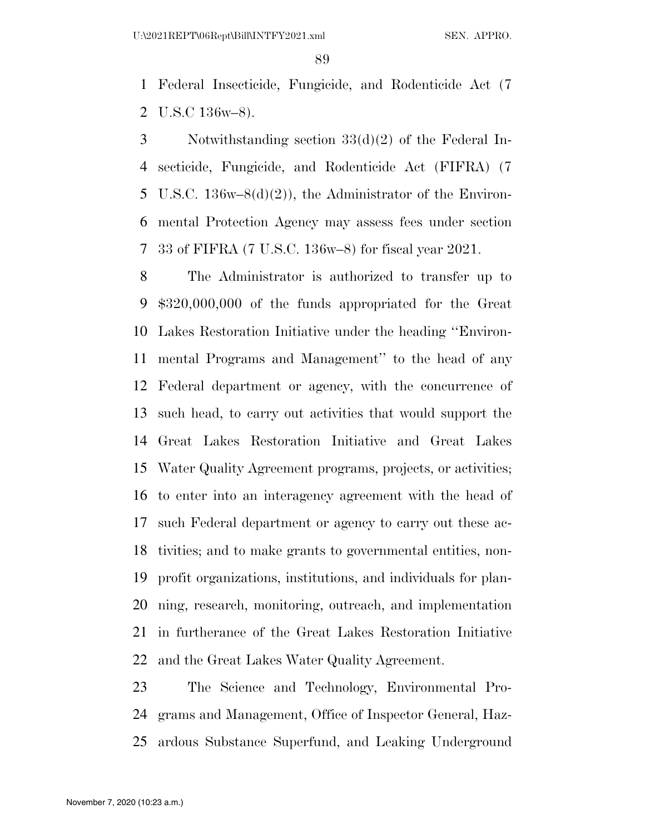Federal Insecticide, Fungicide, and Rodenticide Act (7 U.S.C 136w–8).

 Notwithstanding section 33(d)(2) of the Federal In- secticide, Fungicide, and Rodenticide Act (FIFRA) (7 U.S.C. 136w–8(d)(2)), the Administrator of the Environ- mental Protection Agency may assess fees under section 33 of FIFRA (7 U.S.C. 136w–8) for fiscal year 2021.

 The Administrator is authorized to transfer up to \$320,000,000 of the funds appropriated for the Great Lakes Restoration Initiative under the heading ''Environ- mental Programs and Management'' to the head of any Federal department or agency, with the concurrence of such head, to carry out activities that would support the Great Lakes Restoration Initiative and Great Lakes Water Quality Agreement programs, projects, or activities; to enter into an interagency agreement with the head of such Federal department or agency to carry out these ac- tivities; and to make grants to governmental entities, non- profit organizations, institutions, and individuals for plan- ning, research, monitoring, outreach, and implementation in furtherance of the Great Lakes Restoration Initiative and the Great Lakes Water Quality Agreement.

 The Science and Technology, Environmental Pro- grams and Management, Office of Inspector General, Haz-ardous Substance Superfund, and Leaking Underground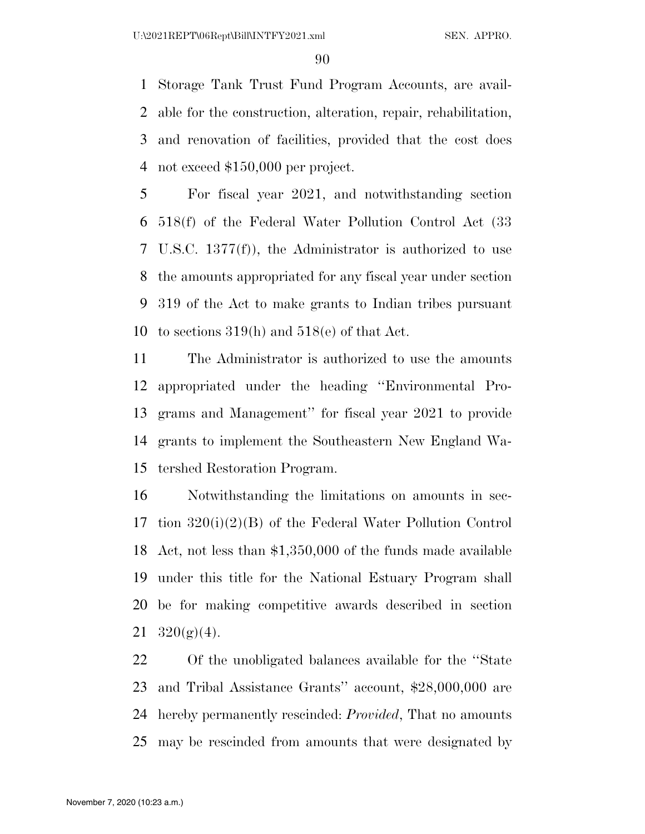Storage Tank Trust Fund Program Accounts, are avail- able for the construction, alteration, repair, rehabilitation, and renovation of facilities, provided that the cost does not exceed \$150,000 per project.

 For fiscal year 2021, and notwithstanding section 518(f) of the Federal Water Pollution Control Act (33 U.S.C. 1377(f)), the Administrator is authorized to use the amounts appropriated for any fiscal year under section 319 of the Act to make grants to Indian tribes pursuant to sections 319(h) and 518(e) of that Act.

 The Administrator is authorized to use the amounts appropriated under the heading ''Environmental Pro- grams and Management'' for fiscal year 2021 to provide grants to implement the Southeastern New England Wa-tershed Restoration Program.

 Notwithstanding the limitations on amounts in sec- tion 320(i)(2)(B) of the Federal Water Pollution Control Act, not less than \$1,350,000 of the funds made available under this title for the National Estuary Program shall be for making competitive awards described in section  $320(g)(4)$ .

 Of the unobligated balances available for the ''State and Tribal Assistance Grants'' account, \$28,000,000 are hereby permanently rescinded: *Provided*, That no amounts may be rescinded from amounts that were designated by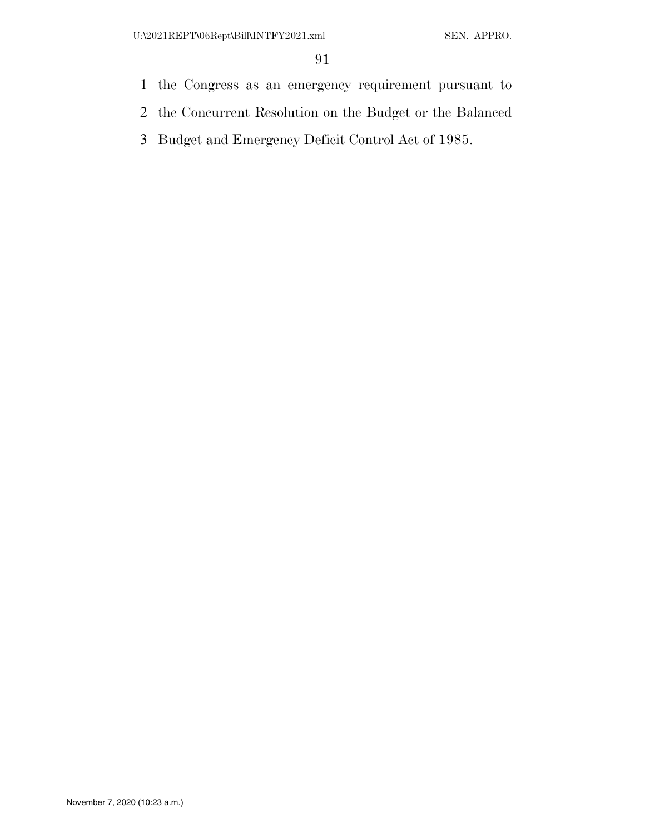- the Congress as an emergency requirement pursuant to
- the Concurrent Resolution on the Budget or the Balanced
- Budget and Emergency Deficit Control Act of 1985.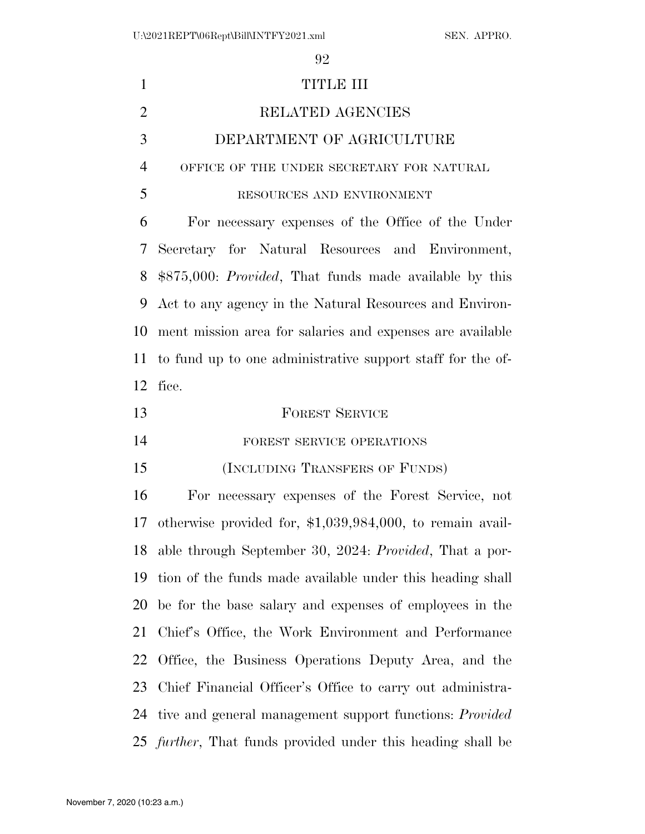| $\mathbf{1}$   | TITLE III                                                           |
|----------------|---------------------------------------------------------------------|
| $\overline{2}$ | RELATED AGENCIES                                                    |
| 3              | DEPARTMENT OF AGRICULTURE                                           |
| $\overline{4}$ | OFFICE OF THE UNDER SECRETARY FOR NATURAL                           |
| 5              | RESOURCES AND ENVIRONMENT                                           |
| 6              | For necessary expenses of the Office of the Under                   |
| 7              | Secretary for Natural Resources and Environment,                    |
| 8              | \$875,000: Provided, That funds made available by this              |
| 9              | Act to any agency in the Natural Resources and Environ-             |
| 10             | ment mission area for salaries and expenses are available           |
| 11             | to fund up to one administrative support staff for the of-          |
| 12             | fice.                                                               |
| 13             | <b>FOREST SERVICE</b>                                               |
| 14             | FOREST SERVICE OPERATIONS                                           |
| 15             | (INCLUDING TRANSFERS OF FUNDS)                                      |
| 16             | For necessary expenses of the Forest Service, not                   |
| 17             | otherwise provided for, $$1,039,984,000$ , to remain avail-         |
|                | 18 able through September 30, 2024: Provided, That a por-           |
| 19             | tion of the funds made available under this heading shall           |
| 20             | be for the base salary and expenses of employees in the             |
| 21             | Chief's Office, the Work Environment and Performance                |
| 22             | Office, the Business Operations Deputy Area, and the                |
| 23             | Chief Financial Officer's Office to carry out administra-           |
| 24             | tive and general management support functions: <i>Provided</i>      |
|                | 25 <i>further</i> , That funds provided under this heading shall be |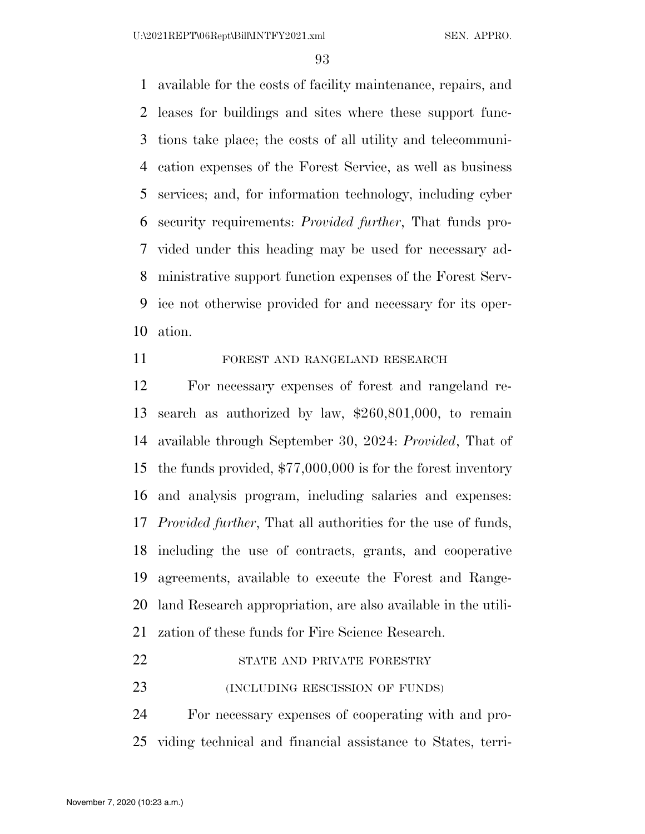available for the costs of facility maintenance, repairs, and leases for buildings and sites where these support func- tions take place; the costs of all utility and telecommuni- cation expenses of the Forest Service, as well as business services; and, for information technology, including cyber security requirements: *Provided further*, That funds pro- vided under this heading may be used for necessary ad- ministrative support function expenses of the Forest Serv- ice not otherwise provided for and necessary for its oper-ation.

### FOREST AND RANGELAND RESEARCH

 For necessary expenses of forest and rangeland re- search as authorized by law, \$260,801,000, to remain available through September 30, 2024: *Provided*, That of the funds provided, \$77,000,000 is for the forest inventory and analysis program, including salaries and expenses: *Provided further*, That all authorities for the use of funds, including the use of contracts, grants, and cooperative agreements, available to execute the Forest and Range- land Research appropriation, are also available in the utili-zation of these funds for Fire Science Research.

# 22 STATE AND PRIVATE FORESTRY

23 (INCLUDING RESCISSION OF FUNDS)

 For necessary expenses of cooperating with and pro-viding technical and financial assistance to States, terri-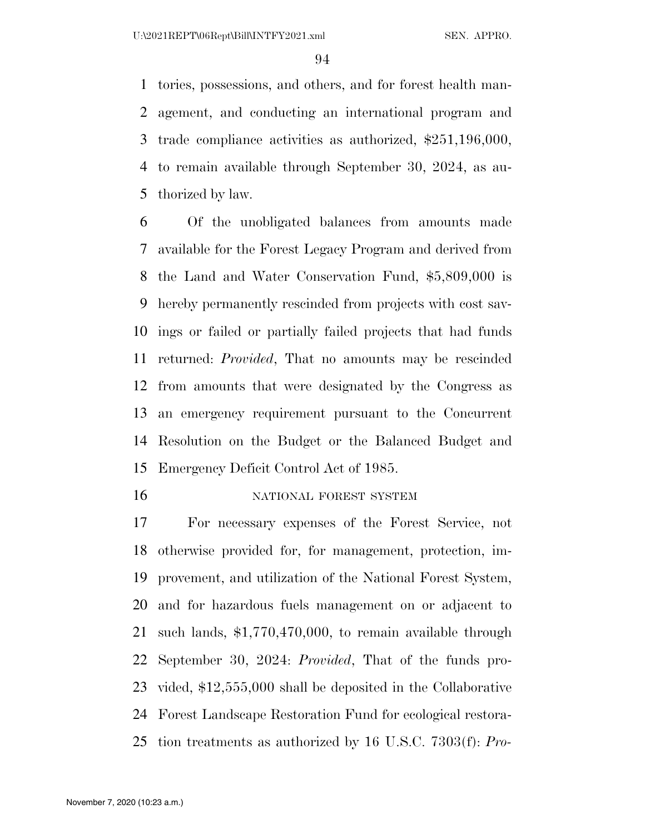tories, possessions, and others, and for forest health man- agement, and conducting an international program and trade compliance activities as authorized, \$251,196,000, to remain available through September 30, 2024, as au-thorized by law.

 Of the unobligated balances from amounts made available for the Forest Legacy Program and derived from the Land and Water Conservation Fund, \$5,809,000 is hereby permanently rescinded from projects with cost sav- ings or failed or partially failed projects that had funds returned: *Provided*, That no amounts may be rescinded from amounts that were designated by the Congress as an emergency requirement pursuant to the Concurrent Resolution on the Budget or the Balanced Budget and Emergency Deficit Control Act of 1985.

16 NATIONAL FOREST SYSTEM

 For necessary expenses of the Forest Service, not otherwise provided for, for management, protection, im- provement, and utilization of the National Forest System, and for hazardous fuels management on or adjacent to such lands, \$1,770,470,000, to remain available through September 30, 2024: *Provided*, That of the funds pro- vided, \$12,555,000 shall be deposited in the Collaborative Forest Landscape Restoration Fund for ecological restora-tion treatments as authorized by 16 U.S.C. 7303(f): *Pro-*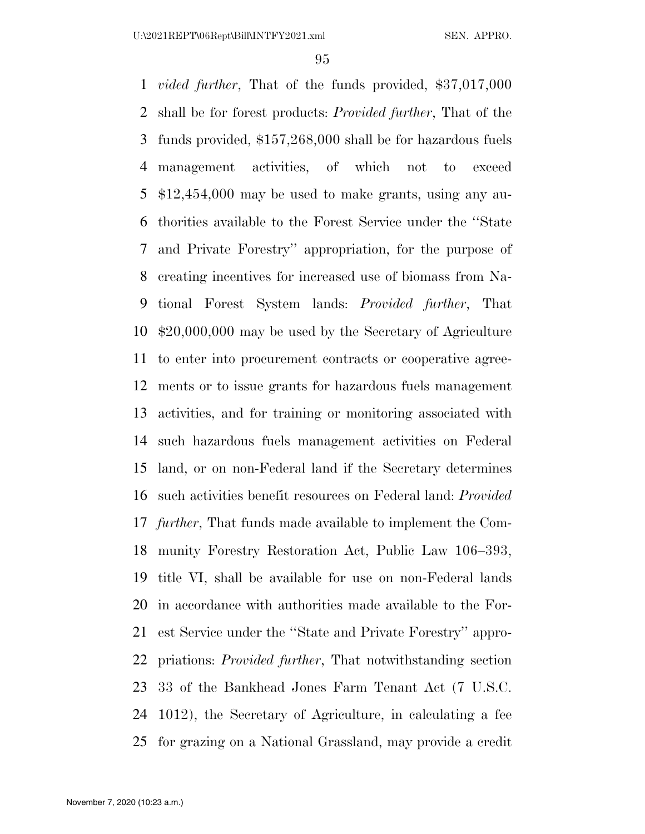*vided further*, That of the funds provided, \$37,017,000 shall be for forest products: *Provided further*, That of the funds provided, \$157,268,000 shall be for hazardous fuels management activities, of which not to exceed \$12,454,000 may be used to make grants, using any au- thorities available to the Forest Service under the ''State and Private Forestry'' appropriation, for the purpose of creating incentives for increased use of biomass from Na- tional Forest System lands: *Provided further*, That \$20,000,000 may be used by the Secretary of Agriculture to enter into procurement contracts or cooperative agree- ments or to issue grants for hazardous fuels management activities, and for training or monitoring associated with such hazardous fuels management activities on Federal land, or on non-Federal land if the Secretary determines such activities benefit resources on Federal land: *Provided further*, That funds made available to implement the Com- munity Forestry Restoration Act, Public Law 106–393, title VI, shall be available for use on non-Federal lands in accordance with authorities made available to the For- est Service under the ''State and Private Forestry'' appro- priations: *Provided further*, That notwithstanding section 33 of the Bankhead Jones Farm Tenant Act (7 U.S.C. 1012), the Secretary of Agriculture, in calculating a fee for grazing on a National Grassland, may provide a credit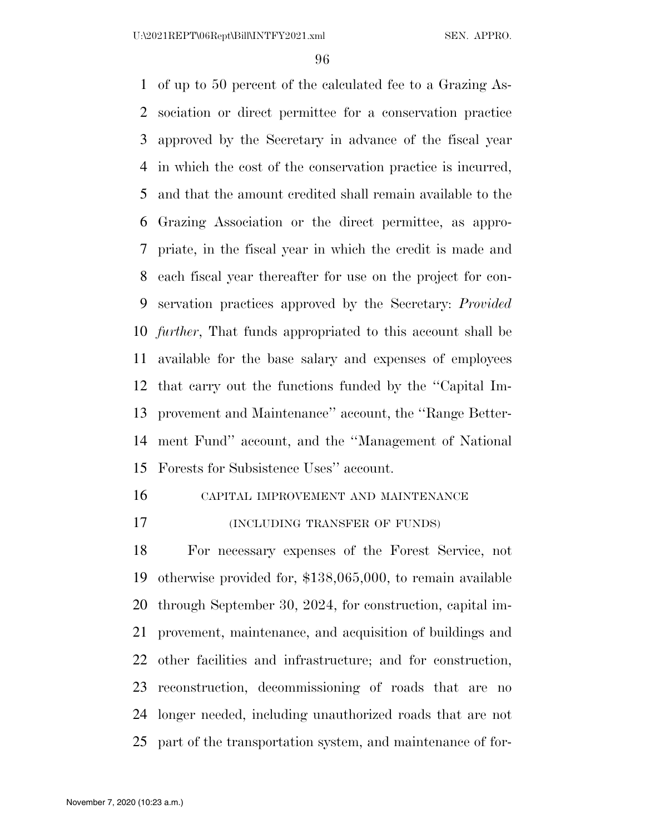of up to 50 percent of the calculated fee to a Grazing As- sociation or direct permittee for a conservation practice approved by the Secretary in advance of the fiscal year in which the cost of the conservation practice is incurred, and that the amount credited shall remain available to the Grazing Association or the direct permittee, as appro- priate, in the fiscal year in which the credit is made and each fiscal year thereafter for use on the project for con- servation practices approved by the Secretary: *Provided further*, That funds appropriated to this account shall be available for the base salary and expenses of employees that carry out the functions funded by the ''Capital Im- provement and Maintenance'' account, the ''Range Better- ment Fund'' account, and the ''Management of National Forests for Subsistence Uses'' account.

CAPITAL IMPROVEMENT AND MAINTENANCE

(INCLUDING TRANSFER OF FUNDS)

 For necessary expenses of the Forest Service, not otherwise provided for, \$138,065,000, to remain available through September 30, 2024, for construction, capital im- provement, maintenance, and acquisition of buildings and other facilities and infrastructure; and for construction, reconstruction, decommissioning of roads that are no longer needed, including unauthorized roads that are not part of the transportation system, and maintenance of for-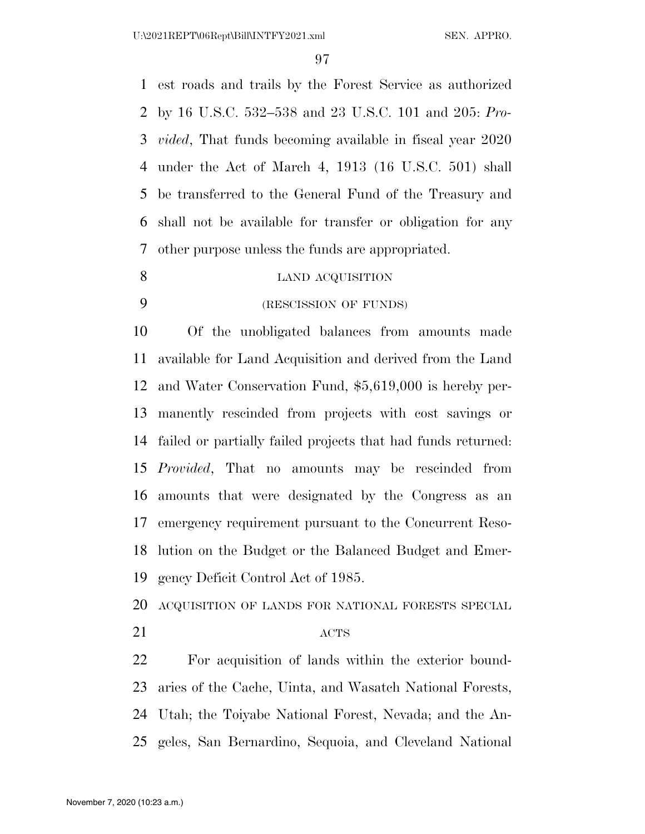est roads and trails by the Forest Service as authorized by 16 U.S.C. 532–538 and 23 U.S.C. 101 and 205: *Pro- vided*, That funds becoming available in fiscal year 2020 under the Act of March 4, 1913 (16 U.S.C. 501) shall be transferred to the General Fund of the Treasury and shall not be available for transfer or obligation for any other purpose unless the funds are appropriated.

#### 8 LAND ACQUISITION

(RESCISSION OF FUNDS)

 Of the unobligated balances from amounts made available for Land Acquisition and derived from the Land and Water Conservation Fund, \$5,619,000 is hereby per- manently rescinded from projects with cost savings or failed or partially failed projects that had funds returned: *Provided*, That no amounts may be rescinded from amounts that were designated by the Congress as an emergency requirement pursuant to the Concurrent Reso- lution on the Budget or the Balanced Budget and Emer-gency Deficit Control Act of 1985.

- ACQUISITION OF LANDS FOR NATIONAL FORESTS SPECIAL
- 

# 21 ACTS

 For acquisition of lands within the exterior bound- aries of the Cache, Uinta, and Wasatch National Forests, Utah; the Toiyabe National Forest, Nevada; and the An-geles, San Bernardino, Sequoia, and Cleveland National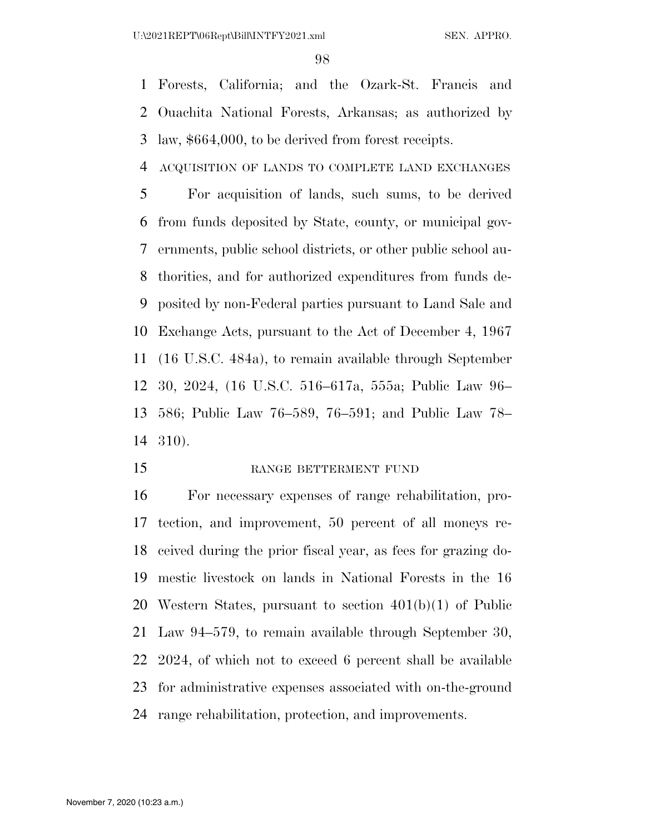Forests, California; and the Ozark-St. Francis and Ouachita National Forests, Arkansas; as authorized by law, \$664,000, to be derived from forest receipts.

ACQUISITION OF LANDS TO COMPLETE LAND EXCHANGES

 For acquisition of lands, such sums, to be derived from funds deposited by State, county, or municipal gov- ernments, public school districts, or other public school au- thorities, and for authorized expenditures from funds de- posited by non-Federal parties pursuant to Land Sale and Exchange Acts, pursuant to the Act of December 4, 1967 (16 U.S.C. 484a), to remain available through September 30, 2024, (16 U.S.C. 516–617a, 555a; Public Law 96– 586; Public Law 76–589, 76–591; and Public Law 78– 310).

15 RANGE BETTERMENT FUND

 For necessary expenses of range rehabilitation, pro- tection, and improvement, 50 percent of all moneys re- ceived during the prior fiscal year, as fees for grazing do- mestic livestock on lands in National Forests in the 16 Western States, pursuant to section 401(b)(1) of Public Law 94–579, to remain available through September 30, 2024, of which not to exceed 6 percent shall be available for administrative expenses associated with on-the-ground range rehabilitation, protection, and improvements.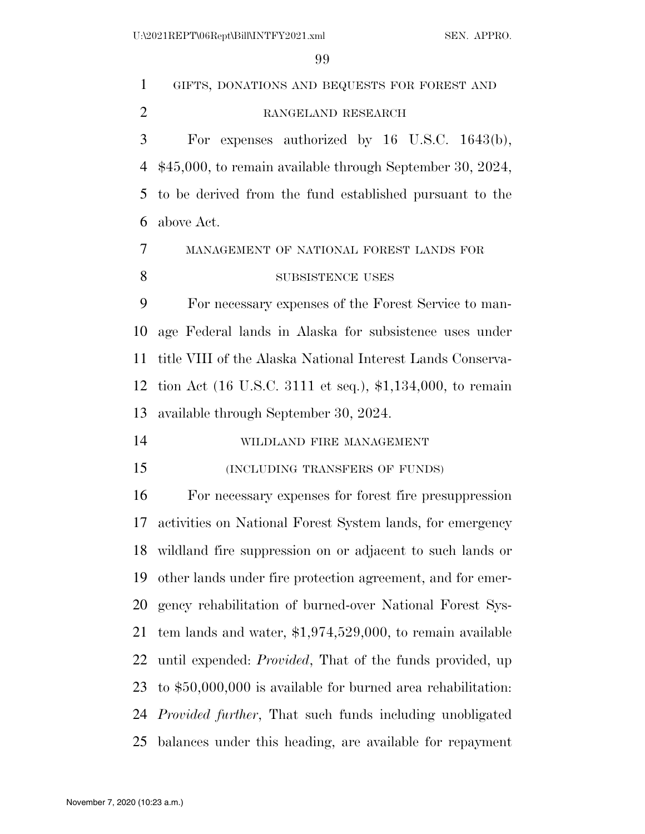| $\mathbf{1}$   | GIFTS, DONATIONS AND BEQUESTS FOR FOREST AND                     |
|----------------|------------------------------------------------------------------|
| $\overline{2}$ | RANGELAND RESEARCH                                               |
| 3              | For expenses authorized by $16$ U.S.C. $1643(b)$ ,               |
| 4              | $$45,000$ , to remain available through September 30, 2024,      |
| 5              | to be derived from the fund established pursuant to the          |
| 6              | above Act.                                                       |
| $\overline{7}$ | MANAGEMENT OF NATIONAL FOREST LANDS FOR                          |
| 8              | SUBSISTENCE USES                                                 |
| 9              | For necessary expenses of the Forest Service to man-             |
| 10             | age Federal lands in Alaska for subsistence uses under           |
| 11             | title VIII of the Alaska National Interest Lands Conserva-       |
| 12             | tion Act (16 U.S.C. 3111 et seq.), \$1,134,000, to remain        |
| 13             | available through September 30, 2024.                            |
| 14             | WILDLAND FIRE MANAGEMENT                                         |
| 15             | (INCLUDING TRANSFERS OF FUNDS)                                   |
| 16             | For necessary expenses for forest fire presuppression            |
| 17             | activities on National Forest System lands, for emergency        |
| 18             | wildland fire suppression on or adjacent to such lands or        |
| 19             | other lands under fire protection agreement, and for emer-       |
| 20             | gency rehabilitation of burned-over National Forest Sys-         |
| 21             | tem lands and water, $$1,974,529,000$ , to remain available      |
| 22             | until expended: <i>Provided</i> , That of the funds provided, up |
| 23             | to $$50,000,000$ is available for burned area rehabilitation:    |
| 24             | <i>Provided further</i> , That such funds including unobligated  |
| 25             | balances under this heading, are available for repayment         |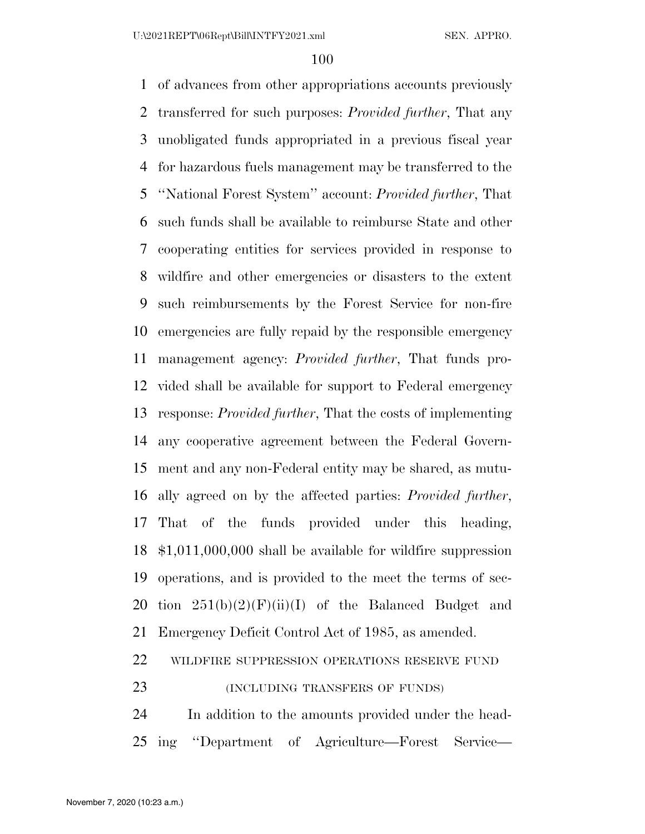of advances from other appropriations accounts previously transferred for such purposes: *Provided further*, That any unobligated funds appropriated in a previous fiscal year for hazardous fuels management may be transferred to the ''National Forest System'' account: *Provided further*, That such funds shall be available to reimburse State and other cooperating entities for services provided in response to wildfire and other emergencies or disasters to the extent such reimbursements by the Forest Service for non-fire emergencies are fully repaid by the responsible emergency management agency: *Provided further*, That funds pro- vided shall be available for support to Federal emergency response: *Provided further*, That the costs of implementing any cooperative agreement between the Federal Govern- ment and any non-Federal entity may be shared, as mutu- ally agreed on by the affected parties: *Provided further*, That of the funds provided under this heading, \$1,011,000,000 shall be available for wildfire suppression operations, and is provided to the meet the terms of sec-20 tion  $251(b)(2)(F)(ii)(I)$  of the Balanced Budget and Emergency Deficit Control Act of 1985, as amended. WILDFIRE SUPPRESSION OPERATIONS RESERVE FUND 23 (INCLUDING TRANSFERS OF FUNDS)

 In addition to the amounts provided under the head-ing ''Department of Agriculture—Forest Service—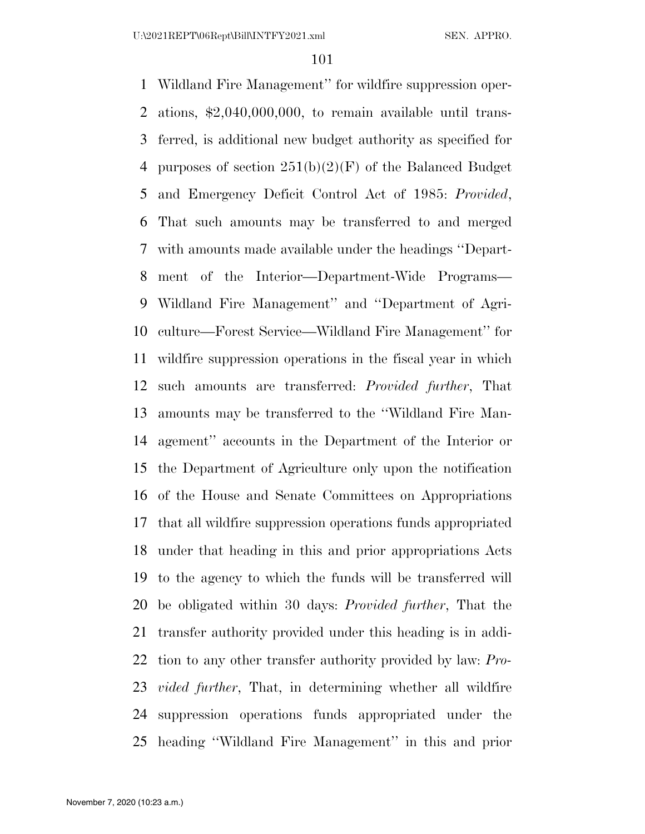Wildland Fire Management'' for wildfire suppression oper- ations, \$2,040,000,000, to remain available until trans- ferred, is additional new budget authority as specified for 4 purposes of section  $251(b)(2)(F)$  of the Balanced Budget and Emergency Deficit Control Act of 1985: *Provided*, That such amounts may be transferred to and merged with amounts made available under the headings ''Depart- ment of the Interior—Department-Wide Programs— Wildland Fire Management'' and ''Department of Agri- culture—Forest Service—Wildland Fire Management'' for wildfire suppression operations in the fiscal year in which such amounts are transferred: *Provided further*, That amounts may be transferred to the ''Wildland Fire Man- agement'' accounts in the Department of the Interior or the Department of Agriculture only upon the notification of the House and Senate Committees on Appropriations that all wildfire suppression operations funds appropriated under that heading in this and prior appropriations Acts to the agency to which the funds will be transferred will be obligated within 30 days: *Provided further*, That the transfer authority provided under this heading is in addi- tion to any other transfer authority provided by law: *Pro- vided further*, That, in determining whether all wildfire suppression operations funds appropriated under the heading ''Wildland Fire Management'' in this and prior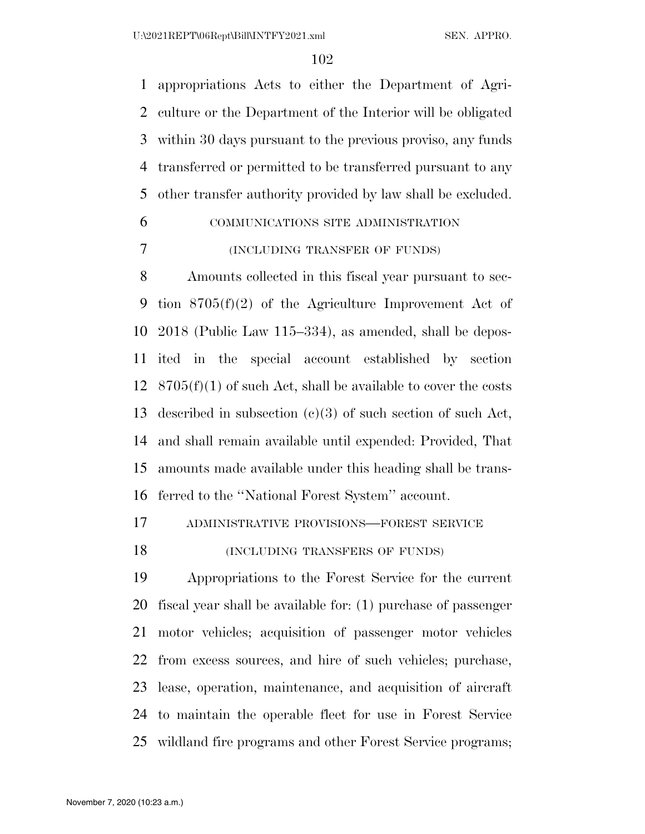appropriations Acts to either the Department of Agri- culture or the Department of the Interior will be obligated within 30 days pursuant to the previous proviso, any funds transferred or permitted to be transferred pursuant to any other transfer authority provided by law shall be excluded.

# COMMUNICATIONS SITE ADMINISTRATION

### (INCLUDING TRANSFER OF FUNDS)

 Amounts collected in this fiscal year pursuant to sec- tion 8705(f)(2) of the Agriculture Improvement Act of 2018 (Public Law 115–334), as amended, shall be depos- ited in the special account established by section  $8705(f)(1)$  of such Act, shall be available to cover the costs described in subsection (c)(3) of such section of such Act, and shall remain available until expended: Provided, That amounts made available under this heading shall be trans-ferred to the ''National Forest System'' account.

ADMINISTRATIVE PROVISIONS—FOREST SERVICE

# 18 (INCLUDING TRANSFERS OF FUNDS)

 Appropriations to the Forest Service for the current fiscal year shall be available for: (1) purchase of passenger motor vehicles; acquisition of passenger motor vehicles from excess sources, and hire of such vehicles; purchase, lease, operation, maintenance, and acquisition of aircraft to maintain the operable fleet for use in Forest Service wildland fire programs and other Forest Service programs;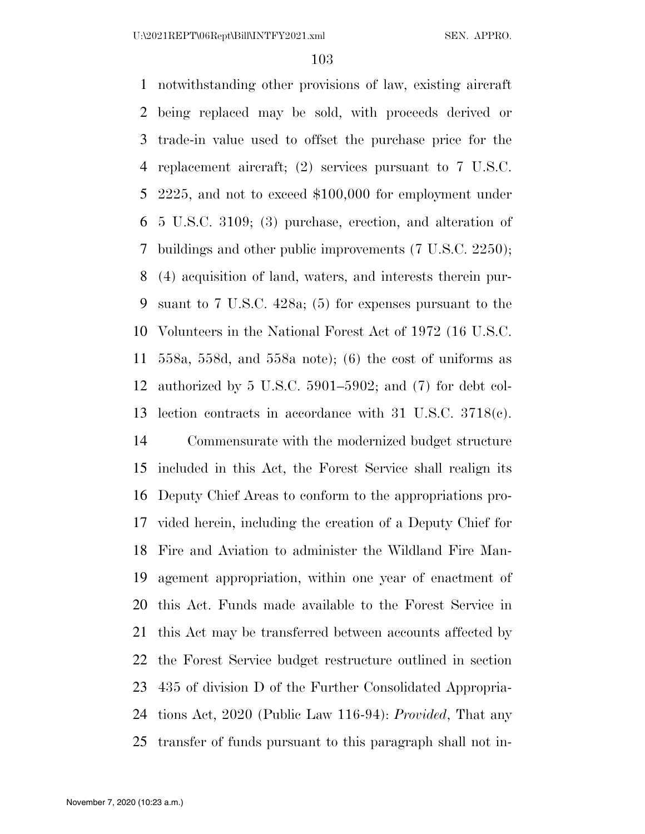notwithstanding other provisions of law, existing aircraft being replaced may be sold, with proceeds derived or trade-in value used to offset the purchase price for the replacement aircraft; (2) services pursuant to 7 U.S.C. 2225, and not to exceed \$100,000 for employment under 5 U.S.C. 3109; (3) purchase, erection, and alteration of buildings and other public improvements (7 U.S.C. 2250); (4) acquisition of land, waters, and interests therein pur- suant to 7 U.S.C. 428a; (5) for expenses pursuant to the Volunteers in the National Forest Act of 1972 (16 U.S.C. 558a, 558d, and 558a note); (6) the cost of uniforms as authorized by 5 U.S.C. 5901–5902; and (7) for debt col- lection contracts in accordance with 31 U.S.C. 3718(c). Commensurate with the modernized budget structure included in this Act, the Forest Service shall realign its Deputy Chief Areas to conform to the appropriations pro- vided herein, including the creation of a Deputy Chief for Fire and Aviation to administer the Wildland Fire Man- agement appropriation, within one year of enactment of this Act. Funds made available to the Forest Service in this Act may be transferred between accounts affected by the Forest Service budget restructure outlined in section 435 of division D of the Further Consolidated Appropria-

- tions Act, 2020 (Public Law 116-94): *Provided*, That any
- transfer of funds pursuant to this paragraph shall not in-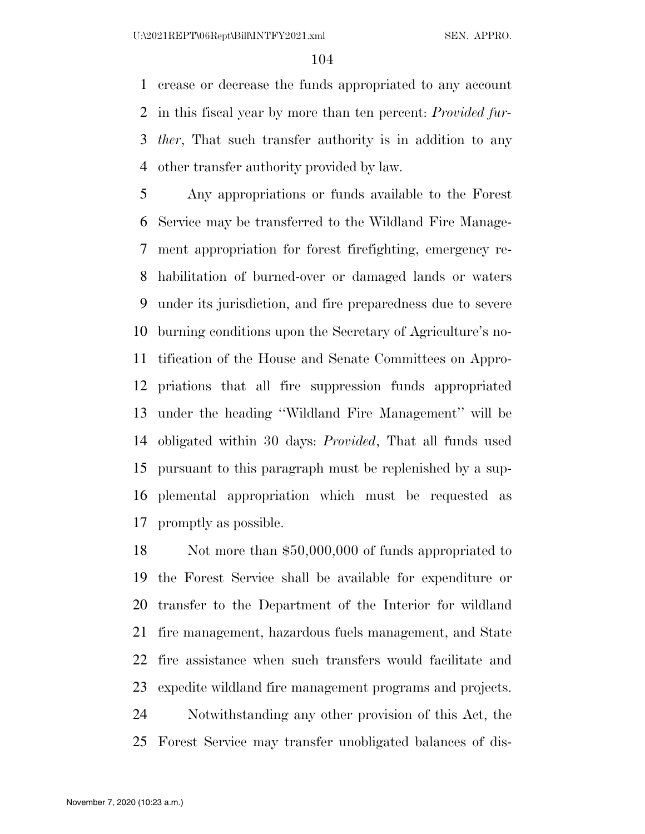crease or decrease the funds appropriated to any account in this fiscal year by more than ten percent: *Provided fur- ther*, That such transfer authority is in addition to any other transfer authority provided by law.

 Any appropriations or funds available to the Forest Service may be transferred to the Wildland Fire Manage- ment appropriation for forest firefighting, emergency re- habilitation of burned-over or damaged lands or waters under its jurisdiction, and fire preparedness due to severe burning conditions upon the Secretary of Agriculture's no- tification of the House and Senate Committees on Appro- priations that all fire suppression funds appropriated under the heading ''Wildland Fire Management'' will be obligated within 30 days: *Provided*, That all funds used pursuant to this paragraph must be replenished by a sup- plemental appropriation which must be requested as promptly as possible.

 Not more than \$50,000,000 of funds appropriated to the Forest Service shall be available for expenditure or transfer to the Department of the Interior for wildland fire management, hazardous fuels management, and State fire assistance when such transfers would facilitate and expedite wildland fire management programs and projects. Notwithstanding any other provision of this Act, the Forest Service may transfer unobligated balances of dis-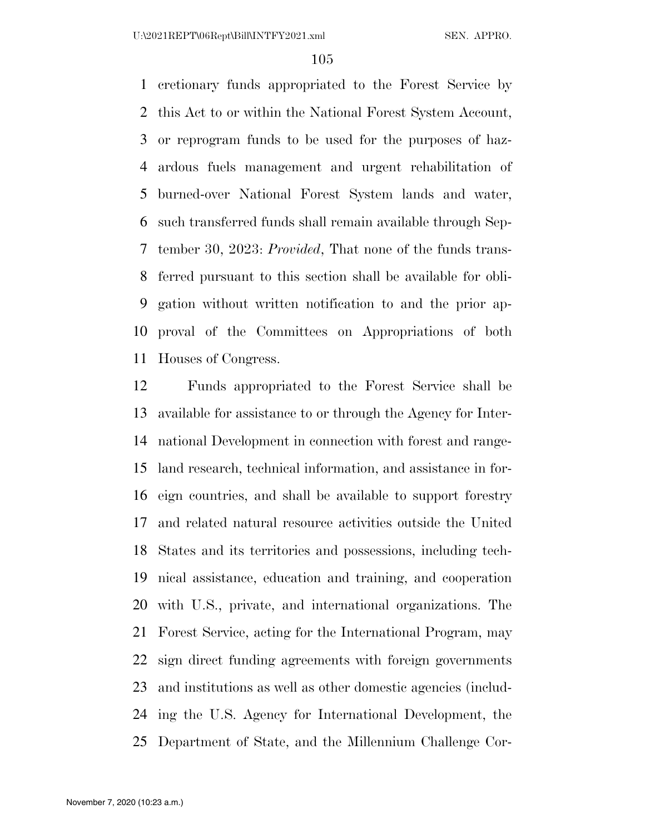cretionary funds appropriated to the Forest Service by this Act to or within the National Forest System Account, or reprogram funds to be used for the purposes of haz- ardous fuels management and urgent rehabilitation of burned-over National Forest System lands and water, such transferred funds shall remain available through Sep- tember 30, 2023: *Provided*, That none of the funds trans- ferred pursuant to this section shall be available for obli- gation without written notification to and the prior ap- proval of the Committees on Appropriations of both Houses of Congress.

 Funds appropriated to the Forest Service shall be available for assistance to or through the Agency for Inter- national Development in connection with forest and range- land research, technical information, and assistance in for- eign countries, and shall be available to support forestry and related natural resource activities outside the United States and its territories and possessions, including tech- nical assistance, education and training, and cooperation with U.S., private, and international organizations. The Forest Service, acting for the International Program, may sign direct funding agreements with foreign governments and institutions as well as other domestic agencies (includ- ing the U.S. Agency for International Development, the Department of State, and the Millennium Challenge Cor-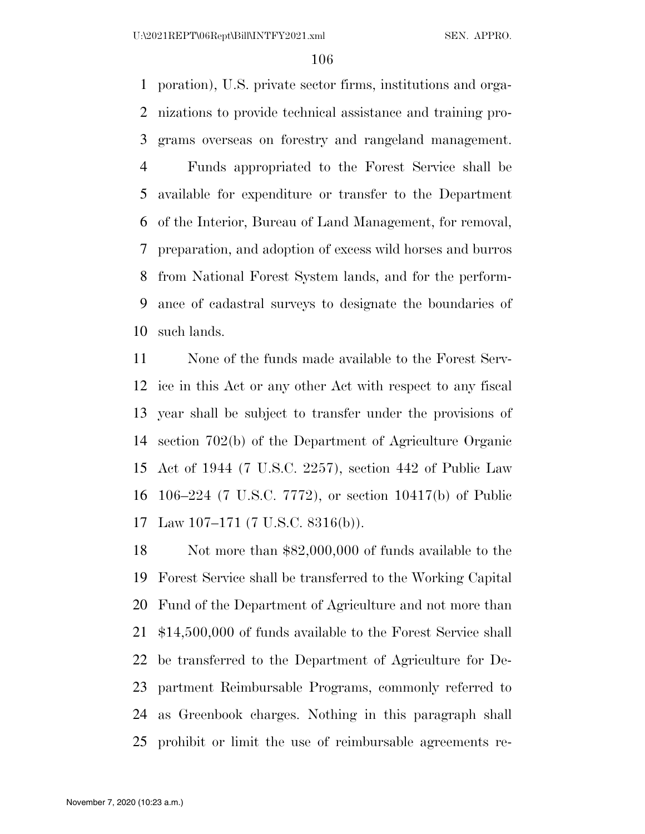poration), U.S. private sector firms, institutions and orga- nizations to provide technical assistance and training pro- grams overseas on forestry and rangeland management. Funds appropriated to the Forest Service shall be available for expenditure or transfer to the Department of the Interior, Bureau of Land Management, for removal, preparation, and adoption of excess wild horses and burros from National Forest System lands, and for the perform- ance of cadastral surveys to designate the boundaries of such lands.

 None of the funds made available to the Forest Serv- ice in this Act or any other Act with respect to any fiscal year shall be subject to transfer under the provisions of section 702(b) of the Department of Agriculture Organic Act of 1944 (7 U.S.C. 2257), section 442 of Public Law 106–224 (7 U.S.C. 7772), or section 10417(b) of Public Law 107–171 (7 U.S.C. 8316(b)).

 Not more than \$82,000,000 of funds available to the Forest Service shall be transferred to the Working Capital Fund of the Department of Agriculture and not more than \$14,500,000 of funds available to the Forest Service shall be transferred to the Department of Agriculture for De- partment Reimbursable Programs, commonly referred to as Greenbook charges. Nothing in this paragraph shall prohibit or limit the use of reimbursable agreements re-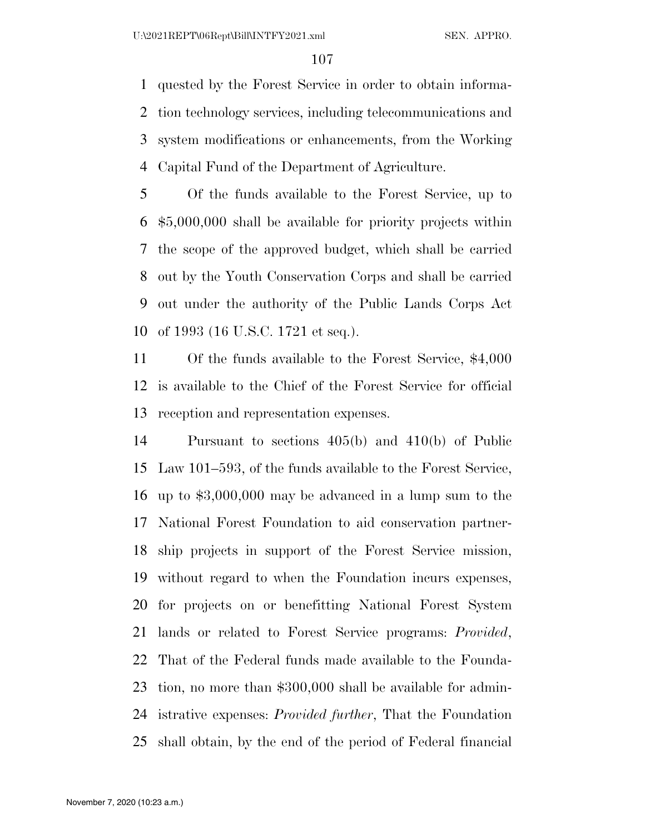quested by the Forest Service in order to obtain informa- tion technology services, including telecommunications and system modifications or enhancements, from the Working Capital Fund of the Department of Agriculture.

 Of the funds available to the Forest Service, up to \$5,000,000 shall be available for priority projects within the scope of the approved budget, which shall be carried out by the Youth Conservation Corps and shall be carried out under the authority of the Public Lands Corps Act of 1993 (16 U.S.C. 1721 et seq.).

 Of the funds available to the Forest Service, \$4,000 is available to the Chief of the Forest Service for official reception and representation expenses.

 Pursuant to sections 405(b) and 410(b) of Public Law 101–593, of the funds available to the Forest Service, up to \$3,000,000 may be advanced in a lump sum to the National Forest Foundation to aid conservation partner- ship projects in support of the Forest Service mission, without regard to when the Foundation incurs expenses, for projects on or benefitting National Forest System lands or related to Forest Service programs: *Provided*, That of the Federal funds made available to the Founda- tion, no more than \$300,000 shall be available for admin- istrative expenses: *Provided further*, That the Foundation shall obtain, by the end of the period of Federal financial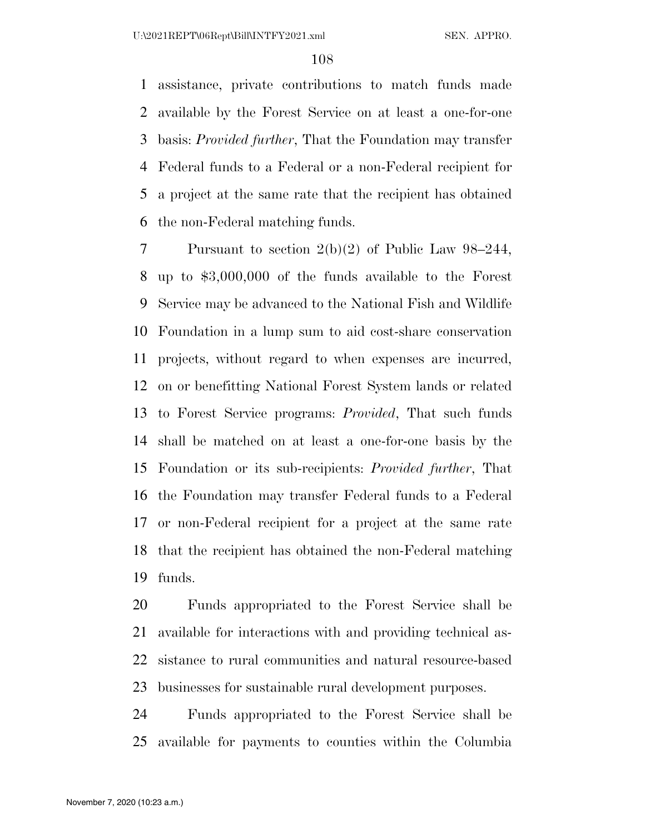assistance, private contributions to match funds made available by the Forest Service on at least a one-for-one basis: *Provided further*, That the Foundation may transfer Federal funds to a Federal or a non-Federal recipient for a project at the same rate that the recipient has obtained the non-Federal matching funds.

 Pursuant to section 2(b)(2) of Public Law 98–244, up to \$3,000,000 of the funds available to the Forest Service may be advanced to the National Fish and Wildlife Foundation in a lump sum to aid cost-share conservation projects, without regard to when expenses are incurred, on or benefitting National Forest System lands or related to Forest Service programs: *Provided*, That such funds shall be matched on at least a one-for-one basis by the Foundation or its sub-recipients: *Provided further*, That the Foundation may transfer Federal funds to a Federal or non-Federal recipient for a project at the same rate that the recipient has obtained the non-Federal matching funds.

 Funds appropriated to the Forest Service shall be available for interactions with and providing technical as- sistance to rural communities and natural resource-based businesses for sustainable rural development purposes.

 Funds appropriated to the Forest Service shall be available for payments to counties within the Columbia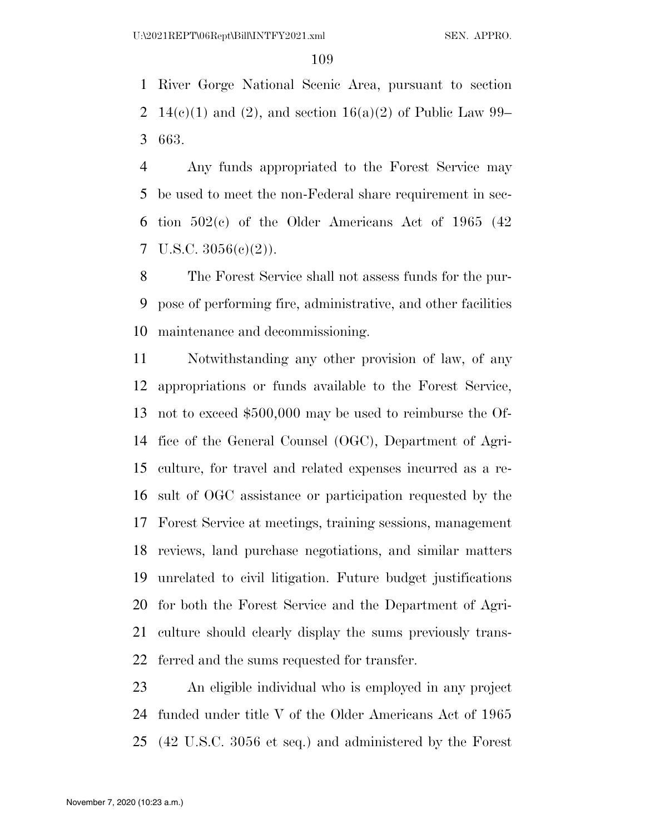River Gorge National Scenic Area, pursuant to section 2 14(e)(1) and (2), and section 16(a)(2) of Public Law 99– 663.

 Any funds appropriated to the Forest Service may be used to meet the non-Federal share requirement in sec- tion 502(c) of the Older Americans Act of 1965 (42 7 U.S.C.  $3056(e)(2)$ ).

 The Forest Service shall not assess funds for the pur- pose of performing fire, administrative, and other facilities maintenance and decommissioning.

 Notwithstanding any other provision of law, of any appropriations or funds available to the Forest Service, not to exceed \$500,000 may be used to reimburse the Of- fice of the General Counsel (OGC), Department of Agri- culture, for travel and related expenses incurred as a re- sult of OGC assistance or participation requested by the Forest Service at meetings, training sessions, management reviews, land purchase negotiations, and similar matters unrelated to civil litigation. Future budget justifications for both the Forest Service and the Department of Agri- culture should clearly display the sums previously trans-ferred and the sums requested for transfer.

 An eligible individual who is employed in any project funded under title V of the Older Americans Act of 1965 (42 U.S.C. 3056 et seq.) and administered by the Forest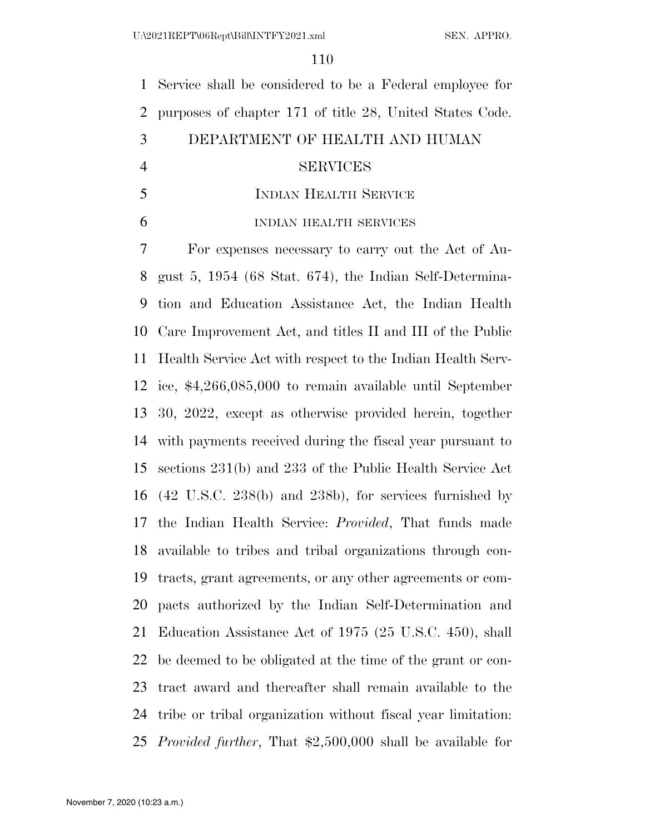Service shall be considered to be a Federal employee for purposes of chapter 171 of title 28, United States Code. DEPARTMENT OF HEALTH AND HUMAN SERVICES INDIAN HEALTH SERVICE INDIAN HEALTH SERVICES

 For expenses necessary to carry out the Act of Au- gust 5, 1954 (68 Stat. 674), the Indian Self-Determina- tion and Education Assistance Act, the Indian Health Care Improvement Act, and titles II and III of the Public Health Service Act with respect to the Indian Health Serv- ice, \$4,266,085,000 to remain available until September 30, 2022, except as otherwise provided herein, together with payments received during the fiscal year pursuant to sections 231(b) and 233 of the Public Health Service Act (42 U.S.C. 238(b) and 238b), for services furnished by the Indian Health Service: *Provided*, That funds made available to tribes and tribal organizations through con- tracts, grant agreements, or any other agreements or com- pacts authorized by the Indian Self-Determination and Education Assistance Act of 1975 (25 U.S.C. 450), shall be deemed to be obligated at the time of the grant or con- tract award and thereafter shall remain available to the tribe or tribal organization without fiscal year limitation: *Provided further*, That \$2,500,000 shall be available for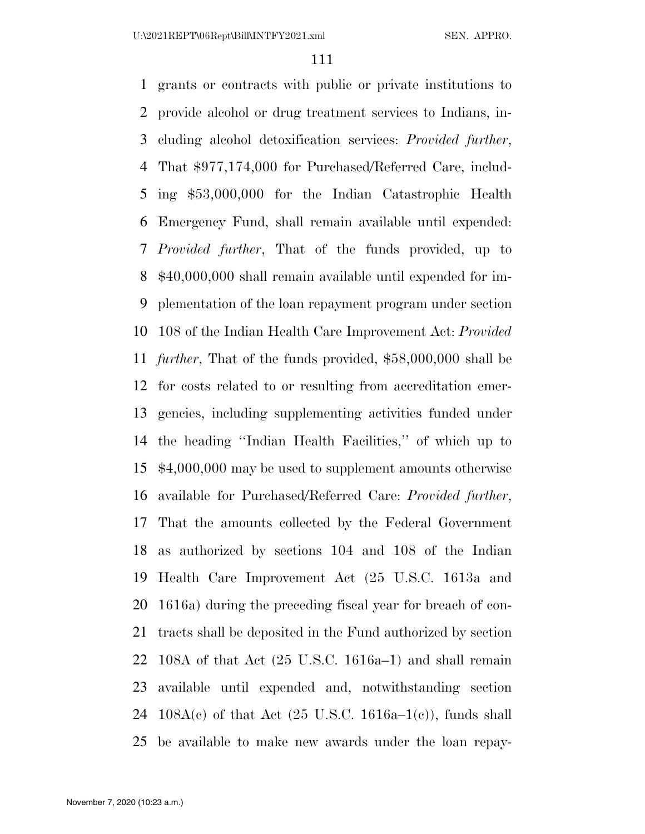grants or contracts with public or private institutions to provide alcohol or drug treatment services to Indians, in- cluding alcohol detoxification services: *Provided further*, That \$977,174,000 for Purchased/Referred Care, includ- ing \$53,000,000 for the Indian Catastrophic Health Emergency Fund, shall remain available until expended: *Provided further*, That of the funds provided, up to \$40,000,000 shall remain available until expended for im- plementation of the loan repayment program under section 108 of the Indian Health Care Improvement Act: *Provided further*, That of the funds provided, \$58,000,000 shall be for costs related to or resulting from accreditation emer- gencies, including supplementing activities funded under the heading ''Indian Health Facilities,'' of which up to \$4,000,000 may be used to supplement amounts otherwise available for Purchased/Referred Care: *Provided further*, That the amounts collected by the Federal Government as authorized by sections 104 and 108 of the Indian Health Care Improvement Act (25 U.S.C. 1613a and 1616a) during the preceding fiscal year for breach of con- tracts shall be deposited in the Fund authorized by section 108A of that Act (25 U.S.C. 1616a–1) and shall remain available until expended and, notwithstanding section 24 108A(c) of that Act  $(25 \text{ U.S.C. } 1616a-1(c))$ , funds shall be available to make new awards under the loan repay-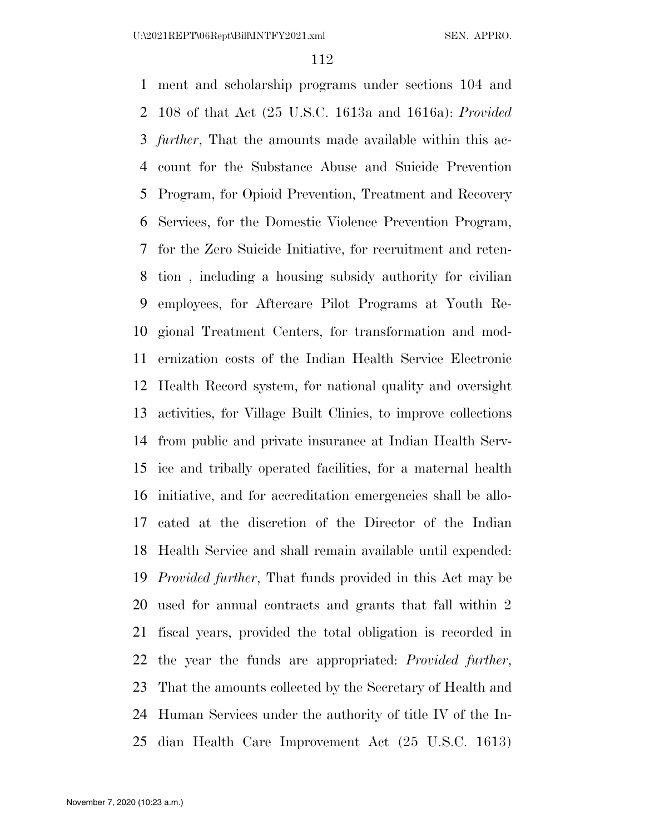ment and scholarship programs under sections 104 and 108 of that Act (25 U.S.C. 1613a and 1616a): *Provided further*, That the amounts made available within this ac- count for the Substance Abuse and Suicide Prevention Program, for Opioid Prevention, Treatment and Recovery Services, for the Domestic Violence Prevention Program, for the Zero Suicide Initiative, for recruitment and reten- tion , including a housing subsidy authority for civilian employees, for Aftercare Pilot Programs at Youth Re- gional Treatment Centers, for transformation and mod- ernization costs of the Indian Health Service Electronic Health Record system, for national quality and oversight activities, for Village Built Clinics, to improve collections from public and private insurance at Indian Health Serv- ice and tribally operated facilities, for a maternal health initiative, and for accreditation emergencies shall be allo- cated at the discretion of the Director of the Indian Health Service and shall remain available until expended: *Provided further*, That funds provided in this Act may be used for annual contracts and grants that fall within 2 fiscal years, provided the total obligation is recorded in the year the funds are appropriated: *Provided further*, That the amounts collected by the Secretary of Health and Human Services under the authority of title IV of the In-dian Health Care Improvement Act (25 U.S.C. 1613)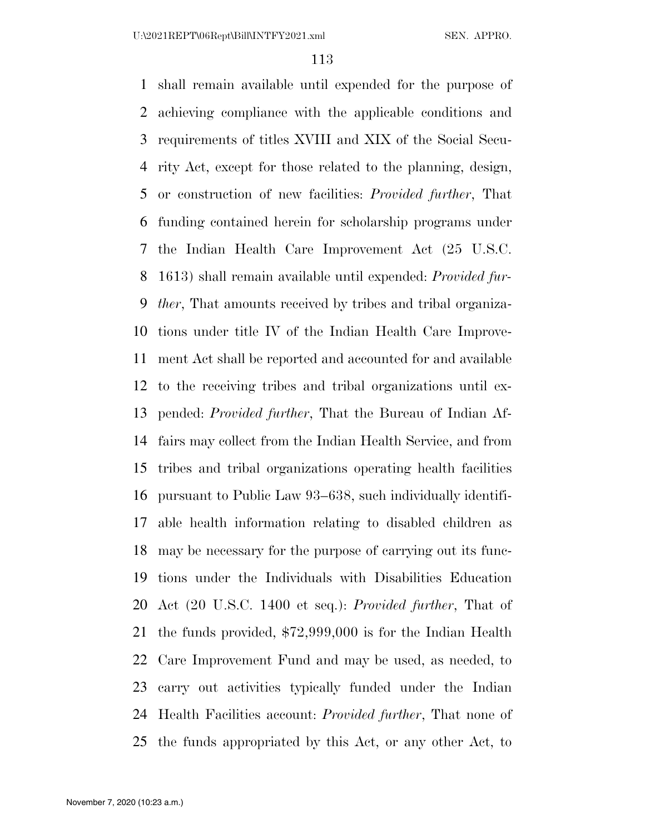shall remain available until expended for the purpose of achieving compliance with the applicable conditions and requirements of titles XVIII and XIX of the Social Secu- rity Act, except for those related to the planning, design, or construction of new facilities: *Provided further*, That funding contained herein for scholarship programs under the Indian Health Care Improvement Act (25 U.S.C. 1613) shall remain available until expended: *Provided fur- ther*, That amounts received by tribes and tribal organiza- tions under title IV of the Indian Health Care Improve- ment Act shall be reported and accounted for and available to the receiving tribes and tribal organizations until ex- pended: *Provided further*, That the Bureau of Indian Af- fairs may collect from the Indian Health Service, and from tribes and tribal organizations operating health facilities pursuant to Public Law 93–638, such individually identifi- able health information relating to disabled children as may be necessary for the purpose of carrying out its func- tions under the Individuals with Disabilities Education Act (20 U.S.C. 1400 et seq.): *Provided further*, That of the funds provided, \$72,999,000 is for the Indian Health Care Improvement Fund and may be used, as needed, to carry out activities typically funded under the Indian Health Facilities account: *Provided further*, That none of the funds appropriated by this Act, or any other Act, to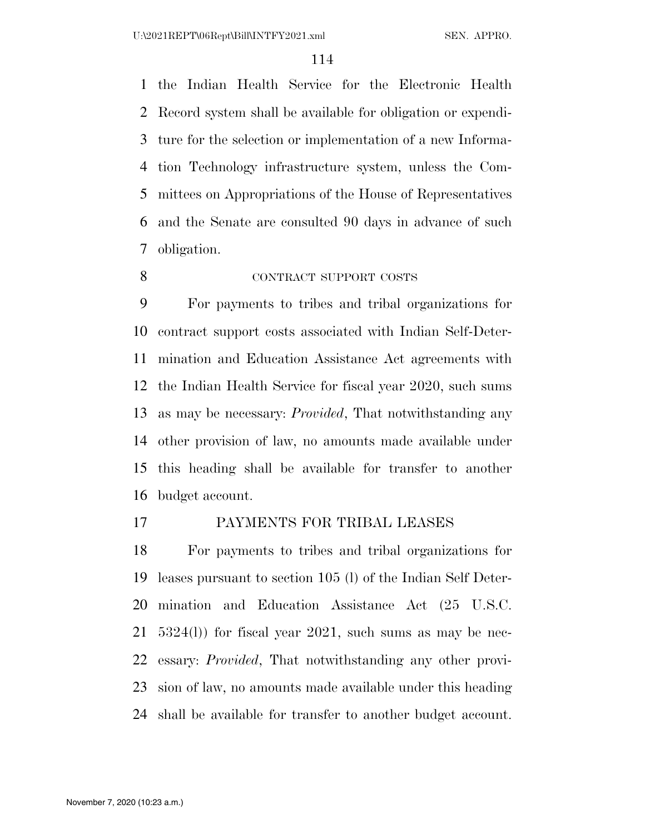the Indian Health Service for the Electronic Health Record system shall be available for obligation or expendi- ture for the selection or implementation of a new Informa- tion Technology infrastructure system, unless the Com- mittees on Appropriations of the House of Representatives and the Senate are consulted 90 days in advance of such obligation.

8 CONTRACT SUPPORT COSTS

 For payments to tribes and tribal organizations for contract support costs associated with Indian Self-Deter- mination and Education Assistance Act agreements with the Indian Health Service for fiscal year 2020, such sums as may be necessary: *Provided*, That notwithstanding any other provision of law, no amounts made available under this heading shall be available for transfer to another budget account.

## PAYMENTS FOR TRIBAL LEASES

 For payments to tribes and tribal organizations for leases pursuant to section 105 (l) of the Indian Self Deter- mination and Education Assistance Act (25 U.S.C. 5324(l)) for fiscal year 2021, such sums as may be nec- essary: *Provided*, That notwithstanding any other provi- sion of law, no amounts made available under this heading shall be available for transfer to another budget account.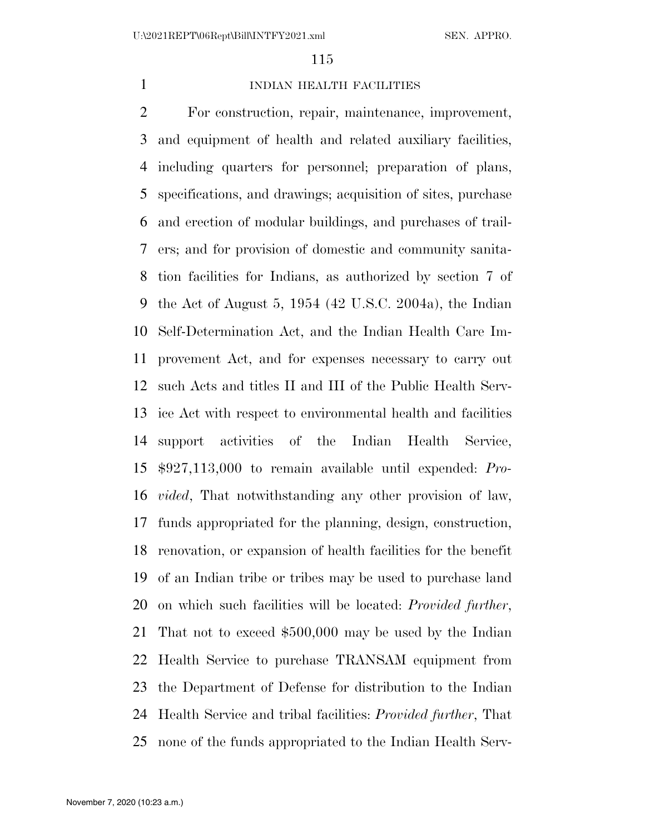## **INDIAN HEALTH FACILITIES**

 For construction, repair, maintenance, improvement, and equipment of health and related auxiliary facilities, including quarters for personnel; preparation of plans, specifications, and drawings; acquisition of sites, purchase and erection of modular buildings, and purchases of trail- ers; and for provision of domestic and community sanita- tion facilities for Indians, as authorized by section 7 of the Act of August 5, 1954 (42 U.S.C. 2004a), the Indian Self-Determination Act, and the Indian Health Care Im- provement Act, and for expenses necessary to carry out such Acts and titles II and III of the Public Health Serv- ice Act with respect to environmental health and facilities support activities of the Indian Health Service, \$927,113,000 to remain available until expended: *Pro- vided*, That notwithstanding any other provision of law, funds appropriated for the planning, design, construction, renovation, or expansion of health facilities for the benefit of an Indian tribe or tribes may be used to purchase land on which such facilities will be located: *Provided further*, That not to exceed \$500,000 may be used by the Indian Health Service to purchase TRANSAM equipment from the Department of Defense for distribution to the Indian Health Service and tribal facilities: *Provided further*, That none of the funds appropriated to the Indian Health Serv-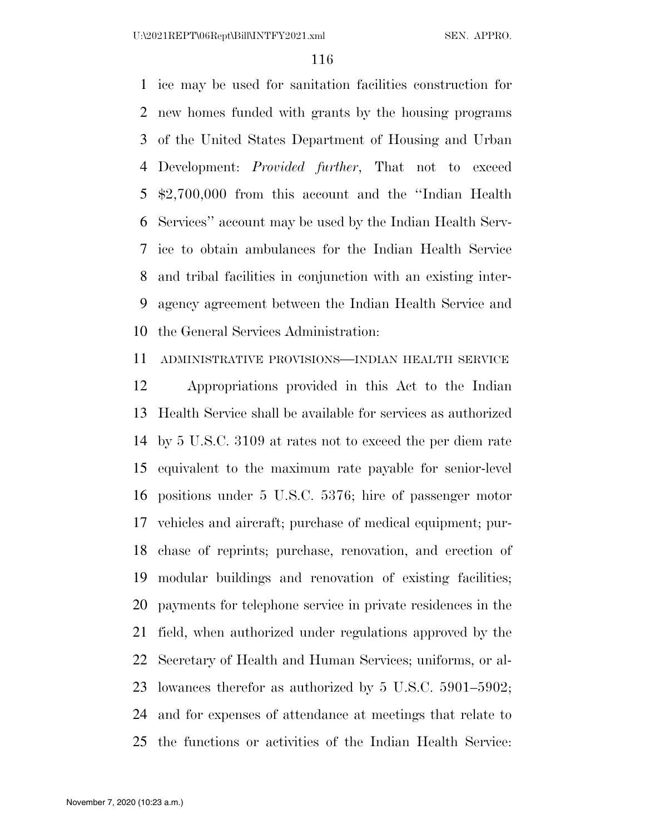ice may be used for sanitation facilities construction for new homes funded with grants by the housing programs of the United States Department of Housing and Urban Development: *Provided further*, That not to exceed \$2,700,000 from this account and the ''Indian Health Services'' account may be used by the Indian Health Serv- ice to obtain ambulances for the Indian Health Service and tribal facilities in conjunction with an existing inter- agency agreement between the Indian Health Service and the General Services Administration:

ADMINISTRATIVE PROVISIONS—INDIAN HEALTH SERVICE

 Appropriations provided in this Act to the Indian Health Service shall be available for services as authorized by 5 U.S.C. 3109 at rates not to exceed the per diem rate equivalent to the maximum rate payable for senior-level positions under 5 U.S.C. 5376; hire of passenger motor vehicles and aircraft; purchase of medical equipment; pur- chase of reprints; purchase, renovation, and erection of modular buildings and renovation of existing facilities; payments for telephone service in private residences in the field, when authorized under regulations approved by the Secretary of Health and Human Services; uniforms, or al- lowances therefor as authorized by 5 U.S.C. 5901–5902; and for expenses of attendance at meetings that relate to the functions or activities of the Indian Health Service: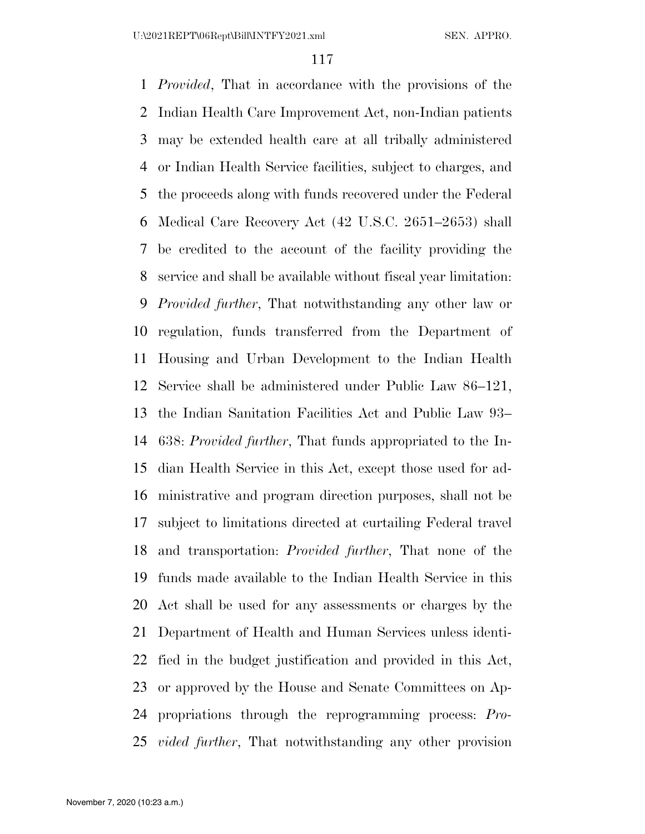*Provided*, That in accordance with the provisions of the Indian Health Care Improvement Act, non-Indian patients may be extended health care at all tribally administered or Indian Health Service facilities, subject to charges, and the proceeds along with funds recovered under the Federal Medical Care Recovery Act (42 U.S.C. 2651–2653) shall be credited to the account of the facility providing the service and shall be available without fiscal year limitation: *Provided further*, That notwithstanding any other law or regulation, funds transferred from the Department of Housing and Urban Development to the Indian Health Service shall be administered under Public Law 86–121, the Indian Sanitation Facilities Act and Public Law 93– 638: *Provided further*, That funds appropriated to the In- dian Health Service in this Act, except those used for ad- ministrative and program direction purposes, shall not be subject to limitations directed at curtailing Federal travel and transportation: *Provided further*, That none of the funds made available to the Indian Health Service in this Act shall be used for any assessments or charges by the Department of Health and Human Services unless identi- fied in the budget justification and provided in this Act, or approved by the House and Senate Committees on Ap- propriations through the reprogramming process: *Pro-vided further*, That notwithstanding any other provision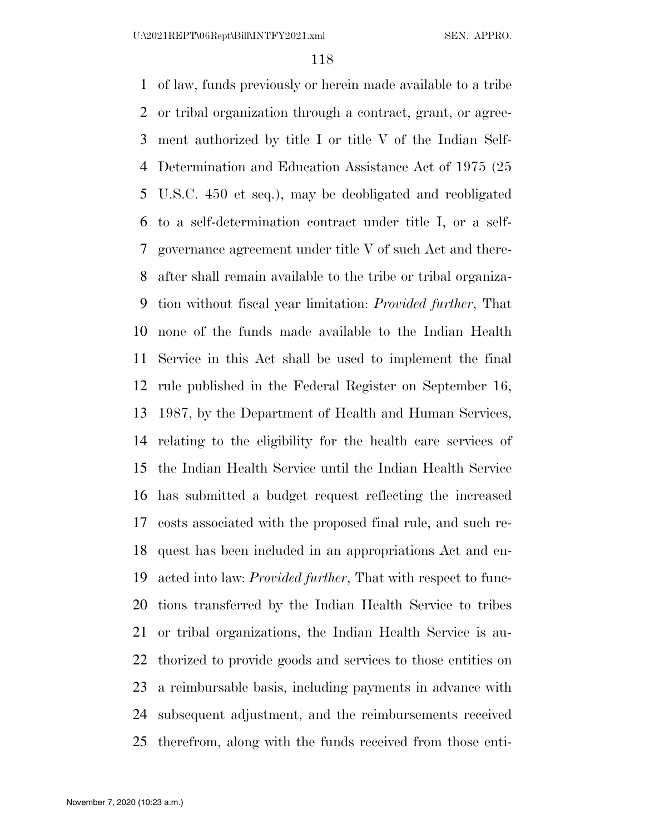U:\2021REPT\06Rept\Bill\INTFY2021.xml SEN. APPRO.

 of law, funds previously or herein made available to a tribe or tribal organization through a contract, grant, or agree- ment authorized by title I or title V of the Indian Self- Determination and Education Assistance Act of 1975 (25 U.S.C. 450 et seq.), may be deobligated and reobligated to a self-determination contract under title I, or a self- governance agreement under title V of such Act and there- after shall remain available to the tribe or tribal organiza- tion without fiscal year limitation: *Provided further*, That none of the funds made available to the Indian Health Service in this Act shall be used to implement the final rule published in the Federal Register on September 16, 1987, by the Department of Health and Human Services, relating to the eligibility for the health care services of the Indian Health Service until the Indian Health Service has submitted a budget request reflecting the increased costs associated with the proposed final rule, and such re- quest has been included in an appropriations Act and en- acted into law: *Provided further*, That with respect to func- tions transferred by the Indian Health Service to tribes or tribal organizations, the Indian Health Service is au- thorized to provide goods and services to those entities on a reimbursable basis, including payments in advance with subsequent adjustment, and the reimbursements received therefrom, along with the funds received from those enti-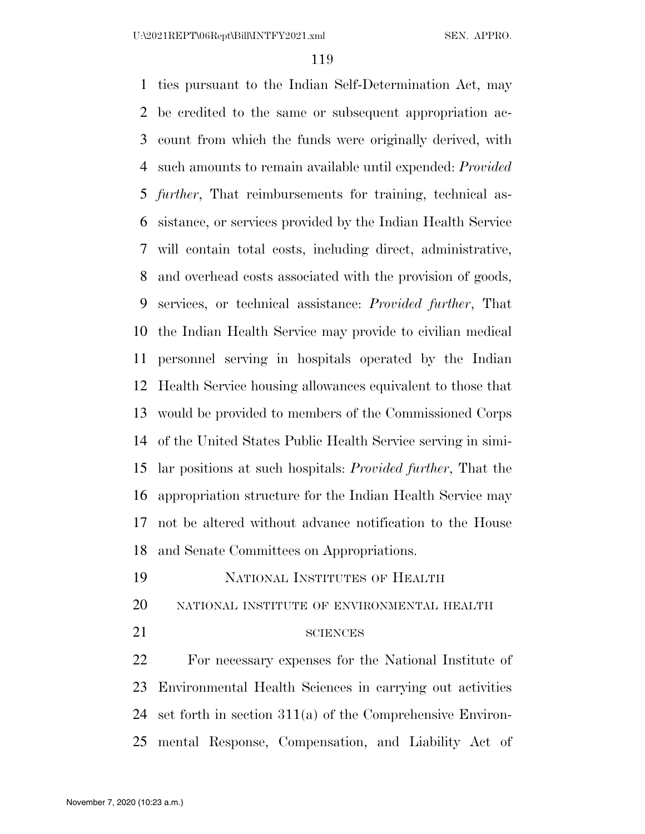ties pursuant to the Indian Self-Determination Act, may be credited to the same or subsequent appropriation ac- count from which the funds were originally derived, with such amounts to remain available until expended: *Provided further*, That reimbursements for training, technical as- sistance, or services provided by the Indian Health Service will contain total costs, including direct, administrative, and overhead costs associated with the provision of goods, services, or technical assistance: *Provided further*, That the Indian Health Service may provide to civilian medical personnel serving in hospitals operated by the Indian Health Service housing allowances equivalent to those that would be provided to members of the Commissioned Corps of the United States Public Health Service serving in simi- lar positions at such hospitals: *Provided further*, That the appropriation structure for the Indian Health Service may not be altered without advance notification to the House and Senate Committees on Appropriations. NATIONAL INSTITUTES OF HEALTH

- 
- NATIONAL INSTITUTE OF ENVIRONMENTAL HEALTH
- 

#### 21 SCIENCES

 For necessary expenses for the National Institute of Environmental Health Sciences in carrying out activities set forth in section 311(a) of the Comprehensive Environ-mental Response, Compensation, and Liability Act of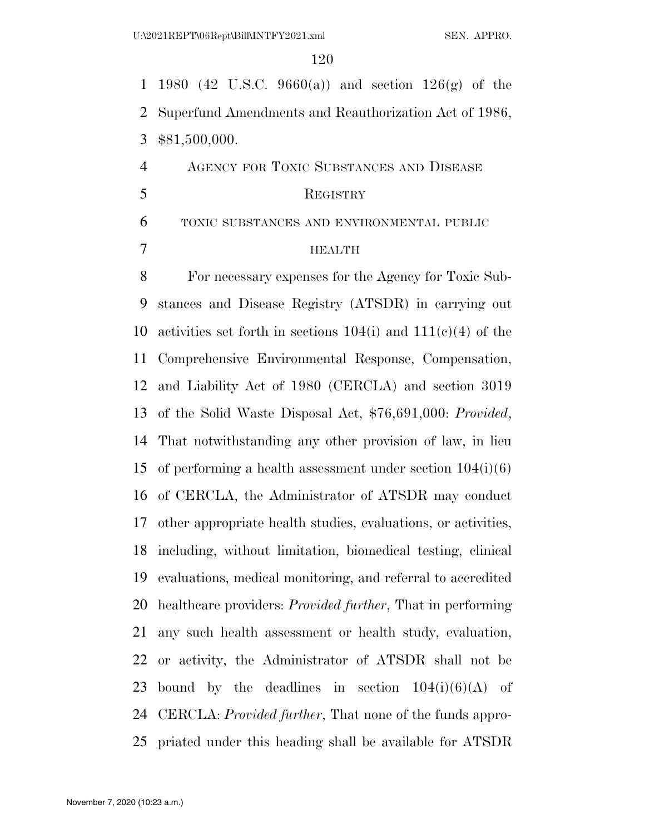1980 (42 U.S.C. 9660(a)) and section 126(g) of the Superfund Amendments and Reauthorization Act of 1986, \$81,500,000.

 AGENCY FOR TOXIC SUBSTANCES AND DISEASE 5 REGISTRY

TOXIC SUBSTANCES AND ENVIRONMENTAL PUBLIC

#### HEALTH

 For necessary expenses for the Agency for Toxic Sub- stances and Disease Registry (ATSDR) in carrying out 10 activities set forth in sections  $104(i)$  and  $111(e)(4)$  of the Comprehensive Environmental Response, Compensation, and Liability Act of 1980 (CERCLA) and section 3019 of the Solid Waste Disposal Act, \$76,691,000: *Provided*, That notwithstanding any other provision of law, in lieu 15 of performing a health assessment under section  $104(i)(6)$  of CERCLA, the Administrator of ATSDR may conduct other appropriate health studies, evaluations, or activities, including, without limitation, biomedical testing, clinical evaluations, medical monitoring, and referral to accredited healthcare providers: *Provided further*, That in performing any such health assessment or health study, evaluation, or activity, the Administrator of ATSDR shall not be 23 bound by the deadlines in section  $104(i)(6)(A)$  of CERCLA: *Provided further*, That none of the funds appro-priated under this heading shall be available for ATSDR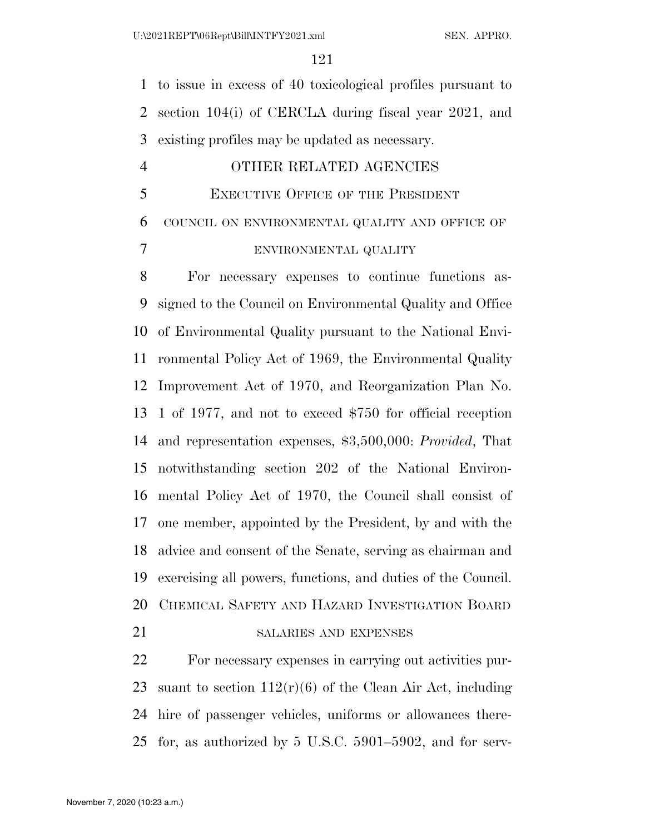to issue in excess of 40 toxicological profiles pursuant to section 104(i) of CERCLA during fiscal year 2021, and existing profiles may be updated as necessary.

#### OTHER RELATED AGENCIES

EXECUTIVE OFFICE OF THE PRESIDENT

COUNCIL ON ENVIRONMENTAL QUALITY AND OFFICE OF

ENVIRONMENTAL QUALITY

 For necessary expenses to continue functions as- signed to the Council on Environmental Quality and Office of Environmental Quality pursuant to the National Envi- ronmental Policy Act of 1969, the Environmental Quality Improvement Act of 1970, and Reorganization Plan No. 1 of 1977, and not to exceed \$750 for official reception and representation expenses, \$3,500,000: *Provided*, That notwithstanding section 202 of the National Environ- mental Policy Act of 1970, the Council shall consist of one member, appointed by the President, by and with the advice and consent of the Senate, serving as chairman and exercising all powers, functions, and duties of the Council. CHEMICAL SAFETY AND HAZARD INVESTIGATION BOARD

## 21 SALARIES AND EXPENSES

 For necessary expenses in carrying out activities pur-23 suant to section  $112(r)(6)$  of the Clean Air Act, including hire of passenger vehicles, uniforms or allowances there-for, as authorized by 5 U.S.C. 5901–5902, and for serv-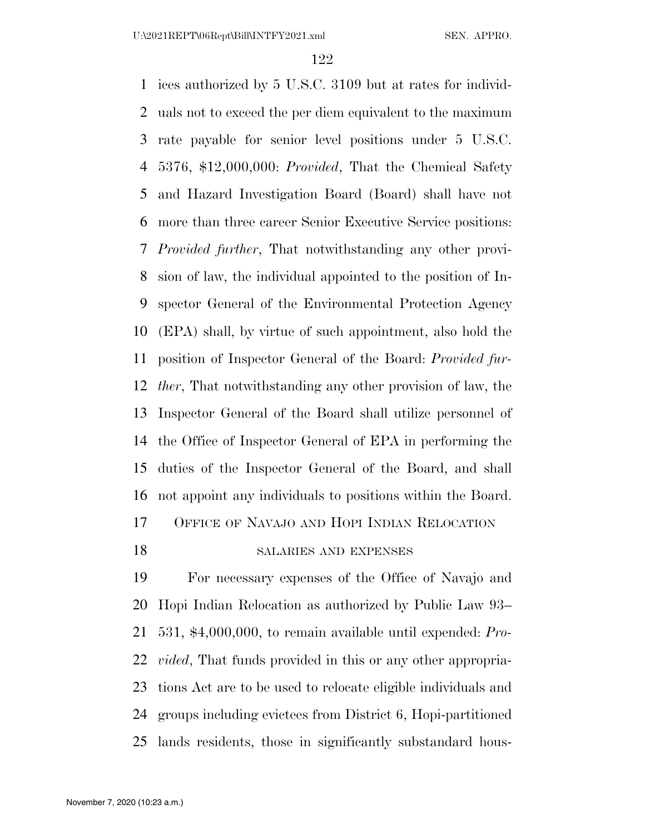ices authorized by 5 U.S.C. 3109 but at rates for individ- uals not to exceed the per diem equivalent to the maximum rate payable for senior level positions under 5 U.S.C. 5376, \$12,000,000: *Provided*, That the Chemical Safety and Hazard Investigation Board (Board) shall have not more than three career Senior Executive Service positions: *Provided further*, That notwithstanding any other provi- sion of law, the individual appointed to the position of In- spector General of the Environmental Protection Agency (EPA) shall, by virtue of such appointment, also hold the position of Inspector General of the Board: *Provided fur- ther*, That notwithstanding any other provision of law, the Inspector General of the Board shall utilize personnel of the Office of Inspector General of EPA in performing the duties of the Inspector General of the Board, and shall not appoint any individuals to positions within the Board. OFFICE OF NAVAJO AND HOPI INDIAN RELOCATION 18 SALARIES AND EXPENSES

 For necessary expenses of the Office of Navajo and Hopi Indian Relocation as authorized by Public Law 93– 531, \$4,000,000, to remain available until expended: *Pro- vided*, That funds provided in this or any other appropria- tions Act are to be used to relocate eligible individuals and groups including evictees from District 6, Hopi-partitioned lands residents, those in significantly substandard hous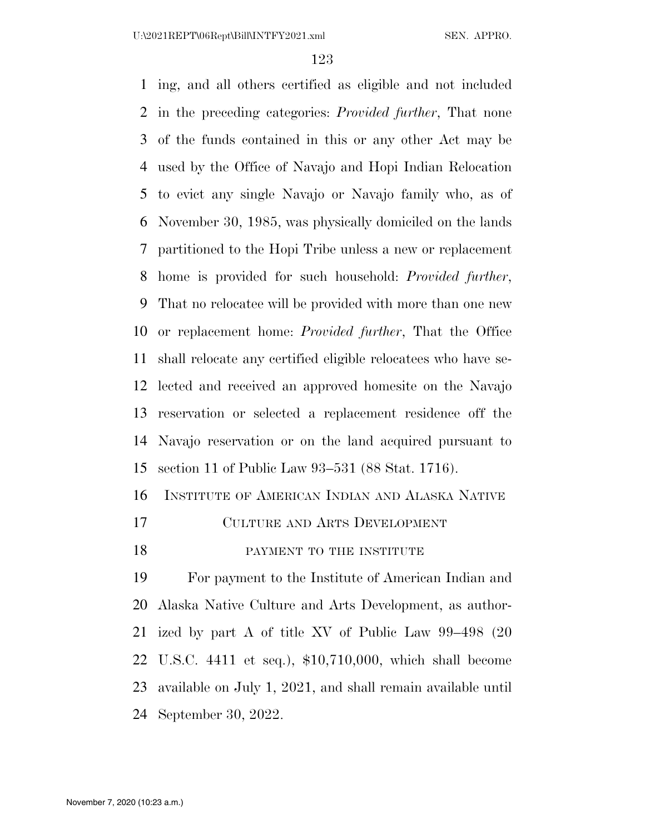U:\2021REPT\06Rept\Bill\INTFY2021.xml SEN. APPRO.

 ing, and all others certified as eligible and not included in the preceding categories: *Provided further*, That none of the funds contained in this or any other Act may be used by the Office of Navajo and Hopi Indian Relocation to evict any single Navajo or Navajo family who, as of November 30, 1985, was physically domiciled on the lands partitioned to the Hopi Tribe unless a new or replacement home is provided for such household: *Provided further*, That no relocatee will be provided with more than one new or replacement home: *Provided further*, That the Office shall relocate any certified eligible relocatees who have se- lected and received an approved homesite on the Navajo reservation or selected a replacement residence off the Navajo reservation or on the land acquired pursuant to section 11 of Public Law 93–531 (88 Stat. 1716).

INSTITUTE OF AMERICAN INDIAN AND ALASKA NATIVE

- CULTURE AND ARTS DEVELOPMENT
- 18 PAYMENT TO THE INSTITUTE

 For payment to the Institute of American Indian and Alaska Native Culture and Arts Development, as author- ized by part A of title XV of Public Law 99–498 (20 U.S.C. 4411 et seq.), \$10,710,000, which shall become available on July 1, 2021, and shall remain available until September 30, 2022.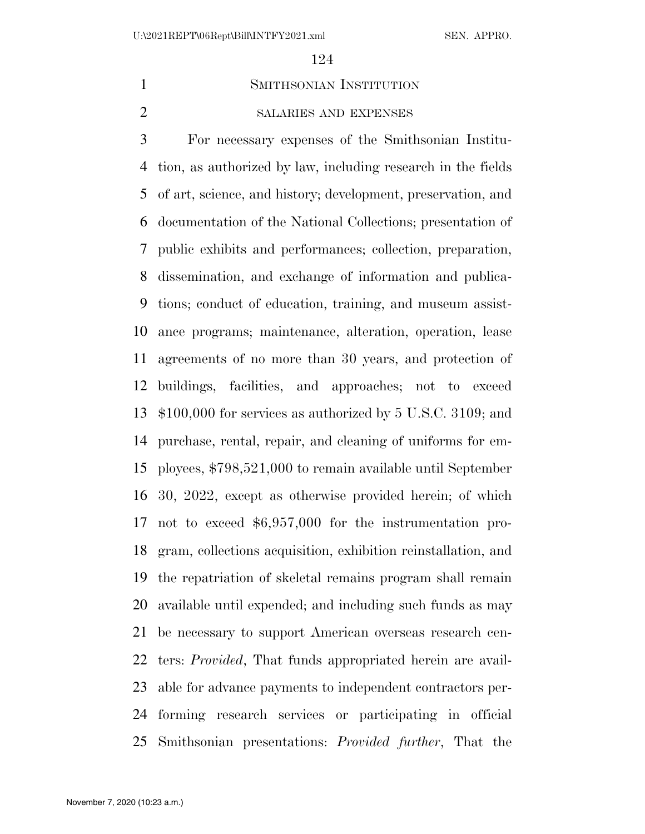#### SMITHSONIAN INSTITUTION

#### SALARIES AND EXPENSES

 For necessary expenses of the Smithsonian Institu- tion, as authorized by law, including research in the fields of art, science, and history; development, preservation, and documentation of the National Collections; presentation of public exhibits and performances; collection, preparation, dissemination, and exchange of information and publica- tions; conduct of education, training, and museum assist- ance programs; maintenance, alteration, operation, lease agreements of no more than 30 years, and protection of buildings, facilities, and approaches; not to exceed \$100,000 for services as authorized by 5 U.S.C. 3109; and purchase, rental, repair, and cleaning of uniforms for em- ployees, \$798,521,000 to remain available until September 30, 2022, except as otherwise provided herein; of which not to exceed \$6,957,000 for the instrumentation pro- gram, collections acquisition, exhibition reinstallation, and the repatriation of skeletal remains program shall remain available until expended; and including such funds as may be necessary to support American overseas research cen- ters: *Provided*, That funds appropriated herein are avail- able for advance payments to independent contractors per- forming research services or participating in official Smithsonian presentations: *Provided further*, That the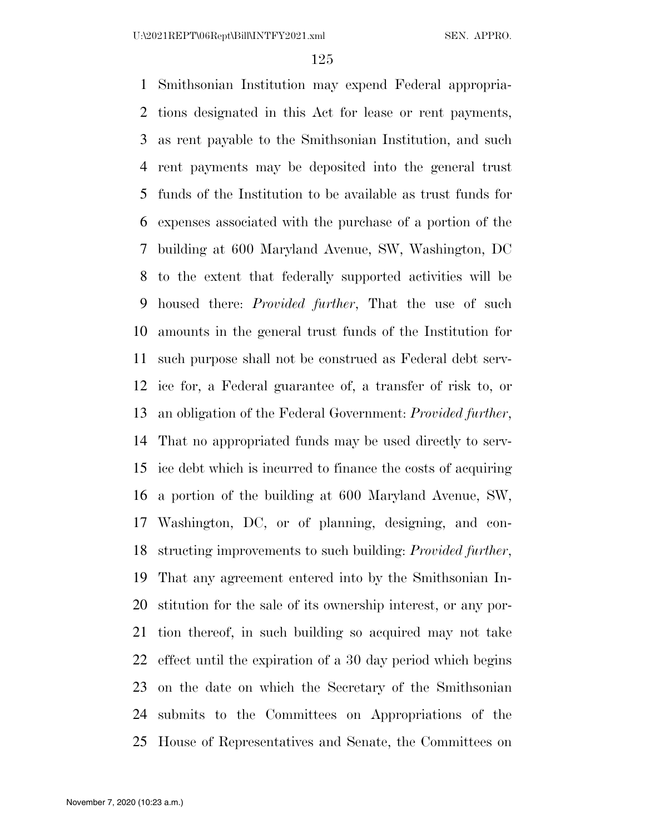Smithsonian Institution may expend Federal appropria- tions designated in this Act for lease or rent payments, as rent payable to the Smithsonian Institution, and such rent payments may be deposited into the general trust funds of the Institution to be available as trust funds for expenses associated with the purchase of a portion of the building at 600 Maryland Avenue, SW, Washington, DC to the extent that federally supported activities will be housed there: *Provided further*, That the use of such amounts in the general trust funds of the Institution for such purpose shall not be construed as Federal debt serv- ice for, a Federal guarantee of, a transfer of risk to, or an obligation of the Federal Government: *Provided further*, That no appropriated funds may be used directly to serv- ice debt which is incurred to finance the costs of acquiring a portion of the building at 600 Maryland Avenue, SW, Washington, DC, or of planning, designing, and con- structing improvements to such building: *Provided further*, That any agreement entered into by the Smithsonian In- stitution for the sale of its ownership interest, or any por- tion thereof, in such building so acquired may not take effect until the expiration of a 30 day period which begins on the date on which the Secretary of the Smithsonian submits to the Committees on Appropriations of the House of Representatives and Senate, the Committees on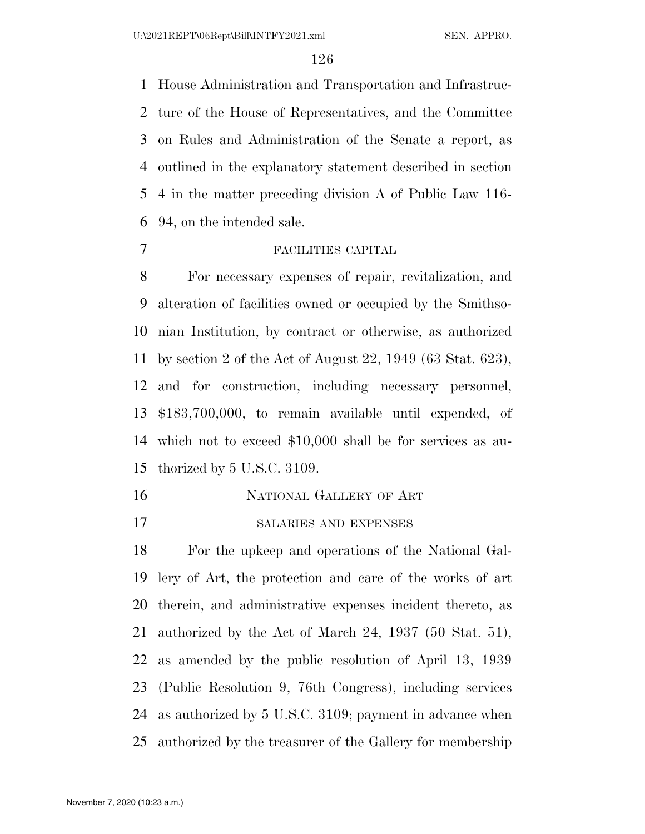House Administration and Transportation and Infrastruc- ture of the House of Representatives, and the Committee on Rules and Administration of the Senate a report, as outlined in the explanatory statement described in section 4 in the matter preceding division A of Public Law 116- 94, on the intended sale.

#### FACILITIES CAPITAL

 For necessary expenses of repair, revitalization, and alteration of facilities owned or occupied by the Smithso- nian Institution, by contract or otherwise, as authorized by section 2 of the Act of August 22, 1949 (63 Stat. 623), and for construction, including necessary personnel, \$183,700,000, to remain available until expended, of which not to exceed \$10,000 shall be for services as au-thorized by 5 U.S.C. 3109.

- NATIONAL GALLERY OF ART
- SALARIES AND EXPENSES

 For the upkeep and operations of the National Gal- lery of Art, the protection and care of the works of art therein, and administrative expenses incident thereto, as authorized by the Act of March 24, 1937 (50 Stat. 51), as amended by the public resolution of April 13, 1939 (Public Resolution 9, 76th Congress), including services as authorized by 5 U.S.C. 3109; payment in advance when authorized by the treasurer of the Gallery for membership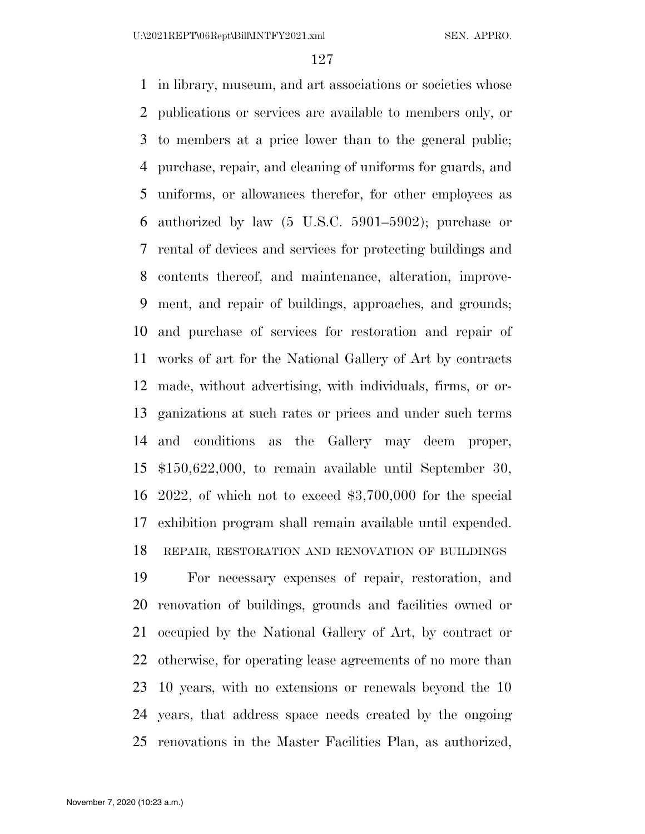in library, museum, and art associations or societies whose publications or services are available to members only, or to members at a price lower than to the general public; purchase, repair, and cleaning of uniforms for guards, and uniforms, or allowances therefor, for other employees as authorized by law (5 U.S.C. 5901–5902); purchase or rental of devices and services for protecting buildings and contents thereof, and maintenance, alteration, improve- ment, and repair of buildings, approaches, and grounds; and purchase of services for restoration and repair of works of art for the National Gallery of Art by contracts made, without advertising, with individuals, firms, or or- ganizations at such rates or prices and under such terms and conditions as the Gallery may deem proper, \$150,622,000, to remain available until September 30, 2022, of which not to exceed \$3,700,000 for the special exhibition program shall remain available until expended. REPAIR, RESTORATION AND RENOVATION OF BUILDINGS

 For necessary expenses of repair, restoration, and renovation of buildings, grounds and facilities owned or occupied by the National Gallery of Art, by contract or otherwise, for operating lease agreements of no more than 10 years, with no extensions or renewals beyond the 10 years, that address space needs created by the ongoing renovations in the Master Facilities Plan, as authorized,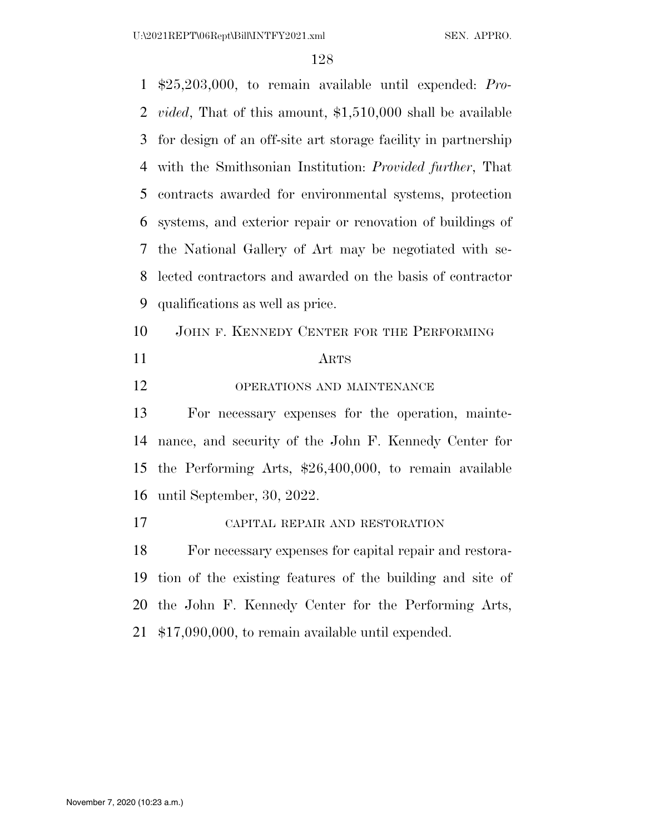\$25,203,000, to remain available until expended: *Pro- vided*, That of this amount, \$1,510,000 shall be available for design of an off-site art storage facility in partnership with the Smithsonian Institution: *Provided further*, That contracts awarded for environmental systems, protection systems, and exterior repair or renovation of buildings of the National Gallery of Art may be negotiated with se- lected contractors and awarded on the basis of contractor qualifications as well as price. JOHN F. KENNEDY CENTER FOR THE PERFORMING ARTS 12 OPERATIONS AND MAINTENANCE For necessary expenses for the operation, mainte- nance, and security of the John F. Kennedy Center for the Performing Arts, \$26,400,000, to remain available until September, 30, 2022. CAPITAL REPAIR AND RESTORATION For necessary expenses for capital repair and restora- tion of the existing features of the building and site of the John F. Kennedy Center for the Performing Arts, \$17,090,000, to remain available until expended.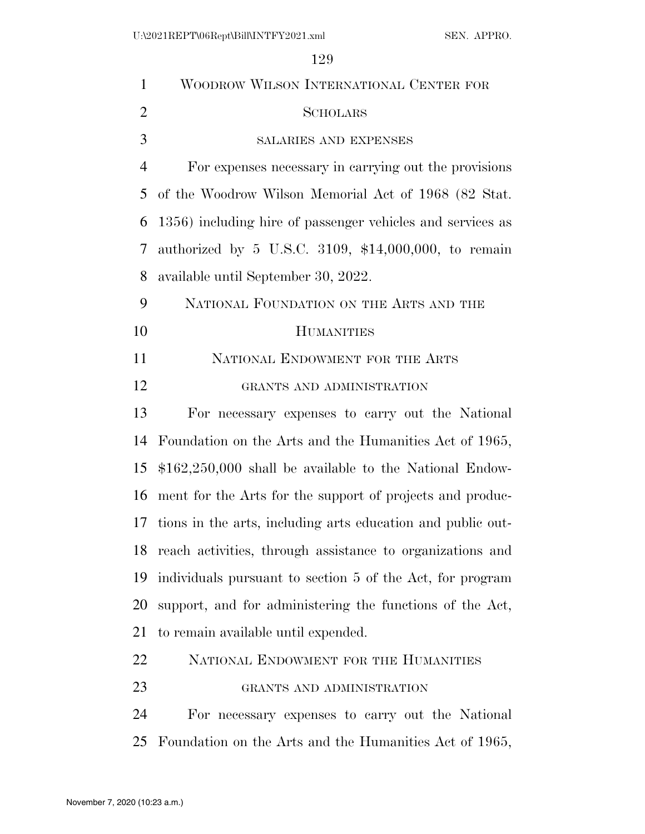| $\mathbf{1}$   | WOODROW WILSON INTERNATIONAL CENTER FOR                      |
|----------------|--------------------------------------------------------------|
| $\overline{2}$ | <b>SCHOLARS</b>                                              |
| 3              | <b>SALARIES AND EXPENSES</b>                                 |
| $\overline{4}$ | For expenses necessary in carrying out the provisions        |
| 5              | of the Woodrow Wilson Memorial Act of 1968 (82 Stat.         |
| 6              | 1356) including hire of passenger vehicles and services as   |
| 7              | authorized by 5 U.S.C. 3109, $$14,000,000$ , to remain       |
| 8              | available until September 30, 2022.                          |
| 9              | NATIONAL FOUNDATION ON THE ARTS AND THE                      |
| 10             | <b>HUMANITIES</b>                                            |
| 11             | NATIONAL ENDOWMENT FOR THE ARTS                              |
| 12             | GRANTS AND ADMINISTRATION                                    |
| 13             | For necessary expenses to carry out the National             |
| 14             | Foundation on the Arts and the Humanities Act of 1965,       |
| 15             | $$162,250,000$ shall be available to the National Endow-     |
| 16             | ment for the Arts for the support of projects and produc-    |
| 17             | tions in the arts, including arts education and public out-  |
|                | 18 reach activities, through assistance to organizations and |
| 19             | individuals pursuant to section 5 of the Act, for program    |
| 20             | support, and for administering the functions of the Act,     |
| 21             | to remain available until expended.                          |
| 22             | NATIONAL ENDOWMENT FOR THE HUMANITIES                        |
| 23             | GRANTS AND ADMINISTRATION                                    |
| 24             | For necessary expenses to carry out the National             |
| 25             | Foundation on the Arts and the Humanities Act of 1965,       |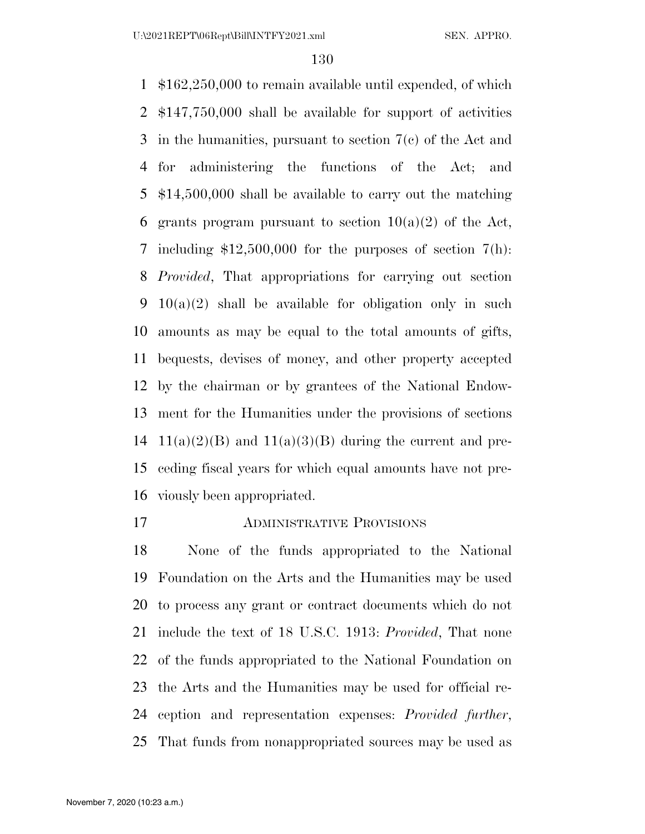\$162,250,000 to remain available until expended, of which \$147,750,000 shall be available for support of activities in the humanities, pursuant to section 7(c) of the Act and for administering the functions of the Act; and \$14,500,000 shall be available to carry out the matching 6 grants program pursuant to section  $10(a)(2)$  of the Act, including \$12,500,000 for the purposes of section 7(h): *Provided*, That appropriations for carrying out section 10(a)(2) shall be available for obligation only in such amounts as may be equal to the total amounts of gifts, bequests, devises of money, and other property accepted by the chairman or by grantees of the National Endow- ment for the Humanities under the provisions of sections 14 11(a)(2)(B) and 11(a)(3)(B) during the current and pre- ceding fiscal years for which equal amounts have not pre-viously been appropriated.

ADMINISTRATIVE PROVISIONS

 None of the funds appropriated to the National Foundation on the Arts and the Humanities may be used to process any grant or contract documents which do not include the text of 18 U.S.C. 1913: *Provided*, That none of the funds appropriated to the National Foundation on the Arts and the Humanities may be used for official re- ception and representation expenses: *Provided further*, That funds from nonappropriated sources may be used as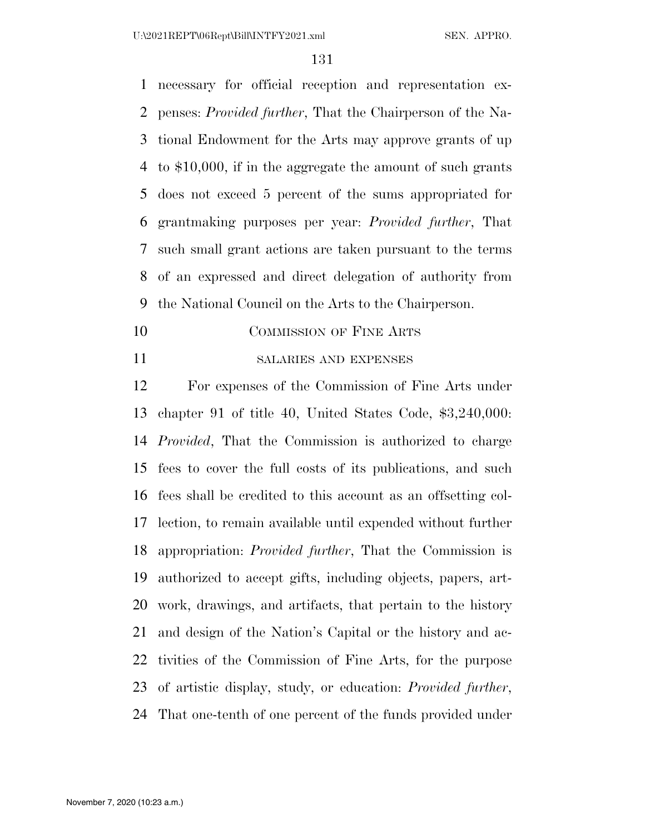necessary for official reception and representation ex- penses: *Provided further*, That the Chairperson of the Na- tional Endowment for the Arts may approve grants of up to \$10,000, if in the aggregate the amount of such grants does not exceed 5 percent of the sums appropriated for grantmaking purposes per year: *Provided further*, That such small grant actions are taken pursuant to the terms of an expressed and direct delegation of authority from the National Council on the Arts to the Chairperson.

- 10 COMMISSION OF FINE ARTS
- SALARIES AND EXPENSES

 For expenses of the Commission of Fine Arts under chapter 91 of title 40, United States Code, \$3,240,000: *Provided*, That the Commission is authorized to charge fees to cover the full costs of its publications, and such fees shall be credited to this account as an offsetting col- lection, to remain available until expended without further appropriation: *Provided further*, That the Commission is authorized to accept gifts, including objects, papers, art- work, drawings, and artifacts, that pertain to the history and design of the Nation's Capital or the history and ac- tivities of the Commission of Fine Arts, for the purpose of artistic display, study, or education: *Provided further*, That one-tenth of one percent of the funds provided under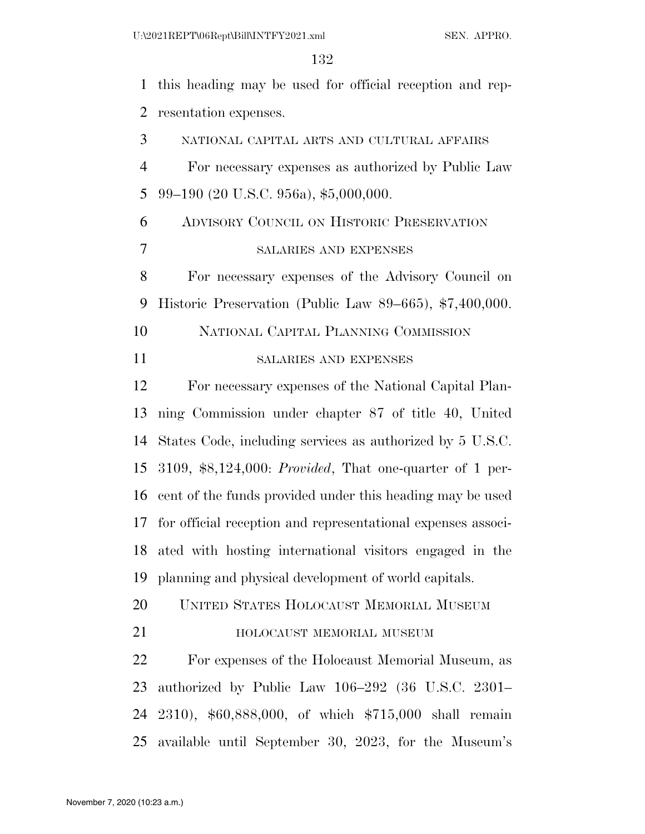this heading may be used for official reception and rep- resentation expenses. NATIONAL CAPITAL ARTS AND CULTURAL AFFAIRS For necessary expenses as authorized by Public Law 99–190 (20 U.S.C. 956a), \$5,000,000. ADVISORY COUNCIL ON HISTORIC PRESERVATION SALARIES AND EXPENSES For necessary expenses of the Advisory Council on Historic Preservation (Public Law 89–665), \$7,400,000. NATIONAL CAPITAL PLANNING COMMISSION SALARIES AND EXPENSES For necessary expenses of the National Capital Plan- ning Commission under chapter 87 of title 40, United States Code, including services as authorized by 5 U.S.C. 3109, \$8,124,000: *Provided*, That one-quarter of 1 per- cent of the funds provided under this heading may be used for official reception and representational expenses associ- ated with hosting international visitors engaged in the planning and physical development of world capitals. UNITED STATES HOLOCAUST MEMORIAL MUSEUM **HOLOCAUST MEMORIAL MUSEUM**  For expenses of the Holocaust Memorial Museum, as authorized by Public Law 106–292 (36 U.S.C. 2301– 2310), \$60,888,000, of which \$715,000 shall remain available until September 30, 2023, for the Museum's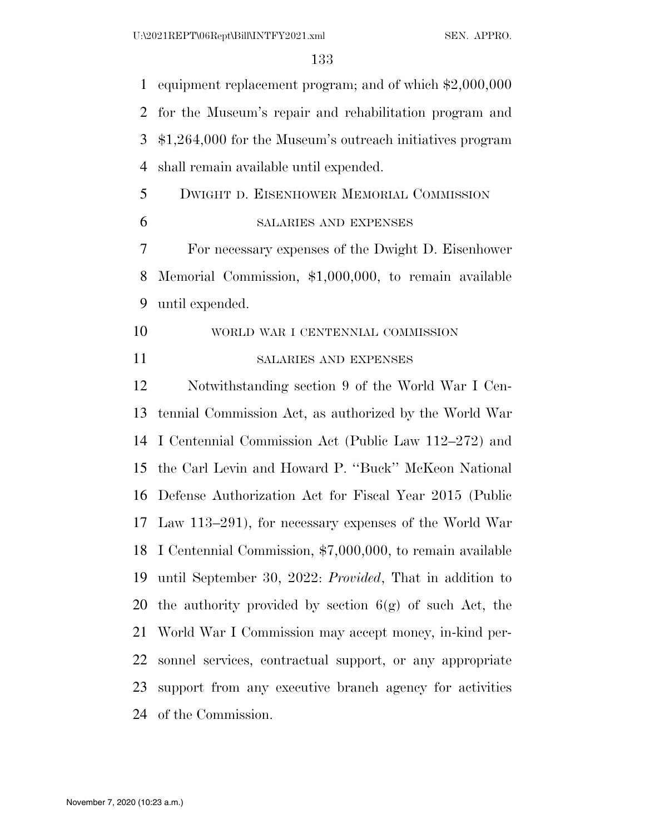equipment replacement program; and of which \$2,000,000 for the Museum's repair and rehabilitation program and \$1,264,000 for the Museum's outreach initiatives program shall remain available until expended. DWIGHT D. EISENHOWER MEMORIAL COMMISSION SALARIES AND EXPENSES For necessary expenses of the Dwight D. Eisenhower Memorial Commission, \$1,000,000, to remain available until expended. WORLD WAR I CENTENNIAL COMMISSION SALARIES AND EXPENSES Notwithstanding section 9 of the World War I Cen- tennial Commission Act, as authorized by the World War I Centennial Commission Act (Public Law 112–272) and the Carl Levin and Howard P. ''Buck'' McKeon National Defense Authorization Act for Fiscal Year 2015 (Public Law 113–291), for necessary expenses of the World War I Centennial Commission, \$7,000,000, to remain available until September 30, 2022: *Provided*, That in addition to 20 the authority provided by section  $6(g)$  of such Act, the World War I Commission may accept money, in-kind per- sonnel services, contractual support, or any appropriate support from any executive branch agency for activities of the Commission.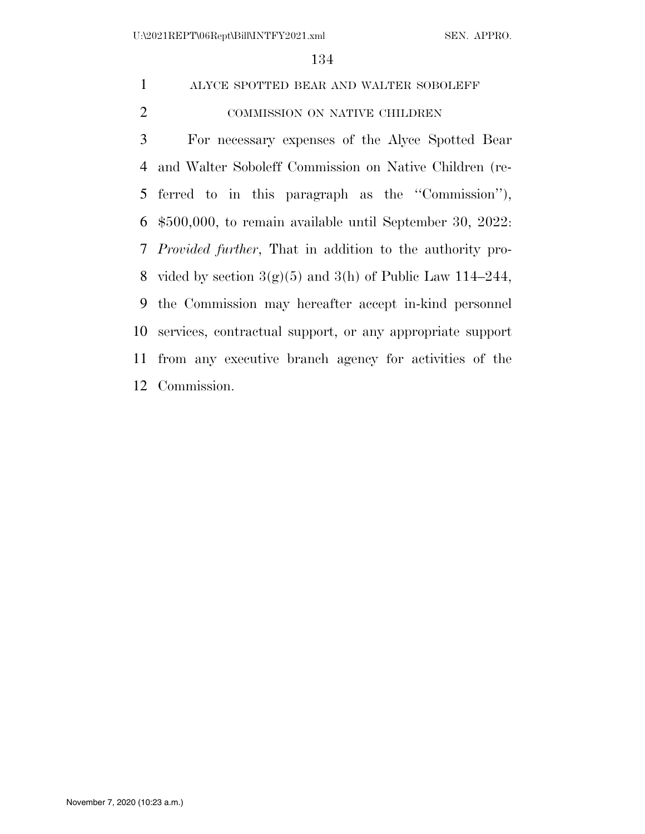# ALYCE SPOTTED BEAR AND WALTER SOBOLEFF 2 COMMISSION ON NATIVE CHILDREN

 For necessary expenses of the Alyce Spotted Bear and Walter Soboleff Commission on Native Children (re- ferred to in this paragraph as the ''Commission''), \$500,000, to remain available until September 30, 2022: *Provided further*, That in addition to the authority pro-8 vided by section  $3(g)(5)$  and  $3(h)$  of Public Law 114–244, the Commission may hereafter accept in-kind personnel services, contractual support, or any appropriate support from any executive branch agency for activities of the Commission.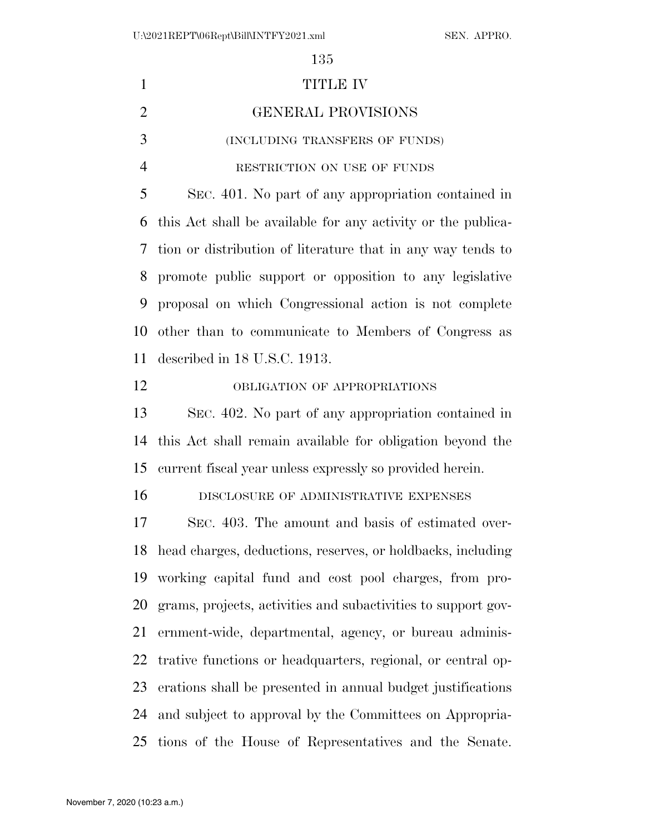| $\mathbf{1}$   | <b>TITLE IV</b>                                                |
|----------------|----------------------------------------------------------------|
| $\overline{2}$ | <b>GENERAL PROVISIONS</b>                                      |
| 3              | (INCLUDING TRANSFERS OF FUNDS)                                 |
| $\overline{4}$ | RESTRICTION ON USE OF FUNDS                                    |
| 5              | SEC. 401. No part of any appropriation contained in            |
| 6              | this Act shall be available for any activity or the publica-   |
| 7              | tion or distribution of literature that in any way tends to    |
| 8              | promote public support or opposition to any legislative        |
| 9              | proposal on which Congressional action is not complete         |
| 10             | other than to communicate to Members of Congress as            |
| 11             | described in 18 U.S.C. 1913.                                   |
| 12             | OBLIGATION OF APPROPRIATIONS                                   |
| 13             | SEC. 402. No part of any appropriation contained in            |
| 14             | this Act shall remain available for obligation beyond the      |
| 15             | current fiscal year unless expressly so provided herein.       |
| 16             | DISCLOSURE OF ADMINISTRATIVE EXPENSES                          |
| 17             | SEC. 403. The amount and basis of estimated over-              |
|                | 18 head charges, deductions, reserves, or holdbacks, including |
| 19             | working capital fund and cost pool charges, from pro-          |
| 20             | grams, projects, activities and subactivities to support gov-  |
| 21             | ernment-wide, departmental, agency, or bureau adminis-         |
| 22             | trative functions or headquarters, regional, or central op-    |
| 23             | erations shall be presented in annual budget justifications    |
| 24             | and subject to approval by the Committees on Appropria-        |
| 25             | tions of the House of Representatives and the Senate.          |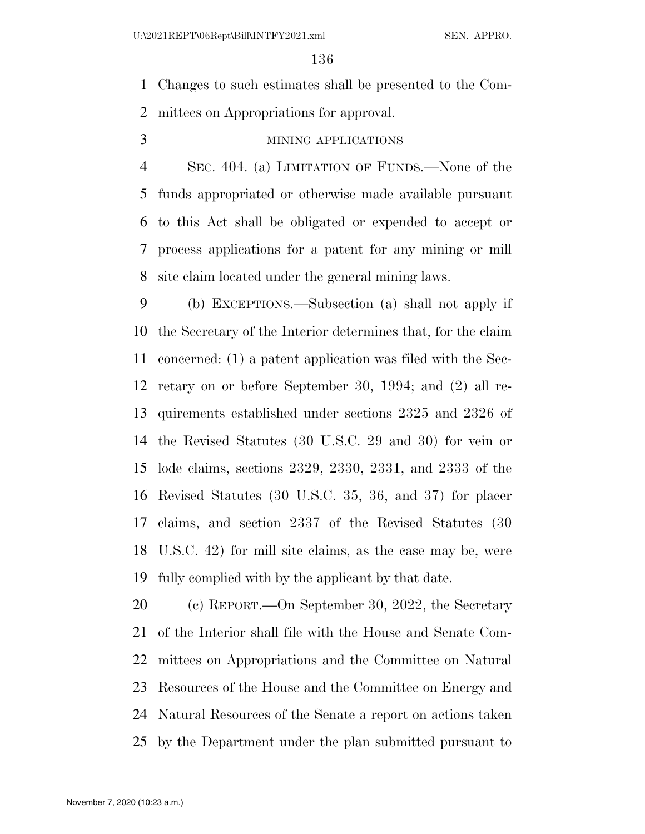Changes to such estimates shall be presented to the Com-mittees on Appropriations for approval.

MINING APPLICATIONS

 SEC. 404. (a) LIMITATION OF FUNDS.—None of the funds appropriated or otherwise made available pursuant to this Act shall be obligated or expended to accept or process applications for a patent for any mining or mill site claim located under the general mining laws.

 (b) EXCEPTIONS.—Subsection (a) shall not apply if the Secretary of the Interior determines that, for the claim concerned: (1) a patent application was filed with the Sec- retary on or before September 30, 1994; and (2) all re- quirements established under sections 2325 and 2326 of the Revised Statutes (30 U.S.C. 29 and 30) for vein or lode claims, sections 2329, 2330, 2331, and 2333 of the Revised Statutes (30 U.S.C. 35, 36, and 37) for placer claims, and section 2337 of the Revised Statutes (30 U.S.C. 42) for mill site claims, as the case may be, were fully complied with by the applicant by that date.

 (c) REPORT.—On September 30, 2022, the Secretary of the Interior shall file with the House and Senate Com- mittees on Appropriations and the Committee on Natural Resources of the House and the Committee on Energy and Natural Resources of the Senate a report on actions taken by the Department under the plan submitted pursuant to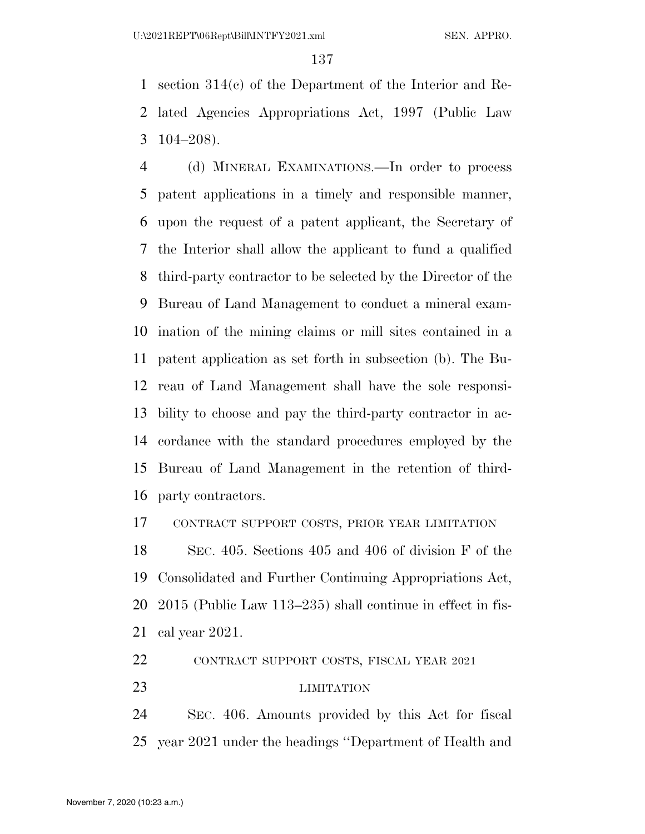section 314(c) of the Department of the Interior and Re- lated Agencies Appropriations Act, 1997 (Public Law 104–208).

 (d) MINERAL EXAMINATIONS.—In order to process patent applications in a timely and responsible manner, upon the request of a patent applicant, the Secretary of the Interior shall allow the applicant to fund a qualified third-party contractor to be selected by the Director of the Bureau of Land Management to conduct a mineral exam- ination of the mining claims or mill sites contained in a patent application as set forth in subsection (b). The Bu- reau of Land Management shall have the sole responsi- bility to choose and pay the third-party contractor in ac- cordance with the standard procedures employed by the Bureau of Land Management in the retention of third-party contractors.

CONTRACT SUPPORT COSTS, PRIOR YEAR LIMITATION

 SEC. 405. Sections 405 and 406 of division F of the Consolidated and Further Continuing Appropriations Act, 2015 (Public Law 113–235) shall continue in effect in fis-cal year 2021.

CONTRACT SUPPORT COSTS, FISCAL YEAR 2021

LIMITATION

 SEC. 406. Amounts provided by this Act for fiscal year 2021 under the headings ''Department of Health and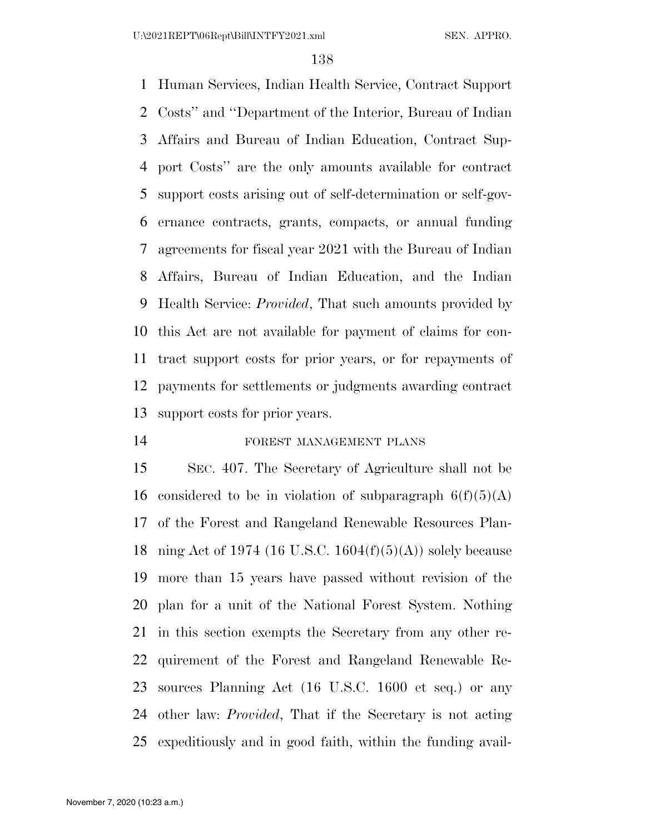Human Services, Indian Health Service, Contract Support Costs'' and ''Department of the Interior, Bureau of Indian Affairs and Bureau of Indian Education, Contract Sup- port Costs'' are the only amounts available for contract support costs arising out of self-determination or self-gov- ernance contracts, grants, compacts, or annual funding agreements for fiscal year 2021 with the Bureau of Indian Affairs, Bureau of Indian Education, and the Indian Health Service: *Provided*, That such amounts provided by this Act are not available for payment of claims for con- tract support costs for prior years, or for repayments of payments for settlements or judgments awarding contract support costs for prior years.

## FOREST MANAGEMENT PLANS

 SEC. 407. The Secretary of Agriculture shall not be 16 considered to be in violation of subparagraph  $6(f)(5)(A)$  of the Forest and Rangeland Renewable Resources Plan-18 ning Act of 1974 (16 U.S.C. 1604 $(f)(5)(A)$ ) solely because more than 15 years have passed without revision of the plan for a unit of the National Forest System. Nothing in this section exempts the Secretary from any other re- quirement of the Forest and Rangeland Renewable Re- sources Planning Act (16 U.S.C. 1600 et seq.) or any other law: *Provided*, That if the Secretary is not acting expeditiously and in good faith, within the funding avail-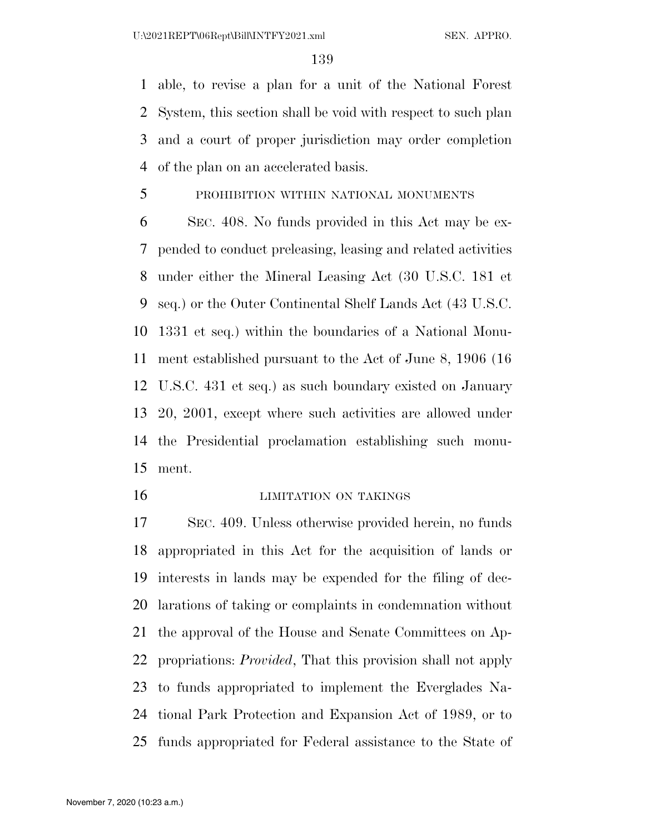able, to revise a plan for a unit of the National Forest System, this section shall be void with respect to such plan and a court of proper jurisdiction may order completion of the plan on an accelerated basis.

PROHIBITION WITHIN NATIONAL MONUMENTS

 SEC. 408. No funds provided in this Act may be ex- pended to conduct preleasing, leasing and related activities under either the Mineral Leasing Act (30 U.S.C. 181 et seq.) or the Outer Continental Shelf Lands Act (43 U.S.C. 1331 et seq.) within the boundaries of a National Monu- ment established pursuant to the Act of June 8, 1906 (16 U.S.C. 431 et seq.) as such boundary existed on January 20, 2001, except where such activities are allowed under the Presidential proclamation establishing such monu-ment.

#### **LIMITATION ON TAKINGS**

 SEC. 409. Unless otherwise provided herein, no funds appropriated in this Act for the acquisition of lands or interests in lands may be expended for the filing of dec- larations of taking or complaints in condemnation without the approval of the House and Senate Committees on Ap- propriations: *Provided*, That this provision shall not apply to funds appropriated to implement the Everglades Na- tional Park Protection and Expansion Act of 1989, or to funds appropriated for Federal assistance to the State of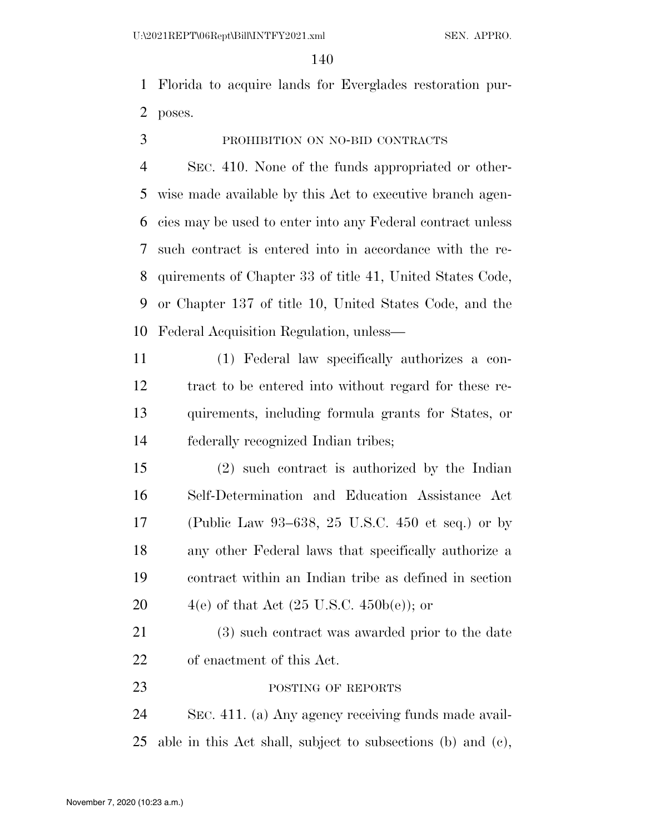Florida to acquire lands for Everglades restoration pur-poses.

PROHIBITION ON NO-BID CONTRACTS

 SEC. 410. None of the funds appropriated or other- wise made available by this Act to executive branch agen- cies may be used to enter into any Federal contract unless such contract is entered into in accordance with the re- quirements of Chapter 33 of title 41, United States Code, or Chapter 137 of title 10, United States Code, and the Federal Acquisition Regulation, unless—

 (1) Federal law specifically authorizes a con- tract to be entered into without regard for these re- quirements, including formula grants for States, or federally recognized Indian tribes;

 (2) such contract is authorized by the Indian Self-Determination and Education Assistance Act (Public Law 93–638, 25 U.S.C. 450 et seq.) or by any other Federal laws that specifically authorize a contract within an Indian tribe as defined in section  $4(e)$  of that Act  $(25 \text{ U.S.C. } 450b(e))$ ; or

 (3) such contract was awarded prior to the date of enactment of this Act.

23 POSTING OF REPORTS

 SEC. 411. (a) Any agency receiving funds made avail-able in this Act shall, subject to subsections (b) and (c),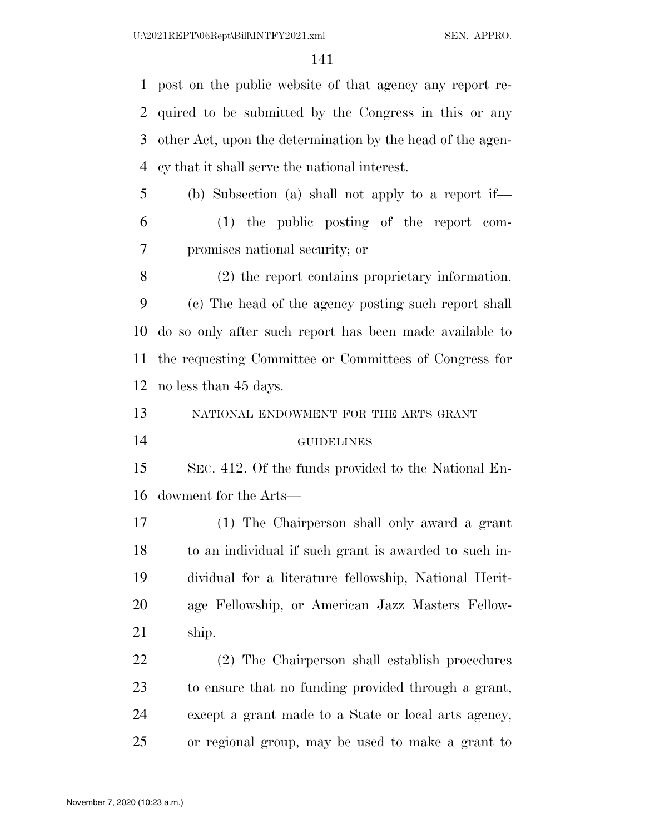post on the public website of that agency any report re- quired to be submitted by the Congress in this or any other Act, upon the determination by the head of the agen-cy that it shall serve the national interest.

 (b) Subsection (a) shall not apply to a report if— (1) the public posting of the report com-promises national security; or

 (2) the report contains proprietary information. (c) The head of the agency posting such report shall do so only after such report has been made available to the requesting Committee or Committees of Congress for no less than 45 days.

NATIONAL ENDOWMENT FOR THE ARTS GRANT

GUIDELINES

 SEC. 412. Of the funds provided to the National En-dowment for the Arts—

 (1) The Chairperson shall only award a grant to an individual if such grant is awarded to such in- dividual for a literature fellowship, National Herit- age Fellowship, or American Jazz Masters Fellow-ship.

 (2) The Chairperson shall establish procedures to ensure that no funding provided through a grant, except a grant made to a State or local arts agency, or regional group, may be used to make a grant to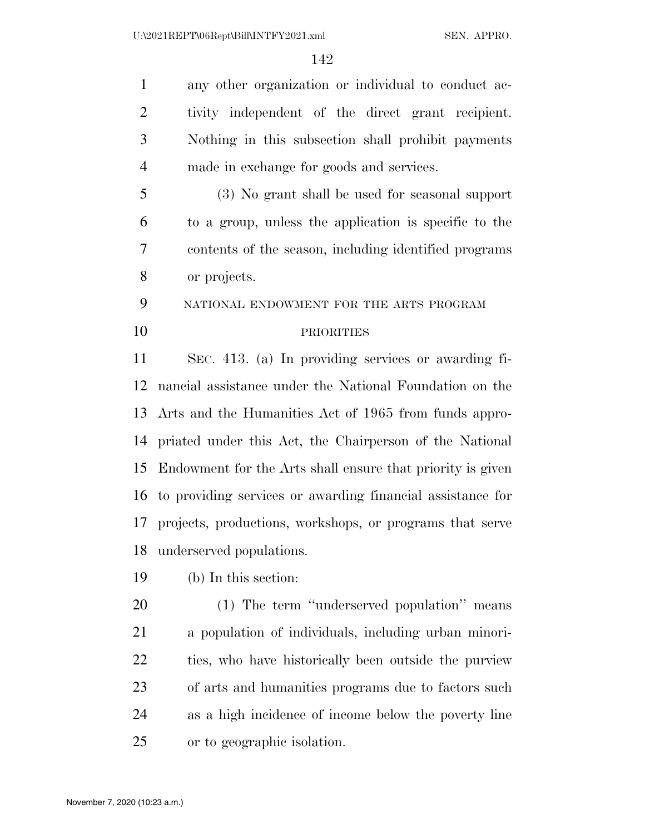any other organization or individual to conduct ac- tivity independent of the direct grant recipient. Nothing in this subsection shall prohibit payments made in exchange for goods and services.

 (3) No grant shall be used for seasonal support to a group, unless the application is specific to the contents of the season, including identified programs or projects.

NATIONAL ENDOWMENT FOR THE ARTS PROGRAM

## PRIORITIES

 SEC. 413. (a) In providing services or awarding fi- nancial assistance under the National Foundation on the Arts and the Humanities Act of 1965 from funds appro- priated under this Act, the Chairperson of the National Endowment for the Arts shall ensure that priority is given to providing services or awarding financial assistance for projects, productions, workshops, or programs that serve underserved populations.

(b) In this section:

 (1) The term ''underserved population'' means a population of individuals, including urban minori- ties, who have historically been outside the purview of arts and humanities programs due to factors such as a high incidence of income below the poverty line or to geographic isolation.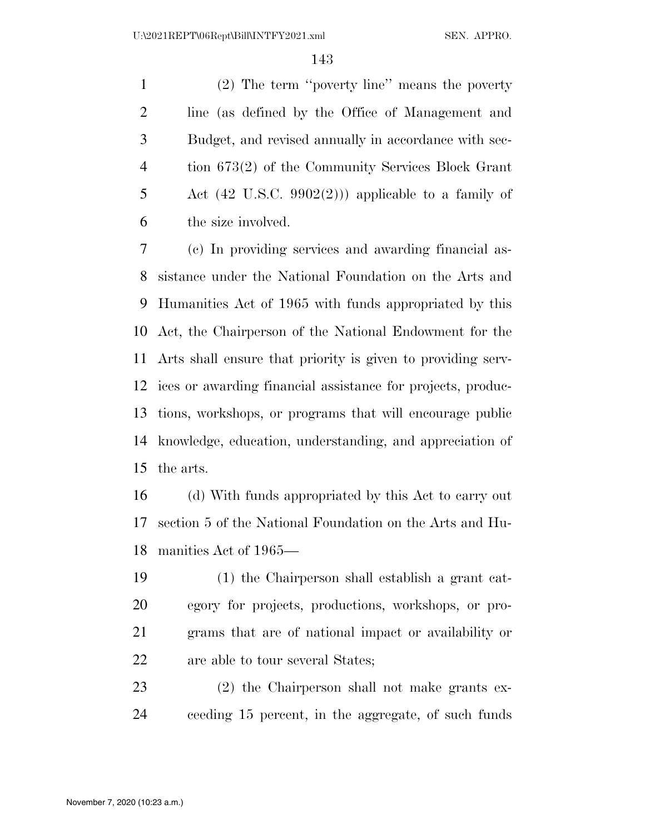(2) The term ''poverty line'' means the poverty line (as defined by the Office of Management and Budget, and revised annually in accordance with sec- tion 673(2) of the Community Services Block Grant 5 Act  $(42 \text{ U.S.C. } 9902(2))$  applicable to a family of the size involved.

 (c) In providing services and awarding financial as- sistance under the National Foundation on the Arts and Humanities Act of 1965 with funds appropriated by this Act, the Chairperson of the National Endowment for the Arts shall ensure that priority is given to providing serv- ices or awarding financial assistance for projects, produc- tions, workshops, or programs that will encourage public knowledge, education, understanding, and appreciation of the arts.

 (d) With funds appropriated by this Act to carry out section 5 of the National Foundation on the Arts and Hu-manities Act of 1965—

 (1) the Chairperson shall establish a grant cat- egory for projects, productions, workshops, or pro- grams that are of national impact or availability or are able to tour several States;

 (2) the Chairperson shall not make grants ex-ceeding 15 percent, in the aggregate, of such funds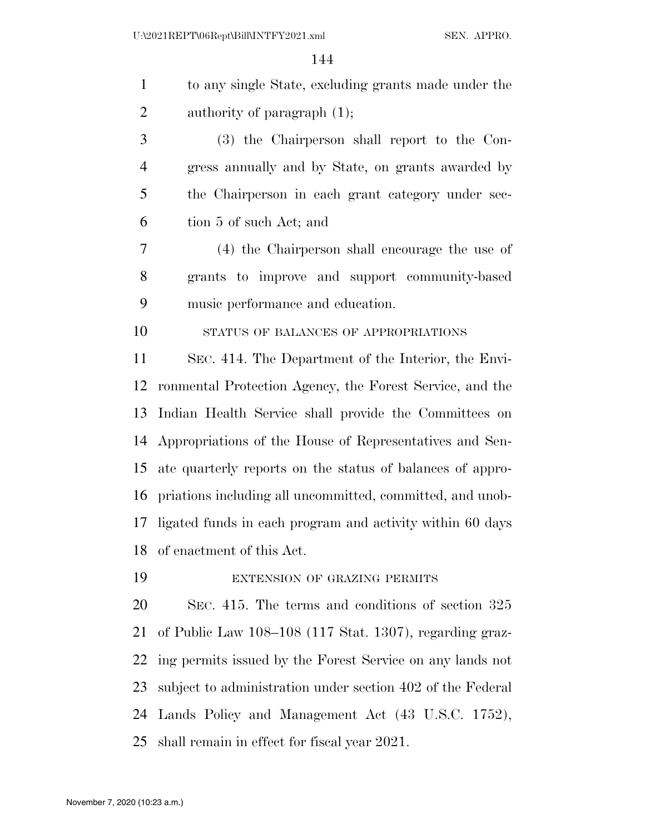| $\mathbf{1}$   | to any single State, excluding grants made under the       |
|----------------|------------------------------------------------------------|
| $\overline{2}$ | authority of paragraph $(1)$ ;                             |
| 3              | (3) the Chairperson shall report to the Con-               |
| $\overline{4}$ | gress annually and by State, on grants awarded by          |
| 5              | the Chairperson in each grant category under sec-          |
| 6              | tion 5 of such Act; and                                    |
| 7              | (4) the Chairperson shall encourage the use of             |
| 8              | grants to improve and support community-based              |
| 9              | music performance and education.                           |
| 10             | STATUS OF BALANCES OF APPROPRIATIONS                       |
| 11             | SEC. 414. The Department of the Interior, the Envi-        |
| 12             | ronmental Protection Agency, the Forest Service, and the   |
| 13             | Indian Health Service shall provide the Committees on      |
| 14             | Appropriations of the House of Representatives and Sen-    |
| 15             | ate quarterly reports on the status of balances of appro-  |
| 16             | priations including all uncommitted, committed, and unob-  |
| 17             | ligated funds in each program and activity within 60 days  |
| 18             | of enactment of this Act.                                  |
| 19             | EXTENSION OF GRAZING PERMITS                               |
| 20             | SEC. 415. The terms and conditions of section 325          |
| 21             | of Public Law 108–108 (117 Stat. 1307), regarding graz-    |
| 22             | ing permits issued by the Forest Service on any lands not  |
| 23             | subject to administration under section 402 of the Federal |
| 24             | Lands Policy and Management Act (43 U.S.C. 1752),          |
| 25             | shall remain in effect for fiscal year 2021.               |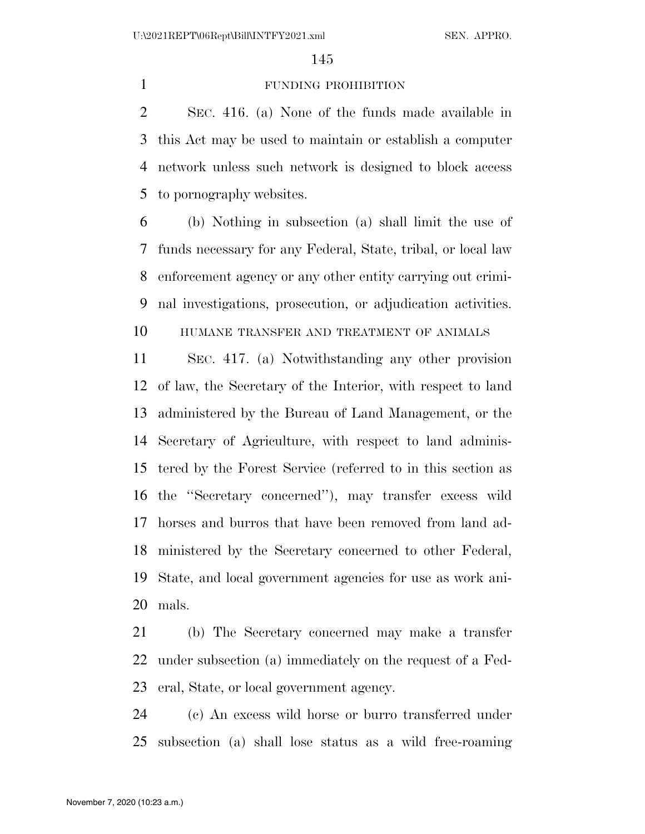### FUNDING PROHIBITION

 SEC. 416. (a) None of the funds made available in this Act may be used to maintain or establish a computer network unless such network is designed to block access to pornography websites.

 (b) Nothing in subsection (a) shall limit the use of funds necessary for any Federal, State, tribal, or local law enforcement agency or any other entity carrying out crimi-nal investigations, prosecution, or adjudication activities.

HUMANE TRANSFER AND TREATMENT OF ANIMALS

 SEC. 417. (a) Notwithstanding any other provision of law, the Secretary of the Interior, with respect to land administered by the Bureau of Land Management, or the Secretary of Agriculture, with respect to land adminis- tered by the Forest Service (referred to in this section as the ''Secretary concerned''), may transfer excess wild horses and burros that have been removed from land ad- ministered by the Secretary concerned to other Federal, State, and local government agencies for use as work ani-mals.

 (b) The Secretary concerned may make a transfer under subsection (a) immediately on the request of a Fed-eral, State, or local government agency.

 (c) An excess wild horse or burro transferred under subsection (a) shall lose status as a wild free-roaming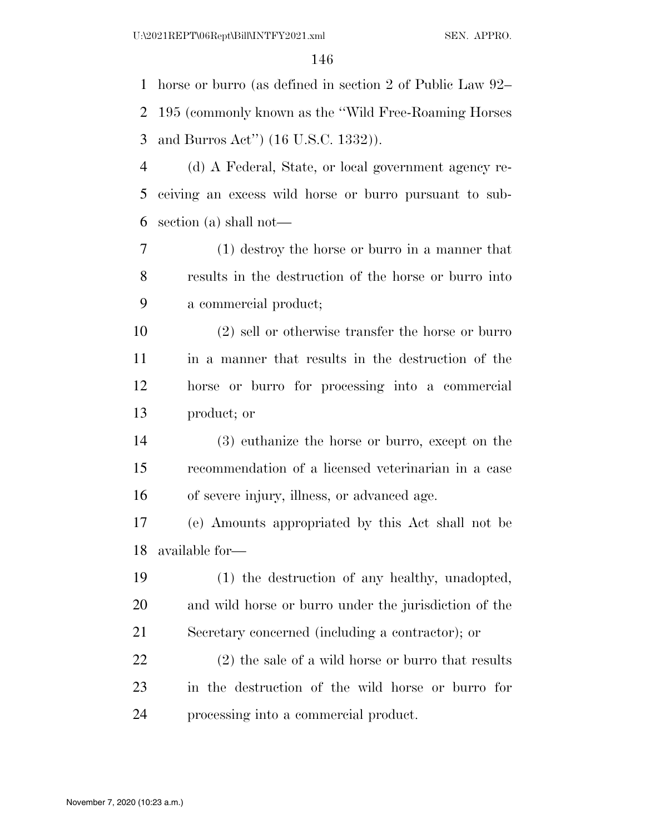horse or burro (as defined in section 2 of Public Law 92– 195 (commonly known as the ''Wild Free-Roaming Horses and Burros Act'') (16 U.S.C. 1332)).

 (d) A Federal, State, or local government agency re- ceiving an excess wild horse or burro pursuant to sub-section (a) shall not—

 (1) destroy the horse or burro in a manner that results in the destruction of the horse or burro into a commercial product;

 (2) sell or otherwise transfer the horse or burro in a manner that results in the destruction of the horse or burro for processing into a commercial product; or

 (3) euthanize the horse or burro, except on the recommendation of a licensed veterinarian in a case of severe injury, illness, or advanced age.

 (e) Amounts appropriated by this Act shall not be available for—

 (1) the destruction of any healthy, unadopted, and wild horse or burro under the jurisdiction of the Secretary concerned (including a contractor); or

 (2) the sale of a wild horse or burro that results in the destruction of the wild horse or burro for processing into a commercial product.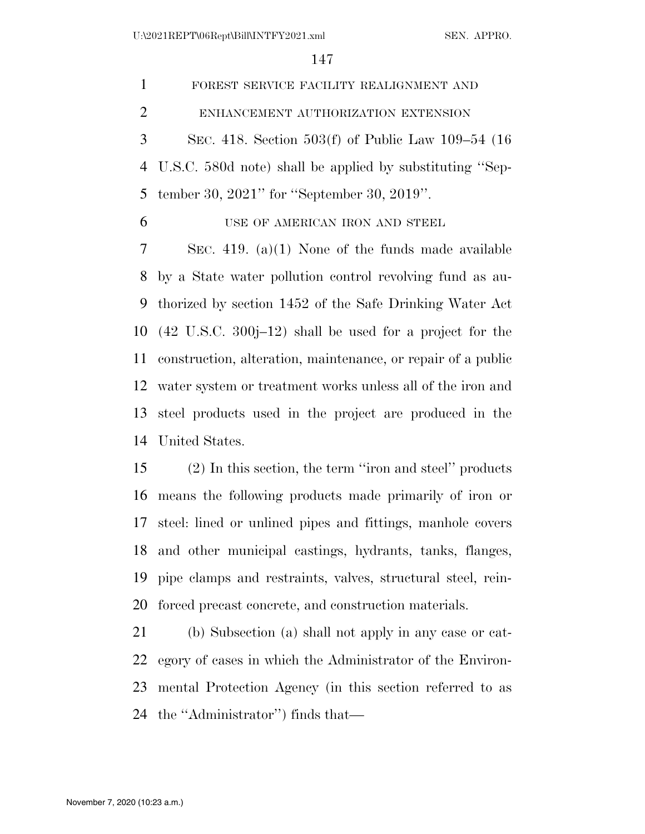FOREST SERVICE FACILITY REALIGNMENT AND ENHANCEMENT AUTHORIZATION EXTENSION SEC. 418. Section 503(f) of Public Law 109–54 (16 U.S.C. 580d note) shall be applied by substituting ''Sep- tember 30, 2021'' for ''September 30, 2019''. USE OF AMERICAN IRON AND STEEL SEC. 419. (a)(1) None of the funds made available by a State water pollution control revolving fund as au- thorized by section 1452 of the Safe Drinking Water Act (42 U.S.C. 300j–12) shall be used for a project for the construction, alteration, maintenance, or repair of a public water system or treatment works unless all of the iron and steel products used in the project are produced in the

United States.

 (2) In this section, the term ''iron and steel'' products means the following products made primarily of iron or steel: lined or unlined pipes and fittings, manhole covers and other municipal castings, hydrants, tanks, flanges, pipe clamps and restraints, valves, structural steel, rein-forced precast concrete, and construction materials.

 (b) Subsection (a) shall not apply in any case or cat- egory of cases in which the Administrator of the Environ- mental Protection Agency (in this section referred to as the ''Administrator'') finds that—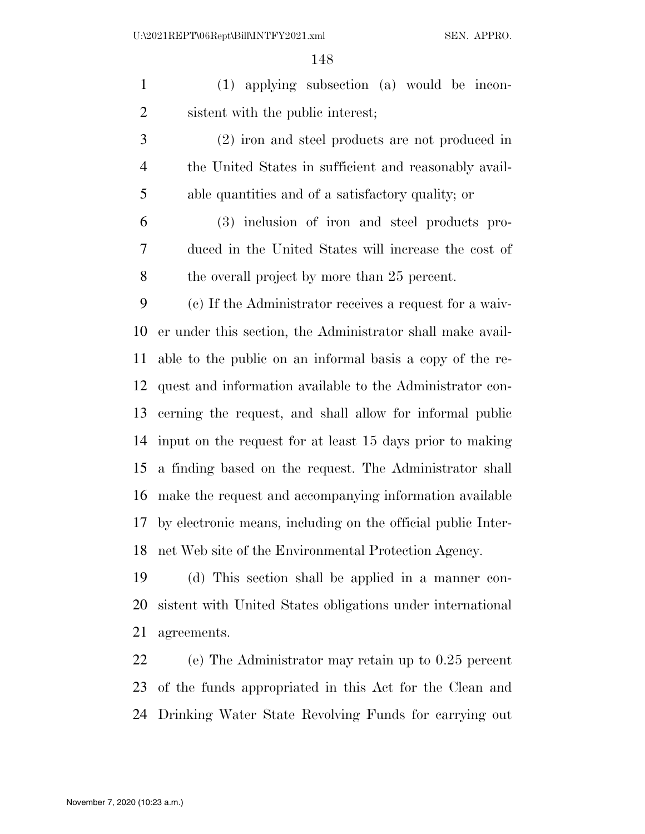(1) applying subsection (a) would be incon-sistent with the public interest;

 (2) iron and steel products are not produced in the United States in sufficient and reasonably avail-able quantities and of a satisfactory quality; or

 (3) inclusion of iron and steel products pro- duced in the United States will increase the cost of the overall project by more than 25 percent.

 (c) If the Administrator receives a request for a waiv- er under this section, the Administrator shall make avail- able to the public on an informal basis a copy of the re- quest and information available to the Administrator con- cerning the request, and shall allow for informal public input on the request for at least 15 days prior to making a finding based on the request. The Administrator shall make the request and accompanying information available by electronic means, including on the official public Inter-net Web site of the Environmental Protection Agency.

 (d) This section shall be applied in a manner con- sistent with United States obligations under international agreements.

 (e) The Administrator may retain up to 0.25 percent of the funds appropriated in this Act for the Clean and Drinking Water State Revolving Funds for carrying out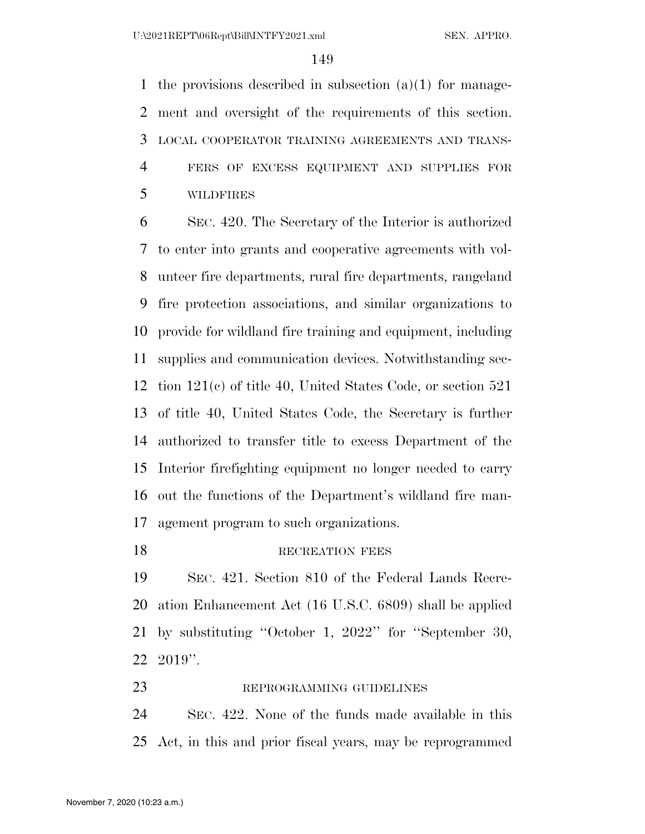the provisions described in subsection (a)(1) for manage- ment and oversight of the requirements of this section. LOCAL COOPERATOR TRAINING AGREEMENTS AND TRANS- FERS OF EXCESS EQUIPMENT AND SUPPLIES FOR WILDFIRES

 SEC. 420. The Secretary of the Interior is authorized to enter into grants and cooperative agreements with vol- unteer fire departments, rural fire departments, rangeland fire protection associations, and similar organizations to provide for wildland fire training and equipment, including supplies and communication devices. Notwithstanding sec- tion 121(c) of title 40, United States Code, or section 521 of title 40, United States Code, the Secretary is further authorized to transfer title to excess Department of the Interior firefighting equipment no longer needed to carry out the functions of the Department's wildland fire man-agement program to such organizations.

18 RECREATION FEES

 SEC. 421. Section 810 of the Federal Lands Recre- ation Enhancement Act (16 U.S.C. 6809) shall be applied by substituting ''October 1, 2022'' for ''September 30, 2019''.

 SEC. 422. None of the funds made available in this Act, in this and prior fiscal years, may be reprogrammed

23 REPROGRAMMING GUIDELINES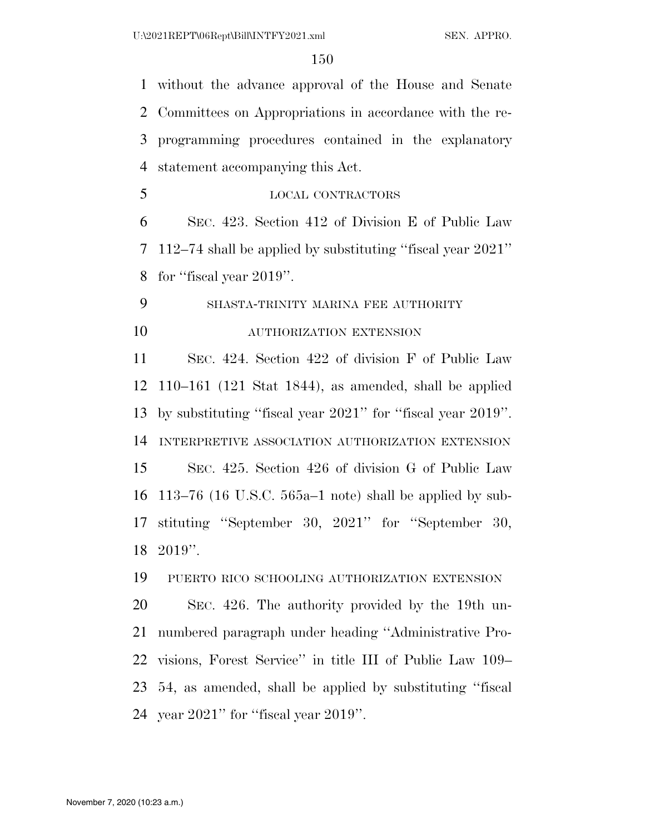without the advance approval of the House and Senate Committees on Appropriations in accordance with the re- programming procedures contained in the explanatory statement accompanying this Act.

LOCAL CONTRACTORS

 SEC. 423. Section 412 of Division E of Public Law 112–74 shall be applied by substituting ''fiscal year 2021'' for ''fiscal year 2019''.

SHASTA-TRINITY MARINA FEE AUTHORITY

## AUTHORIZATION EXTENSION

 SEC. 424. Section 422 of division F of Public Law 110–161 (121 Stat 1844), as amended, shall be applied by substituting ''fiscal year 2021'' for ''fiscal year 2019''. INTERPRETIVE ASSOCIATION AUTHORIZATION EXTENSION SEC. 425. Section 426 of division G of Public Law 113–76 (16 U.S.C. 565a–1 note) shall be applied by sub- stituting ''September 30, 2021'' for ''September 30, 2019''.

PUERTO RICO SCHOOLING AUTHORIZATION EXTENSION

 SEC. 426. The authority provided by the 19th un- numbered paragraph under heading ''Administrative Pro- visions, Forest Service'' in title III of Public Law 109– 54, as amended, shall be applied by substituting ''fiscal year 2021'' for ''fiscal year 2019''.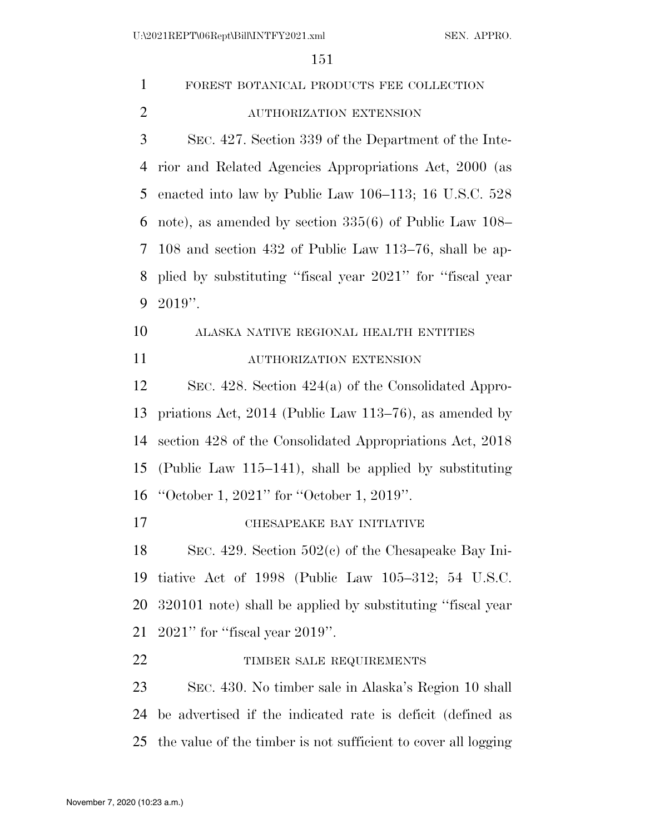| $\mathbf{1}$   | FOREST BOTANICAL PRODUCTS FEE COLLECTION                       |
|----------------|----------------------------------------------------------------|
| $\overline{2}$ | AUTHORIZATION EXTENSION                                        |
| 3              | SEC. 427. Section 339 of the Department of the Inte-           |
| $\overline{4}$ | rior and Related Agencies Appropriations Act, 2000 (as         |
| 5              | enacted into law by Public Law 106–113; 16 U.S.C. 528          |
| 6              | note), as amended by section $335(6)$ of Public Law 108–       |
| 7              | 108 and section 432 of Public Law 113–76, shall be ap-         |
| 8              | plied by substituting "fiscal year 2021" for "fiscal year      |
| 9              | $2019$ ".                                                      |
| 10             | ALASKA NATIVE REGIONAL HEALTH ENTITIES                         |
| 11             | AUTHORIZATION EXTENSION                                        |
| 12             | SEC. 428. Section $424(a)$ of the Consolidated Appro-          |
| 13             | priations Act, $2014$ (Public Law 113–76), as amended by       |
| 14             | section 428 of the Consolidated Appropriations Act, 2018       |
| 15             | (Public Law 115–141), shall be applied by substituting         |
| 16             | "October 1, 2021" for "October 1, 2019".                       |
| 17             | CHESAPEAKE BAY INITIATIVE                                      |
| 18             | SEC. 429. Section $502(c)$ of the Chesapeake Bay Ini-          |
| 19             | tiative Act of $1998$ (Public Law $105-312$ ; 54 U.S.C.        |
| 20             | 320101 note) shall be applied by substituting "fiscal year     |
| 21             | $2021$ " for "fiscal year $2019$ ".                            |
| 22             | TIMBER SALE REQUIREMENTS                                       |
| 23             | SEC. 430. No timber sale in Alaska's Region 10 shall           |
| 24             | be advertised if the indicated rate is deficit (defined as     |
| 25             | the value of the timber is not sufficient to cover all logging |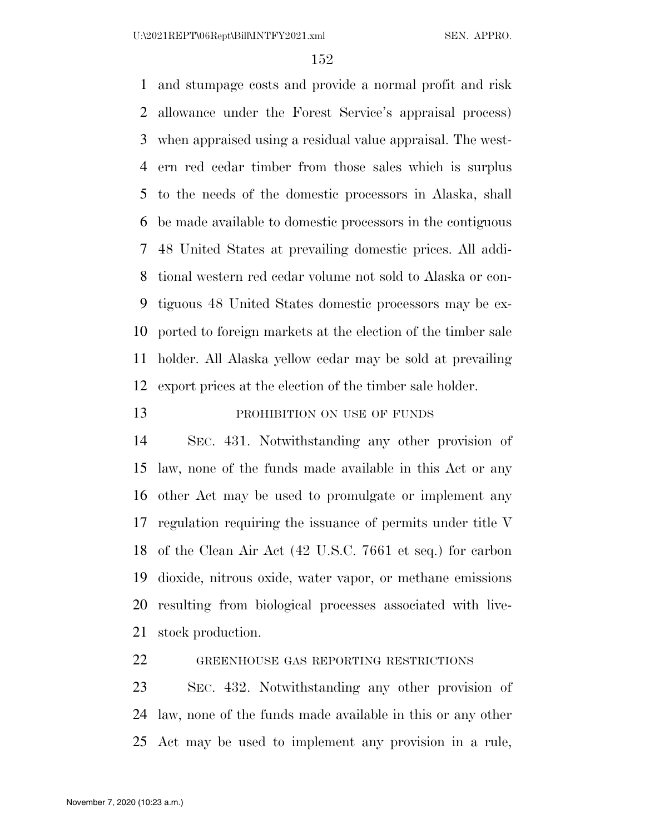and stumpage costs and provide a normal profit and risk allowance under the Forest Service's appraisal process) when appraised using a residual value appraisal. The west- ern red cedar timber from those sales which is surplus to the needs of the domestic processors in Alaska, shall be made available to domestic processors in the contiguous 48 United States at prevailing domestic prices. All addi- tional western red cedar volume not sold to Alaska or con- tiguous 48 United States domestic processors may be ex- ported to foreign markets at the election of the timber sale holder. All Alaska yellow cedar may be sold at prevailing export prices at the election of the timber sale holder.

## 13 PROHIBITION ON USE OF FUNDS

 SEC. 431. Notwithstanding any other provision of law, none of the funds made available in this Act or any other Act may be used to promulgate or implement any regulation requiring the issuance of permits under title V of the Clean Air Act (42 U.S.C. 7661 et seq.) for carbon dioxide, nitrous oxide, water vapor, or methane emissions resulting from biological processes associated with live-stock production.

GREENHOUSE GAS REPORTING RESTRICTIONS

 SEC. 432. Notwithstanding any other provision of law, none of the funds made available in this or any other Act may be used to implement any provision in a rule,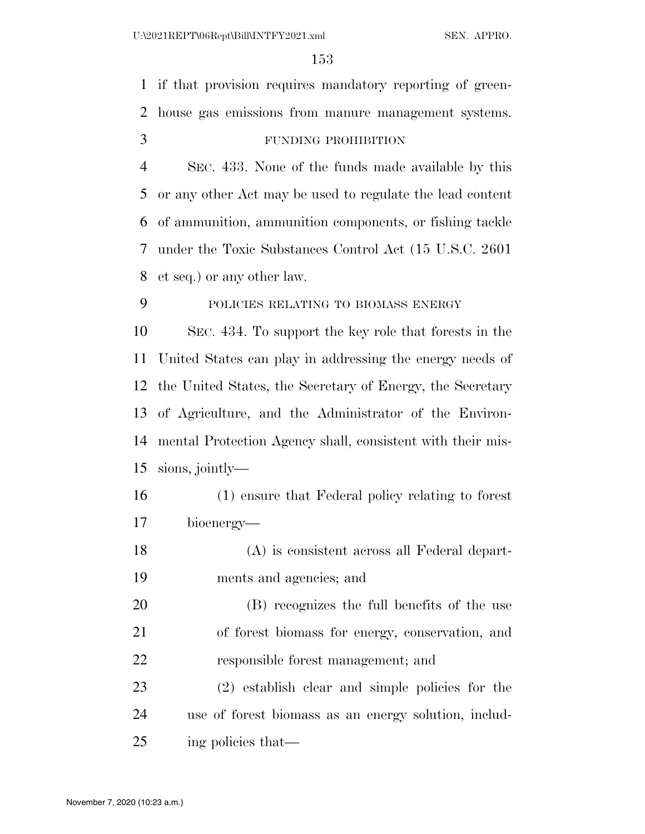if that provision requires mandatory reporting of green- house gas emissions from manure management systems. FUNDING PROHIBITION SEC. 433. None of the funds made available by this or any other Act may be used to regulate the lead content of ammunition, ammunition components, or fishing tackle under the Toxic Substances Control Act (15 U.S.C. 2601 et seq.) or any other law. POLICIES RELATING TO BIOMASS ENERGY SEC. 434. To support the key role that forests in the United States can play in addressing the energy needs of the United States, the Secretary of Energy, the Secretary of Agriculture, and the Administrator of the Environ- mental Protection Agency shall, consistent with their mis- sions, jointly— (1) ensure that Federal policy relating to forest bioenergy— (A) is consistent across all Federal depart- ments and agencies; and (B) recognizes the full benefits of the use of forest biomass for energy, conservation, and responsible forest management; and (2) establish clear and simple policies for the use of forest biomass as an energy solution, includ-ing policies that—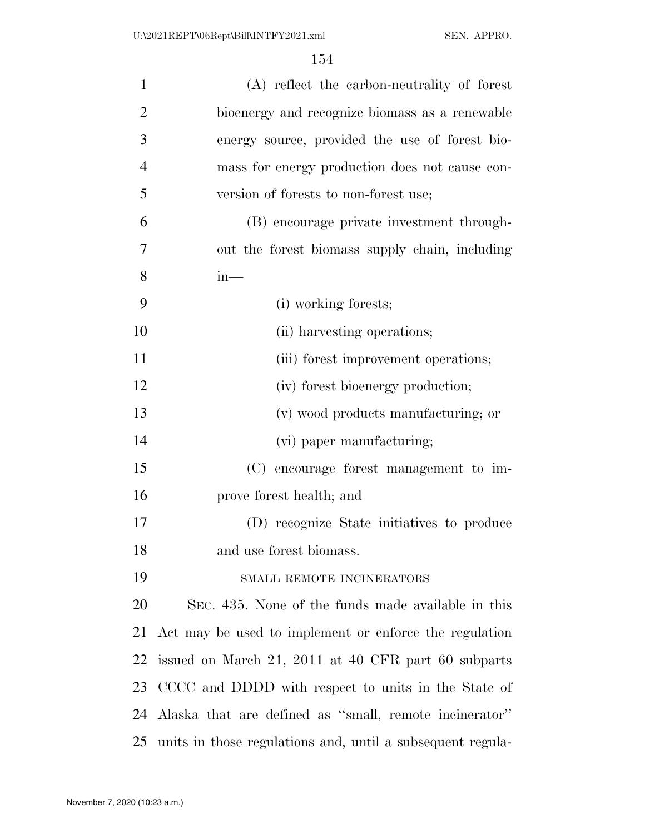| $\mathbf{1}$   | (A) reflect the carbon-neutrality of forest                |
|----------------|------------------------------------------------------------|
| $\overline{2}$ | bioenergy and recognize biomass as a renewable             |
| 3              | energy source, provided the use of forest bio-             |
| $\overline{4}$ | mass for energy production does not cause con-             |
| 5              | version of forests to non-forest use;                      |
| 6              | (B) encourage private investment through-                  |
| $\overline{7}$ | out the forest biomass supply chain, including             |
| 8              | $in-$                                                      |
| 9              | (i) working forests;                                       |
| 10             | (ii) harvesting operations;                                |
| 11             | (iii) forest improvement operations;                       |
| 12             | (iv) forest bioenergy production;                          |
| 13             | (v) wood products manufacturing; or                        |
| 14             | (vi) paper manufacturing;                                  |
| 15             | (C) encourage forest management to im-                     |
| 16             | prove forest health; and                                   |
| 17             | (D) recognize State initiatives to produce                 |
| 18             | and use forest biomass.                                    |
| 19             | SMALL REMOTE INCINERATORS                                  |
| 20             | SEC. 435. None of the funds made available in this         |
| 21             | Act may be used to implement or enforce the regulation     |
| 22             | issued on March 21, 2011 at 40 CFR part 60 subparts        |
| 23             | CCCC and DDDD with respect to units in the State of        |
| 24             | Alaska that are defined as "small, remote incinerator"     |
| 25             | units in those regulations and, until a subsequent regula- |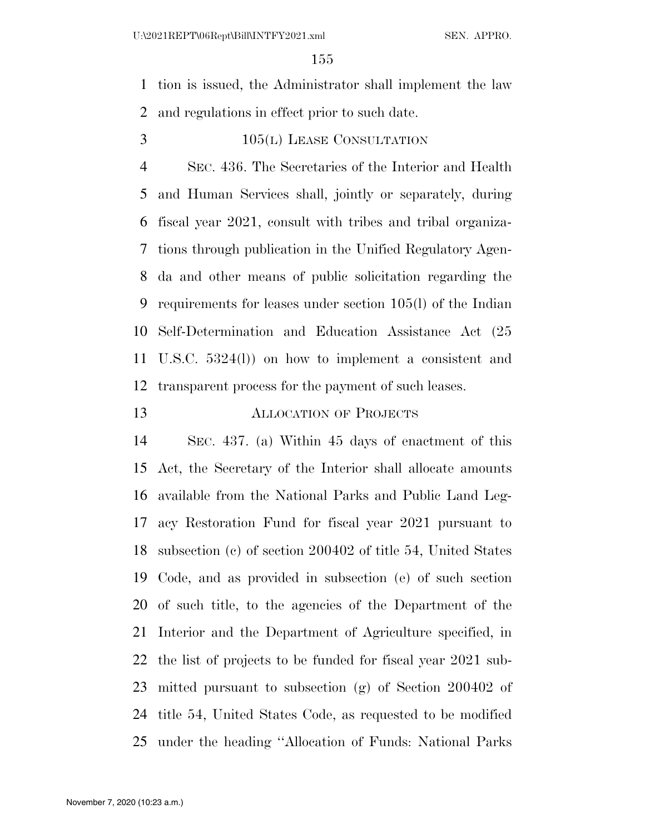tion is issued, the Administrator shall implement the law and regulations in effect prior to such date.

3 105(L) LEASE CONSULTATION

 SEC. 436. The Secretaries of the Interior and Health and Human Services shall, jointly or separately, during fiscal year 2021, consult with tribes and tribal organiza- tions through publication in the Unified Regulatory Agen- da and other means of public solicitation regarding the requirements for leases under section 105(l) of the Indian Self-Determination and Education Assistance Act (25 U.S.C. 5324(l)) on how to implement a consistent and transparent process for the payment of such leases.

# ALLOCATION OF PROJECTS

 SEC. 437. (a) Within 45 days of enactment of this Act, the Secretary of the Interior shall allocate amounts available from the National Parks and Public Land Leg- acy Restoration Fund for fiscal year 2021 pursuant to subsection (c) of section 200402 of title 54, United States Code, and as provided in subsection (e) of such section of such title, to the agencies of the Department of the Interior and the Department of Agriculture specified, in the list of projects to be funded for fiscal year 2021 sub- mitted pursuant to subsection (g) of Section 200402 of title 54, United States Code, as requested to be modified under the heading ''Allocation of Funds: National Parks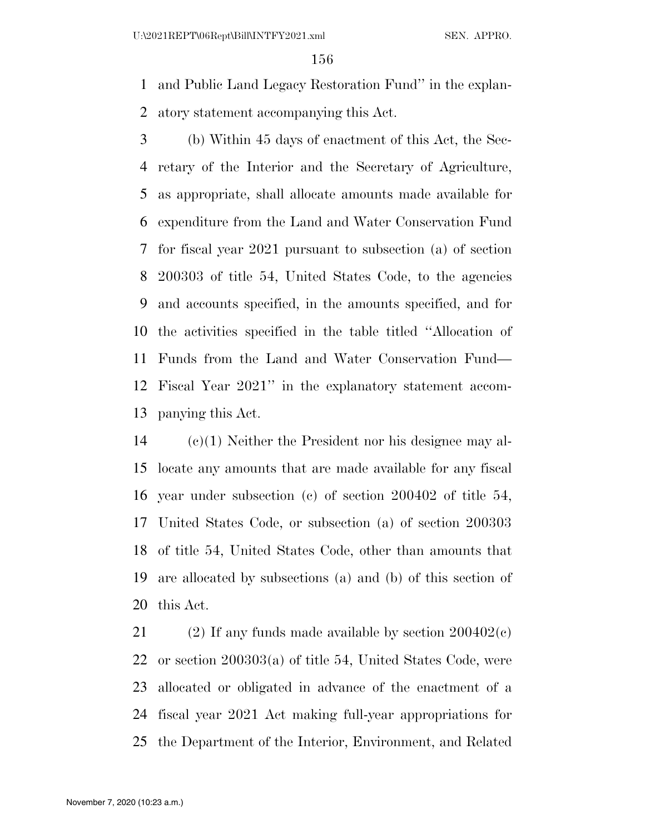and Public Land Legacy Restoration Fund'' in the explan-atory statement accompanying this Act.

 (b) Within 45 days of enactment of this Act, the Sec- retary of the Interior and the Secretary of Agriculture, as appropriate, shall allocate amounts made available for expenditure from the Land and Water Conservation Fund for fiscal year 2021 pursuant to subsection (a) of section 200303 of title 54, United States Code, to the agencies and accounts specified, in the amounts specified, and for the activities specified in the table titled ''Allocation of Funds from the Land and Water Conservation Fund— Fiscal Year 2021'' in the explanatory statement accom-panying this Act.

 (c)(1) Neither the President nor his designee may al- locate any amounts that are made available for any fiscal year under subsection (c) of section 200402 of title 54, United States Code, or subsection (a) of section 200303 of title 54, United States Code, other than amounts that are allocated by subsections (a) and (b) of this section of this Act.

21 (2) If any funds made available by section  $200402(c)$  or section 200303(a) of title 54, United States Code, were allocated or obligated in advance of the enactment of a fiscal year 2021 Act making full-year appropriations for the Department of the Interior, Environment, and Related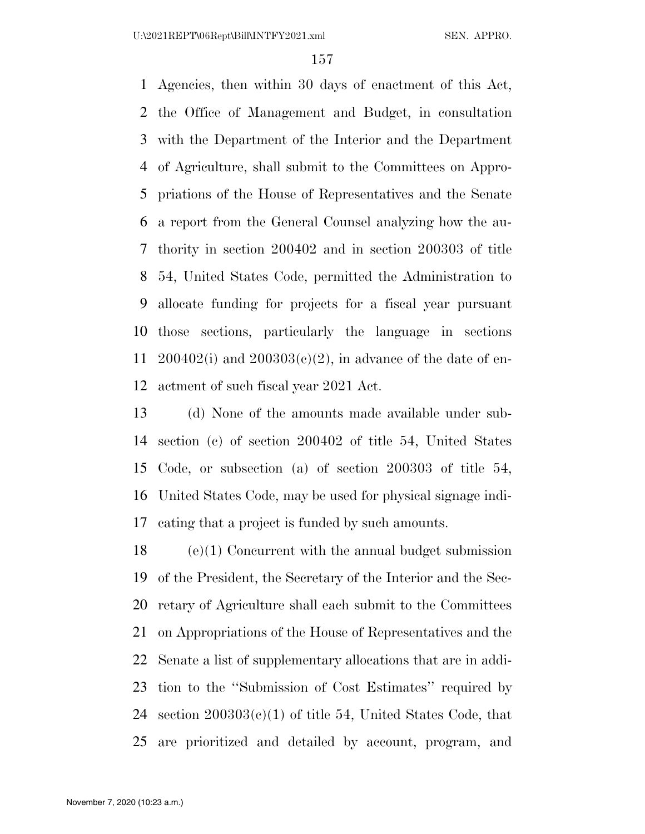Agencies, then within 30 days of enactment of this Act, the Office of Management and Budget, in consultation with the Department of the Interior and the Department of Agriculture, shall submit to the Committees on Appro- priations of the House of Representatives and the Senate a report from the General Counsel analyzing how the au- thority in section 200402 and in section 200303 of title 54, United States Code, permitted the Administration to allocate funding for projects for a fiscal year pursuant those sections, particularly the language in sections 200402(i) and 200303(c)(2), in advance of the date of en-actment of such fiscal year 2021 Act.

 (d) None of the amounts made available under sub- section (c) of section 200402 of title 54, United States Code, or subsection (a) of section 200303 of title 54, United States Code, may be used for physical signage indi-cating that a project is funded by such amounts.

 (e)(1) Concurrent with the annual budget submission of the President, the Secretary of the Interior and the Sec- retary of Agriculture shall each submit to the Committees on Appropriations of the House of Representatives and the Senate a list of supplementary allocations that are in addi- tion to the ''Submission of Cost Estimates'' required by 24 section  $200303(c)(1)$  of title 54, United States Code, that are prioritized and detailed by account, program, and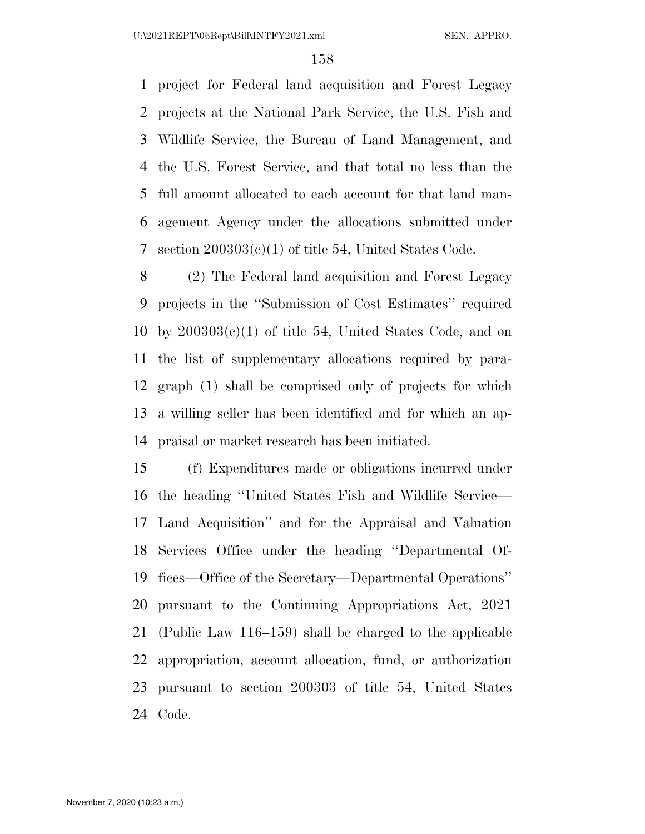project for Federal land acquisition and Forest Legacy projects at the National Park Service, the U.S. Fish and Wildlife Service, the Bureau of Land Management, and the U.S. Forest Service, and that total no less than the full amount allocated to each account for that land man- agement Agency under the allocations submitted under section 200303(c)(1) of title 54, United States Code.

 (2) The Federal land acquisition and Forest Legacy projects in the ''Submission of Cost Estimates'' required 10 by  $200303(c)(1)$  of title 54, United States Code, and on the list of supplementary allocations required by para- graph (1) shall be comprised only of projects for which a willing seller has been identified and for which an ap-praisal or market research has been initiated.

 (f) Expenditures made or obligations incurred under the heading ''United States Fish and Wildlife Service— Land Acquisition'' and for the Appraisal and Valuation Services Office under the heading ''Departmental Of- fices—Office of the Secretary—Departmental Operations'' pursuant to the Continuing Appropriations Act, 2021 (Public Law 116–159) shall be charged to the applicable appropriation, account allocation, fund, or authorization pursuant to section 200303 of title 54, United States Code.